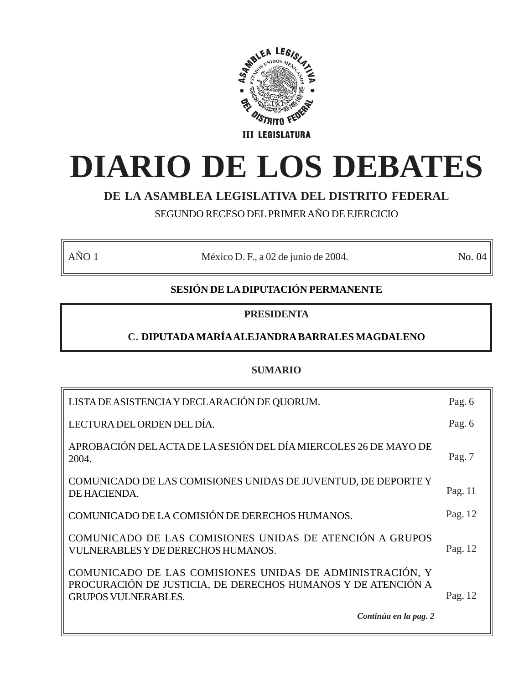

# **DIARIO DE LOS DEBATES**

# **DE LA ASAMBLEA LEGISLATIVA DEL DISTRITO FEDERAL**

SEGUNDO RECESO DEL PRIMER AÑO DE EJERCICIO

AÑO 1 México D. F., a 02 de junio de 2004. No. 04

# **SESIÓN DE LA DIPUTACIÓN PERMANENTE**

# **PRESIDENTA**

# **C. DIPUTADA MARÍA ALEJANDRA BARRALES MAGDALENO**

# **SUMARIO**

| LISTA DE ASISTENCIA Y DECLARACIÓN DE QUORUM.                                                                                                           | Pag. 6   |
|--------------------------------------------------------------------------------------------------------------------------------------------------------|----------|
| LECTURA DEL ORDEN DEL DÍA.                                                                                                                             | Pag. 6   |
| APROBACIÓN DEL ACTA DE LA SESIÓN DEL DÍA MIERCOLES 26 DE MAYO DE<br>2004.                                                                              | Pag. $7$ |
| COMUNICADO DE LAS COMISIONES UNIDAS DE JUVENTUD, DE DEPORTE Y<br>DE HACIENDA.                                                                          | Pag. 11  |
| COMUNICADO DE LA COMISIÓN DE DERECHOS HUMANOS.                                                                                                         | Pag. 12  |
| COMUNICADO DE LAS COMISIONES UNIDAS DE ATENCIÓN A GRUPOS<br>VULNERABLES Y DE DERECHOS HUMANOS.                                                         | Pag. 12  |
| COMUNICADO DE LAS COMISIONES UNIDAS DE ADMINISTRACIÓN, Y<br>PROCURACIÓN DE JUSTICIA, DE DERECHOS HUMANOS Y DE ATENCIÓN A<br><b>GRUPOS VULNERABLES.</b> | Pag. 12  |
| Continúa en la pag. 2                                                                                                                                  |          |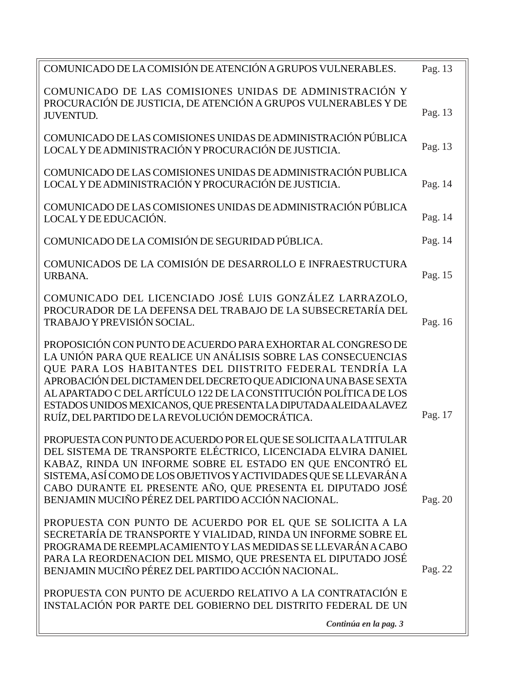| COMUNICADO DE LAS COMISIONES UNIDAS DE ADMINISTRACIÓN Y<br>PROCURACIÓN DE JUSTICIA, DE ATENCIÓN A GRUPOS VULNERABLES Y DE<br>Pag. 13<br><b>JUVENTUD.</b><br>COMUNICADO DE LAS COMISIONES UNIDAS DE ADMINISTRACIÓN PÚBLICA<br>Pag. 13<br>LOCAL Y DE ADMINISTRACIÓN Y PROCURACIÓN DE JUSTICIA.<br>COMUNICADO DE LAS COMISIONES UNIDAS DE ADMINISTRACIÓN PUBLICA<br>LOCAL Y DE ADMINISTRACIÓN Y PROCURACIÓN DE JUSTICIA.<br>Pag. 14<br>COMUNICADO DE LAS COMISIONES UNIDAS DE ADMINISTRACIÓN PÚBLICA<br>Pag. 14<br>LOCAL Y DE EDUCACIÓN.<br>COMUNICADO DE LA COMISIÓN DE SEGURIDAD PÚBLICA.<br>Pag. 14 |  |
|-----------------------------------------------------------------------------------------------------------------------------------------------------------------------------------------------------------------------------------------------------------------------------------------------------------------------------------------------------------------------------------------------------------------------------------------------------------------------------------------------------------------------------------------------------------------------------------------------------|--|
|                                                                                                                                                                                                                                                                                                                                                                                                                                                                                                                                                                                                     |  |
|                                                                                                                                                                                                                                                                                                                                                                                                                                                                                                                                                                                                     |  |
|                                                                                                                                                                                                                                                                                                                                                                                                                                                                                                                                                                                                     |  |
|                                                                                                                                                                                                                                                                                                                                                                                                                                                                                                                                                                                                     |  |
|                                                                                                                                                                                                                                                                                                                                                                                                                                                                                                                                                                                                     |  |
| COMUNICADOS DE LA COMISIÓN DE DESARROLLO E INFRAESTRUCTURA<br>Pag. 15<br>URBANA.                                                                                                                                                                                                                                                                                                                                                                                                                                                                                                                    |  |
| COMUNICADO DEL LICENCIADO JOSÉ LUIS GONZÁLEZ LARRAZOLO,<br>PROCURADOR DE LA DEFENSA DEL TRABAJO DE LA SUBSECRETARÍA DEL<br>TRABAJO Y PREVISIÓN SOCIAL.<br>Pag. 16                                                                                                                                                                                                                                                                                                                                                                                                                                   |  |
| PROPOSICIÓN CON PUNTO DE ACUERDO PARA EXHORTAR AL CONGRESO DE<br>LA UNIÓN PARA QUE REALICE UN ANÁLISIS SOBRE LAS CONSECUENCIAS<br>QUE PARA LOS HABITANTES DEL DIISTRITO FEDERAL TENDRÍA LA<br>APROBACIÓN DEL DICTAMEN DEL DECRETO QUE ADICIONA UNA BASE SEXTA<br>AL APARTADO C DEL ARTÍCULO 122 DE LA CONSTITUCIÓN POLÍTICA DE LOS<br>ESTADOS UNIDOS MEXICANOS, QUE PRESENTA LA DIPUTADA ALEIDA ALAVEZ<br>Pag. 17<br>RUÍZ, DEL PARTIDO DE LA REVOLUCIÓN DEMOCRÁTICA.                                                                                                                                |  |
| PROPUESTA CON PUNTO DE ACUERDO POR EL QUE SE SOLICITA A LA TITULAR<br>DEL SISTEMA DE TRANSPORTE ELÉCTRICO, LICENCIADA ELVIRA DANIEL<br>KABAZ, RINDA UN INFORME SOBRE EL ESTADO EN QUE ENCONTRÓ EL<br>SISTEMA, ASÍ COMO DE LOS OBJETIVOS Y ACTIVIDADES QUE SE LLEVARÁN A<br>CABO DURANTE EL PRESENTE AÑO, QUE PRESENTA EL DIPUTADO JOSÉ<br>BENJAMIN MUCIÑO PÉREZ DEL PARTIDO ACCIÓN NACIONAL.<br>Pag. 20                                                                                                                                                                                             |  |
| PROPUESTA CON PUNTO DE ACUERDO POR EL QUE SE SOLICITA A LA<br>SECRETARÍA DE TRANSPORTE Y VIALIDAD, RINDA UN INFORME SOBRE EL<br>PROGRAMA DE REEMPLACAMIENTO Y LAS MEDIDAS SE LLEVARÁN A CABO<br>PARA LA REORDENACION DEL MISMO, QUE PRESENTA EL DIPUTADO JOSÉ<br>BENJAMIN MUCIÑO PÉREZ DEL PARTIDO ACCIÓN NACIONAL.<br>Pag. 22                                                                                                                                                                                                                                                                      |  |
| PROPUESTA CON PUNTO DE ACUERDO RELATIVO A LA CONTRATACIÓN E<br>INSTALACIÓN POR PARTE DEL GOBIERNO DEL DISTRITO FEDERAL DE UN<br>Continúa en la pag. 3                                                                                                                                                                                                                                                                                                                                                                                                                                               |  |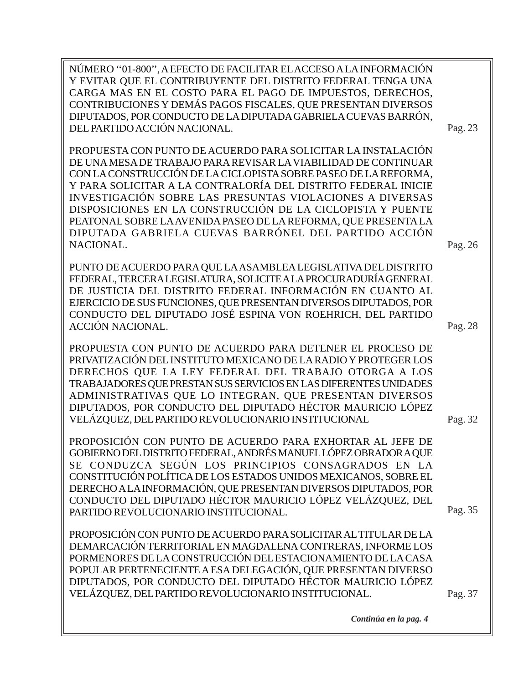NÚMERO ''01-800'', A EFECTO DE FACILITAR EL ACCESO A LA INFORMACIÓN Y EVITAR QUE EL CONTRIBUYENTE DEL DISTRITO FEDERAL TENGA UNA CARGA MAS EN EL COSTO PARA EL PAGO DE IMPUESTOS, DERECHOS, CONTRIBUCIONES Y DEMÁS PAGOS FISCALES, QUE PRESENTAN DIVERSOS DIPUTADOS, POR CONDUCTO DE LA DIPUTADA GABRIELA CUEVAS BARRÓN, DEL PARTIDO ACCIÓN NACIONAL. Pag. 23

PROPUESTA CON PUNTO DE ACUERDO PARA SOLICITAR LA INSTALACIÓN DE UNA MESA DE TRABAJO PARA REVISAR LA VIABILIDAD DE CONTINUAR CON LA CONSTRUCCIÓN DE LA CICLOPISTA SOBRE PASEO DE LA REFORMA, Y PARA SOLICITAR A LA CONTRALORÍA DEL DISTRITO FEDERAL INICIE INVESTIGACIÓN SOBRE LAS PRESUNTAS VIOLACIONES A DIVERSAS DISPOSICIONES EN LA CONSTRUCCIÓN DE LA CICLOPISTA Y PUENTE PEATONAL SOBRE LA AVENIDA PASEO DE LA REFORMA, QUE PRESENTA LA DIPUTADA GABRIELA CUEVAS BARRÓNEL DEL PARTIDO ACCIÓN NACIONAL.

PUNTO DE ACUERDO PARA QUE LA ASAMBLEA LEGISLATIVA DEL DISTRITO FEDERAL, TERCERA LEGISLATURA, SOLICITE A LA PROCURADURÍA GENERAL DE JUSTICIA DEL DISTRITO FEDERAL INFORMACIÓN EN CUANTO AL EJERCICIO DE SUS FUNCIONES, QUE PRESENTAN DIVERSOS DIPUTADOS, POR CONDUCTO DEL DIPUTADO JOSÉ ESPINA VON ROEHRICH, DEL PARTIDO ACCIÓN NACIONAL.

PROPUESTA CON PUNTO DE ACUERDO PARA DETENER EL PROCESO DE PRIVATIZACIÓN DEL INSTITUTO MEXICANO DE LA RADIO Y PROTEGER LOS DERECHOS QUE LA LEY FEDERAL DEL TRABAJO OTORGA A LOS TRABAJADORES QUE PRESTAN SUS SERVICIOS EN LAS DIFERENTES UNIDADES ADMINISTRATIVAS QUE LO INTEGRAN, QUE PRESENTAN DIVERSOS DIPUTADOS, POR CONDUCTO DEL DIPUTADO HÉCTOR MAURICIO LÓPEZ VELÁZQUEZ, DEL PARTIDO REVOLUCIONARIO INSTITUCIONAL

PROPOSICIÓN CON PUNTO DE ACUERDO PARA EXHORTAR AL JEFE DE GOBIERNO DEL DISTRITO FEDERAL, ANDRÉS MANUEL LÓPEZ OBRADOR A QUE SE CONDUZCA SEGÚN LOS PRINCIPIOS CONSAGRADOS EN LA CONSTITUCIÓN POLÍTICA DE LOS ESTADOS UNIDOS MEXICANOS, SOBRE EL DERECHO A LA INFORMACIÓN, QUE PRESENTAN DIVERSOS DIPUTADOS, POR CONDUCTO DEL DIPUTADO HÉCTOR MAURICIO LÓPEZ VELÁZQUEZ, DEL PARTIDO REVOLUCIONARIO INSTITUCIONAL.

PROPOSICIÓN CON PUNTO DE ACUERDO PARA SOLICITAR AL TITULAR DE LA DEMARCACIÓN TERRITORIAL EN MAGDALENA CONTRERAS, INFORME LOS PORMENORES DE LA CONSTRUCCIÓN DEL ESTACIONAMIENTO DE LA CASA POPULAR PERTENECIENTE A ESA DELEGACIÓN, QUE PRESENTAN DIVERSO DIPUTADOS, POR CONDUCTO DEL DIPUTADO HÉCTOR MAURICIO LÓPEZ VELÁZQUEZ, DEL PARTIDO REVOLUCIONARIO INSTITUCIONAL.

Pag. 35

Pag. 26

Pag. 28

Pag. 32

*Continúa en la pag. 4*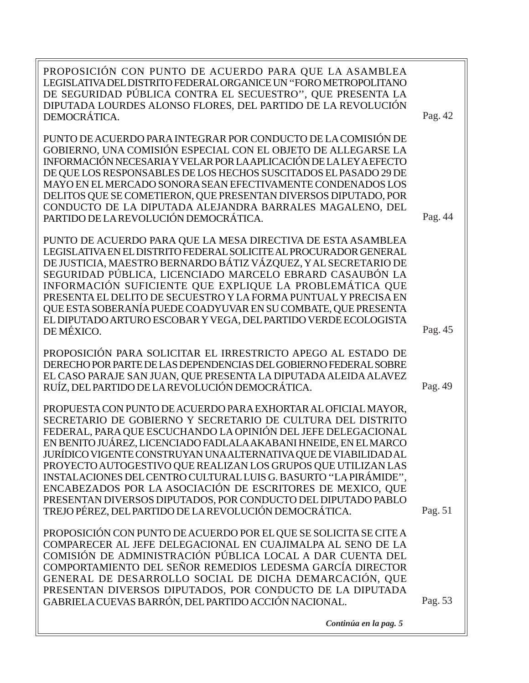Pag. 53 Pag. 49 Pag. 51 PROPOSICIÓN CON PUNTO DE ACUERDO PARA QUE LA ASAMBLEA LEGISLATIVA DEL DISTRITO FEDERAL ORGANICE UN ''FORO METROPOLITANO DE SEGURIDAD PÚBLICA CONTRA EL SECUESTRO'', QUE PRESENTA LA DIPUTADA LOURDES ALONSO FLORES, DEL PARTIDO DE LA REVOLUCIÓN DEMOCRÁTICA. PUNTO DE ACUERDO PARA INTEGRAR POR CONDUCTO DE LA COMISIÓN DE GOBIERNO, UNA COMISIÓN ESPECIAL CON EL OBJETO DE ALLEGARSE LA INFORMACIÓN NECESARIA Y VELAR POR LA APLICACIÓN DE LA LEY A EFECTO DE QUE LOS RESPONSABLES DE LOS HECHOS SUSCITADOS EL PASADO 29 DE MAYO EN EL MERCADO SONORA SEAN EFECTIVAMENTE CONDENADOS LOS DELITOS QUE SE COMETIERON, QUE PRESENTAN DIVERSOS DIPUTADO, POR CONDUCTO DE LA DIPUTADA ALEJANDRA BARRALES MAGALENO, DEL PARTIDO DE LA REVOLUCIÓN DEMOCRÁTICA. PUNTO DE ACUERDO PARA QUE LA MESA DIRECTIVA DE ESTA ASAMBLEA LEGISLATIVA EN EL DISTRITO FEDERAL SOLICITE AL PROCURADOR GENERAL DE JUSTICIA, MAESTRO BERNARDO BÁTIZ VÁZQUEZ, Y AL SECRETARIO DE SEGURIDAD PÚBLICA, LICENCIADO MARCELO EBRARD CASAUBÓN LA INFORMACIÓN SUFICIENTE QUE EXPLIQUE LA PROBLEMÁTICA QUE PRESENTA EL DELITO DE SECUESTRO Y LA FORMA PUNTUAL Y PRECISA EN QUE ESTA SOBERANÍA PUEDE COADYUVAR EN SU COMBATE, QUE PRESENTA EL DIPUTADO ARTURO ESCOBAR Y VEGA, DEL PARTIDO VERDE ECOLOGISTA DE MÉXICO. PROPOSICIÓN PARA SOLICITAR EL IRRESTRICTO APEGO AL ESTADO DE DERECHO POR PARTE DE LAS DEPENDENCIAS DEL GOBIERNO FEDERAL SOBRE EL CASO PARAJE SAN JUAN, QUE PRESENTA LA DIPUTADA ALEIDA ALAVEZ RUÍZ, DEL PARTIDO DE LA REVOLUCIÓN DEMOCRÁTICA. PROPUESTA CON PUNTO DE ACUERDO PARA EXHORTAR AL OFICIAL MAYOR, SECRETARIO DE GOBIERNO Y SECRETARIO DE CULTURA DEL DISTRITO FEDERAL, PARA QUE ESCUCHANDO LA OPINIÓN DEL JEFE DELEGACIONAL EN BENITO JUÁREZ, LICENCIADO FADLALA AKABANI HNEIDE, EN EL MARCO JURÍDICO VIGENTE CONSTRUYAN UNA ALTERNATIVA QUE DE VIABILIDAD AL PROYECTO AUTOGESTIVO QUE REALIZAN LOS GRUPOS QUE UTILIZAN LAS INSTALACIONES DEL CENTRO CULTURAL LUIS G. BASURTO ''LA PIRÁMIDE'', ENCABEZADOS POR LA ASOCIACIÓN DE ESCRITORES DE MEXICO, QUE PRESENTAN DIVERSOS DIPUTADOS, POR CONDUCTO DEL DIPUTADO PABLO TREJO PÉREZ, DEL PARTIDO DE LA REVOLUCIÓN DEMOCRÁTICA. PROPOSICIÓN CON PUNTO DE ACUERDO POR EL QUE SE SOLICITA SE CITE A COMPARECER AL JEFE DELEGACIONAL EN CUAJIMALPA AL SENO DE LA COMISIÓN DE ADMINISTRACIÓN PÚBLICA LOCAL A DAR CUENTA DEL COMPORTAMIENTO DEL SEÑOR REMEDIOS LEDESMA GARCÍA DIRECTOR GENERAL DE DESARROLLO SOCIAL DE DICHA DEMARCACIÓN, QUE PRESENTAN DIVERSOS DIPUTADOS, POR CONDUCTO DE LA DIPUTADA GABRIELA CUEVAS BARRÓN, DEL PARTIDO ACCIÓN NACIONAL. Pag. 42 Pag. 44 Pag. 45

*Continúa en la pag. 5*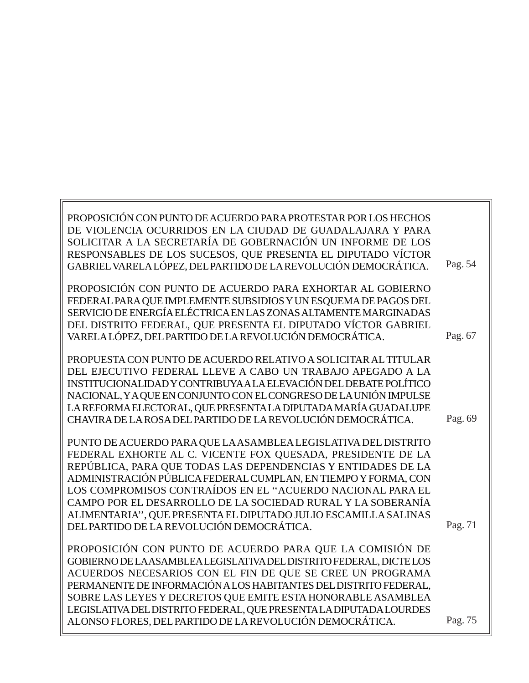| PROPOSICIÓN CON PUNTO DE ACUERDO PARA PROTESTAR POR LOS HECHOS<br>DE VIOLENCIA OCURRIDOS EN LA CIUDAD DE GUADALAJARA Y PARA<br>SOLICITAR A LA SECRETARÍA DE GOBERNACIÓN UN INFORME DE LOS<br>RESPONSABLES DE LOS SUCESOS, QUE PRESENTA EL DIPUTADO VÍCTOR<br>GABRIEL VARELA LÓPEZ, DEL PARTIDO DE LA REVOLUCIÓN DEMOCRÁTICA.                                                                                                                                                                                | Pag. 54 |
|-------------------------------------------------------------------------------------------------------------------------------------------------------------------------------------------------------------------------------------------------------------------------------------------------------------------------------------------------------------------------------------------------------------------------------------------------------------------------------------------------------------|---------|
| PROPOSICIÓN CON PUNTO DE ACUERDO PARA EXHORTAR AL GOBIERNO<br>FEDERAL PARA QUE IMPLEMENTE SUBSIDIOS Y UN ESQUEMA DE PAGOS DEL<br>SERVICIO DE ENERGÍA ELÉCTRICA EN LAS ZONAS ALTAMENTE MARGINADAS<br>DEL DISTRITO FEDERAL, QUE PRESENTA EL DIPUTADO VÍCTOR GABRIEL<br>VARELA LÓPEZ, DEL PARTIDO DE LA REVOLUCIÓN DEMOCRÁTICA.                                                                                                                                                                                | Pag. 67 |
| PROPUESTA CON PUNTO DE ACUERDO RELATIVO A SOLICITAR AL TITULAR<br>DEL EJECUTIVO FEDERAL LLEVE A CABO UN TRABAJO APEGADO A LA<br>INSTITUCIONALIDAD Y CONTRIBUYA A LA ELEVACIÓN DEL DEBATE POLÍTICO<br>NACIONAL, Y A QUE EN CONJUNTO CON EL CONGRESO DE LA UNIÓN IMPULSE<br>LA REFORMA ELECTORAL, QUE PRESENTA LA DIPUTADA MARÍA GUADALUPE<br>CHAVIRA DE LA ROSA DEL PARTIDO DE LA REVOLUCIÓN DEMOCRÁTICA.                                                                                                    | Pag. 69 |
| PUNTO DE ACUERDO PARA QUE LA ASAMBLEA LEGISLATIVA DEL DISTRITO<br>FEDERAL EXHORTE AL C. VICENTE FOX QUESADA, PRESIDENTE DE LA<br>REPÚBLICA, PARA QUE TODAS LAS DEPENDENCIAS Y ENTIDADES DE LA<br>ADMINISTRACIÓN PÚBLICA FEDERAL CUMPLAN, EN TIEMPO Y FORMA, CON<br>LOS COMPROMISOS CONTRAÍDOS EN EL "ACUERDO NACIONAL PARA EL<br>CAMPO POR EL DESARROLLO DE LA SOCIEDAD RURAL Y LA SOBERANÍA<br>ALIMENTARIA", QUE PRESENTA EL DIPUTADO JULIO ESCAMILLA SALINAS<br>DEL PARTIDO DE LA REVOLUCIÓN DEMOCRÁTICA. | Pag. 71 |
| PROPOSICIÓN CON PUNTO DE ACUERDO PARA QUE LA COMISIÓN DE<br>GOBIERNO DE LA ASAMBLEA LEGISLATIVA DEL DISTRITO FEDERAL, DICTE LOS<br>ACUERDOS NECESARIOS CON EL FIN DE QUE SE CREE UN PROGRAMA<br>PERMANENTE DE INFORMACIÓN A LOS HABITANTES DEL DISTRITO FEDERAL,<br>SOBRE LAS LEYES Y DECRETOS QUE EMITE ESTA HONORABLE ASAMBLEA<br>LEGISLATIVA DEL DISTRITO FEDERAL, QUE PRESENTA LA DIPUTADA LOURDES<br>ALONSO FLORES, DEL PARTIDO DE LA REVOLUCIÓN DEMOCRÁTICA.                                          | Pag. 75 |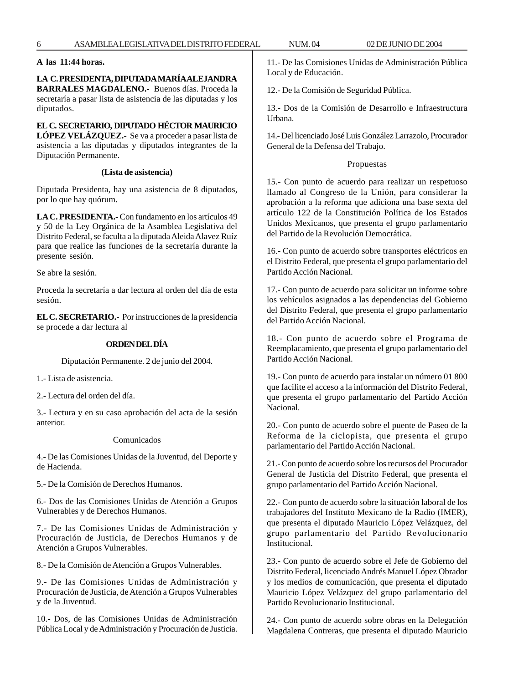# **A las 11:44 horas.**

**LA C. PRESIDENTA, DIPUTADA MARÍA ALEJANDRA BARRALES MAGDALENO.-** Buenos días. Proceda la secretaría a pasar lista de asistencia de las diputadas y los diputados.

# **EL C. SECRETARIO, DIPUTADO HÉCTOR MAURICIO**

**LÓPEZ VELÁZQUEZ.-** Se va a proceder a pasar lista de asistencia a las diputadas y diputados integrantes de la Diputación Permanente.

#### **(Lista de asistencia)**

Diputada Presidenta, hay una asistencia de 8 diputados, por lo que hay quórum.

**LA C. PRESIDENTA.-** Con fundamento en los artículos 49 y 50 de la Ley Orgánica de la Asamblea Legislativa del Distrito Federal, se faculta a la diputada Aleida Alavez Ruíz para que realice las funciones de la secretaría durante la presente sesión.

Se abre la sesión.

Proceda la secretaría a dar lectura al orden del día de esta sesión.

**EL C. SECRETARIO.-** Por instrucciones de la presidencia se procede a dar lectura al

# **ORDEN DEL DÍA**

Diputación Permanente. 2 de junio del 2004.

1.- Lista de asistencia.

2.- Lectura del orden del día.

3.- Lectura y en su caso aprobación del acta de la sesión anterior.

#### Comunicados

4.- De las Comisiones Unidas de la Juventud, del Deporte y de Hacienda.

5.- De la Comisión de Derechos Humanos.

6.- Dos de las Comisiones Unidas de Atención a Grupos Vulnerables y de Derechos Humanos.

7.- De las Comisiones Unidas de Administración y Procuración de Justicia, de Derechos Humanos y de Atención a Grupos Vulnerables.

8.- De la Comisión de Atención a Grupos Vulnerables.

9.- De las Comisiones Unidas de Administración y Procuración de Justicia, de Atención a Grupos Vulnerables y de la Juventud.

10.- Dos, de las Comisiones Unidas de Administración Pública Local y de Administración y Procuración de Justicia. 11.- De las Comisiones Unidas de Administración Pública Local y de Educación.

12.- De la Comisión de Seguridad Pública.

13.- Dos de la Comisión de Desarrollo e Infraestructura Urbana.

14.- Del licenciado José Luis González Larrazolo, Procurador General de la Defensa del Trabajo.

# Propuestas

15.- Con punto de acuerdo para realizar un respetuoso llamado al Congreso de la Unión, para considerar la aprobación a la reforma que adiciona una base sexta del artículo 122 de la Constitución Política de los Estados Unidos Mexicanos, que presenta el grupo parlamentario del Partido de la Revolución Democrática.

16.- Con punto de acuerdo sobre transportes eléctricos en el Distrito Federal, que presenta el grupo parlamentario del Partido Acción Nacional.

17.- Con punto de acuerdo para solicitar un informe sobre los vehículos asignados a las dependencias del Gobierno del Distrito Federal, que presenta el grupo parlamentario del Partido Acción Nacional.

18.- Con punto de acuerdo sobre el Programa de Reemplacamiento, que presenta el grupo parlamentario del Partido Acción Nacional.

19.- Con punto de acuerdo para instalar un número 01 800 que facilite el acceso a la información del Distrito Federal, que presenta el grupo parlamentario del Partido Acción Nacional.

20.- Con punto de acuerdo sobre el puente de Paseo de la Reforma de la ciclopista, que presenta el grupo parlamentario del Partido Acción Nacional.

21.- Con punto de acuerdo sobre los recursos del Procurador General de Justicia del Distrito Federal, que presenta el grupo parlamentario del Partido Acción Nacional.

22.- Con punto de acuerdo sobre la situación laboral de los trabajadores del Instituto Mexicano de la Radio (IMER), que presenta el diputado Mauricio López Velázquez, del grupo parlamentario del Partido Revolucionario Institucional.

23.- Con punto de acuerdo sobre el Jefe de Gobierno del Distrito Federal, licenciado Andrés Manuel López Obrador y los medios de comunicación, que presenta el diputado Mauricio López Velázquez del grupo parlamentario del Partido Revolucionario Institucional.

24.- Con punto de acuerdo sobre obras en la Delegación Magdalena Contreras, que presenta el diputado Mauricio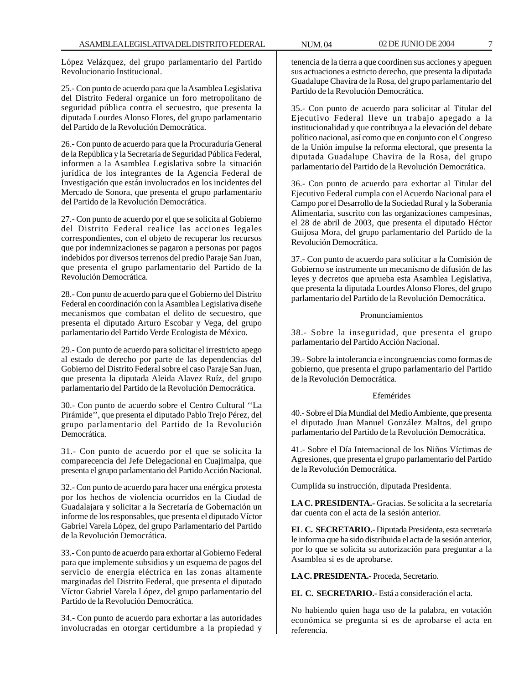López Velázquez, del grupo parlamentario del Partido Revolucionario Institucional.

25.- Con punto de acuerdo para que la Asamblea Legislativa del Distrito Federal organice un foro metropolitano de seguridad pública contra el secuestro, que presenta la diputada Lourdes Alonso Flores, del grupo parlamentario del Partido de la Revolución Democrática.

26.- Con punto de acuerdo para que la Procuraduría General de la República y la Secretaría de Seguridad Pública Federal, informen a la Asamblea Legislativa sobre la situación jurídica de los integrantes de la Agencia Federal de Investigación que están involucrados en los incidentes del Mercado de Sonora, que presenta el grupo parlamentario del Partido de la Revolución Democrática.

27.- Con punto de acuerdo por el que se solicita al Gobierno del Distrito Federal realice las acciones legales correspondientes, con el objeto de recuperar los recursos que por indemnizaciones se pagaron a personas por pagos indebidos por diversos terrenos del predio Paraje San Juan, que presenta el grupo parlamentario del Partido de la Revolución Democrática.

28.- Con punto de acuerdo para que el Gobierno del Distrito Federal en coordinación con la Asamblea Legislativa diseñe mecanismos que combatan el delito de secuestro, que presenta el diputado Arturo Escobar y Vega, del grupo parlamentario del Partido Verde Ecologista de México.

29.- Con punto de acuerdo para solicitar el irrestricto apego al estado de derecho por parte de las dependencias del Gobierno del Distrito Federal sobre el caso Paraje San Juan, que presenta la diputada Aleida Alavez Ruíz, del grupo parlamentario del Partido de la Revolución Democrática.

30.- Con punto de acuerdo sobre el Centro Cultural ''La Pirámide'', que presenta el diputado Pablo Trejo Pérez, del grupo parlamentario del Partido de la Revolución Democrática.

31.- Con punto de acuerdo por el que se solicita la comparecencia del Jefe Delegacional en Cuajimalpa, que presenta el grupo parlamentario del Partido Acción Nacional.

32.- Con punto de acuerdo para hacer una enérgica protesta por los hechos de violencia ocurridos en la Ciudad de Guadalajara y solicitar a la Secretaría de Gobernación un informe de los responsables, que presenta el diputado Víctor Gabriel Varela López, del grupo Parlamentario del Partido de la Revolución Democrática.

33.- Con punto de acuerdo para exhortar al Gobierno Federal para que implemente subsidios y un esquema de pagos del servicio de energía eléctrica en las zonas altamente marginadas del Distrito Federal, que presenta el diputado Víctor Gabriel Varela López, del grupo parlamentario del Partido de la Revolución Democrática.

34.- Con punto de acuerdo para exhortar a las autoridades involucradas en otorgar certidumbre a la propiedad y tenencia de la tierra a que coordinen sus acciones y apeguen sus actuaciones a estricto derecho, que presenta la diputada Guadalupe Chavira de la Rosa, del grupo parlamentario del Partido de la Revolución Democrática.

35.- Con punto de acuerdo para solicitar al Titular del Ejecutivo Federal lleve un trabajo apegado a la institucionalidad y que contribuya a la elevación del debate político nacional, así como que en conjunto con el Congreso de la Unión impulse la reforma electoral, que presenta la diputada Guadalupe Chavira de la Rosa, del grupo parlamentario del Partido de la Revolución Democrática.

36.- Con punto de acuerdo para exhortar al Titular del Ejecutivo Federal cumpla con el Acuerdo Nacional para el Campo por el Desarrollo de la Sociedad Rural y la Soberanía Alimentaria, suscrito con las organizaciones campesinas, el 28 de abril de 2003, que presenta el diputado Héctor Guijosa Mora, del grupo parlamentario del Partido de la Revolución Democrática.

37.- Con punto de acuerdo para solicitar a la Comisión de Gobierno se instrumente un mecanismo de difusión de las leyes y decretos que aprueba esta Asamblea Legislativa, que presenta la diputada Lourdes Alonso Flores, del grupo parlamentario del Partido de la Revolución Democrática.

#### Pronunciamientos

38.- Sobre la inseguridad, que presenta el grupo parlamentario del Partido Acción Nacional.

39.- Sobre la intolerancia e incongruencias como formas de gobierno, que presenta el grupo parlamentario del Partido de la Revolución Democrática.

#### Efemérides

40.- Sobre el Día Mundial del Medio Ambiente, que presenta el diputado Juan Manuel González Maltos, del grupo parlamentario del Partido de la Revolución Democrática.

41.- Sobre el Día Internacional de los Niños Víctimas de Agresiones, que presenta el grupo parlamentario del Partido de la Revolución Democrática.

Cumplida su instrucción, diputada Presidenta.

**LA C. PRESIDENTA.-** Gracias. Se solicita a la secretaría dar cuenta con el acta de la sesión anterior.

**EL C. SECRETARIO.-** Diputada Presidenta, esta secretaría le informa que ha sido distribuida el acta de la sesión anterior, por lo que se solicita su autorización para preguntar a la Asamblea si es de aprobarse.

**LA C. PRESIDENTA.-** Proceda, Secretario.

**EL C. SECRETARIO.-** Está a consideración el acta.

No habiendo quien haga uso de la palabra, en votación económica se pregunta si es de aprobarse el acta en referencia.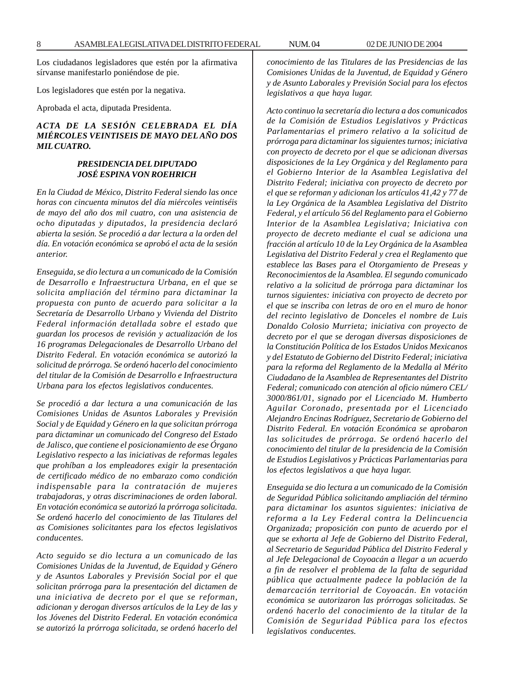Los ciudadanos legisladores que estén por la afirmativa sírvanse manifestarlo poniéndose de pie.

Los legisladores que estén por la negativa.

Aprobada el acta, diputada Presidenta.

# *ACTA DE LA SESIÓN CELEBRADA EL DÍA MIÉRCOLES VEINTISEIS DE MAYO DEL AÑO DOS MIL CUATRO.*

## *PRESIDENCIA DEL DIPUTADO JOSÉ ESPINA VON ROEHRICH*

*En la Ciudad de México, Distrito Federal siendo las once horas con cincuenta minutos del día miércoles veintiséis de mayo del año dos mil cuatro, con una asistencia de ocho diputadas y diputados, la presidencia declaró abierta la sesión. Se procedió a dar lectura a la orden del día. En votación económica se aprobó el acta de la sesión anterior.*

*Enseguida, se dio lectura a un comunicado de la Comisión de Desarrollo e Infraestructura Urbana, en el que se solicita ampliación del término para dictaminar la propuesta con punto de acuerdo para solicitar a la Secretaría de Desarrollo Urbano y Vivienda del Distrito Federal información detallada sobre el estado que guardan los procesos de revisión y actualización de los 16 programas Delegacionales de Desarrollo Urbano del Distrito Federal. En votación económica se autorizó la solicitud de prórroga. Se ordenó hacerlo del conocimiento del titular de la Comisión de Desarrollo e Infraestructura Urbana para los efectos legislativos conducentes.*

*Se procedió a dar lectura a una comunicación de las Comisiones Unidas de Asuntos Laborales y Previsión Social y de Equidad y Género en la que solicitan prórroga para dictaminar un comunicado del Congreso del Estado de Jalisco, que contiene el posicionamiento de ese Órgano Legislativo respecto a las iniciativas de reformas legales que prohíban a los empleadores exigir la presentación de certificado médico de no embarazo como condición indispensable para la contratación de mujeres trabajadoras, y otras discriminaciones de orden laboral. En votación económica se autorizó la prórroga solicitada. Se ordenó hacerlo del conocimiento de las Titulares del as Comisiones solicitantes para los efectos legislativos conducentes.*

*Acto seguido se dio lectura a un comunicado de las Comisiones Unidas de la Juventud, de Equidad y Género y de Asuntos Laborales y Previsión Social por el que solicitan prórroga para la presentación del dictamen de una iniciativa de decreto por el que se reforman, adicionan y derogan diversos artículos de la Ley de las y los Jóvenes del Distrito Federal. En votación económica se autorizó la prórroga solicitada, se ordenó hacerlo del* *conocimiento de las Titulares de las Presidencias de las Comisiones Unidas de la Juventud, de Equidad y Género y de Asunto Laborales y Previsión Social para los efectos legislativos a que haya lugar.*

*Acto continuo la secretaría dio lectura a dos comunicados de la Comisión de Estudios Legislativos y Prácticas Parlamentarias el primero relativo a la solicitud de prórroga para dictaminar los siguientes turnos; iniciativa con proyecto de decreto por el que se adicionan diversas disposiciones de la Ley Orgánica y del Reglamento para el Gobierno Interior de la Asamblea Legislativa del Distrito Federal; iniciativa con proyecto de decreto por el que se reforman y adicionan los artículos 41,42 y 77 de la Ley Orgánica de la Asamblea Legislativa del Distrito Federal, y el artículo 56 del Reglamento para el Gobierno Interior de la Asamblea Legislativa; Iniciativa con proyecto de decreto mediante el cual se adiciona una fracción al artículo 10 de la Ley Orgánica de la Asamblea Legislativa del Distrito Federal y crea el Reglamento que establece las Bases para el Otorgamiento de Preseas y Reconocimientos de la Asamblea. El segundo comunicado relativo a la solicitud de prórroga para dictaminar los turnos siguientes: iniciativa con proyecto de decreto por el que se inscriba con letras de oro en el muro de honor del recinto legislativo de Donceles el nombre de Luis Donaldo Colosio Murrieta; iniciativa con proyecto de decreto por el que se derogan diversas disposiciones de la Constitución Política de los Estados Unidos Mexicanos y del Estatuto de Gobierno del Distrito Federal; iniciativa para la reforma del Reglamento de la Medalla al Mérito Ciudadano de la Asamblea de Representantes del Distrito Federal; comunicado con atención al oficio número CEL/ 3000/861/01, signado por el Licenciado M. Humberto Aguilar Coronado, presentada por el Licenciado Alejandro Encinas Rodríguez, Secretario de Gobierno del Distrito Federal. En votación Económica se aprobaron las solicitudes de prórroga. Se ordenó hacerlo del conocimiento del titular de la presidencia de la Comisión de Estudios Legislativos y Prácticas Parlamentarias para los efectos legislativos a que haya lugar.*

*Enseguida se dio lectura a un comunicado de la Comisión de Seguridad Pública solicitando ampliación del término para dictaminar los asuntos siguientes: iniciativa de reforma a la Ley Federal contra la Delincuencia Organizada; proposición con punto de acuerdo por el que se exhorta al Jefe de Gobierno del Distrito Federal, al Secretario de Seguridad Pública del Distrito Federal y al Jefe Delegacional de Coyoacán a llegar a un acuerdo a fin de resolver el problema de la falta de seguridad pública que actualmente padece la población de la demarcación territorial de Coyoacán. En votación económica se autorizaron las prórrogas solicitadas. Se ordenó hacerlo del conocimiento de la titular de la Comisión de Seguridad Pública para los efectos legislativos conducentes.*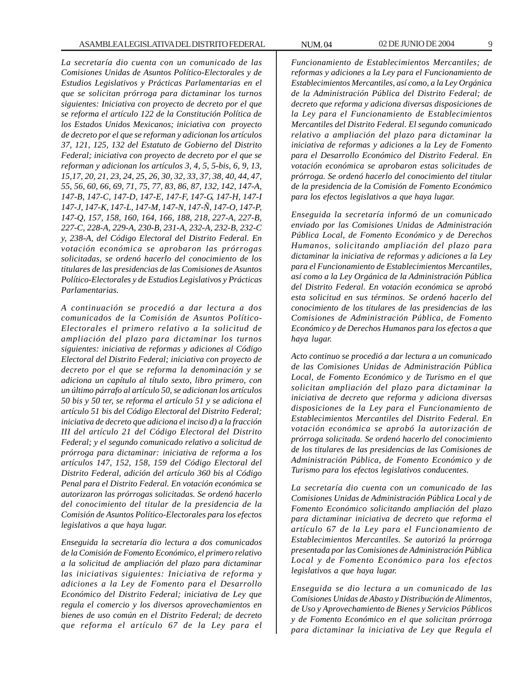*La secretaría dio cuenta con un comunicado de las Comisiones Unidas de Asuntos Político-Electorales y de Estudios Legislativos y Prácticas Parlamentarias en el que se solicitan prórroga para dictaminar los turnos siguientes: Iniciativa con proyecto de decreto por el que se reforma el artículo 122 de la Constitución Política de los Estados Unidos Mexicanos; iniciativa con proyecto de decreto por el que se reforman y adicionan los artículos 37, 121, 125, 132 del Estatuto de Gobierno del Distrito Federal; iniciativa con proyecto de decreto por el que se reforman y adicionan los artículos 3, 4, 5, 5-bis, 6, 9, 13, 15,17, 20, 21, 23, 24, 25, 26, 30, 32, 33, 37, 38, 40, 44, 47, 55, 56, 60, 66, 69, 71, 75, 77, 83, 86, 87, 132, 142, 147-A, 147-B, 147-C, 147-D, 147-E, 147-F, 147-G, 147-H, 147-I 147-J, 147-K, 147-L, 147-M, 147-N, 147-Ñ, 147-O, 147-P, 147-Q, 157, 158, 160, 164, 166, 188, 218, 227-A, 227-B, 227-C, 228-A, 229-A, 230-B, 231-A, 232-A, 232-B, 232-C y, 238-A, del Código Electoral del Distrito Federal. En votación económica se aprobaron las prórrogas solicitadas, se ordenó hacerlo del conocimiento de los titulares de las presidencias de las Comisiones de Asuntos Político-Electorales y de Estudios Legislativos y Prácticas Parlamentarias.*

*A continuación se procedió a dar lectura a dos comunicados de la Comisión de Asuntos Político-Electorales el primero relativo a la solicitud de ampliación del plazo para dictaminar los turnos siguientes: iniciativa de reformas y adiciones al Código Electoral del Distrito Federal; iniciativa con proyecto de decreto por el que se reforma la denominación y se adiciona un capítulo al título sexto, libro primero, con un último párrafo al artículo 50, se adicionan los artículos 50 bis y 50 ter, se reforma el artículo 51 y se adiciona el artículo 51 bis del Código Electoral del Distrito Federal; iniciativa de decreto que adiciona el inciso d) a la fracción III del artículo 21 del Código Electoral del Distrito Federal; y el segundo comunicado relativo a solicitud de prórroga para dictaminar: iniciativa de reforma a los artículos 147, 152, 158, 159 del Código Electoral del Distrito Federal, adición del artículo 360 bis al Código Penal para el Distrito Federal. En votación económica se autorizaron las prórrogas solicitadas. Se ordenó hacerlo del conocimiento del titular de la presidencia de la Comisión de Asuntos Político-Electorales para los efectos legislativos a que haya lugar.*

*Enseguida la secretaría dio lectura a dos comunicados de la Comisión de Fomento Económico, el primero relativo a la solicitud de ampliación del plazo para dictaminar las iniciativas siguientes: Iniciativa de reforma y adiciones a la Ley de Fomento para el Desarrollo Económico del Distrito Federal; iniciativa de Ley que regula el comercio y los diversos aprovechamientos en bienes de uso común en el Distrito Federal; de decreto que reforma el artículo 67 de la Ley para el* *Funcionamiento de Establecimientos Mercantiles; de reformas y adiciones a la Ley para el Funcionamiento de Establecimientos Mercantiles, así como, a la Ley Orgánica de la Administración Pública del Distrito Federal; de decreto que reforma y adiciona diversas disposiciones de la Ley para el Funcionamiento de Establecimientos Mercantiles del Distrito Federal. El segundo comunicado relativo a ampliación del plazo para dictaminar la iniciativa de reformas y adiciones a la Ley de Fomento para el Desarrollo Económico del Distrito Federal. En votación económica se aprobaron estas solicitudes de prórroga. Se ordenó hacerlo del conocimiento del titular de la presidencia de la Comisión de Fomento Económico para los efectos legislativos a que haya lugar.*

*Enseguida la secretaría informó de un comunicado enviado por las Comisiones Unidas de Administración Pública Local, de Fomento Económico y de Derechos Humanos, solicitando ampliación del plazo para dictaminar la iniciativa de reformas y adiciones a la Ley para el Funcionamiento de Establecimientos Mercantiles, así como a la Ley Orgánica de la Administración Pública del Distrito Federal. En votación económica se aprobó esta solicitud en sus términos. Se ordenó hacerlo del conocimiento de los titulares de las presidencias de las Comisiones de Administración Pública, de Fomento Económico y de Derechos Humanos para los efectos a que haya lugar.*

*Acto continuo se procedió a dar lectura a un comunicado de las Comisiones Unidas de Administración Pública Local, de Fomento Económico y de Turismo en el que solicitan ampliación del plazo para dictaminar la iniciativa de decreto que reforma y adiciona diversas disposiciones de la Ley para el Funcionamiento de Establecimientos Mercantiles del Distrito Federal. En votación económica se aprobó la autorización de prórroga solicitada. Se ordenó hacerlo del conocimiento de los titulares de las presidencias de las Comisiones de Administración Pública, de Fomento Económico y de Turismo para los efectos legislativos conducentes.*

*La secretaría dio cuenta con un comunicado de las Comisiones Unidas de Administración Pública Local y de Fomento Económico solicitando ampliación del plazo para dictaminar iniciativa de decreto que reforma el artículo 67 de la Ley para el Funcionamiento de Establecimientos Mercantiles. Se autorizó la prórroga presentada por las Comisiones de Administración Pública Local y de Fomento Económico para los efectos legislativos a que haya lugar.*

*Enseguida se dio lectura a un comunicado de las Comisiones Unidas de Abasto y Distribución de Alimentos, de Uso y Aprovechamiento de Bienes y Servicios Públicos y de Fomento Económico en el que solicitan prórroga para dictaminar la iniciativa de Ley que Regula el*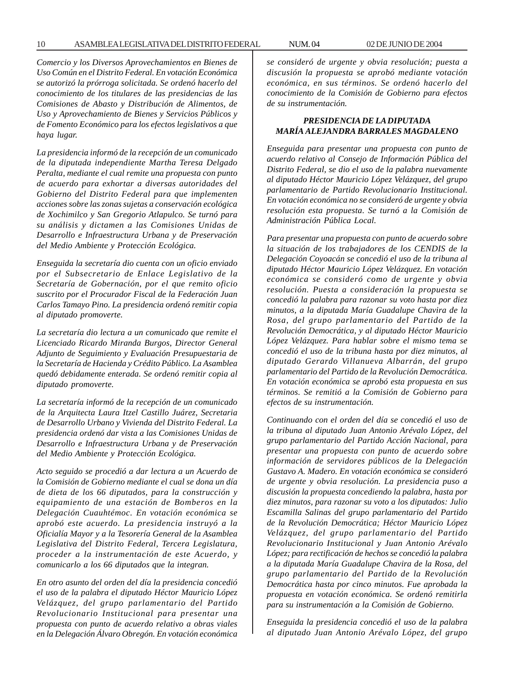*Comercio y los Diversos Aprovechamientos en Bienes de Uso Común en el Distrito Federal. En votación Económica se autorizó la prórroga solicitada. Se ordenó hacerlo del conocimiento de los titulares de las presidencias de las Comisiones de Abasto y Distribución de Alimentos, de Uso y Aprovechamiento de Bienes y Servicios Públicos y de Fomento Económico para los efectos legislativos a que haya lugar.*

*La presidencia informó de la recepción de un comunicado de la diputada independiente Martha Teresa Delgado Peralta, mediante el cual remite una propuesta con punto de acuerdo para exhortar a diversas autoridades del Gobierno del Distrito Federal para que implementen acciones sobre las zonas sujetas a conservación ecológica de Xochimilco y San Gregorio Atlapulco. Se turnó para su análisis y dictamen a las Comisiones Unidas de Desarrollo e Infraestructura Urbana y de Preservación del Medio Ambiente y Protección Ecológica.*

*Enseguida la secretaría dio cuenta con un oficio enviado por el Subsecretario de Enlace Legislativo de la Secretaría de Gobernación, por el que remito oficio suscrito por el Procurador Fiscal de la Federación Juan Carlos Tamayo Pino. La presidencia ordenó remitir copia al diputado promoverte.*

*La secretaría dio lectura a un comunicado que remite el Licenciado Ricardo Miranda Burgos, Director General Adjunto de Seguimiento y Evaluación Presupuestaria de la Secretaría de Hacienda y Crédito Público. La Asamblea quedó debidamente enterada. Se ordenó remitir copia al diputado promoverte.*

*La secretaría informó de la recepción de un comunicado de la Arquitecta Laura Itzel Castillo Juárez, Secretaria de Desarrollo Urbano y Vivienda del Distrito Federal. La presidencia ordenó dar vista a las Comisiones Unidas de Desarrollo e Infraestructura Urbana y de Preservación del Medio Ambiente y Protección Ecológica.*

*Acto seguido se procedió a dar lectura a un Acuerdo de la Comisión de Gobierno mediante el cual se dona un día de dieta de los 66 diputados, para la construcción y equipamiento de una estación de Bomberos en la Delegación Cuauhtémoc. En votación económica se aprobó este acuerdo. La presidencia instruyó a la Oficialía Mayor y a la Tesorería General de la Asamblea Legislativa del Distrito Federal, Tercera Legislatura, proceder a la instrumentación de este Acuerdo, y comunicarlo a los 66 diputados que la integran.*

*En otro asunto del orden del día la presidencia concedió el uso de la palabra el diputado Héctor Mauricio López Velázquez, del grupo parlamentario del Partido Revolucionario Institucional para presentar una propuesta con punto de acuerdo relativo a obras viales en la Delegación Álvaro Obregón. En votación económica* *se consideró de urgente y obvia resolución; puesta a discusión la propuesta se aprobó mediante votación económica, en sus términos. Se ordenó hacerlo del conocimiento de la Comisión de Gobierno para efectos de su instrumentación.*

# *PRESIDENCIA DE LA DIPUTADA MARÍA ALEJANDRA BARRALES MAGDALENO*

*Enseguida para presentar una propuesta con punto de acuerdo relativo al Consejo de Información Pública del Distrito Federal, se dio el uso de la palabra nuevamente al diputado Héctor Mauricio López Velázquez, del grupo parlamentario de Partido Revolucionario Institucional. En votación económica no se consideró de urgente y obvia resolución esta propuesta. Se turnó a la Comisión de Administración Pública Local.*

*Para presentar una propuesta con punto de acuerdo sobre la situación de los trabajadores de los CENDIS de la Delegación Coyoacán se concedió el uso de la tribuna al diputado Héctor Mauricio López Velázquez. En votación económica se consideró como de urgente y obvia resolución. Puesta a consideración la propuesta se concedió la palabra para razonar su voto hasta por diez minutos, a la diputada María Guadalupe Chavira de la Rosa, del grupo parlamentario del Partido de la Revolución Democrática, y al diputado Héctor Mauricio López Velázquez. Para hablar sobre el mismo tema se concedió el uso de la tribuna hasta por diez minutos, al diputado Gerardo Villanueva Albarrán, del grupo parlamentario del Partido de la Revolución Democrática. En votación económica se aprobó esta propuesta en sus términos. Se remitió a la Comisión de Gobierno para efectos de su instrumentación.*

*Continuando con el orden del día se concedió el uso de la tribuna al diputado Juan Antonio Arévalo López, del grupo parlamentario del Partido Acción Nacional, para presentar una propuesta con punto de acuerdo sobre información de servidores públicos de la Delegación Gustavo A. Madero. En votación económica se consideró de urgente y obvia resolución. La presidencia puso a discusión la propuesta concediendo la palabra, hasta por diez minutos, para razonar su voto a los diputados: Julio Escamilla Salinas del grupo parlamentario del Partido de la Revolución Democrática; Héctor Mauricio López Velázquez, del grupo parlamentario del Partido Revolucionario Institucional y Juan Antonio Arévalo López; para rectificación de hechos se concedió la palabra a la diputada María Guadalupe Chavira de la Rosa, del grupo parlamentario del Partido de la Revolución Democrática hasta por cinco minutos. Fue aprobada la propuesta en votación económica. Se ordenó remitirla para su instrumentación a la Comisión de Gobierno.*

*Enseguida la presidencia concedió el uso de la palabra al diputado Juan Antonio Arévalo López, del grupo*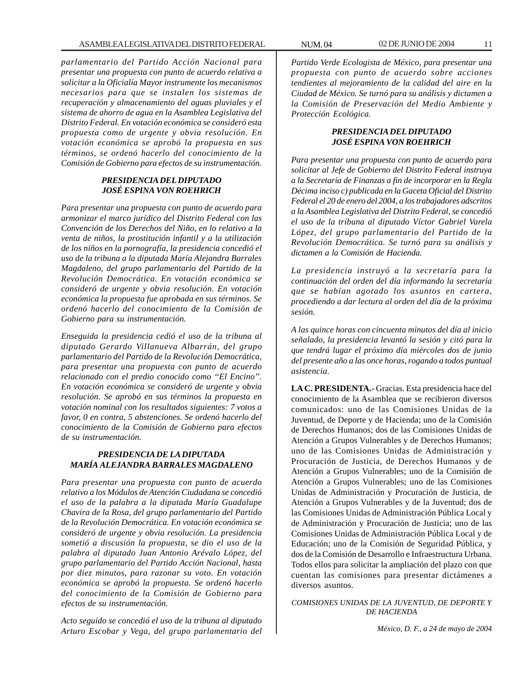*parlamentario del Partido Acción Nacional para presentar una propuesta con punto de acuerdo relativa a solicitar a la Oficialía Mayor instrumente los mecanismos necesarios para que se instalen los sistemas de recuperación y almacenamiento del aguas pluviales y el sistema de ahorro de agua en la Asamblea Legislativa del Distrito Federal. En votación económica se consideró esta propuesta como de urgente y obvia resolución. En votación económica se aprobó la propuesta en sus términos, se ordenó hacerlo del conocimiento de la Comisión de Gobierno para efectos de su instrumentación.*

# *PRESIDENCIA DEL DIPUTADO JOSÉ ESPINA VON ROEHRICH*

*Para presentar una propuesta con punto de acuerdo para armonizar el marco jurídico del Distrito Federal con las Convención de los Derechos del Niño, en lo relativo a la venta de niños, la prostitución infantil y a la utilización de los niños en la pornografía, la presidencia concedió el uso de la tribuna a la diputada María Alejandra Barrales Magdaleno, del grupo parlamentario del Partido de la Revolución Democrática. En votación económica se consideró de urgente y obvia resolución. En votación económica la propuesta fue aprobada en sus términos. Se ordenó hacerlo del conocimiento de la Comisión de Gobierno para su instrumentación.*

*Enseguida la presidencia cedió el uso de la tribuna al diputado Gerardo Villanueva Albarrán, del grupo parlamentario del Partido de la Revolución Democrática, para presentar una propuesta con punto de acuerdo relacionado con el predio conocido como ''El Encino''. En votación económica se consideró de urgente y obvia resolución. Se aprobó en sus términos la propuesta en votación nominal con los resultados siguientes: 7 votos a favor, 0 en contra, 5 abstenciones. Se ordenó hacerlo del conocimiento de la Comisión de Gobierno para efectos de su instrumentación.*

# *PRESIDENCIA DE LA DIPUTADA MARÍA ALEJANDRA BARRALES MAGDALENO*

*Para presentar una propuesta con punto de acuerdo relativo a los Módulos de Atención Ciudadana se concedió el uso de la palabra a la diputada María Guadalupe Chavira de la Rosa, del grupo parlamentario del Partido de la Revolución Democrática. En votación económica se consideró de urgente y obvia resolución. La presidencia sometió a discusión la propuesta, se dio el uso de la palabra al diputado Juan Antonio Arévalo López, del grupo parlamentario del Partido Acción Nacional, hasta por diez minutos, para razonar su voto. En votación económica se aprobó la propuesta. Se ordenó hacerlo del conocimiento de la Comisión de Gobierno para efectos de su instrumentación.*

*Acto seguido se concedió el uso de la tribuna al diputado Arturo Escobar y Vega, del grupo parlamentario del* *Partido Verde Ecologista de México, para presentar una propuesta con punto de acuerdo sobre acciones tendientes al mejoramiento de la calidad del aire en la Ciudad de México. Se turnó para su análisis y dictamen a la Comisión de Preservación del Medio Ambiente y Protección Ecológica.*

# *PRESIDENCIA DEL DIPUTADO JOSÉ ESPINA VON ROEHRICH*

*Para presentar una propuesta con punto de acuerdo para solicitar al Jefe de Gobierno del Distrito Federal instruya a la Secretaría de Finanzas a fin de incorporar en la Regla Décima inciso c) publicada en la Gaceta Oficial del Distrito Federal el 20 de enero del 2004, a los trabajadores adscritos a la Asamblea Legislativa del Distrito Federal, se concedió el uso de la tribuna al diputado Víctor Gabriel Varela López, del grupo parlamentario del Partido de la Revolución Democrática. Se turnó para su análisis y dictamen a la Comisión de Hacienda.*

*La presidencia instruyó a la secretaría para la continuación del orden del día informando la secretaría que se habían agotado los asuntos en cartera, procediendo a dar lectura al orden del día de la próxima sesión.*

*A las quince horas con cincuenta minutos del día al inicio señalado, la presidencia levantó la sesión y citó para la que tendrá lugar el próximo día miércoles dos de junio del presente año a las once horas, rogando a todos puntual asistencia.*

**LA C. PRESIDENTA.-** Gracias. Esta presidencia hace del conocimiento de la Asamblea que se recibieron diversos comunicados: uno de las Comisiones Unidas de la Juventud, de Deporte y de Hacienda; uno de la Comisión de Derechos Humanos; dos de las Comisiones Unidas de Atención a Grupos Vulnerables y de Derechos Humanos; uno de las Comisiones Unidas de Administración y Procuración de Justicia, de Derechos Humanos y de Atención a Grupos Vulnerables; uno de la Comisión de Atención a Grupos Vulnerables; uno de las Comisiones Unidas de Administración y Procuración de Justicia, de Atención a Grupos Vulnerables y de la Juventud; dos de las Comisiones Unidas de Administración Pública Local y de Administración y Procuración de Justicia; uno de las Comisiones Unidas de Administración Pública Local y de Educación; uno de la Comisión de Seguridad Pública, y dos de la Comisión de Desarrollo e Infraestructura Urbana. Todos ellos para solicitar la ampliación del plazo con que cuentan las comisiones para presentar dictámenes a diversos asuntos.

*COMISIONES UNIDAS DE LA JUVENTUD, DE DEPORTE Y DE HACIENDA*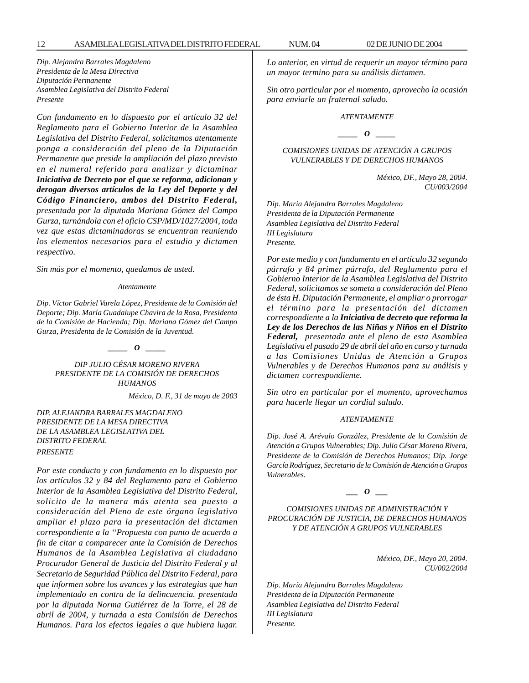*Dip. Alejandra Barrales Magdaleno Presidenta de la Mesa Directiva Diputación Permanente Asamblea Legislativa del Distrito Federal Presente*

*Con fundamento en lo dispuesto por el artículo 32 del Reglamento para el Gobierno Interior de la Asamblea Legislativa del Distrito Federal, solicitamos atentamente ponga a consideración del pleno de la Diputación Permanente que preside la ampliación del plazo previsto en el numeral referido para analizar y dictaminar Iniciativa de Decreto por el que se reforma, adicionan y derogan diversos artículos de la Ley del Deporte y del Código Financiero, ambos del Distrito Federal, presentada por la diputada Mariana Gómez del Campo Gurza, turnándola con el oficio CSP/MD/1027/2004, toda vez que estas dictaminadoras se encuentran reuniendo los elementos necesarios para el estudio y dictamen respectivo.*

*Sin más por el momento, quedamos de usted.*

*Atentamente*

*Dip. Víctor Gabriel Varela López, Presidente de la Comisión del Deporte; Dip. María Guadalupe Chavira de la Rosa, Presidenta de la Comisión de Hacienda; Dip. Mariana Gómez del Campo Gurza, Presidenta de la Comisión de la Juventud.*

*\_\_\_\_\_ O \_\_\_\_\_*

*DIP JULIO CÉSAR MORENO RIVERA PRESIDENTE DE LA COMISIÓN DE DERECHOS HUMANOS*

*México, D. F., 31 de mayo de 2003*

*DIP. ALEJANDRA BARRALES MAGDALENO PRESIDENTE DE LA MESA DIRECTIVA DE LA ASAMBLEA LEGISLATIVA DEL DISTRITO FEDERAL PRESENTE*

*Por este conducto y con fundamento en lo dispuesto por los artículos 32 y 84 del Reglamento para el Gobierno Interior de la Asamblea Legislativa del Distrito Federal, solicito de la manera más atenta sea puesto a consideración del Pleno de este órgano legislativo ampliar el plazo para la presentación del dictamen correspondiente a la ''Propuesta con punto de acuerdo a fin de citar a comparecer ante la Comisión de Derechos Humanos de la Asamblea Legislativa al ciudadano Procurador General de Justicia del Distrito Federal y al Secretario de Seguridad Pública del Distrito Federal, para que informen sobre los avances y las estrategias que han implementado en contra de la delincuencia. presentada por la diputada Norma Gutiérrez de la Torre, el 28 de abril de 2004, y turnada a esta Comisión de Derechos Humanos. Para los efectos legales a que hubiera lugar.*

*Lo anterior, en virtud de requerir un mayor término para un mayor termino para su análisis dictamen.*

*Sin otro particular por el momento, aprovecho la ocasión para enviarle un fraternal saludo.*

*ATENTAMENTE*

*\_\_\_\_\_ O \_\_\_\_\_*

*COMISIONES UNIDAS DE ATENCIÓN A GRUPOS VULNERABLES Y DE DERECHOS HUMANOS*

> *México, DF., Mayo 28, 2004. CU/003/2004*

*Dip. María Alejandra Barrales Magdaleno Presidenta de la Diputación Permanente Asamblea Legislativa del Distrito Federal III Legislatura Presente.*

*Por este medio y con fundamento en el artículo 32 segundo párrafo y 84 primer párrafo, del Reglamento para el Gobierno Interior de la Asamblea Legislativa del Distrito Federal, solicitamos se someta a consideración del Pleno de ésta H. Diputación Permanente, el ampliar o prorrogar el término para la presentación del dictamen correspondiente a la Iniciativa de decreto que reforma la Ley de los Derechos de las Niñas y Niños en el Distrito Federal, presentada ante el pleno de esta Asamblea Legislativa el pasado 29 de abril del año en curso y turnada a las Comisiones Unidas de Atención a Grupos Vulnerables y de Derechos Humanos para su análisis y dictamen correspondiente.*

*Sin otro en particular por el momento, aprovechamos para hacerle llegar un cordial saludo.*

#### *ATENTAMENTE*

*Dip. José A. Arévalo González, Presidente de la Comisión de Atención a Grupos Vulnerables; Dip. Julio César Moreno Rivera, Presidente de la Comisión de Derechos Humanos; Dip. Jorge García Rodríguez, Secretario de la Comisión de Atención a Grupos Vulnerables.*

*\_\_\_ O \_\_\_*

*COMISIONES UNIDAS DE ADMINISTRACIÓN Y PROCURACIÓN DE JUSTICIA, DE DERECHOS HUMANOS Y DE ATENCIÓN A GRUPOS VULNERABLES*

> *México, DF., Mayo 20, 2004. CU/002/2004*

*Dip. María Alejandra Barrales Magdaleno Presidenta de la Diputación Permanente Asamblea Legislativa del Distrito Federal III Legislatura Presente.*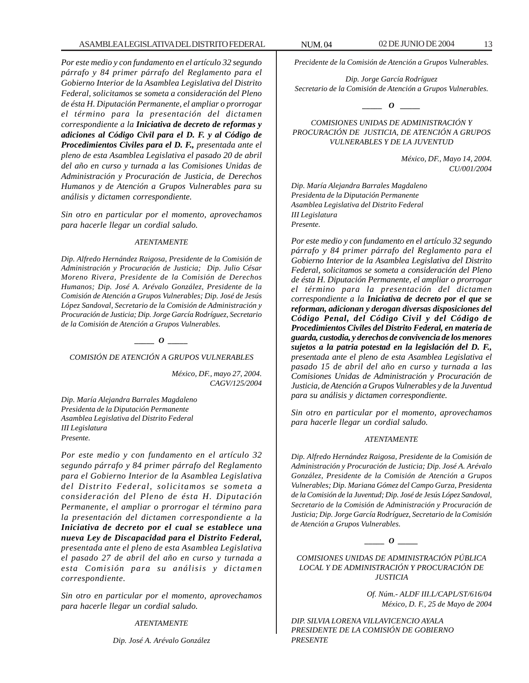*Por este medio y con fundamento en el artículo 32 segundo párrafo y 84 primer párrafo del Reglamento para el Gobierno Interior de la Asamblea Legislativa del Distrito Federal, solicitamos se someta a consideración del Pleno de ésta H. Diputación Permanente, el ampliar o prorrogar el término para la presentación del dictamen correspondiente a la Iniciativa de decreto de reformas y adiciones al Código Civil para el D. F. y al Código de Procedimientos Civiles para el D. F., presentada ante el pleno de esta Asamblea Legislativa el pasado 20 de abril del año en curso y turnada a las Comisiones Unidas de Administración y Procuración de Justicia, de Derechos Humanos y de Atención a Grupos Vulnerables para su análisis y dictamen correspondiente.*

*Sin otro en particular por el momento, aprovechamos para hacerle llegar un cordial saludo.*

#### *ATENTAMENTE*

*Dip. Alfredo Hernández Raigosa, Presidente de la Comisión de Administración y Procuración de Justicia; Dip. Julio César Moreno Rivera, Presidente de la Comisión de Derechos Humanos; Dip. José A. Arévalo González, Presidente de la Comisión de Atención a Grupos Vulnerables; Dip. José de Jesús López Sandoval, Secretario de la Comisión de Administración y Procuración de Justicia; Dip. Jorge García Rodríguez, Secretario de la Comisión de Atención a Grupos Vulnerables.*

#### *\_\_\_\_\_ O \_\_\_\_\_*

*COMISIÓN DE ATENCIÓN A GRUPOS VULNERABLES*

*México, DF., mayo 27, 2004. CAGV/125/2004*

*Dip. María Alejandra Barrales Magdaleno Presidenta de la Diputación Permanente Asamblea Legislativa del Distrito Federal III Legislatura Presente.*

*Por este medio y con fundamento en el artículo 32 segundo párrafo y 84 primer párrafo del Reglamento para el Gobierno Interior de la Asamblea Legislativa del Distrito Federal, solicitamos se someta a consideración del Pleno de ésta H. Diputación Permanente, el ampliar o prorrogar el término para la presentación del dictamen correspondiente a la Iniciativa de decreto por el cual se establece una nueva Ley de Discapacidad para el Distrito Federal, presentada ante el pleno de esta Asamblea Legislativa el pasado 27 de abril del año en curso y turnada a esta Comisión para su análisis y dictamen correspondiente.*

*Sin otro en particular por el momento, aprovechamos para hacerle llegar un cordial saludo.*

#### *ATENTAMENTE*

*Dip. José A. Arévalo González*

*Precidente de la Comisión de Atención a Grupos Vulnerables.*

*Dip. Jorge García Rodríguez Secretario de la Comisión de Atención a Grupos Vulnerables.*

 $\bm{o}$ 

# *COMISIONES UNIDAS DE ADMINISTRACIÓN Y PROCURACIÓN DE JUSTICIA, DE ATENCIÓN A GRUPOS VULNERABLES Y DE LA JUVENTUD*

*México, DF., Mayo 14, 2004. CU/001/2004*

*Dip. María Alejandra Barrales Magdaleno Presidenta de la Diputación Permanente Asamblea Legislativa del Distrito Federal III Legislatura Presente.*

*Por este medio y con fundamento en el artículo 32 segundo párrafo y 84 primer párrafo del Reglamento para el Gobierno Interior de la Asamblea Legislativa del Distrito Federal, solicitamos se someta a consideración del Pleno de ésta H. Diputación Permanente, el ampliar o prorrogar el término para la presentación del dictamen correspondiente a la Iniciativa de decreto por el que se reforman, adicionan y derogan diversas disposiciones del Código Penal, del Código Civil y del Código de Procedimientos Civiles del Distrito Federal, en materia de guarda, custodia, y derechos de convivencia de los menores sujetos a la patria potestad en la legislación del D. F., presentada ante el pleno de esta Asamblea Legislativa el pasado 15 de abril del año en curso y turnada a las Comisiones Unidas de Administración y Procuración de Justicia, de Atención a Grupos Vulnerables y de la Juventud para su análisis y dictamen correspondiente.*

*Sin otro en particular por el momento, aprovechamos para hacerle llegar un cordial saludo.*

#### *ATENTAMENTE*

*Dip. Alfredo Hernández Raigosa, Presidente de la Comisión de Administración y Procuración de Justicia; Dip. José A. Arévalo González, Presidente de la Comisión de Atención a Grupos Vulnerables; Dip. Mariana Gómez del Campo Gurza, Presidenta de la Comisión de la Juventud; Dip. José de Jesús López Sandoval, Secretario de la Comisión de Administración y Procuración de Justicia; Dip. Jorge García Rodríguez, Secretario de la Comisión de Atención a Grupos Vulnerables.*

*\_\_\_\_\_ O \_\_\_\_\_*

*COMISIONES UNIDAS DE ADMINISTRACIÓN PÚBLICA LOCAL Y DE ADMINISTRACIÓN Y PROCURACIÓN DE JUSTICIA*

> *Of. Núm.- ALDF III.L/CAPL/ST/616/04 México, D. F., 25 de Mayo de 2004*

*DIP. SILVIA LORENA VILLAVICENCIO AYALA PRESIDENTE DE LA COMISIÓN DE GOBIERNO PRESENTE*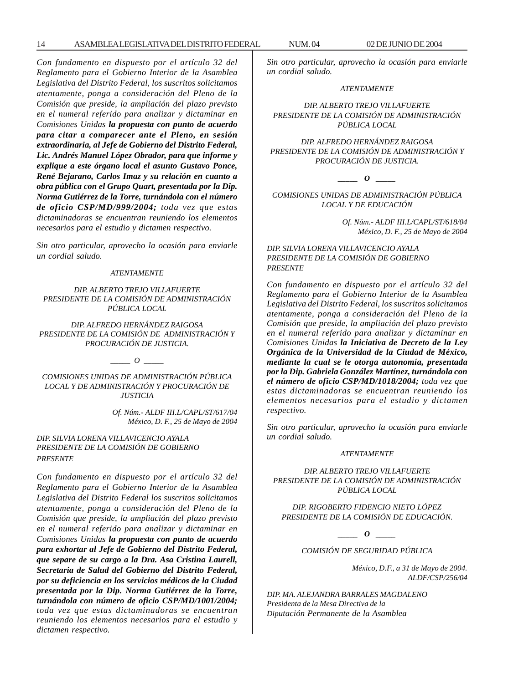*Con fundamento en dispuesto por el artículo 32 del Reglamento para el Gobierno Interior de la Asamblea Legislativa del Distrito Federal, los suscritos solicitamos atentamente, ponga a consideración del Pleno de la Comisión que preside, la ampliación del plazo previsto en el numeral referido para analizar y dictaminar en Comisiones Unidas la propuesta con punto de acuerdo para citar a comparecer ante el Pleno, en sesión extraordinaria, al Jefe de Gobierno del Distrito Federal, Lic. Andrés Manuel López Obrador, para que informe y explique a este órgano local el asunto Gustavo Ponce, René Bejarano, Carlos Imaz y su relación en cuanto a obra pública con el Grupo Quart, presentada por la Dip. Norma Gutiérrez de la Torre, turnándola con el número de oficio CSP/MD/999/2004; toda vez que estas dictaminadoras se encuentran reuniendo los elementos necesarios para el estudio y dictamen respectivo.*

*Sin otro particular, aprovecho la ocasión para enviarle un cordial saludo.*

#### *ATENTAMENTE*

*DIP. ALBERTO TREJO VILLAFUERTE PRESIDENTE DE LA COMISIÓN DE ADMINISTRACIÓN PÚBLICA LOCAL*

*DIP. ALFREDO HERNÁNDEZ RAIGOSA PRESIDENTE DE LA COMISIÓN DE ADMINISTRACIÓN Y PROCURACIÓN DE JUSTICIA.*

 $\overline{\phantom{a}}$ 

*COMISIONES UNIDAS DE ADMINISTRACIÓN PÚBLICA LOCAL Y DE ADMINISTRACIÓN Y PROCURACIÓN DE JUSTICIA*

> *Of. Núm.- ALDF III.L/CAPL/ST/617/04 México, D. F., 25 de Mayo de 2004*

*DIP. SILVIA LORENA VILLAVICENCIO AYALA PRESIDENTE DE LA COMISIÓN DE GOBIERNO PRESENTE*

*Con fundamento en dispuesto por el artículo 32 del Reglamento para el Gobierno Interior de la Asamblea Legislativa del Distrito Federal los suscritos solicitamos atentamente, ponga a consideración del Pleno de la Comisión que preside, la ampliación del plazo previsto en el numeral referido para analizar y dictaminar en Comisiones Unidas la propuesta con punto de acuerdo para exhortar al Jefe de Gobierno del Distrito Federal, que separe de su cargo a la Dra. Asa Cristina Laurell, Secretaria de Salud del Gobierno del Distrito Federal, por su deficiencia en los servicios médicos de la Ciudad presentada por la Dip. Norma Gutiérrez de la Torre, turnándola con número de oficio CSP/MD/1001/2004; toda vez que estas dictaminadoras se encuentran reuniendo los elementos necesarios para el estudio y dictamen respectivo.*

*Sin otro particular, aprovecho la ocasión para enviarle un cordial saludo.*

#### *ATENTAMENTE*

*DIP. ALBERTO TREJO VILLAFUERTE PRESIDENTE DE LA COMISIÓN DE ADMINISTRACIÓN PÚBLICA LOCAL*

*DIP. ALFREDO HERNÁNDEZ RAIGOSA PRESIDENTE DE LA COMISIÓN DE ADMINISTRACIÓN Y PROCURACIÓN DE JUSTICIA.*

 $\boldsymbol{\theta}$ 

*COMISIONES UNIDAS DE ADMINISTRACIÓN PÚBLICA LOCAL Y DE EDUCACIÓN*

> *Of. Núm.- ALDF III.L/CAPL/ST/618/04 México, D. F., 25 de Mayo de 2004*

*DIP. SILVIA LORENA VILLAVICENCIO AYALA PRESIDENTE DE LA COMISIÓN DE GOBIERNO PRESENTE*

*Con fundamento en dispuesto por el artículo 32 del Reglamento para el Gobierno Interior de la Asamblea Legislativa del Distrito Federal, los suscritos solicitamos atentamente, ponga a consideración del Pleno de la Comisión que preside, la ampliación del plazo previsto en el numeral referido para analizar y dictaminar en Comisiones Unidas la Iniciativa de Decreto de la Ley Orgánica de la Universidad de la Ciudad de México, mediante la cual se le otorga autonomía, presentada por la Dip. Gabriela González Martínez, turnándola con el número de oficio CSP/MD/1018/2004; toda vez que estas dictaminadoras se encuentran reuniendo los elementos necesarios para el estudio y dictamen respectivo.*

*Sin otro particular, aprovecho la ocasión para enviarle un cordial saludo.*

#### *ATENTAMENTE*

*DIP. ALBERTO TREJO VILLAFUERTE PRESIDENTE DE LA COMISIÓN DE ADMINISTRACIÓN PÚBLICA LOCAL*

*DIP. RIGOBERTO FIDENCIO NIETO LÓPEZ PRESIDENTE DE LA COMISIÓN DE EDUCACIÓN.*

*\_\_\_\_\_ O \_\_\_\_\_*

*COMISIÓN DE SEGURIDAD PÚBLICA*

*México, D.F., a 31 de Mayo de 2004. ALDF/CSP/256/04*

*DIP. MA. ALEJANDRA BARRALES MAGDALENO Presidenta de la Mesa Directiva de la Diputación Permanente de la Asamblea*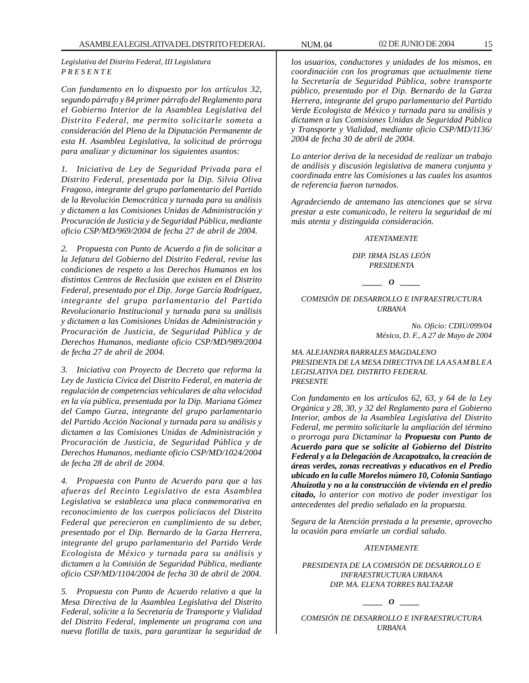*Legislativa del Distrito Federal, III Legislatura P R E S E N T E*

*Con fundamento en lo dispuesto por los artículos 32, segundo párrafo y 84 primer párrafo del Reglamento para el Gobierno Interior de la Asamblea Legislativa del Distrito Federal, me permito solicitarle someta a consideración del Pleno de la Diputación Permanente de esta H. Asamblea Legislativa, la solicitud de prórroga para analizar y dictaminar los siguientes asuntos:*

*1. Iniciativa de Ley de Seguridad Privada para el Distrito Federal, presentada por la Dip. Silvia Oliva Fragoso, integrante del grupo parlamentario del Partido de la Revolución Democrática y turnada para su análisis y dictamen a las Comisiones Unidas de Administración y Procuración de Justicia y de Seguridad Pública, mediante oficio CSP/MD/969/2004 de fecha 27 de abril de 2004.*

*2. Propuesta con Punto de Acuerdo a fin de solicitar a la Jefatura del Gobierno del Distrito Federal, revise las condiciones de respeto a los Derechos Humanos en los distintos Centros de Reclusión que existen en el Distrito Federal, presentado por el Dip. Jorge García Rodríguez, integrante del grupo parlamentario del Partido Revolucionario Institucional y turnada para su análisis y dictamen a las Comisiones Unidas de Administración y Procuración de Justicia, de Seguridad Pública y de Derechos Humanos, mediante oficio CSP/MD/989/2004 de fecha 27 de abril de 2004.*

*3. Iniciativa con Proyecto de Decreto que reforma la Ley de Justicia Cívica del Distrito Federal, en materia de regulación de competencias vehiculares de alta velocidad en la vía pública, presentada por la Dip. Mariana Gómez del Campo Gurza, integrante del grupo parlamentario del Partido Acción Nacional y turnada para su análisis y dictamen a las Comisiones Unidas de Administración y Procuración de Justicia, de Seguridad Pública y de Derechos Humanos, mediante oficio CSP/MD/1024/2004 de fecha 28 de abril de 2004.*

*4. Propuesta con Punto de Acuerdo para que a las afueras del Recinto Legislativo de esta Asamblea Legislativa se establezca una placa conmemorativa en reconocimiento de los cuerpos policíacos del Distrito Federal que perecieron en cumplimiento de su deber, presentado por el Dip. Bernardo de la Garza Herrera, integrante del grupo parlamentario del Partido Verde Ecologista de México y turnada para su análisis y dictamen a la Comisión de Seguridad Pública, mediante oficio CSP/MD/1104/2004 de fecha 30 de abril de 2004.*

*5. Propuesta con Punto de Acuerdo relativo a que la Mesa Directiva de la Asamblea Legislativa del Distrito Federal, solicite a la Secretaría de Transporte y Vialidad del Distrito Federal, implemente un programa con una nueva flotilla de taxis, para garantizar la seguridad de*

*los usuarios, conductores y unidades de los mismos, en coordinación con los programas que actualmente tiene la Secretaría de Seguridad Pública, sobre transporte público, presentado por el Dip. Bernardo de la Garza Herrera, integrante del grupo parlamentario del Partido Verde Ecologista de México y turnada para su análisis y dictamen a las Comisiones Unidas de Seguridad Pública y Transporte y Vialidad, mediante oficio CSP/MD/1136/ 2004 de fecha 30 de abril de 2004.*

*Lo anterior deriva de la necesidad de realizar un trabajo de análisis y discusión legislativa de manera conjunta y coordinada entre las Comisiones a las cuales los asuntos de referencia fueron turnados.*

*Agradeciendo de antemano las atenciones que se sirva prestar a este comunicado, le reitero la seguridad de mi más atenta y distinguida consideración.*

#### *ATENTAMENTE*

*DIP. IRMA ISLAS LEÓN PRESIDENTA*

# *\_\_\_\_\_ O \_\_\_\_\_*

#### *COMISIÓN DE DESARROLLO E INFRAESTRUCTURA URBANA*

*No. Oficio: CDIU/099/04 México, D. F., A 27 de Mayo de 2004*

#### *MA. ALEJANDRA BARRALES MAGDALENO PRESIDENTA DE LA MESA DIRECTIVA DE LA ASAMBLEA LEGISLATIVA DEL DISTRITO FEDERAL PRESENTE*

*Con fundamento en los artículos 62, 63, y 64 de la Ley Orgánica y 28, 30, y 32 del Reglamento para el Gobierno Interior, ambos de la Asamblea Legislativa del Distrito Federal, me permito solicitarle la ampliación del término o prorroga para Dictaminar la Propuesta con Punto de Acuerdo para que se solicite al Gobierno del Distrito Federal y a la Delegación de Azcapotzalco, la creación de áreas verdes, zonas recreativas y educativos en el Predio ubicado en la calle Morelos número 10, Colonia Santiago Ahuizotla y no a la construcción de vivienda en el predio citado, lo anterior con motivo de poder investigar los antecedentes del predio señalado en la propuesta.*

*Segura de la Atención prestada a la presente, aprovecho la ocasión para enviarle un cordial saludo.*

#### *ATENTAMENTE*

*PRESIDENTA DE LA COMISIÓN DE DESARROLLO E INFRAESTRUCTURA URBANA DIP. MA. ELENA TORRES BALTAZAR*

 $\begin{array}{cc} \circ & \circ \end{array}$ 

*COMISIÓN DE DESARROLLO E INFRAESTRUCTURA URBANA*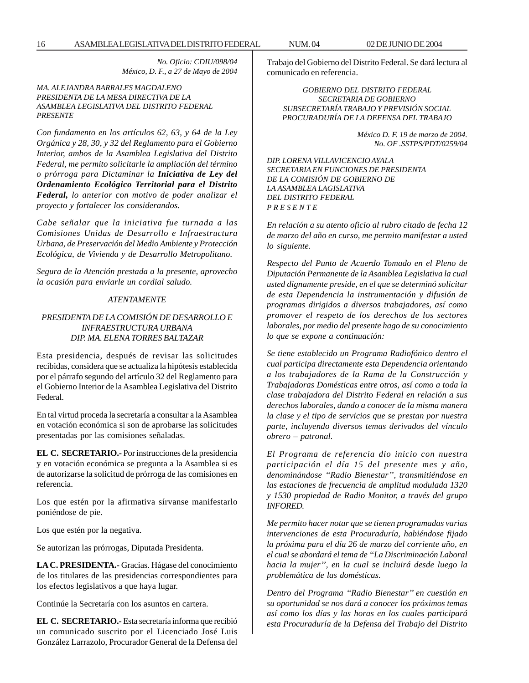*No. Oficio: CDIU/098/04 México, D. F., a 27 de Mayo de 2004*

#### *MA. ALEJANDRA BARRALES MAGDALENO PRESIDENTA DE LA MESA DIRECTIVA DE LA ASAMBLEA LEGISLATIVA DEL DISTRITO FEDERAL PRESENTE*

*Con fundamento en los artículos 62, 63, y 64 de la Ley Orgánica y 28, 30, y 32 del Reglamento para el Gobierno Interior, ambos de la Asamblea Legislativa del Distrito Federal, me permito solicitarle la ampliación del término o prórroga para Dictaminar la Iniciativa de Ley del Ordenamiento Ecológico Territorial para el Distrito Federal, lo anterior con motivo de poder analizar el proyecto y fortalecer los considerandos.*

*Cabe señalar que la iniciativa fue turnada a las Comisiones Unidas de Desarrollo e Infraestructura Urbana, de Preservación del Medio Ambiente y Protección Ecológica, de Vivienda y de Desarrollo Metropolitano.*

*Segura de la Atención prestada a la presente, aprovecho la ocasión para enviarle un cordial saludo.*

# *ATENTAMENTE*

# *PRESIDENTA DE LA COMISIÓN DE DESARROLLO E INFRAESTRUCTURA URBANA DIP. MA. ELENA TORRES BALTAZAR*

Esta presidencia, después de revisar las solicitudes recibidas, considera que se actualiza la hipótesis establecida por el párrafo segundo del artículo 32 del Reglamento para el Gobierno Interior de la Asamblea Legislativa del Distrito Federal.

En tal virtud proceda la secretaría a consultar a la Asamblea en votación económica si son de aprobarse las solicitudes presentadas por las comisiones señaladas.

**EL C. SECRETARIO.-** Por instrucciones de la presidencia y en votación económica se pregunta a la Asamblea si es de autorizarse la solicitud de prórroga de las comisiones en referencia.

Los que estén por la afirmativa sírvanse manifestarlo poniéndose de pie.

Los que estén por la negativa.

Se autorizan las prórrogas, Diputada Presidenta.

**LA C. PRESIDENTA.-** Gracias. Hágase del conocimiento de los titulares de las presidencias correspondientes para los efectos legislativos a que haya lugar.

Continúe la Secretaría con los asuntos en cartera.

**EL C. SECRETARIO.-** Esta secretaría informa que recibió un comunicado suscrito por el Licenciado José Luis González Larrazolo, Procurador General de la Defensa del Trabajo del Gobierno del Distrito Federal. Se dará lectura al comunicado en referencia.

*GOBIERNO DEL DISTRITO FEDERAL SECRETARIA DE GOBIERNO SUBSECRETARÍA TRABAJO Y PREVISIÓN SOCIAL PROCURADURÍA DE LA DEFENSA DEL TRABAJO*

> *México D. F. 19 de marzo de 2004. No. OF .SSTPS/PDT/0259/04*

*DIP. LORENA VILLAVICENCIO AYALA SECRETARIA EN FUNCIONES DE PRESIDENTA DE LA COMISIÓN DE GOBIERNO DE LA ASAMBLEA LAGISLATIVA DEL DISTRITO FEDERAL P R E S E N T E*

*En relación a su atento oficio al rubro citado de fecha 12 de marzo del año en curso, me permito manifestar a usted lo siguiente.*

*Respecto del Punto de Acuerdo Tomado en el Pleno de Diputación Permanente de la Asamblea Legislativa la cual usted dignamente preside, en el que se determinó solicitar de esta Dependencia la instrumentación y difusión de programas dirigidos a diversos trabajadores, así como promover el respeto de los derechos de los sectores laborales, por medio del presente hago de su conocimiento lo que se expone a continuación:*

*Se tiene establecido un Programa Radiofónico dentro el cual participa directamente esta Dependencia orientando a los trabajadores de la Rama de la Construcción y Trabajadoras Domésticas entre otros, así como a toda la clase trabajadora del Distrito Federal en relación a sus derechos laborales, dando a conocer de la misma manera la clase y el tipo de servicios que se prestan por nuestra parte, incluyendo diversos temas derivados del vínculo obrero – patronal.*

*El Programa de referencia dio inicio con nuestra participación el día 15 del presente mes y año, denominándose ''Radio Bienestar'', transmitiéndose en las estaciones de frecuencia de amplitud modulada 1320 y 1530 propiedad de Radio Monitor, a través del grupo INFORED.*

*Me permito hacer notar que se tienen programadas varias intervenciones de esta Procuraduría, habiéndose fijado la próxima para el día 26 de marzo del corriente año, en el cual se abordará el tema de ''La Discriminación Laboral hacia la mujer'', en la cual se incluirá desde luego la problemática de las domésticas.*

*Dentro del Programa ''Radio Bienestar'' en cuestión en su oportunidad se nos dará a conocer los próximos temas así como los días y las horas en los cuales participará esta Procuraduría de la Defensa del Trabajo del Distrito*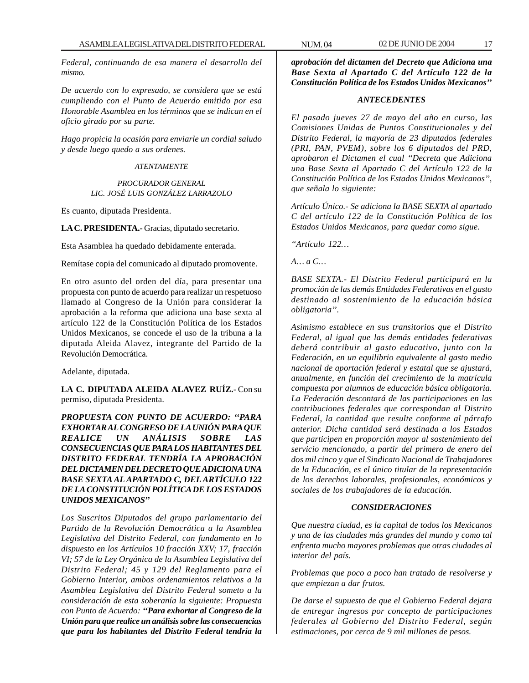*Federal, continuando de esa manera el desarrollo del mismo.*

*De acuerdo con lo expresado, se considera que se está cumpliendo con el Punto de Acuerdo emitido por esa Honorable Asamblea en los términos que se indican en el oficio girado por su parte.*

*Hago propicia la ocasión para enviarle un cordial saludo y desde luego quedo a sus ordenes.*

## *ATENTAMENTE*

*PROCURADOR GENERAL LIC. JOSÉ LUIS GONZÁLEZ LARRAZOLO*

Es cuanto, diputada Presidenta.

**LA C. PRESIDENTA.-** Gracias, diputado secretario.

Esta Asamblea ha quedado debidamente enterada.

Remítase copia del comunicado al diputado promovente.

En otro asunto del orden del día, para presentar una propuesta con punto de acuerdo para realizar un respetuoso llamado al Congreso de la Unión para considerar la aprobación a la reforma que adiciona una base sexta al artículo 122 de la Constitución Política de los Estados Unidos Mexicanos, se concede el uso de la tribuna a la diputada Aleida Alavez, integrante del Partido de la Revolución Democrática.

Adelante, diputada.

**LA C. DIPUTADA ALEIDA ALAVEZ RUÍZ.-** Con su permiso, diputada Presidenta.

*PROPUESTA CON PUNTO DE ACUERDO: ''PARA EXHORTAR AL CONGRESO DE LA UNIÓN PARA QUE REALICE UN ANÁLISIS SOBRE LAS CONSECUENCIAS QUE PARA LOS HABITANTES DEL DISTRITO FEDERAL TENDRÍA LA APROBACIÓN DEL DICTAMEN DEL DECRETO QUE ADICIONA UNA BASE SEXTA AL APARTADO C, DEL ARTÍCULO 122 DE LA CONSTITUCIÓN POLÍTICA DE LOS ESTADOS UNIDOS MEXICANOS''*

*Los Suscritos Diputados del grupo parlamentario del Partido de la Revolución Democrática a la Asamblea Legislativa del Distrito Federal, con fundamento en lo dispuesto en los Artículos 10 fracción XXV; 17, fracción VI; 57 de la Ley Orgánica de la Asamblea Legislativa del Distrito Federal; 45 y 129 del Reglamento para el Gobierno Interior, ambos ordenamientos relativos a la Asamblea Legislativa del Distrito Federal someto a la consideración de esta soberanía la siguiente: Propuesta con Punto de Acuerdo: ''Para exhortar al Congreso de la Unión para que realice un análisis sobre las consecuencias que para los habitantes del Distrito Federal tendría la*

*aprobación del dictamen del Decreto que Adiciona una Base Sexta al Apartado C del Artículo 122 de la Constitución Política de los Estados Unidos Mexicanos''*

#### *ANTECEDENTES*

*El pasado jueves 27 de mayo del año en curso, las Comisiones Unidas de Puntos Constitucionales y del Distrito Federal, la mayoría de 23 diputados federales (PRI, PAN, PVEM), sobre los 6 diputados del PRD, aprobaron el Dictamen el cual ''Decreta que Adiciona una Base Sexta al Apartado C del Artículo 122 de la Constitución Política de los Estados Unidos Mexicanos'', que señala lo siguiente:*

*Artículo Único.- Se adiciona la BASE SEXTA al apartado C del artículo 122 de la Constitución Política de los Estados Unidos Mexicanos, para quedar como sigue.*

*''Artículo 122…*

*A… a C…*

*BASE SEXTA.- El Distrito Federal participará en la promoción de las demás Entidades Federativas en el gasto destinado al sostenimiento de la educación básica obligatoria''.*

*Asimismo establece en sus transitorios que el Distrito Federal, al igual que las demás entidades federativas deberá contribuir al gasto educativo, junto con la Federación, en un equilibrio equivalente al gasto medio nacional de aportación federal y estatal que se ajustará, anualmente, en función del crecimiento de la matrícula compuesta por alumnos de educación básica obligatoria. La Federación descontará de las participaciones en las contribuciones federales que correspondan al Distrito Federal, la cantidad que resulte conforme al párrafo anterior. Dicha cantidad será destinada a los Estados que participen en proporción mayor al sostenimiento del servicio mencionado, a partir del primero de enero del dos mil cinco y que el Sindicato Nacional de Trabajadores de la Educación, es el único titular de la representación de los derechos laborales, profesionales, económicos y sociales de los trabajadores de la educación.*

# *CONSIDERACIONES*

*Que nuestra ciudad, es la capital de todos los Mexicanos y una de las ciudades más grandes del mundo y como tal enfrenta mucho mayores problemas que otras ciudades al interior del país.*

*Problemas que poco a poco han tratado de resolverse y que empiezan a dar frutos.*

*De darse el supuesto de que el Gobierno Federal dejara de entregar ingresos por concepto de participaciones federales al Gobierno del Distrito Federal, según estimaciones, por cerca de 9 mil millones de pesos.*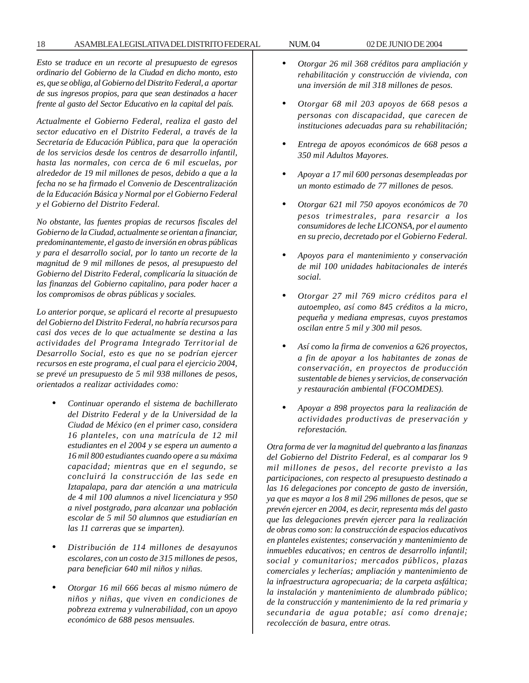*Esto se traduce en un recorte al presupuesto de egresos ordinario del Gobierno de la Ciudad en dicho monto, esto es, que se obliga, al Gobierno del Distrito Federal, a aportar de sus ingresos propios, para que sean destinados a hacer frente al gasto del Sector Educativo en la capital del país.*

*Actualmente el Gobierno Federal, realiza el gasto del sector educativo en el Distrito Federal, a través de la Secretaría de Educación Pública, para que la operación de los servicios desde los centros de desarrollo infantil, hasta las normales, con cerca de 6 mil escuelas, por alrededor de 19 mil millones de pesos, debido a que a la fecha no se ha firmado el Convenio de Descentralización de la Educación Básica y Normal por el Gobierno Federal y el Gobierno del Distrito Federal.*

*No obstante, las fuentes propias de recursos fiscales del Gobierno de la Ciudad, actualmente se orientan a financiar, predominantemente, el gasto de inversión en obras públicas y para el desarrollo social, por lo tanto un recorte de la magnitud de 9 mil millones de pesos, al presupuesto del Gobierno del Distrito Federal, complicaría la situación de las finanzas del Gobierno capitalino, para poder hacer a los compromisos de obras públicas y sociales.*

*Lo anterior porque, se aplicará el recorte al presupuesto del Gobierno del Distrito Federal, no habría recursos para casi dos veces de lo que actualmente se destina a las actividades del Programa Integrado Territorial de Desarrollo Social, esto es que no se podrían ejercer recursos en este programa, el cual para el ejercicio 2004, se prevé un presupuesto de 5 mil 938 millones de pesos, orientados a realizar actividades como:*

- *Continuar operando el sistema de bachillerato del Distrito Federal y de la Universidad de la Ciudad de México (en el primer caso, considera 16 planteles, con una matrícula de 12 mil estudiantes en el 2004 y se espera un aumento a 16 mil 800 estudiantes cuando opere a su máxima capacidad; mientras que en el segundo, se concluirá la construcción de las sede en Iztapalapa, para dar atención a una matricula de 4 mil 100 alumnos a nivel licenciatura y 950 a nivel postgrado, para alcanzar una población escolar de 5 mil 50 alumnos que estudiarían en las 11 carreras que se imparten).*
- *Distribución de 114 millones de desayunos escolares, con un costo de 315 millones de pesos, para beneficiar 640 mil niños y niñas.*
- *Otorgar 16 mil 666 becas al mismo número de niños y niñas, que viven en condiciones de pobreza extrema y vulnerabilidad, con un apoyo económico de 688 pesos mensuales.*
- *Otorgar 26 mil 368 créditos para ampliación y rehabilitación y construcción de vivienda, con una inversión de mil 318 millones de pesos.*
- *Otorgar 68 mil 203 apoyos de 668 pesos a personas con discapacidad, que carecen de instituciones adecuadas para su rehabilitación;*
- *Entrega de apoyos económicos de 668 pesos a 350 mil Adultos Mayores.*
- *Apoyar a 17 mil 600 personas desempleadas por un monto estimado de 77 millones de pesos.*
- *Otorgar 621 mil 750 apoyos económicos de 70 pesos trimestrales, para resarcir a los consumidores de leche LICONSA, por el aumento en su precio, decretado por el Gobierno Federal.*
- *Apoyos para el mantenimiento y conservación de mil 100 unidades habitacionales de interés social.*
- *Otorgar 27 mil 769 micro créditos para el autoempleo, así como 845 créditos a la micro, pequeña y mediana empresas, cuyos prestamos oscilan entre 5 mil y 300 mil pesos.*
- *Así como la firma de convenios a 626 proyectos, a fin de apoyar a los habitantes de zonas de conservación, en proyectos de producción sustentable de bienes y servicios, de conservación y restauración ambiental (FOCOMDES).*
- *Apoyar a 898 proyectos para la realización de actividades productivas de preservación y reforestación.*

*Otra forma de ver la magnitud del quebranto a las finanzas del Gobierno del Distrito Federal, es al comparar los 9 mil millones de pesos, del recorte previsto a las participaciones, con respecto al presupuesto destinado a las 16 delegaciones por concepto de gasto de inversión, ya que es mayor a los 8 mil 296 millones de pesos, que se prevén ejercer en 2004, es decir, representa más del gasto que las delegaciones prevén ejercer para la realización de obras como son: la construcción de espacios educativos en planteles existentes; conservación y mantenimiento de inmuebles educativos; en centros de desarrollo infantil; social y comunitarios; mercados públicos, plazas comerciales y lecherías; ampliación y mantenimiento de la infraestructura agropecuaria; de la carpeta asfáltica; la instalación y mantenimiento de alumbrado público; de la construcción y mantenimiento de la red primaria y secundaria de agua potable; así como drenaje; recolección de basura, entre otras.*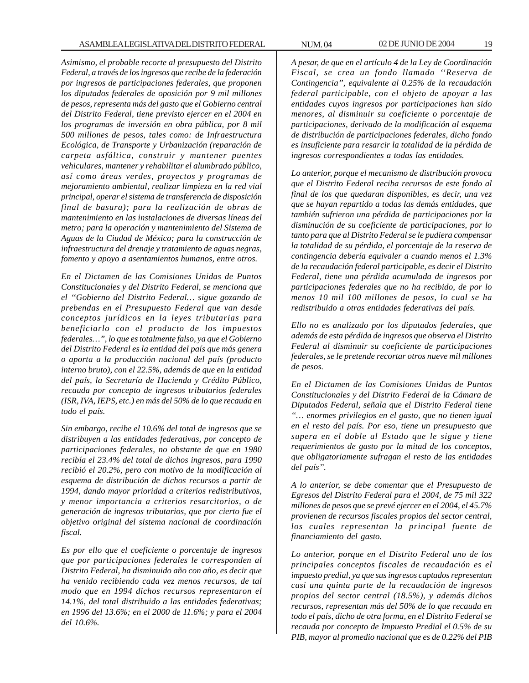*Asimismo, el probable recorte al presupuesto del Distrito Federal, a través de los ingresos que recibe de la federación por ingresos de participaciones federales, que proponen los diputados federales de oposición por 9 mil millones de pesos, representa más del gasto que el Gobierno central del Distrito Federal, tiene previsto ejercer en el 2004 en los programas de inversión en obra pública, por 8 mil 500 millones de pesos, tales como: de Infraestructura Ecológica, de Transporte y Urbanización (reparación de carpeta asfáltica, construir y mantener puentes vehiculares, mantener y rehabilitar el alumbrado público, así como áreas verdes, proyectos y programas de mejoramiento ambiental, realizar limpieza en la red vial principal, operar el sistema de transferencia de disposición final de basura); para la realización de obras de mantenimiento en las instalaciones de diversas líneas del metro; para la operación y mantenimiento del Sistema de Aguas de la Ciudad de México; para la construcción de infraestructura del drenaje y tratamiento de aguas negras, fomento y apoyo a asentamientos humanos, entre otros.*

*En el Dictamen de las Comisiones Unidas de Puntos Constitucionales y del Distrito Federal, se menciona que el ''Gobierno del Distrito Federal… sigue gozando de prebendas en el Presupuesto Federal que van desde conceptos jurídicos en la leyes tributarias para beneficiarlo con el producto de los impuestos federales…'', lo que es totalmente falso, ya que el Gobierno del Distrito Federal es la entidad del país que más genera o aporta a la producción nacional del país (producto interno bruto), con el 22.5%, además de que en la entidad del país, la Secretaría de Hacienda y Crédito Público, recauda por concepto de ingresos tributarios federales (ISR, IVA, IEPS, etc.) en más del 50% de lo que recauda en todo el país.*

*Sin embargo, recibe el 10.6% del total de ingresos que se distribuyen a las entidades federativas, por concepto de participaciones federales, no obstante de que en 1980 recibía el 23.4% del total de dichos ingresos, para 1990 recibió el 20.2%, pero con motivo de la modificación al esquema de distribución de dichos recursos a partir de 1994, dando mayor prioridad a criterios redistributivos, y menor importancia a criterios resarcitorios, o de generación de ingresos tributarios, que por cierto fue el objetivo original del sistema nacional de coordinación fiscal.*

*Es por ello que el coeficiente o porcentaje de ingresos que por participaciones federales le corresponden al Distrito Federal, ha disminuido año con año, es decir que ha venido recibiendo cada vez menos recursos, de tal modo que en 1994 dichos recursos representaron el 14.1%, del total distribuido a las entidades federativas; en 1996 del 13.6%; en el 2000 de 11.6%; y para el 2004 del 10.6%.*

*A pesar, de que en el artículo 4 de la Ley de Coordinación Fiscal, se crea un fondo llamado ''Reserva de Contingencia'', equivalente al 0.25% de la recaudación federal participable, con el objeto de apoyar a las entidades cuyos ingresos por participaciones han sido menores, al disminuir su coeficiente o porcentaje de participaciones, derivado de la modificación al esquema de distribución de participaciones federales, dicho fondo es insuficiente para resarcir la totalidad de la pérdida de ingresos correspondientes a todas las entidades.*

*Lo anterior, porque el mecanismo de distribución provoca que el Distrito Federal reciba recursos de este fondo al final de los que quedaran disponibles, es decir, una vez que se hayan repartido a todas las demás entidades, que también sufrieron una pérdida de participaciones por la disminución de su coeficiente de participaciones, por lo tanto para que al Distrito Federal se le pudiera compensar la totalidad de su pérdida, el porcentaje de la reserva de contingencia debería equivaler a cuando menos el 1.3% de la recaudación federal participable, es decir el Distrito Federal, tiene una pérdida acumulada de ingresos por participaciones federales que no ha recibido, de por lo menos 10 mil 100 millones de pesos, lo cual se ha redistribuido a otras entidades federativas del país.*

*Ello no es analizado por los diputados federales, que además de esta pérdida de ingresos que observa el Distrito Federal al disminuir su coeficiente de participaciones federales, se le pretende recortar otros nueve mil millones de pesos.*

*En el Dictamen de las Comisiones Unidas de Puntos Constitucionales y del Distrito Federal de la Cámara de Diputados Federal, señala que el Distrito Federal tiene ''… enormes privilegios en el gasto, que no tienen igual en el resto del país. Por eso, tiene un presupuesto que supera en el doble al Estado que le sigue y tiene requerimientos de gasto por la mitad de los conceptos, que obligatoriamente sufragan el resto de las entidades del país''.*

*A lo anterior, se debe comentar que el Presupuesto de Egresos del Distrito Federal para el 2004, de 75 mil 322 millones de pesos que se prevé ejercer en el 2004, el 45.7% provienen de recursos fiscales propios del sector central, los cuales representan la principal fuente de financiamiento del gasto.*

*Lo anterior, porque en el Distrito Federal uno de los principales conceptos fiscales de recaudación es el impuesto predial, ya que sus ingresos captados representan casi una quinta parte de la recaudación de ingresos propios del sector central (18.5%), y además dichos recursos, representan más del 50% de lo que recauda en todo el país, dicho de otra forma, en el Distrito Federal se recauda por concepto de Impuesto Predial el 0.5% de su PIB, mayor al promedio nacional que es de 0.22% del PIB*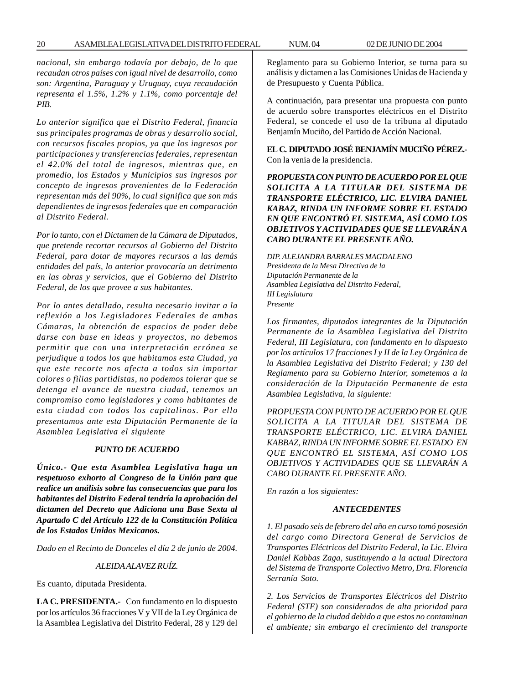*nacional, sin embargo todavía por debajo, de lo que recaudan otros países con igual nivel de desarrollo, como son: Argentina, Paraguay y Uruguay, cuya recaudación representa el 1.5%, 1.2% y 1.1%, como porcentaje del PIB.*

*Lo anterior significa que el Distrito Federal, financia sus principales programas de obras y desarrollo social, con recursos fiscales propios, ya que los ingresos por participaciones y transferencias federales, representan el 42.0% del total de ingresos, mientras que, en promedio, los Estados y Municipios sus ingresos por concepto de ingresos provenientes de la Federación representan más del 90%, lo cual significa que son más dependientes de ingresos federales que en comparación al Distrito Federal.*

*Por lo tanto, con el Dictamen de la Cámara de Diputados, que pretende recortar recursos al Gobierno del Distrito Federal, para dotar de mayores recursos a las demás entidades del país, lo anterior provocaría un detrimento en las obras y servicios, que el Gobierno del Distrito Federal, de los que provee a sus habitantes.*

*Por lo antes detallado, resulta necesario invitar a la reflexión a los Legisladores Federales de ambas Cámaras, la obtención de espacios de poder debe darse con base en ideas y proyectos, no debemos permitir que con una interpretación errónea se perjudique a todos los que habitamos esta Ciudad, ya que este recorte nos afecta a todos sin importar colores o filias partidistas, no podemos tolerar que se detenga el avance de nuestra ciudad, tenemos un compromiso como legisladores y como habitantes de esta ciudad con todos los capitalinos. Por ello presentamos ante esta Diputación Permanente de la Asamblea Legislativa el siguiente*

#### *PUNTO DE ACUERDO*

*Único.- Que esta Asamblea Legislativa haga un respetuoso exhorto al Congreso de la Unión para que realice un análisis sobre las consecuencias que para los habitantes del Distrito Federal tendría la aprobación del dictamen del Decreto que Adiciona una Base Sexta al Apartado C del Artículo 122 de la Constitución Política de los Estados Unidos Mexicanos.*

*Dado en el Recinto de Donceles el día 2 de junio de 2004.*

#### *ALEIDA ALAVEZ RUÍZ.*

Es cuanto, diputada Presidenta.

**LA C. PRESIDENTA.-** Con fundamento en lo dispuesto por los artículos 36 fracciones V y VII de la Ley Orgánica de la Asamblea Legislativa del Distrito Federal, 28 y 129 del Reglamento para su Gobierno Interior, se turna para su análisis y dictamen a las Comisiones Unidas de Hacienda y de Presupuesto y Cuenta Pública.

A continuación, para presentar una propuesta con punto de acuerdo sobre transportes eléctricos en el Distrito Federal, se concede el uso de la tribuna al diputado Benjamín Muciño, del Partido de Acción Nacional.

**EL C. DIPUTADO JOSÉ BENJAMÍN MUCIÑO PÉREZ.-** Con la venia de la presidencia.

*PROPUESTA CON PUNTO DE ACUERDO POR EL QUE SOLICITA A LA TITULAR DEL SISTEMA DE TRANSPORTE ELÉCTRICO, LIC. ELVIRA DANIEL KABAZ, RINDA UN INFORME SOBRE EL ESTADO EN QUE ENCONTRÓ EL SISTEMA, ASÍ COMO LOS OBJETIVOS Y ACTIVIDADES QUE SE LLEVARÁN A CABO DURANTE EL PRESENTE AÑO.*

*DIP. ALEJANDRA BARRALES MAGDALENO Presidenta de la Mesa Directiva de la Diputación Permanente de la Asamblea Legislativa del Distrito Federal, III Legislatura Presente*

*Los firmantes, diputados integrantes de la Diputación Permanente de la Asamblea Legislativa del Distrito Federal, III Legislatura, con fundamento en lo dispuesto por los artículos 17 fracciones I y II de la Ley Orgánica de la Asamblea Legislativa del Distrito Federal; y 130 del Reglamento para su Gobierno Interior, sometemos a la consideración de la Diputación Permanente de esta Asamblea Legislativa, la siguiente:*

*PROPUESTA CON PUNTO DE ACUERDO POR EL QUE SOLICITA A LA TITULAR DEL SISTEMA DE TRANSPORTE ELÉCTRICO, LIC. ELVIRA DANIEL KABBAZ, RINDA UN INFORME SOBRE EL ESTADO EN QUE ENCONTRÓ EL SISTEMA, ASÍ COMO LOS OBJETIVOS Y ACTIVIDADES QUE SE LLEVARÁN A CABO DURANTE EL PRESENTE AÑO.*

*En razón a los siguientes:*

# *ANTECEDENTES*

*1. El pasado seis de febrero del año en curso tomó posesión del cargo como Directora General de Servicios de Transportes Eléctricos del Distrito Federal, la Lic. Elvira Daniel Kabbas Zaga, sustituyendo a la actual Directora del Sistema de Transporte Colectivo Metro, Dra. Florencia Serranía Soto.*

*2. Los Servicios de Transportes Eléctricos del Distrito Federal (STE) son considerados de alta prioridad para el gobierno de la ciudad debido a que estos no contaminan el ambiente; sin embargo el crecimiento del transporte*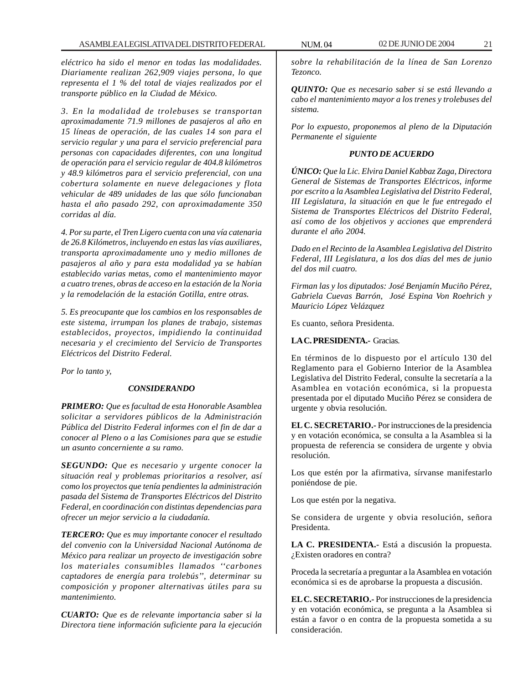*eléctrico ha sido el menor en todas las modalidades. Diariamente realizan 262,909 viajes persona, lo que representa el 1 % del total de viajes realizados por el transporte público en la Ciudad de México.*

*3. En la modalidad de trolebuses se transportan aproximadamente 71.9 millones de pasajeros al año en 15 líneas de operación, de las cuales 14 son para el servicio regular y una para el servicio preferencial para personas con capacidades diferentes, con una longitud de operación para el servicio regular de 404.8 kilómetros y 48.9 kilómetros para el servicio preferencial, con una cobertura solamente en nueve delegaciones y flota vehicular de 489 unidades de las que sólo funcionaban hasta el año pasado 292, con aproximadamente 350 corridas al día.*

*4. Por su parte, el Tren Ligero cuenta con una vía catenaria de 26.8 Kilómetros, incluyendo en estas las vías auxiliares, transporta aproximadamente uno y medio millones de pasajeros al año y para esta modalidad ya se habían establecido varias metas, como el mantenimiento mayor a cuatro trenes, obras de acceso en la estación de la Noria y la remodelación de la estación Gotilla, entre otras.*

*5. Es preocupante que los cambios en los responsables de este sistema, irrumpan los planes de trabajo, sistemas establecidos, proyectos, impidiendo la continuidad necesaria y el crecimiento del Servicio de Transportes Eléctricos del Distrito Federal.*

*Por lo tanto y,*

#### *CONSIDERANDO*

*PRIMERO: Que es facultad de esta Honorable Asamblea solicitar a servidores públicos de la Administración Pública del Distrito Federal informes con el fin de dar a conocer al Pleno o a las Comisiones para que se estudie un asunto concerniente a su ramo.*

*SEGUNDO: Que es necesario y urgente conocer la situación real y problemas prioritarios a resolver, así como los proyectos que tenía pendientes la administración pasada del Sistema de Transportes Eléctricos del Distrito Federal, en coordinación con distintas dependencias para ofrecer un mejor servicio a la ciudadanía.*

*TERCERO: Que es muy importante conocer el resultado del convenio con la Universidad Nacional Autónoma de México para realizar un proyecto de investigación sobre los materiales consumibles llamados ''carbones captadores de energía para trolebús'', determinar su composición y proponer alternativas útiles para su mantenimiento.*

*CUARTO: Que es de relevante importancia saber si la Directora tiene información suficiente para la ejecución*

*sobre la rehabilitación de la línea de San Lorenzo Tezonco.*

*QUINTO: Que es necesario saber si se está llevando a cabo el mantenimiento mayor a los trenes y trolebuses del sistema.*

*Por lo expuesto, proponemos al pleno de la Diputación Permanente el siguiente*

#### *PUNTO DE ACUERDO*

*ÚNICO: Que la Lic. Elvira Daniel Kabbaz Zaga, Directora General de Sistemas de Transportes Eléctricos, informe por escrito a la Asamblea Legislativa del Distrito Federal, III Legislatura, la situación en que le fue entregado el Sistema de Transportes Eléctricos del Distrito Federal, así como de los objetivos y acciones que emprenderá durante el año 2004.*

*Dado en el Recinto de la Asamblea Legislativa del Distrito Federal, III Legislatura, a los dos días del mes de junio del dos mil cuatro.*

*Firman las y los diputados: José Benjamín Muciño Pérez, Gabriela Cuevas Barrón, José Espina Von Roehrich y Mauricio López Velázquez*

Es cuanto, señora Presidenta.

# **LA C. PRESIDENTA.-** Gracias*.*

En términos de lo dispuesto por el artículo 130 del Reglamento para el Gobierno Interior de la Asamblea Legislativa del Distrito Federal, consulte la secretaría a la Asamblea en votación económica, si la propuesta presentada por el diputado Muciño Pérez se considera de urgente y obvia resolución.

**EL C. SECRETARIO.-** Por instrucciones de la presidencia y en votación económica, se consulta a la Asamblea si la propuesta de referencia se considera de urgente y obvia resolución.

Los que estén por la afirmativa, sírvanse manifestarlo poniéndose de pie.

Los que estén por la negativa.

Se considera de urgente y obvia resolución, señora Presidenta.

**LA C. PRESIDENTA.-** Está a discusión la propuesta. ¿Existen oradores en contra?

Proceda la secretaría a preguntar a la Asamblea en votación económica si es de aprobarse la propuesta a discusión.

**EL C. SECRETARIO.-** Por instrucciones de la presidencia y en votación económica, se pregunta a la Asamblea si están a favor o en contra de la propuesta sometida a su consideración.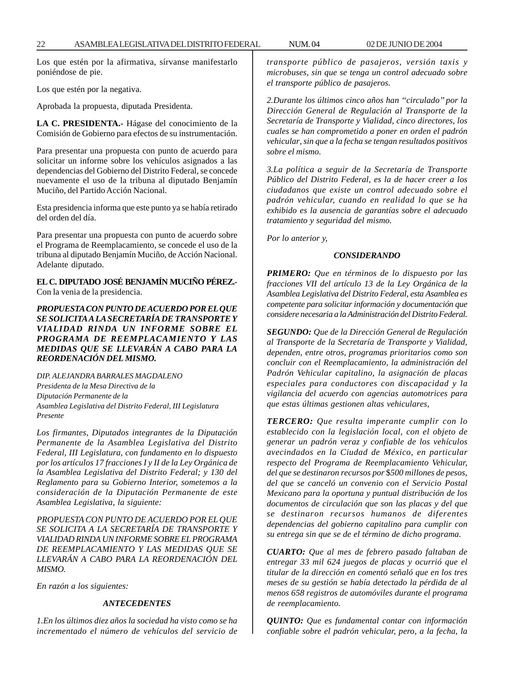Los que estén por la afirmativa, sírvanse manifestarlo poniéndose de pie.

Los que estén por la negativa.

Aprobada la propuesta, diputada Presidenta.

**LA C. PRESIDENTA.-** Hágase del conocimiento de la Comisión de Gobierno para efectos de su instrumentación.

Para presentar una propuesta con punto de acuerdo para solicitar un informe sobre los vehículos asignados a las dependencias del Gobierno del Distrito Federal, se concede nuevamente el uso de la tribuna al diputado Benjamín Muciño, del Partido Acción Nacional.

Esta presidencia informa que este punto ya se había retirado del orden del día.

Para presentar una propuesta con punto de acuerdo sobre el Programa de Reemplacamiento, se concede el uso de la tribuna al diputado Benjamín Muciño, de Acción Nacional. Adelante diputado.

**EL C. DIPUTADO JOSÉ BENJAMÍN MUCIÑO PÉREZ.-** Con la venia de la presidencia.

*PROPUESTA CON PUNTO DE ACUERDO POR EL QUE SE SOLICITA A LA SECRETARÍA DE TRANSPORTE Y VIALIDAD RINDA UN INFORME SOBRE EL PROGRAMA DE REEMPLACAMIENTO Y LAS MEDIDAS QUE SE LLEVARÁN A CABO PARA LA REORDENACIÓN DEL MISMO.*

*DIP. ALEJANDRA BARRALES MAGDALENO Presidenta de la Mesa Directiva de la Diputación Permanente de la Asamblea Legislativa del Distrito Federal, III Legislatura Presente*

*Los firmantes, Diputados integrantes de la Diputación Permanente de la Asamblea Legislativa del Distrito Federal, III Legislatura, con fundamento en lo dispuesto por los artículos 17 fracciones I y II de la Ley Orgánica de la Asamblea Legislativa del Distrito Federal; y 130 del Reglamento para su Gobierno Interior, sometemos a la consideración de la Diputación Permanente de este Asamblea Legislativa, la siguiente:*

*PROPUESTA CON PUNTO DE ACUERDO POR EL QUE SE SOLICITA A LA SECRETARÍA DE TRANSPORTE Y VIALIDAD RINDA UN INFORME SOBRE EL PROGRAMA DE REEMPLACAMIENTO Y LAS MEDIDAS QUE SE LLEVARÁN A CABO PARA LA REORDENACIÓN DEL MISMO.*

*En razón a los siguientes:*

#### *ANTECEDENTES*

*1.En los últimos diez años la sociedad ha visto como se ha incrementado el número de vehículos del servicio de* *transporte público de pasajeros, versión taxis y microbuses, sin que se tenga un control adecuado sobre el transporte público de pasajeros.*

*2.Durante los últimos cinco años han ''circulado'' por la Dirección General de Regulación al Transporte de la Secretaría de Transporte y Vialidad, cinco directores, los cuales se han comprometido a poner en orden el padrón vehicular*,*sin que a la fecha se tengan resultados positivos sobre el mismo.*

*3.La política a seguir de la Secretaría de Transporte Público del Distrito Federal, es la de hacer creer a los ciudadanos que existe un control adecuado sobre el padrón vehicular, cuando en realidad lo que se ha exhibido es la ausencia de garantías sobre el adecuado tratamiento y seguridad del mismo.*

*Por lo anterior y,*

#### *CONSIDERANDO*

*PRIMERO: Que en términos de lo dispuesto por las fracciones VII del artículo 13 de la Ley Orgánica de la Asamblea Legislativa del Distrito Federal, esta Asamblea es competente para solicitar información y documentación que considere necesaria a la Administración del Distrito Federal.*

*SEGUNDO: Que de la Dirección General de Regulación al Transporte de la Secretaría de Transporte y Vialidad, dependen, entre otros, programas prioritarios como son concluir con el Reemplacamiento, la administración del Padrón Vehicular capitalino, la asignación de placas especiales para conductores con discapacidad y la vigilancia del acuerdo con agencias automotrices para que estas últimas gestionen altas vehiculares,*

*TERCERO: Que resulta imperante cumplir con lo establecido con la legislación local, con el objeto de generar un padrón veraz y confiable de los vehículos avecindados en la Ciudad de México, en particular respecto del Programa de Reemplacamiento Vehicular, del que se destinaron recursos por* \$*500 millones de pesos, del que se canceló un convenio con el Servicio Postal Mexicano para la oportuna y puntual distribución de los documentos de circulación que son las placas y del que se destinaron recursos humanos de diferentes dependencias del gobierno capitalino para cumplir con su entrega sin que se de el término de dicho programa.*

*CUARTO: Que al mes de febrero pasado faltaban de entregar 33 mil 624 juegos de placas y ocurrió que el titular de la dirección en comentó señaló que en los tres meses de su gestión se había detectado la pérdida de al menos 658 registros de automóviles durante el programa de reemplacamiento.*

*QUINTO: Que es fundamental contar con información confiable sobre el padrón vehicular, pero, a la fecha, la*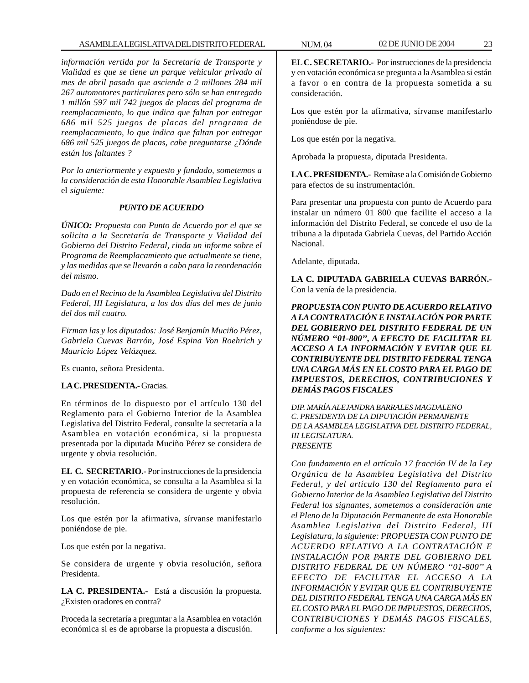*información vertida por la Secretaría de Transporte y Vialidad es que se tiene un parque vehicular privado al mes de abril pasado que asciende a 2 millones 284 mil 267 automotores particulares pero sólo se han entregado 1 millón 597 mil 742 juegos de placas del programa de reemplacamiento, lo que indica que faltan por entregar 686 mil 525 juegos de placas del programa de reemplacamiento, lo que indica que faltan por entregar 686 mil 525 juegos de placas, cabe preguntarse ¿Dónde están los faltantes ?*

*Por lo anteriormente y expuesto y fundado, sometemos a la consideración de esta Honorable Asamblea Legislativa* el *siguiente:*

#### *PUNTO DE ACUERDO*

*ÚNICO: Propuesta con Punto de Acuerdo por el que se solicita a la Secretaría de Transporte y Vialidad del Gobierno del Distrito Federal, rinda un informe sobre el Programa de Reemplacamiento que actualmente se tiene, y las medidas que se llevarán a cabo para la reordenación del mismo.*

*Dado en el Recinto de la Asamblea Legislativa del Distrito Federal, III Legislatura, a los dos días del mes de junio del dos mil cuatro.*

*Firman las y los diputados: José Benjamín Muciño Pérez, Gabriela Cuevas Barrón, José Espina Von Roehrich y Mauricio López Velázquez.*

Es cuanto, señora Presidenta.

# **LA C. PRESIDENTA.-** Gracias.

En términos de lo dispuesto por el artículo 130 del Reglamento para el Gobierno Interior de la Asamblea Legislativa del Distrito Federal, consulte la secretaría a la Asamblea en votación económica, si la propuesta presentada por la diputada Muciño Pérez se considera de urgente y obvia resolución.

**EL C. SECRETARIO.-** Por instrucciones de la presidencia y en votación económica, se consulta a la Asamblea si la propuesta de referencia se considera de urgente y obvia resolución.

Los que estén por la afirmativa, sírvanse manifestarlo poniéndose de pie.

Los que estén por la negativa.

Se considera de urgente y obvia resolución, señora Presidenta.

**LA C. PRESIDENTA.-** Está a discusión la propuesta. ¿Existen oradores en contra?

Proceda la secretaría a preguntar a la Asamblea en votación económica si es de aprobarse la propuesta a discusión.

Los que estén por la afirmativa, sírvanse manifestarlo poniéndose de pie.

Los que estén por la negativa.

Aprobada la propuesta, diputada Presidenta.

**LA C. PRESIDENTA.-** Remítase a la Comisión de Gobierno para efectos de su instrumentación.

Para presentar una propuesta con punto de Acuerdo para instalar un número 01 800 que facilite el acceso a la información del Distrito Federal, se concede el uso de la tribuna a la diputada Gabriela Cuevas, del Partido Acción Nacional.

Adelante, diputada.

**LA C. DIPUTADA GABRIELA CUEVAS BARRÓN.-** Con la venía de la presidencia.

*PROPUESTA CON PUNTO DE ACUERDO RELATIVO A LA CONTRATACIÓN E INSTALACIÓN POR PARTE DEL GOBIERNO DEL DISTRITO FEDERAL DE UN NÚMERO ''01-800'', A EFECTO DE FACILITAR EL ACCESO A LA INFORMACIÓN Y EVITAR QUE EL CONTRIBUYENTE DEL DISTRITO FEDERAL TENGA UNA CARGA MÁS EN EL COSTO PARA EL PAGO DE IMPUESTOS, DERECHOS, CONTRIBUCIONES Y DEMÁS PAGOS FISCALES*

*DIP. MARÍA ALEJANDRA BARRALES MAGDALENO C. PRESIDENTA DE LA DIPUTACIÓN PERMANENTE DE LA ASAMBLEA LEGISLATIVA DEL DISTRITO FEDERAL, III LEGISLATURA. PRESENTE*

*Con fundamento en el artículo 17 fracción IV de la Ley Orgánica de la Asamblea Legislativa del Distrito Federal, y del artículo 130 del Reglamento para el Gobierno Interior de la Asamblea Legislativa del Distrito Federal los signantes, sometemos a consideración ante el Pleno de la Diputación Permanente de esta Honorable Asamblea Legislativa del Distrito Federal, III Legislatura, la siguiente: PROPUESTA CON PUNTO DE ACUERDO RELATIVO A LA CONTRATACIÓN E INSTALACIÓN POR PARTE DEL GOBIERNO DEL DISTRITO FEDERAL DE UN NÚMERO ''01-800'' A EFECTO DE FACILITAR EL ACCESO A LA INFORMACIÓN Y EVITAR QUE EL CONTRIBUYENTE DEL DISTRITO FEDERAL TENGA UNA CARGA MÁS EN EL COSTO PARA EL PAGO DE IMPUESTOS, DERECHOS, CONTRIBUCIONES Y DEMÁS PAGOS FISCALES, conforme a los siguientes:*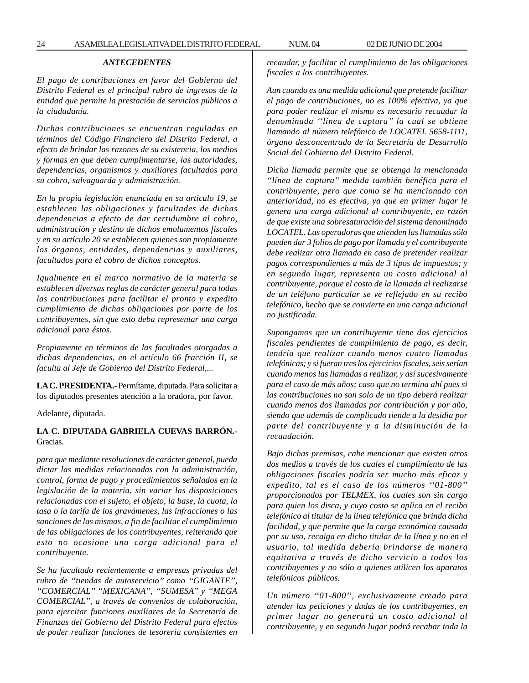# *ANTECEDENTES*

*El pago de contribuciones en favor del Gobierno del Distrito Federal es el principal rubro de ingresos de la entidad que permite la prestación de servicios públicos a la ciudadanía.*

*Dichas contribuciones se encuentran reguladas en términos del Código Financiero del Distrito Federal, a efecto de brindar las razones de su existencia, los medios y formas en que deben cumplimentarse, las autoridades, dependencias, organismos y auxiliares facultados para su cobro, salvaguarda y administración.*

*En la propia legislación enunciada en su artículo 19, se establecen las obligaciones y facultades de dichas dependencias a efecto de dar certidumbre al cobro, administración y destino de dichos emolumentos fiscales y en su artículo 20 se establecen quienes son propiamente los órganos, entidades, dependencias y auxiliares, facultados para el cobro de dichos conceptos.*

*Igualmente en el marco normativo de la materia se establecen diversas reglas de carácter general para todas las contribuciones para facilitar el pronto y expedito cumplimiento de dichas obligaciones por parte de los contribuyentes, sin que esto deba representar una carga adicional para éstos.*

*Propiamente en términos de las facultades otorgadas a dichas dependencias, en el artículo 66 fracción II, se faculta al Jefe de Gobierno del Distrito Federal,...*

**LA C. PRESIDENTA.-** Permítame, diputada. Para solicitar a los diputados presentes atención a la oradora, por favor.

Adelante, diputada.

# **LA C. DIPUTADA GABRIELA CUEVAS BARRÓN.-** Gracias.

*para que mediante resoluciones de carácter general, pueda dictar las medidas relacionadas con la administración, control, forma de pago y procedimientos señalados en la legislación de la materia, sin variar las disposiciones relacionadas con el sujeto, el objeto, la base, la cuota, la tasa o la tarifa de los gravámenes, las infracciones o las sanciones de las mismas, a fin de facilitar el cumplimiento de las obligaciones de los contribuyentes, reiterando que esto no ocasione una carga adicional para el contribuyente.*

*Se ha facultado recientemente a empresas privadas del rubro de ''tiendas de autoservicio'' como ''GIGANTE'', ''COMERCIAL'' ''MEXICANA'', ''SUMESA'' y ''MEGA COMERCIAL'', a través de convenios de colaboración, para ejercitar funciones auxiliares de la Secretaría de Finanzas del Gobierno del Distrito Federal para efectos de poder realizar funciones de tesorería consistentes en*

*recaudar, y facilitar el cumplimiento de las obligaciones fiscales a los contribuyentes.*

*Aun cuando es una medida adicional que pretende facilitar el pago de contribuciones, no es 100% efectiva, ya que para poder realizar el mismo es necesario recaudar la denominada ''línea de captura'' la cual se obtiene llamando al número telefónico de LOCATEL 5658-1111, órgano desconcentrado de la Secretaría de Desarrollo Social del Gobierno del Distrito Federal.*

*Dicha llamada permite que se obtenga la mencionada ''línea de captura'' medida también benéfica para el contribuyente, pero que como se ha mencionado con anterioridad, no es efectiva, ya que en primer lugar le genera una carga adicional al contribuyente, en razón de que existe una sobresaturación del sistema denominado LOCATEL. Las operadoras que atienden las llamadas sólo pueden dar 3 folios de pago por llamada y el contribuyente debe realizar otra llamada en caso de pretender realizar pagos correspondientes a más de 3 tipos de impuestos; y en segundo lugar, representa un costo adicional al contribuyente, porque el costo de la llamada al realizarse de un teléfono particular se ve reflejado en su recibo telefónico, hecho que se convierte en una carga adicional no justificada.*

*Supongamos que un contribuyente tiene dos ejercicios fiscales pendientes de cumplimiento de pago, es decir, tendría que realizar cuando menos cuatro llamadas telefónicas; y si fueran tres los ejercicios fiscales, seis serían cuando menos las llamadas a realizar, y así sucesivamente para el caso de más años; caso que no termina ahí pues si las contribuciones no son solo de un tipo deberá realizar cuando menos dos llamadas por contribución y por año, siendo que además de complicado tiende a la desidia por parte del contribuyente y a la disminución de la recaudación.*

*Bajo dichas premisas, cabe mencionar que existen otros dos medios a través de los cuales el cumplimiento de las obligaciones fiscales podría ser mucho más eficaz y expedito, tal es el caso de los números ''01-800'' proporcionados por TELMEX, los cuales son sin cargo para quien los disca, y cuyo costo se aplica en el recibo telefónico al titular de la línea telefónica que brinda dicha facilidad, y que permite que la carga económica causada por su uso, recaiga en dicho titular de la línea y no en el usuario, tal medida debería brindarse de manera equitativa a través de dicho servicio a todos los contribuyentes y no sólo a quienes utilicen los aparatos telefónicos públicos.*

*Un número ''01-800'', exclusivamente creado para atender las peticiones y dudas de los contribuyentes, en primer lugar no generará un costo adicional al contribuyente, y en segundo lugar podrá recabar toda la*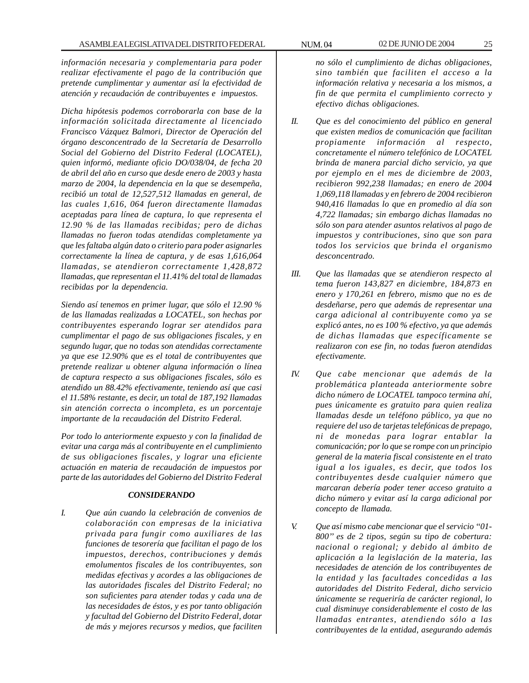*información necesaria y complementaria para poder realizar efectivamente el pago de la contribución que pretende cumplimentar y aumentar así la efectividad de atención y recaudación de contribuyentes e impuestos.*

*Dicha hipótesis podemos corroborarla con base de la información solicitada directamente al licenciado Francisco Vázquez Balmori, Director de Operación del órgano desconcentrado de la Secretaría de Desarrollo Social del Gobierno del Distrito Federal (LOCATEL), quien informó, mediante oficio DO/038/04, de fecha 20 de abril del año en curso que desde enero de 2003 y hasta marzo de 2004, la dependencia en la que se desempeña, recibió un total de 12,527,512 llamadas en general, de las cuales 1,616, 064 fueron directamente llamadas aceptadas para línea de captura, lo que representa el 12.90 % de las llamadas recibidas; pero de dichas llamadas no fueron todas atendidas completamente ya que les faltaba algún dato o criterio para poder asignarles correctamente la línea de captura, y de esas 1,616,064 llamadas, se atendieron correctamente 1,428,872 llamadas, que representan el 11.41% del total de llamadas recibidas por la dependencia.*

*Siendo así tenemos en primer lugar, que sólo el 12.90 % de las llamadas realizadas a LOCATEL, son hechas por contribuyentes esperando lograr ser atendidos para cumplimentar el pago de sus obligaciones fiscales, y en segundo lugar, que no todas son atendidas correctamente ya que ese 12.90% que es el total de contribuyentes que pretende realizar u obtener alguna información o línea de captura respecto a sus obligaciones fiscales, sólo es atendido un 88.42% efectivamente, teniendo así que casi el 11.58% restante, es decir, un total de 187,192 llamadas sin atención correcta o incompleta, es un porcentaje importante de la recaudación del Distrito Federal.*

*Por todo lo anteriormente expuesto y con la finalidad de evitar una carga más al contribuyente en el cumplimiento de sus obligaciones fiscales, y lograr una eficiente actuación en materia de recaudación de impuestos por parte de las autoridades del Gobierno del Distrito Federal*

#### *CONSIDERANDO*

*I. Que aún cuando la celebración de convenios de colaboración con empresas de la iniciativa privada para fungir como auxiliares de las funciones de tesorería que facilitan el pago de los impuestos, derechos, contribuciones y demás emolumentos fiscales de los contribuyentes, son medidas efectivas y acordes a las obligaciones de las autoridades fiscales del Distrito Federal; no son suficientes para atender todas y cada una de las necesidades de éstos, y es por tanto obligación y facultad del Gobierno del Distrito Federal, dotar de más y mejores recursos y medios, que faciliten*

*no sólo el cumplimiento de dichas obligaciones, sino también que faciliten el acceso a la información relativa y necesaria a los mismos, a fin de que permita el cumplimiento correcto y efectivo dichas obligaciones.*

- *II. Que es del conocimiento del público en general que existen medios de comunicación que facilitan propiamente información al respecto, concretamente el número telefónico de LOCATEL brinda de manera parcial dicho servicio, ya que por ejemplo en el mes de diciembre de 2003, recibieron 992,238 llamadas; en enero de 2004 1,069,118 llamadas y en febrero de 2004 recibieron 940,416 llamadas lo que en promedio al día son 4,722 llamadas; sin embargo dichas llamadas no sólo son para atender asuntos relativos al pago de impuestos y contribuciones, sino que son para todos los servicios que brinda el organismo desconcentrado.*
- *III. Que las llamadas que se atendieron respecto al tema fueron 143,827 en diciembre, 184,873 en enero y 170,261 en febrero, mismo que no es de desdeñarse, pero que además de representar una carga adicional al contribuyente como ya se explicó antes, no es 100 % efectivo, ya que además de dichas llamadas que específicamente se realizaron con ese fin, no todas fueron atendidas efectivamente.*
- *IV. Que cabe mencionar que además de la problemática planteada anteriormente sobre dicho número de LOCATEL tampoco termina ahí, pues únicamente es gratuito para quien realiza llamadas desde un teléfono público, ya que no requiere del uso de tarjetas telefónicas de prepago, ni de monedas para lograr entablar la comunicación; por lo que se rompe con un principio general de la materia fiscal consistente en el trato igual a los iguales, es decir, que todos los contribuyentes desde cualquier número que marcaran debería poder tener acceso gratuito a dicho número y evitar así la carga adicional por concepto de llamada.*
- *V. Que así mismo cabe mencionar que el servicio ''01- 800'' es de 2 tipos, según su tipo de cobertura: nacional o regional; y debido al ámbito de aplicación a la legislación de la materia, las necesidades de atención de los contribuyentes de la entidad y las facultades concedidas a las autoridades del Distrito Federal, dicho servicio únicamente se requeriría de carácter regional, lo cual disminuye considerablemente el costo de las llamadas entrantes, atendiendo sólo a las contribuyentes de la entidad, asegurando además*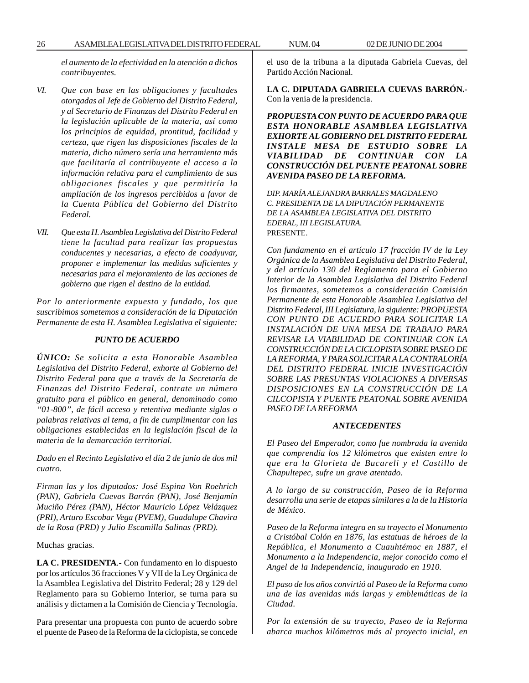*el aumento de la efectividad en la atención a dichos contribuyentes.*

- *VI. Que con base en las obligaciones y facultades otorgadas al Jefe de Gobierno del Distrito Federal, y al Secretario de Finanzas del Distrito Federal en la legislación aplicable de la materia, así como los principios de equidad, prontitud, facilidad y certeza, que rigen las disposiciones fiscales de la materia, dicho número sería una herramienta más que facilitaría al contribuyente el acceso a la información relativa para el cumplimiento de sus obligaciones fiscales y que permitiría la ampliación de los ingresos percibidos a favor de la Cuenta Pública del Gobierno del Distrito Federal.*
- *VII. Que esta H. Asamblea Legislativa del Distrito Federal tiene la facultad para realizar las propuestas conducentes y necesarias, a efecto de coadyuvar, proponer e implementar las medidas suficientes y necesarias para el mejoramiento de las acciones de gobierno que rigen el destino de la entidad.*

*Por lo anteriormente expuesto y fundado, los que suscribimos sometemos a consideración de la Diputación Permanente de esta H. Asamblea Legislativa el siguiente:*

#### *PUNTO DE ACUERDO*

*ÚNICO: Se solicita a esta Honorable Asamblea Legislativa del Distrito Federal, exhorte al Gobierno del Distrito Federal para que a través de la Secretaría de Finanzas del Distrito Federal, contrate un número gratuito para el público en general, denominado como ''01-800'', de fácil acceso y retentiva mediante siglas o palabras relativas al tema, a fin de cumplimentar con las obligaciones establecidas en la legislación fiscal de la materia de la demarcación territorial.*

*Dado en el Recinto Legislativo el día 2 de junio de dos mil cuatro.*

*Firman las y los diputados: José Espina Von Roehrich (PAN), Gabriela Cuevas Barrón (PAN), José Benjamín Muciño Pérez (PAN), Héctor Mauricio López Velázquez (PRI), Arturo Escobar Vega (PVEM), Guadalupe Chavira de la Rosa (PRD) y Julio Escamilla Salinas (PRD).*

Muchas gracias.

**LA C. PRESIDENTA**.- Con fundamento en lo dispuesto por los artículos 36 fracciones V y VII de la Ley Orgánica de la Asamblea Legislativa del Distrito Federal; 28 y 129 del Reglamento para su Gobierno Interior, se turna para su análisis y dictamen a la Comisión de Ciencia y Tecnología.

Para presentar una propuesta con punto de acuerdo sobre el puente de Paseo de la Reforma de la ciclopista, se concede el uso de la tribuna a la diputada Gabriela Cuevas, del Partido Acción Nacional.

**LA C. DIPUTADA GABRIELA CUEVAS BARRÓN.-** Con la venia de la presidencia.

*PROPUESTA CON PUNTO DE ACUERDO PARA QUE ESTA HONORABLE ASAMBLEA LEGISLATIVA EXHORTE AL GOBIERNO DEL DISTRITO FEDERAL INSTALE MESA DE ESTUDIO SOBRE LA VIABILIDAD DE CONTINUAR CON LA CONSTRUCCIÓN DEL PUENTE PEATONAL SOBRE AVENIDA PASEO DE LA REFORMA.*

*DIP. MARÍA ALEJANDRA BARRALES MAGDALENO C. PRESIDENTA DE LA DIPUTACIÓN PERMANENTE DE LA ASAMBLEA LEGISLATIVA DEL DISTRITO EDERAL, III LEGISLATURA.* PRESENTE.

*Con fundamento en el artículo 17 fracción IV de la Ley Orgánica de la Asamblea Legislativa del Distrito Federal, y del artículo 130 del Reglamento para el Gobierno Interior de la Asamblea Legislativa del Distrito Federal los firmantes, sometemos a consideración Comisión Permanente de esta Honorable Asamblea Legislativa del Distrito Federal, III Legislatura, la siguiente: PROPUESTA CON PUNTO DE ACUERDO PARA SOLICITAR LA INSTALACIÓN DE UNA MESA DE TRABAJO PARA REVISAR LA VIABILIDAD DE CONTINUAR CON LA CONSTRUCCIÓN DE LA CICLOPISTA SOBRE PASEO DE LA REFORMA, Y PARA SOLICITAR A LA CONTRALORÍA DEL DISTRITO FEDERAL INICIE INVESTIGACIÓN SOBRE LAS PRESUNTAS VIOLACIONES A DIVERSAS DISPOSICIONES EN LA CONSTRUCCIÓN DE LA CILCOPISTA Y PUENTE PEATONAL SOBRE AVENIDA PASEO DE LA REFORMA*

#### *ANTECEDENTES*

*El Paseo del Emperador, como fue nombrada la avenida que comprendía los 12 kilómetros que existen entre lo que era la Glorieta de Bucareli y el Castillo de Chapultepec, sufre un grave atentado.*

*A lo largo de su construcción, Paseo de la Reforma desarrolla una serie de etapas similares a la de la Historia de México.*

*Paseo de la Reforma integra en su trayecto el Monumento a Cristóbal Colón en 1876, las estatuas de héroes de la República, el Monumento a Cuauhtémoc en 1887, el Monumento a la Independencia, mejor conocido como el Angel de la Independencia, inaugurado en 1910.*

*El paso de los años convirtió al Paseo de la Reforma como una de las avenidas más largas y emblemáticas de la Ciudad.*

*Por la extensión de su trayecto, Paseo de la Reforma abarca muchos kilómetros más al proyecto inicial, en*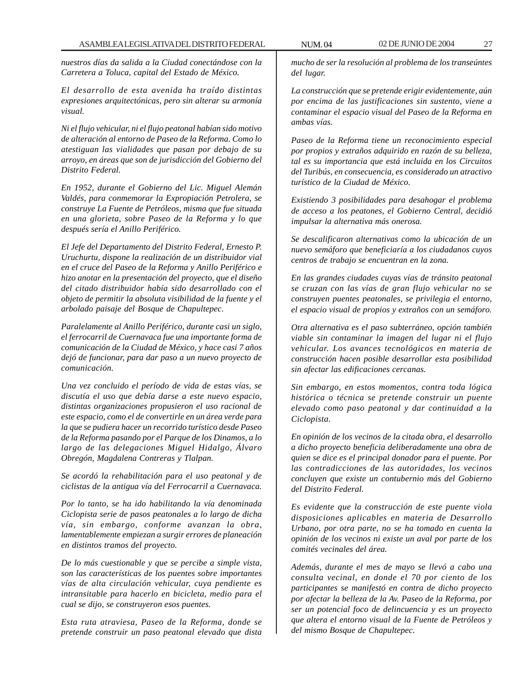*nuestros días da salida a la Ciudad conectándose con la Carretera a Toluca, capital del Estado de México.*

*El desarrollo de esta avenida ha traído distintas expresiones arquitectónicas, pero sin alterar su armonía visual.*

*Ni el flujo vehicular, ni el flujo peatonal habían sido motivo de alteración al entorno de Paseo de la Reforma. Como lo atestiguan las vialidades que pasan por debajo de su arroyo, en áreas que son de jurisdicción del Gobierno del Distrito Federal.*

*En 1952, durante el Gobierno del Lic. Miguel Alemán Valdés, para conmemorar la Expropiación Petrolera, se construye La Fuente de Petróleos, misma que fue situada en una glorieta, sobre Paseo de la Reforma y lo que después sería el Anillo Periférico.*

*El Jefe del Departamento del Distrito Federal, Ernesto P. Uruchurtu, dispone la realización de un distribuidor vial en el cruce del Paseo de la Reforma y Anillo Periférico e hizo anotar en la presentación del proyecto, que el diseño del citado distribuidor había sido desarrollado con el objeto de permitir la absoluta visibilidad de la fuente y el arbolado paisaje del Bosque de Chapultepec.*

*Paralelamente al Anillo Periférico, durante casi un siglo, el ferrocarril de Cuernavaca fue una importante forma de comunicación de la Ciudad de México, y hace casi 7 años dejó de funcionar, para dar paso a un nuevo proyecto de comunicación.*

*Una vez concluido el período de vida de estas vías, se discutía el uso que debía darse a este nuevo espacio, distintas organizaciones propusieron el uso racional de este espacio, como el de convertirle en un área verde para la que se pudiera hacer un recorrido turístico desde Paseo de la Reforma pasando por el Parque de los Dinamos, a lo largo de las delegaciones Miguel Hidalgo, Álvaro Obregón, Magdalena Contreras y Tlalpan.*

*Se acordó la rehabilitación para el uso peatonal y de ciclistas de la antigua vía del Ferrocarril a Cuernavaca.*

*Por lo tanto, se ha ido habilitando la vía denominada Ciclopista serie de pasos peatonales a lo largo de dicha vía, sin embargo, conforme avanzan la obra, lamentablemente empiezan a surgir errores de planeación en distintos tramos del proyecto.*

*De lo más cuestionable y que se percibe a simple vista, son las características de los puentes sobre importantes vías de alta circulación vehicular, cuya pendiente es intransitable para hacerlo en bicicleta, medio para el cual se dijo, se construyeron esos puentes.*

*Esta ruta atraviesa, Paseo de la Reforma, donde se pretende construir un paso peatonal elevado que dista* *mucho de ser la resolución al problema de los transeúntes del lugar.*

*La construcción que se pretende erigir evidentemente, aún por encima de las justificaciones sin sustento, viene a contaminar el espacio visual del Paseo de la Reforma en ambas vías.*

*Paseo de la Reforma tiene un reconocimiento especial por propios y extraños adquirido en razón de su belleza, tal es su importancia que está incluida en los Circuitos del Turibús, en consecuencia, es considerado un atractivo turístico de la Ciudad de México.*

*Existiendo 3 posibilidades para desahogar el problema de acceso a los peatones, el Gobierno Central, decidió impulsar la alternativa más onerosa.*

*Se descalificaron alternativas como la ubicación de un nuevo semáforo que beneficiaría a los ciudadanos cuyos centros de trabajo se encuentran en la zona.*

*En las grandes ciudades cuyas vías de tránsito peatonal se cruzan con las vías de gran flujo vehicular no se construyen puentes peatonales, se privilegia el entorno, el espacio visual de propios y extraños con un semáforo.*

*Otra alternativa es el paso subterráneo, opción también viable sin contaminar la imagen del lugar ni el flujo vehicular. Los avances tecnológicos en materia de construcción hacen posible desarrollar esta posibilidad sin afectar las edificaciones cercanas.*

*Sin embargo, en estos momentos, contra toda lógica histórica o técnica se pretende construir un puente elevado como paso peatonal y dar continuidad a la Ciclopista.*

*En opinión de los vecinos de la citada obra, el desarrollo a dicho proyecto beneficia deliberadamente una obra de quien se dice es el principal donador para el puente. Por las contradicciones de las autoridades, los vecinos concluyen que existe un contubernio más del Gobierno del Distrito Federal.*

*Es evidente que la construcción de este puente viola disposiciones aplicables en materia de Desarrollo Urbano, por otra parte, no se ha tomado en cuenta la opinión de los vecinos ni existe un aval por parte de los comités vecinales del área.*

*Además, durante el mes de mayo se llevó a cabo una consulta vecinal, en donde el 70 por ciento de los participantes se manifestó en contra de dicho proyecto por afectar la belleza de la Av. Paseo de la Reforma, por ser un potencial foco de delincuencia y es un proyecto que altera el entorno visual de la Fuente de Petróleos y del mismo Bosque de Chapultepec.*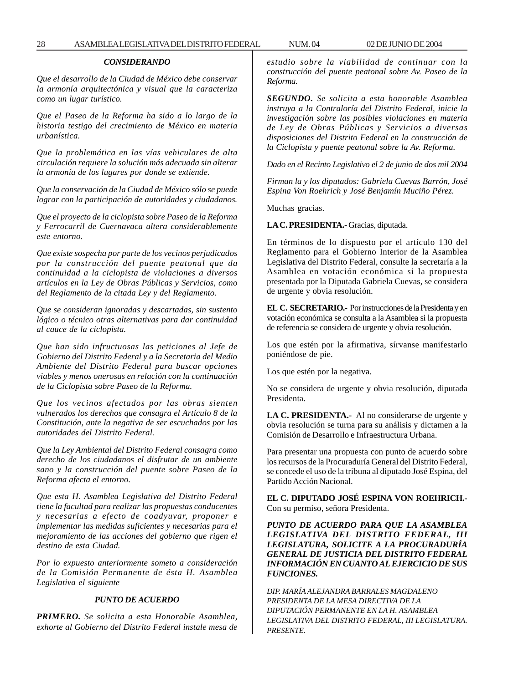# *CONSIDERANDO*

*Que el desarrollo de la Ciudad de México debe conservar la armonía arquitectónica y visual que la caracteriza como un lugar turístico.*

*Que el Paseo de la Reforma ha sido a lo largo de la historia testigo del crecimiento de México en materia urbanística.*

*Que la problemática en las vías vehiculares de alta circulación requiere la solución más adecuada sin alterar la armonía de los lugares por donde se extiende.*

*Que la conservación de la Ciudad de México sólo se puede lograr con la participación de autoridades y ciudadanos.*

*Que el proyecto de la ciclopista sobre Paseo de la Reforma y Ferrocarril de Cuernavaca altera considerablemente este entorno.*

*Que existe sospecha por parte de los vecinos perjudicados por la construcción del puente peatonal que da continuidad a la ciclopista de violaciones a diversos artículos en la Ley de Obras Públicas y Servicios, como del Reglamento de la citada Ley y del Reglamento.*

*Que se consideran ignoradas y descartadas, sin sustento lógico o técnico otras alternativas para dar continuidad al cauce de la ciclopista.*

*Que han sido infructuosas las peticiones al Jefe de Gobierno del Distrito Federal y a la Secretaria del Medio Ambiente del Distrito Federal para buscar opciones viables y menos onerosas en relación con la continuación de la Ciclopista sobre Paseo de la Reforma.*

*Que los vecinos afectados por las obras sienten vulnerados los derechos que consagra el Artículo 8 de la Constitución, ante la negativa de ser escuchados por las autoridades del Distrito Federal.*

*Que la Ley Ambiental del Distrito Federal consagra como derecho de los ciudadanos el disfrutar de un ambiente sano y la construcción del puente sobre Paseo de la Reforma afecta el entorno.*

*Que esta H. Asamblea Legislativa del Distrito Federal tiene la facultad para realizar las propuestas conducentes y necesarias a efecto de coadyuvar, proponer e implementar las medidas suficientes y necesarias para el mejoramiento de las acciones del gobierno que rigen el destino de esta Ciudad.*

*Por lo expuesto anteriormente someto a consideración de la Comisión Permanente de ésta H. Asamblea Legislativa el siguiente*

#### *PUNTO DE ACUERDO*

*PRIMERO. Se solicita a esta Honorable Asamblea, exhorte al Gobierno del Distrito Federal instale mesa de* *estudio sobre la viabilidad de continuar con la construcción del puente peatonal sobre Av. Paseo de la Reforma.*

*SEGUNDO. Se solicita a esta honorable Asamblea instruya a la Contraloría del Distrito Federal, inicie la investigación sobre las posibles violaciones en materia de Ley de Obras Públicas y Servicios a diversas disposiciones del Distrito Federal en la construcción de la Ciclopista y puente peatonal sobre la Av. Reforma.*

*Dado en el Recinto Legislativo el 2 de junio de dos mil 2004*

*Firman la y los diputados: Gabriela Cuevas Barrón, José Espina Von Roehrich y José Benjamín Muciño Pérez.*

Muchas gracias.

#### **LA C. PRESIDENTA.-** Gracias, diputada.

En términos de lo dispuesto por el artículo 130 del Reglamento para el Gobierno Interior de la Asamblea Legislativa del Distrito Federal, consulte la secretaría a la Asamblea en votación económica si la propuesta presentada por la Diputada Gabriela Cuevas, se considera de urgente y obvia resolución.

**EL C. SECRETARIO.-** Por instrucciones de la Presidenta y en votación económica se consulta a la Asamblea si la propuesta de referencia se considera de urgente y obvia resolución.

Los que estén por la afirmativa, sírvanse manifestarlo poniéndose de pie.

Los que estén por la negativa.

No se considera de urgente y obvia resolución, diputada Presidenta.

**LA C. PRESIDENTA.-** Al no considerarse de urgente y obvia resolución se turna para su análisis y dictamen a la Comisión de Desarrollo e Infraestructura Urbana.

Para presentar una propuesta con punto de acuerdo sobre los recursos de la Procuraduría General del Distrito Federal, se concede el uso de la tribuna al diputado José Espina, del Partido Acción Nacional.

**EL C. DIPUTADO JOSÉ ESPINA VON ROEHRICH.-** Con su permiso, señora Presidenta.

*PUNTO DE ACUERDO PARA QUE LA ASAMBLEA LEGISLATIVA DEL DISTRITO FEDERAL, III LEGISLATURA, SOLICITE A LA PROCURADURÍA GENERAL DE JUSTICIA DEL DISTRITO FEDERAL INFORMACIÓN EN CUANTO AL EJERCICIO DE SUS FUNCIONES.*

*DIP. MARÍA ALEJANDRA BARRALES MAGDALENO PRESIDENTA DE LA MESA DIRECTIVA DE LA DIPUTACIÓN PERMANENTE EN LA H. ASAMBLEA LEGISLATIVA DEL DISTRITO FEDERAL, III LEGISLATURA. PRESENTE.*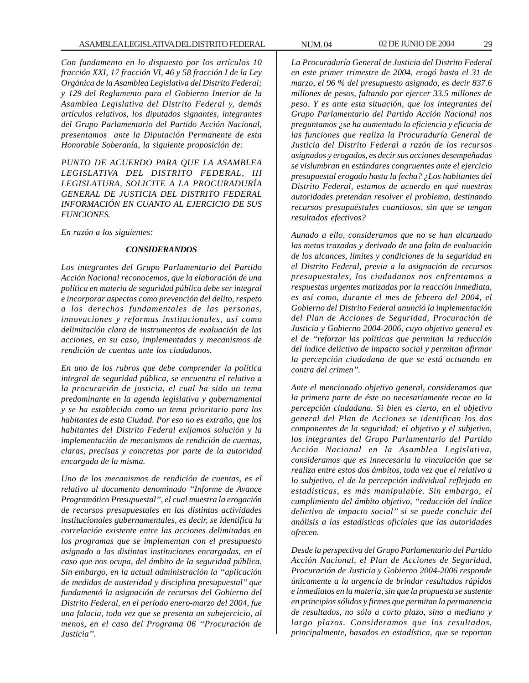*Con fundamento en lo dispuesto por los artículos 10 fracción XXI, 17 fracción VI, 46 y 58 fracción I de la Ley Orgánica de la Asamblea Legislativa del Distrito Federal; y 129 del Reglamento para el Gobierno Interior de la Asamblea Legislativa del Distrito Federal y, demás artículos relativos, los diputados signantes, integrantes del Grupo Parlamentario del Partido Acción Nacional, presentamos ante la Diputación Permanente de esta Honorable Soberanía, la siguiente proposición de:*

*PUNTO DE ACUERDO PARA QUE LA ASAMBLEA LEGISLATIVA DEL DISTRITO FEDERAL, III LEGISLATURA, SOLICITE A LA PROCURADURÍA GENERAL DE JUSTICIA DEL DISTRITO FEDERAL INFORMACIÓN EN CUANTO AL EJERCICIO DE SUS FUNCIONES.*

*En razón a los siguientes:*

#### *CONSIDERANDOS*

*Los integrantes del Grupo Parlamentario del Partido Acción Nacional reconocemos, que la elaboración de una política en materia de seguridad pública debe ser integral e incorporar aspectos como prevención del delito, respeto a los derechos fundamentales de las personas, innovaciones y reformas institucionales, así como delimitación clara de instrumentos de evaluación de las acciones, en su caso, implementadas y mecanismos de rendición de cuentas ante los ciudadanos.*

*En uno de los rubros que debe comprender la política integral de seguridad pública, se encuentra el relativo a la procuración de justicia, el cual ha sido un tema predominante en la agenda legislativa y gubernamental y se ha establecido como un tema prioritario para los habitantes de esta Ciudad. Por eso no es extraño, que los habitantes del Distrito Federal exijamos solución y la implementación de mecanismos de rendición de cuentas, claras, precisas y concretas por parte de la autoridad encargada de la misma.*

*Uno de los mecanismos de rendición de cuentas, es el relativo al documento denominado ''Informe de Avance Programático Presupuestal'', el cual muestra la erogación de recursos presupuestales en las distintas actividades institucionales gubernamentales, es decir, se identifica la correlación existente entre las acciones delimitadas en los programas que se implementan con el presupuesto asignado a las distintas instituciones encargadas, en el caso que nos ocupa, del ámbito de la seguridad pública. Sin embargo, en la actual administración la ''aplicación de medidas de austeridad y disciplina presupuestal'' que fundamentó la asignación de recursos del Gobierno del Distrito Federal, en el período enero-marzo del 2004, fue una falacia, toda vez que se presenta un subejercicio, al menos, en el caso del Programa 06 ''Procuración de Justicia''.*

*La Procuraduría General de Justicia del Distrito Federal en este primer trimestre de 2004, erogó hasta el 31 de marzo, el 96 % del presupuesto asignado, es decir 837.6 millones de pesos, faltando por ejercer 33.5 millones de peso. Y es ante esta situación, que los integrantes del Grupo Parlamentario del Partido Acción Nacional nos preguntamos ¿se ha aumentado la eficiencia y eficacia de las funciones que realiza la Procuraduría General de Justicia del Distrito Federal a razón de los recursos asignados y erogados, es decir sus acciones desempeñadas se vislumbran en estándares congruentes ante el ejercicio presupuestal erogado hasta la fecha? ¿Los habitantes del Distrito Federal, estamos de acuerdo en qué nuestras autoridades pretendan resolver el problema, destinando recursos presupuéstales cuantiosos, sin que se tengan resultados efectivos?*

*Aunado a ello, consideramos que no se han alcanzado las metas trazadas y derivado de una falta de evaluación de los alcances, límites y condiciones de la seguridad en el Distrito Federal, previa a la asignación de recursos presupuestales, los ciudadanos nos enfrentamos a respuestas urgentes matizadas por la reacción inmediata, es así como, durante el mes de febrero del 2004, el Gobierno del Distrito Federal anunció la implementación del Plan de Acciones de Seguridad, Procuración de Justicia y Gobierno 2004-2006, cuyo objetivo general es el de ''reforzar las políticas que permitan la reducción del índice delictivo de impacto social y permitan afirmar la percepción ciudadana de que se está actuando en contra del crimen''.*

*Ante el mencionado objetivo general, consideramos que la primera parte de éste no necesariamente recae en la percepción ciudadana. Si bien es cierto, en el objetivo general del Plan de Acciones se identifican los dos componentes de la seguridad: el objetivo y el subjetivo, los integrantes del Grupo Parlamentario del Partido Acción Nacional en la Asamblea Legislativa, consideramos que es innecesaria la vinculación que se realiza entre estos dos ámbitos, toda vez que el relativo a lo subjetivo, el de la percepción individual reflejado en estadísticas, es más manipulable. Sin embargo, el cumplimiento del ámbito objetivo, ''reducción del índice delictivo de impacto social'' si se puede concluir del análisis a las estadísticas oficiales que las autoridades ofrecen.*

*Desde la perspectiva del Grupo Parlamentario del Partido Acción Nacional, el Plan de Acciones de Seguridad, Procuración de Justicia y Gobierno 2004-2006 responde únicamente a la urgencia de brindar resultados rápidos e inmediatos en la materia, sin que la propuesta se sustente en principios sólidos y firmes que permitan la permanencia de resultados, no sólo a corto plazo, sino a mediano y largo plazos. Consideramos que los resultados, principalmente, basados en estadística, que se reportan*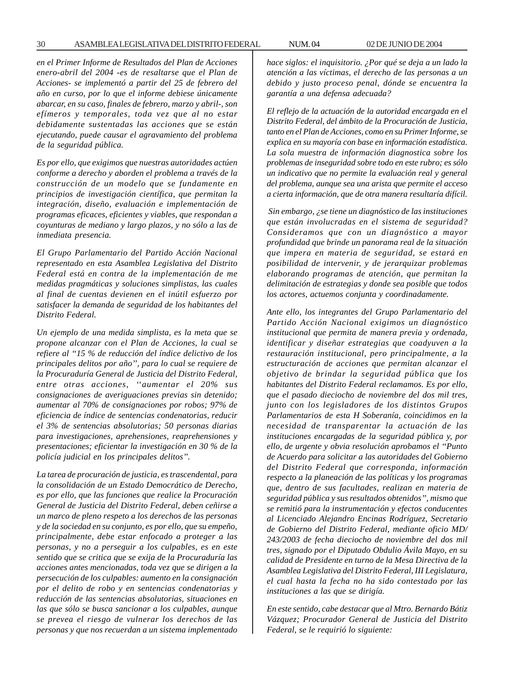*en el Primer Informe de Resultados del Plan de Acciones enero-abril del 2004 -es de resaltarse que el Plan de Acciones- se implementó a partir del 25 de febrero del año en curso, por lo que el informe debiese únicamente abarcar, en su caso, finales de febrero, marzo y abril-, son efímeros y temporales, toda vez que al no estar debidamente sustentadas las acciones que se están ejecutando, puede causar el agravamiento del problema de la seguridad pública.*

*Es por ello, que exigimos que nuestras autoridades actúen conforme a derecho y aborden el problema a través de la construcción de un modelo que se fundamente en principios de investigación científica, que permitan la integración, diseño, evaluación e implementación de programas eficaces, eficientes y viables, que respondan a coyunturas de mediano y largo plazos, y no sólo a las de inmediata presencia.*

*El Grupo Parlamentario del Partido Acción Nacional representado en esta Asamblea Legislativa del Distrito Federal está en contra de la implementación de me medidas pragmáticas y soluciones simplistas, las cuales al final de cuentas devienen en el inútil esfuerzo por satisfacer la demanda de seguridad de los habitantes del Distrito Federal.*

*Un ejemplo de una medida simplista, es la meta que se propone alcanzar con el Plan de Acciones, la cual se refiere al ''15 % de reducción del índice delictivo de los principales delitos por año'', para lo cual se requiere de la Procuraduría General de Justicia del Distrito Federal, entre otras acciones, ''aumentar el 20% sus consignaciones de averiguaciones previas sin detenido; aumentar al 70% de consignaciones por robos; 97% de eficiencia de índice de sentencias condenatorias, reducir el 3% de sentencias absolutorias; 50 personas diarias para investigaciones, aprehensiones, reaprehensiones y presentaciones; eficientar la investigación en 30 % de la policía judicial en los principales delitos''.*

*La tarea de procuración de justicia, es trascendental, para la consolidación de un Estado Democrático de Derecho, es por ello, que las funciones que realice la Procuración General de Justicia del Distrito Federal, deben ceñirse a un marco de pleno respeto a los derechos de las personas y de la sociedad en su conjunto, es por ello, que su empeño, principalmente, debe estar enfocado a proteger a las personas, y no a perseguir a los culpables, es en este sentido que se critica que se exija de la Procuraduría las acciones antes mencionadas, toda vez que se dirigen a la persecución de los culpables: aumento en la consignación por el delito de robo y en sentencias condenatorias y reducción de las sentencias absolutorias, situaciones en las que sólo se busca sancionar a los culpables, aunque se prevea el riesgo de vulnerar los derechos de las personas y que nos recuerdan a un sistema implementado*

*hace siglos: el inquisitorio. ¿Por qué se deja a un lado la atención a las víctimas, el derecho de las personas a un debido y justo proceso penal, dónde se encuentra la garantía a una defensa adecuada?*

*El reflejo de la actuación de la autoridad encargada en el Distrito Federal, del ámbito de la Procuración de Justicia, tanto en el Plan de Acciones, como en su Primer Informe, se explica en su mayoría con base en información estadística. La sola muestra de información diagnostica sobre los problemas de inseguridad sobre todo en este rubro; es sólo un indicativo que no permite la evaluación real y general del problema, aunque sea una arista que permite el acceso a cierta información, que de otra manera resultaría difícil.*

 *Sin embargo, ¿se tiene un diagnóstico de las instituciones que están involucradas en el sistema de seguridad? Consideramos que con un diagnóstico a mayor profundidad que brinde un panorama real de la situación que impera en materia de seguridad, se estará en posibilidad de intervenir, y de jerarquizar problemas elaborando programas de atención, que permitan la delimitación de estrategias y donde sea posible que todos los actores, actuemos conjunta y coordinadamente.*

*Ante ello, los integrantes del Grupo Parlamentario del Partido Acción Nacional exigimos un diagnóstico institucional que permita de manera previa y ordenada, identificar y diseñar estrategias que coadyuven a la restauración institucional, pero principalmente, a la estructuración de acciones que permitan alcanzar el objetivo de brindar la seguridad pública que los habitantes del Distrito Federal reclamamos. Es por ello, que el pasado dieciocho de noviembre del dos mil tres, junto con los legisladores de los distintos Grupos Parlamentarios de esta H Soberanía, coincidimos en la necesidad de transparentar la actuación de las instituciones encargadas de la seguridad pública y, por ello, de urgente y obvia resolución aprobamos el ''Punto de Acuerdo para solicitar a las autoridades del Gobierno del Distrito Federal que corresponda, información respecto a la planeación de las políticas y los programas que, dentro de sus facultades, realizan en materia de seguridad pública y sus resultados obtenidos'', mismo que se remitió para la instrumentación y efectos conducentes al Licenciado Alejandro Encinas Rodríguez, Secretario de Gobierno del Distrito Federal, mediante oficio MD/ 243/2003 de fecha dieciocho de noviembre del dos mil tres, signado por el Diputado Obdulio Ávila Mayo, en su calidad de Presidente en turno de la Mesa Directiva de la Asamblea Legislativa del Distrito Federal, III Legislatura, el cual hasta la fecha no ha sido contestado por las instituciones a las que se dirigía.*

*En este sentido, cabe destacar que al Mtro. Bernardo Bátiz Vázquez; Procurador General de Justicia del Distrito Federal, se le requirió lo siguiente:*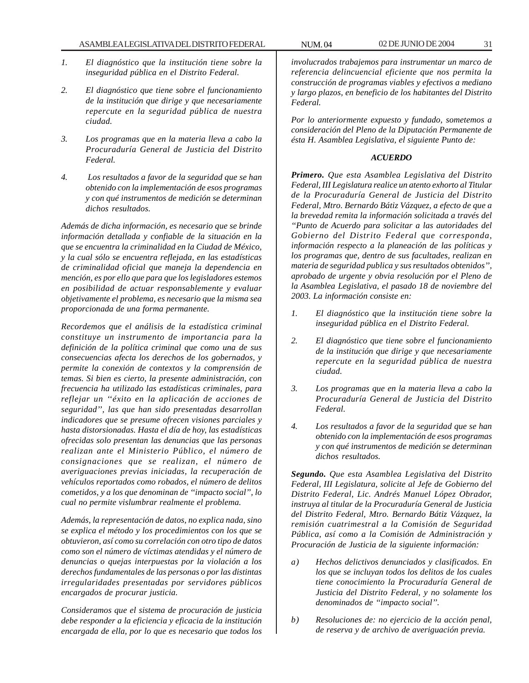- *1. El diagnóstico que la institución tiene sobre la inseguridad pública en el Distrito Federal.*
- *2. El diagnóstico que tiene sobre el funcionamiento de la institución que dirige y que necesariamente repercute en la seguridad pública de nuestra ciudad.*
- *3. Los programas que en la materia lleva a cabo la Procuraduría General de Justicia del Distrito Federal.*
- *4. Los resultados a favor de la seguridad que se han obtenido con la implementación de esos programas y con qué instrumentos de medición se determinan dichos resultados.*

*Además de dicha información, es necesario que se brinde información detallada y confiable de la situación en la que se encuentra la criminalidad en la Ciudad de México, y la cual sólo se encuentra reflejada, en las estadísticas de criminalidad oficial que maneja la dependencia en mención, es por ello que para que los legisladores estemos en posibilidad de actuar responsablemente y evaluar objetivamente el problema, es necesario que la misma sea proporcionada de una forma permanente.*

*Recordemos que el análisis de la estadística criminal constituye un instrumento de importancia para la definición de la política criminal que como una de sus consecuencias afecta los derechos de los gobernados, y permite la conexión de contextos y la comprensión de temas. Si bien es cierto, la presente administración, con frecuencia ha utilizado las estadísticas criminales, para reflejar un ''éxito en la aplicación de acciones de seguridad'', las que han sido presentadas desarrollan indicadores que se presume ofrecen visiones parciales y hasta distorsionadas. Hasta el día de hoy, las estadísticas ofrecidas solo presentan las denuncias que las personas realizan ante el Ministerio Público, el número de consignaciones que se realizan, el número de averiguaciones previas iniciadas, la recuperación de vehículos reportados como robados, el número de delitos cometidos, y a los que denominan de ''impacto social'', lo cual no permite vislumbrar realmente el problema.*

*Además, la representación de datos, no explica nada, sino se explica el método y los procedimientos con los que se obtuvieron, así como su correlación con otro tipo de datos como son el número de víctimas atendidas y el número de denuncias o quejas interpuestas por la violación a los derechos fundamentales de las personas o por las distintas irregularidades presentadas por servidores públicos encargados de procurar justicia.*

*Consideramos que el sistema de procuración de justicia debe responder a la eficiencia y eficacia de la institución encargada de ella, por lo que es necesario que todos los*

*involucrados trabajemos para instrumentar un marco de referencia delincuencial eficiente que nos permita la construcción de programas viables y efectivos a mediano y largo plazos, en beneficio de los habitantes del Distrito Federal.*

*Por lo anteriormente expuesto y fundado, sometemos a consideración del Pleno de la Diputación Permanente de ésta H. Asamblea Legislativa, el siguiente Punto de:*

# *ACUERDO*

*Primero. Que esta Asamblea Legislativa del Distrito Federal, III Legislatura realice un atento exhorto al Titular de la Procuraduría General de Justicia del Distrito Federal, Mtro. Bernardo Bátiz Vázquez, a efecto de que a la brevedad remita la información solicitada a través del ''Punto de Acuerdo para solicitar a las autoridades del Gobierno del Distrito Federal que corresponda, información respecto a la planeación de las políticas y los programas que, dentro de sus facultades, realizan en materia de seguridad publica y sus resultados obtenidos'', aprobado de urgente y obvia resolución por el Pleno de la Asamblea Legislativa, el pasado 18 de noviembre del 2003. La información consiste en:*

- *1. El diagnóstico que la institución tiene sobre la inseguridad pública en el Distrito Federal.*
- *2. El diagnóstico que tiene sobre el funcionamiento de la institución que dirige y que necesariamente repercute en la seguridad pública de nuestra ciudad.*
- *3. Los programas que en la materia lleva a cabo la Procuraduría General de Justicia del Distrito Federal.*
- *4. Los resultados a favor de la seguridad que se han obtenido con la implementación de esos programas y con qué instrumentos de medición se determinan dichos resultados.*

*Segundo. Que esta Asamblea Legislativa del Distrito Federal, III Legislatura, solicite al Jefe de Gobierno del Distrito Federal, Lic. Andrés Manuel López Obrador, instruya al titular de la Procuraduría General de Justicia del Distrito Federal, Mtro. Bernardo Bátiz Vázquez, la remisión cuatrimestral a la Comisión de Seguridad Pública, así como a la Comisión de Administración y Procuración de Justicia de la siguiente información:*

- *a) Hechos delictivos denunciados y clasificados. En los que se incluyan todos los delitos de los cuales tiene conocimiento la Procuraduría General de Justicia del Distrito Federal, y no solamente los denominados de ''impacto social''.*
- *b) Resoluciones de: no ejercicio de la acción penal, de reserva y de archivo de averiguación previa.*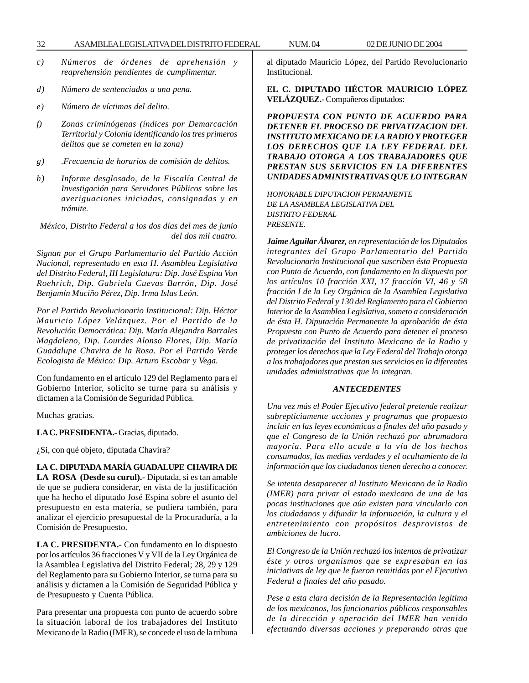- *c) Números de órdenes de aprehensión y*
- *d) Número de sentenciados a una pena.*
- *e) Número de víctimas del delito.*
- *f) Zonas criminógenas (índices por Demarcación Territorial y Colonia identificando los tres primeros delitos que se cometen en la zona)*

*reaprehensión pendientes de cumplimentar.*

- *g) .Frecuencia de horarios de comisión de delitos.*
- *h) Informe desglosado, de la Fiscalía Central de Investigación para Servidores Públicos sobre las averiguaciones iniciadas, consignadas y en trámite.*

*México, Distrito Federal a los dos días del mes de junio del dos mil cuatro.*

*Signan por el Grupo Parlamentario del Partido Acción Nacional, representado en esta H. Asamblea Legislativa del Distrito Federal, III Legislatura: Dip. José Espina Von Roehrich, Dip. Gabriela Cuevas Barrón, Dip. José Benjamín Muciño Pérez, Dip. Irma Islas León.*

*Por el Partido Revolucionario Institucional: Dip. Héctor Mauricio López Velázquez. Por el Partido de la Revolución Democrática: Dip. María Alejandra Barrales Magdaleno, Dip. Lourdes Alonso Flores, Dip. María Guadalupe Chavira de la Rosa. Por el Partido Verde Ecologista de México: Dip. Arturo Escobar y Vega.*

Con fundamento en el artículo 129 del Reglamento para el Gobierno Interior, solicito se turne para su análisis y dictamen a la Comisión de Seguridad Pública.

Muchas gracias.

**LA C. PRESIDENTA.-** Gracias, diputado.

¿Si, con qué objeto, diputada Chavira?

**LA C. DIPUTADA MARÍA GUADALUPE CHAVIRA DE LA ROSA (Desde su curul).-** Diputada, si es tan amable de que se pudiera considerar, en vista de la justificación que ha hecho el diputado José Espina sobre el asunto del presupuesto en esta materia, se pudiera también, para analizar el ejercicio presupuestal de la Procuraduría, a la Comisión de Presupuesto.

**LA C. PRESIDENTA.-** Con fundamento en lo dispuesto por los artículos 36 fracciones V y VII de la Ley Orgánica de la Asamblea Legislativa del Distrito Federal; 28, 29 y 129 del Reglamento para su Gobierno Interior, se turna para su análisis y dictamen a la Comisión de Seguridad Pública y de Presupuesto y Cuenta Pública.

Para presentar una propuesta con punto de acuerdo sobre la situación laboral de los trabajadores del Instituto Mexicano de la Radio (IMER), se concede el uso de la tribuna al diputado Mauricio López, del Partido Revolucionario Institucional.

**EL C. DIPUTADO HÉCTOR MAURICIO LÓPEZ VELÁZQUEZ.-** Compañeros diputados:

*PROPUESTA CON PUNTO DE ACUERDO PARA DETENER EL PROCESO DE PRIVATIZACION DEL INSTITUTO MEXICANO DE LA RADIO Y PROTEGER LOS DERECHOS QUE LA LEY FEDERAL DEL TRABAJO OTORGA A LOS TRABAJADORES QUE PRESTAN SUS SERVICIOS EN LA DIFERENTES UNIDADES ADMINISTRATIVAS QUE LO INTEGRAN*

*HONORABLE DIPUTACION PERMANENTE DE LA ASAMBLEA LEGISLATIVA DEL DISTRITO FEDERAL PRESENTE.*

*Jaime Aguilar Álvarez, en representación de los Diputados integrantes del Grupo Parlamentario del Partido Revolucionario Institucional que suscriben ésta Propuesta con Punto de Acuerdo, con fundamento en lo dispuesto por los artículos 10 fracción XXI, 17 fracción VI, 46 y 58 fracción I de la Ley Orgánica de la Asamblea Legislativa del Distrito Federal y 130 del Reglamento para el Gobierno Interior de la Asamblea Legislativa, someto a consideración de ésta H. Diputación Permanente la aprobación de ésta Propuesta con Punto de Acuerdo para detener el proceso de privatización del Instituto Mexicano de la Radio y proteger los derechos que la Ley Federal del Trabajo otorga a los trabajadores que prestan sus servicios en la diferentes unidades administrativas que lo integran.*

#### *ANTECEDENTES*

*Una vez más el Poder Ejecutivo federal pretende realizar subrepticiamente acciones y programas que propuesto incluir en las leyes económicas a finales del año pasado y que el Congreso de la Unión rechazó por abrumadora mayoría. Para ello acude a la vía de los hechos consumados, las medias verdades y el ocultamiento de la información que los ciudadanos tienen derecho a conocer.*

*Se intenta desaparecer al Instituto Mexicano de la Radio (IMER) para privar al estado mexicano de una de las pocas instituciones que aún existen para vincularlo con los ciudadanos y difundir la información, la cultura y el entretenimiento con propósitos desprovistos de ambiciones de lucro.*

*El Congreso de la Unión rechazó los intentos de privatizar éste y otros organismos que se expresaban en las iniciativas de ley que le fueron remitidas por el Ejecutivo Federal a finales del año pasado.*

*Pese a esta clara decisión de la Representación legítima de los mexicanos, los funcionarios públicos responsables de la dirección y operación del IMER han venido efectuando diversas acciones y preparando otras que*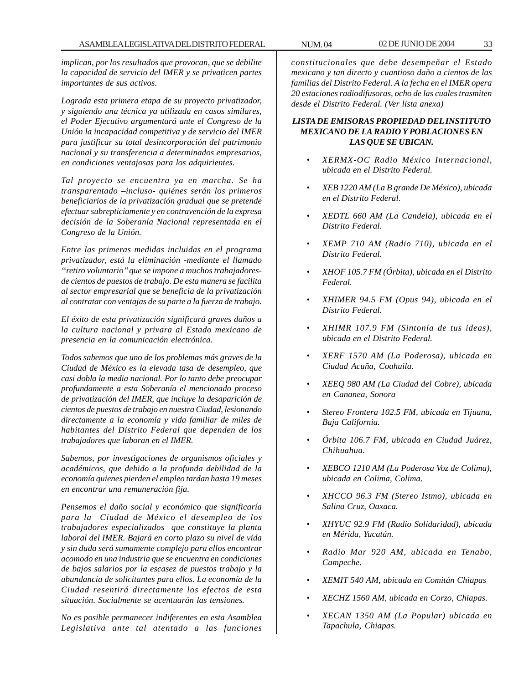*implican, por los resultados que provocan, que se debilite la capacidad de servicio del IMER y se privaticen partes importantes de sus activos.*

*Lograda esta primera etapa de su proyecto privatizador, y siguiendo una técnica ya utilizada en casos similares, el Poder Ejecutivo argumentará ante el Congreso de la Unión la incapacidad competitiva y de servicio del IMER para justificar su total desincorporación del patrimonio nacional y su transferencia a determinados empresarios, en condiciones ventajosas para los adquirientes.*

*Tal proyecto se encuentra ya en marcha. Se ha transparentado –incluso- quiénes serán los primeros beneficiarios de la privatización gradual que se pretende efectuar subrepticiamente y en contravención de la expresa decisión de la Soberanía Nacional representada en el Congreso de la Unión.*

*Entre las primeras medidas incluidas en el programa privatizador, está la eliminación -mediante el llamado ''retiro voluntario'' que se impone a muchos trabajadoresde cientos de puestos de trabajo. De esta manera se facilita al sector empresarial que se beneficia de la privatización al contratar con ventajas de su parte a la fuerza de trabajo.*

*El éxito de esta privatización significará graves daños a la cultura nacional y privara al Estado mexicano de presencia en la comunicación electrónica.*

*Todos sabemos que uno de los problemas más graves de la Ciudad de México es la elevada tasa de desempleo, que casi dobla la media nacional. Por lo tanto debe preocupar profundamente a esta Soberanía el mencionado proceso de privatización del IMER, que incluye la desaparición de cientos de puestos de trabajo en nuestra Ciudad, lesionando directamente a la economía y vida familiar de miles de habitantes del Distrito Federal que dependen de los trabajadores que laboran en el IMER.*

*Sabemos, por investigaciones de organismos oficiales y académicos, que debido a la profunda debilidad de la economía quienes pierden el empleo tardan hasta 19 meses en encontrar una remuneración fija.*

*Pensemos el daño social y económico que significaría para la Ciudad de México el desempleo de los trabajadores especializados que constituye la planta laboral del IMER. Bajará en corto plazo su nivel de vida y sin duda será sumamente complejo para ellos encontrar acomodo en una industria que se encuentra en condiciones de bajos salarios por la escasez de puestos trabajo y la abundancia de solicitantes para ellos. La economía de la Ciudad resentirá directamente los efectos de esta situación. Socialmente se acentuarán las tensiones.*

*No es posible permanecer indiferentes en esta Asamblea Legislativa ante tal atentado a las funciones*

*constitucionales que debe desempeñar el Estado mexicano y tan directo y cuantioso daño a cientos de las familias del Distrito Federal. A la fecha en el IMER opera 20 estaciones radiodifusoras, ocho de las cuales trasmiten desde el Distrito Federal. (Ver lista anexa)*

# *LISTA DE EMISORAS PROPIEDAD DEL INSTITUTO MEXICANO DE LA RADIO Y POBLACIONES EN LAS QUE SE UBICAN.*

- *XERMX-OC Radio México Internacional, ubicada en el Distrito Federal.*
- *XEB 1220 AM (La B grande De México), ubicada en el Distrito Federal.*
- *XEDTL 660 AM (La Candela), ubicada en el Distrito Federal.*
- *XEMP 710 AM (Radio 710), ubicada en el Distrito Federal.*
- *XHOF 105.7 FM (Órbita), ubicada en el Distrito Federal.*
- *XHIMER 94.5 FM (Opus 94), ubicada en el Distrito Federal.*
- *XHIMR 107.9 FM (Sintonía de tus ideas), ubicada en el Distrito Federal.*
- *XERF 1570 AM (La Poderosa), ubicada en Ciudad Acuña, Coahuila.*
- *XEEQ 980 AM (La Ciudad del Cobre), ubicada en Cananea, Sonora*
- *Stereo Frontera 102.5 FM, ubicada en Tijuana, Baja California.*
- *Órbita 106.7 FM, ubicada en Ciudad Juárez, Chihuahua.*
- *XEBCO 1210 AM (La Poderosa Voz de Colima), ubicada en Colima, Colima.*
- *XHCCO 96.3 FM (Stereo Istmo), ubicada en Salina Cruz, Oaxaca.*
- *XHYUC 92.9 FM (Radio Solidaridad), ubicada en Mérida, Yucatán.*
- *Radio Mar 920 AM, ubicada en Tenabo, Campeche.*
- *XEMIT 540 AM, ubicada en Comitán Chiapas*
- *XECHZ 1560 AM, ubicada en Corzo, Chiapas.*
- *XECAN 1350 AM (La Popular) ubicada en Tapachula, Chiapas.*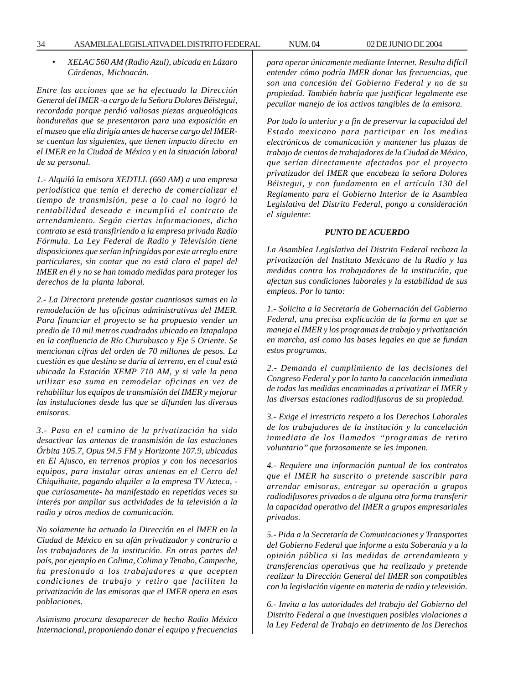• *XELAC 560 AM (Radio Azul), ubicada en Lázaro Cárdenas, Michoacán.*

*Entre las acciones que se ha efectuado la Dirección General del IMER -a cargo de la Señora Dolores Béistegui, recordada porque perdió valiosas piezas arqueológicas hondureñas que se presentaron para una exposición en el museo que ella dirigía antes de hacerse cargo del IMERse cuentan las siguientes, que tienen impacto directo en el IMER en la Ciudad de México y en la situación laboral de su personal.*

*1.- Alquiló la emisora XEDTLL (660 AM) a una empresa periodística que tenía el derecho de comercializar el tiempo de transmisión, pese a lo cual no logró la rentabilidad deseada e incumplió el contrato de arrendamiento. Según ciertas informaciones, dicho contrato se está transfiriendo a la empresa privada Radio Fórmula. La Ley Federal de Radio y Televisión tiene disposiciones que serían infringidas por este arreglo entre particulares, sin contar que no está claro el papel del IMER en él y no se han tomado medidas para proteger los derechos de la planta laboral.*

*2.- La Directora pretende gastar cuantiosas sumas en la remodelación de las oficinas administrativas del IMER. Para financiar el proyecto se ha propuesto vender un predio de 10 mil metros cuadrados ubicado en Iztapalapa en la confluencia de Río Churubusco y Eje 5 Oriente. Se mencionan cifras del orden de 70 millones de pesos. La cuestión es que destino se daría al terreno, en el cual está ubicada la Estación XEMP 710 AM, y si vale la pena utilizar esa suma en remodelar oficinas en vez de rehabilitar los equipos de transmisión del IMER y mejorar las instalaciones desde las que se difunden las diversas emisoras.*

*3.- Paso en el camino de la privatización ha sido desactivar las antenas de transmisión de las estaciones Órbita 105.7, Opus 94.5 FM y Horizonte 107.9, ubicadas en El Ajusco, en terrenos propios y con los necesarios equipos, para instalar otras antenas en el Cerro del Chiquihuite, pagando alquiler a la empresa TV Azteca, que curiosamente- ha manifestado en repetidas veces su interés por ampliar sus actividades de la televisión a la radio y otros medios de comunicación.*

*No solamente ha actuado la Dirección en el IMER en la Ciudad de México en su afán privatizador y contrario a los trabajadores de la institución. En otras partes del país, por ejemplo en Colima, Colima y Tenabo, Campeche, ha presionado a los trabajadores a que acepten condiciones de trabajo y retiro que faciliten la privatización de las emisoras que el IMER opera en esas poblaciones.*

*Asimismo procura desaparecer de hecho Radio México Internacional, proponiendo donar el equipo y frecuencias*

*para operar únicamente mediante Internet. Resulta difícil entender cómo podría IMER donar las frecuencias, que son una concesión del Gobierno Federal y no de su propiedad. También habría que justificar legalmente ese peculiar manejo de los activos tangibles de la emisora.*

*Por todo lo anterior y a fin de preservar la capacidad del Estado mexicano para participar en los medios electrónicos de comunicación y mantener las plazas de trabajo de cientos de trabajadores de la Ciudad de México, que serían directamente afectados por el proyecto privatizador del IMER que encabeza la señora Dolores Béistegui, y con fundamento en el artículo 130 del Reglamento para el Gobierno Interior de la Asamblea Legislativa del Distrito Federal, pongo a consideración el siguiente:*

#### *PUNTO DE ACUERDO*

*La Asamblea Legislativa del Distrito Federal rechaza la privatización del Instituto Mexicano de la Radio y las medidas contra los trabajadores de la institución, que afectan sus condiciones laborales y la estabilidad de sus empleos. Por lo tanto:*

*1.- Solicita a la Secretaría de Gobernación del Gobierno Federal, una precisa explicación de la forma en que se maneja el IMER y los programas de trabajo y privatización en marcha, así como las bases legales en que se fundan estos programas.*

*2.- Demanda el cumplimiento de las decisiones del Congreso Federal y por lo tanto la cancelación inmediata de todas las medidas encaminadas a privatizar el IMER y las diversas estaciones radiodifusoras de su propiedad.*

*3.- Exige el irrestricto respeto a los Derechos Laborales de los trabajadores de la institución y la cancelación inmediata de los llamados ''programas de retiro voluntario'' que forzosamente se les imponen.*

*4.- Requiere una información puntual de los contratos que el IMER ha suscrito o pretende suscribir para arrendar emisoras, entregar su operación a grupos radiodifusores privados o de alguna otra forma transferir la capacidad operativo del IMER a grupos empresariales privados.*

*5.- Pida a la Secretaría de Comunicaciones y Transportes del Gobierno Federal que informe a esta Soberanía y a la opinión pública si las medidas de arrendamiento y transferencias operativas que ha realizado y pretende realizar la Dirección General del IMER son compatibles con la legislación vigente en materia de radio y televisión.*

*6.- Invita a las autoridades del trabajo del Gobierno del Distrito Federal a que investiguen posibles violaciones a la Ley Federal de Trabajo en detrimento de los Derechos*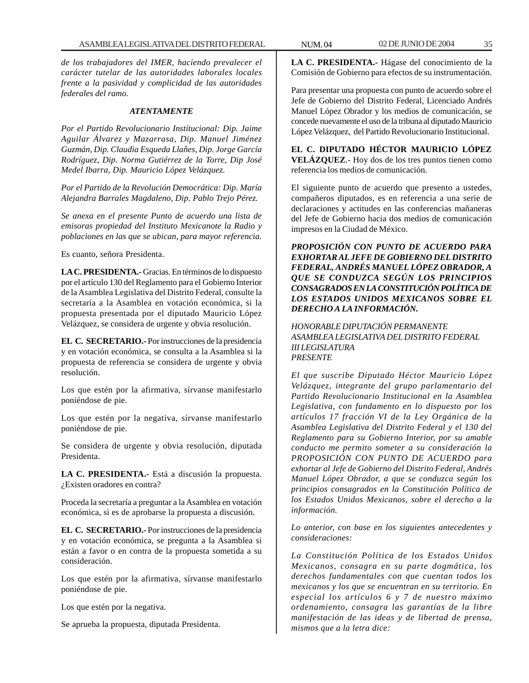*de los trabajadores del IMER, haciendo prevalecer el carácter tutelar de las autoridades laborales locales frente a la pasividad y complicidad de las autoridades federales del ramo.*

#### *ATENTAMENTE*

*Por el Partido Revolucionario Institucional: Dip. Jaime Aguilar Álvarez y Mazarrasa, Dip. Manuel Jiménez Guzmán, Dip. Claudia Esqueda Llañes, Dip. Jorge García Rodríguez, Dip. Norma Gutiérrez de la Torre, Dip José Medel Ibarra, Dip. Mauricio López Velázquez.*

*Por el Partido de la Revolución Democrática: Dip. María Alejandra Barrales Magdaleno, Dip. Pablo Trejo Pérez.*

*Se anexa en el presente Punto de acuerdo una lista de emisoras propiedad del Instituto Mexicanote la Radio y poblaciones en las que se ubican, para mayor referencia.*

Es cuanto, señora Presidenta.

**LA C. PRESIDENTA.-** Gracias. En términos de lo dispuesto por el artículo 130 del Reglamento para el Gobierno Interior de la Asamblea Legislativa del Distrito Federal, consulte la secretaría a la Asamblea en votación económica, si la propuesta presentada por el diputado Mauricio López Velázquez, se considera de urgente y obvia resolución.

**EL C. SECRETARIO.-** Por instrucciones de la presidencia y en votación económica, se consulta a la Asamblea si la propuesta de referencia se considera de urgente y obvia resolución.

Los que estén por la afirmativa, sírvanse manifestarlo poniéndose de pie.

Los que estén por la negativa, sírvanse manifestarlo poniéndose de pie.

Se considera de urgente y obvia resolución, diputada Presidenta.

**LA C. PRESIDENTA.-** Está a discusión la propuesta. ¿Existen oradores en contra?

Proceda la secretaría a preguntar a la Asamblea en votación económica, si es de aprobarse la propuesta a discusión.

**EL C. SECRETARIO.-** Por instrucciones de la presidencia y en votación económica, se pregunta a la Asamblea si están a favor o en contra de la propuesta sometida a su consideración.

Los que estén por la afirmativa, sírvanse manifestarlo poniéndose de pie.

Los que estén por la negativa.

Se aprueba la propuesta, diputada Presidenta.

**LA C. PRESIDENTA.-** Hágase del conocimiento de la Comisión de Gobierno para efectos de su instrumentación.

Para presentar una propuesta con punto de acuerdo sobre el Jefe de Gobierno del Distrito Federal, Licenciado Andrés Manuel López Obrador y los medios de comunicación, se concede nuevamente el uso de la tribuna al diputado Mauricio López Velázquez, del Partido Revolucionario Institucional.

**EL C. DIPUTADO HÉCTOR MAURICIO LÓPEZ VELÁZQUEZ**.- Hoy dos de los tres puntos tienen como referencia los medios de comunicación.

El siguiente punto de acuerdo que presento a ustedes, compañeros diputados, es en referencia a una serie de declaraciones y actitudes en las conferencias mañaneras del Jefe de Gobierno hacia dos medios de comunicación impresos en la Ciudad de México.

*PROPOSICIÓN CON PUNTO DE ACUERDO PARA EXHORTAR AL JEFE DE GOBIERNO DEL DISTRITO FEDERAL, ANDRÉS MANUEL LÓPEZ OBRADOR, A QUE SE CONDUZCA SEGÚN LOS PRINCIPIOS CONSAGRADOS EN LA CONSTITUCIÓN POLÍTICA DE LOS ESTADOS UNIDOS MEXICANOS SOBRE EL DERECHO A LA INFORMACIÓN.*

*HONORABLE DIPUTACIÓN PERMANENTE ASAMBLEA LEGISLATIVA DEL DISTRITO FEDERAL III LEGISLATURA PRESENTE*

*El que suscribe Diputado Héctor Mauricio López Velázquez, integrante del grupo parlamentario del Partido Revolucionario Institucional en la Asamblea Legislativa, con fundamento en lo dispuesto por los artículos 17 fracción VI de la Ley Orgánica de la Asamblea Legislativa del Distrito Federal y el 130 del Reglamento para su Gobierno Interior, por su amable conducto me permito someter a su consideración la PROPOSICIÓN CON PUNTO DE ACUERDO para exhortar al Jefe de Gobierno del Distrito Federal, Andrés Manuel López Obrador, a que se conduzca según los principios consagrados en la Constitución Política de los Estados Unidos Mexicanos, sobre el derecho a la información.*

*Lo anterior, con base en los siguientes antecedentes y consideraciones:*

*La Constitución Política de los Estados Unidos Mexicanos, consagra en su parte dogmática, los derechos fundamentales con que cuentan todos los mexicanos y los que se encuentran en su territorio. En especial los artículos 6 y 7 de nuestro máximo ordenamiento, consagra las garantías de la libre manifestación de las ideas y de libertad de prensa, mismos que a la letra dice:*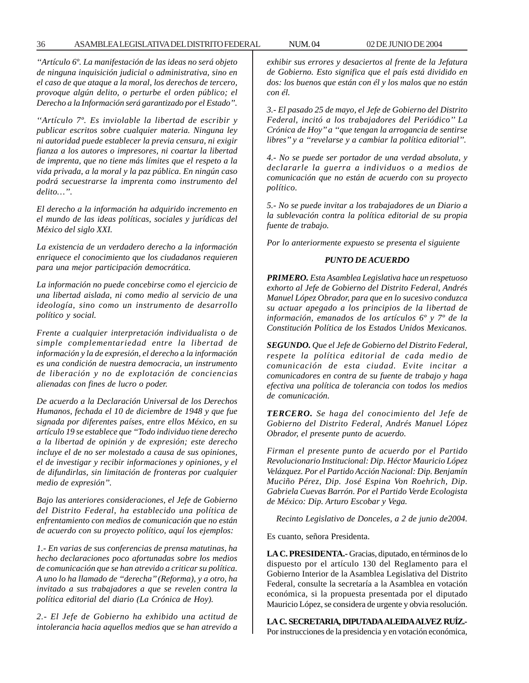*''Artículo 6º. La manifestación de las ideas no será objeto de ninguna inquisición judicial o administrativa, sino en el caso de que ataque a la moral, los derechos de tercero, provoque algún delito, o perturbe el orden público; el Derecho a la Información será garantizado por el Estado''.*

*''Artículo 7º. Es inviolable la libertad de escribir y publicar escritos sobre cualquier materia. Ninguna ley ni autoridad puede establecer la previa censura, ni exigir fianza a los autores o impresores, ni coartar la libertad de imprenta, que no tiene más límites que el respeto a la vida privada, a la moral y la paz pública. En ningún caso podrá secuestrarse la imprenta como instrumento del delito…''.*

*El derecho a la información ha adquirido incremento en el mundo de las ideas políticas, sociales y jurídicas del México del siglo XXI.*

*La existencia de un verdadero derecho a la información enriquece el conocimiento que los ciudadanos requieren para una mejor participación democrática.*

*La información no puede concebirse como el ejercicio de una libertad aislada, ni como medio al servicio de una ideología, sino como un instrumento de desarrollo político y social.*

*Frente a cualquier interpretación individualista o de simple complementariedad entre la libertad de información y la de expresión, el derecho a la información es una condición de nuestra democracia, un instrumento de liberación y no de explotación de conciencias alienadas con fines de lucro o poder.*

*De acuerdo a la Declaración Universal de los Derechos Humanos, fechada el 10 de diciembre de 1948 y que fue signada por diferentes países, entre ellos México, en su artículo 19 se establece que ''Todo individuo tiene derecho a la libertad de opinión y de expresión; este derecho incluye el de no ser molestado a causa de sus opiniones, el de investigar y recibir informaciones y opiniones, y el de difundirlas, sin limitación de fronteras por cualquier medio de expresión''.*

*Bajo las anteriores consideraciones, el Jefe de Gobierno del Distrito Federal, ha establecido una política de enfrentamiento con medios de comunicación que no están de acuerdo con su proyecto político, aquí los ejemplos:*

*1.- En varias de sus conferencias de prensa matutinas, ha hecho declaraciones poco afortunadas sobre los medios de comunicación que se han atrevido a criticar su política. A uno lo ha llamado de ''derecha'' (Reforma), y a otro, ha invitado a sus trabajadores a que se revelen contra la política editorial del diario (La Crónica de Hoy).*

*2.- El Jefe de Gobierno ha exhibido una actitud de intolerancia hacia aquellos medios que se han atrevido a* *exhibir sus errores y desaciertos al frente de la Jefatura de Gobierno. Esto significa que el país está dividido en dos: los buenos que están con él y los malos que no están con él.*

*3.- El pasado 25 de mayo, el Jefe de Gobierno del Distrito Federal, incitó a los trabajadores del Periódico'' La Crónica de Hoy'' a ''que tengan la arrogancia de sentirse libres'' y a ''revelarse y a cambiar la política editorial''.*

*4.- No se puede ser portador de una verdad absoluta, y declararle la guerra a individuos o a medios de comunicación que no están de acuerdo con su proyecto político.*

*5.- No se puede invitar a los trabajadores de un Diario a la sublevación contra la política editorial de su propia fuente de trabajo.*

*Por lo anteriormente expuesto se presenta el siguiente*

#### *PUNTO DE ACUERDO*

*PRIMERO. Esta Asamblea Legislativa hace un respetuoso exhorto al Jefe de Gobierno del Distrito Federal, Andrés Manuel López Obrador, para que en lo sucesivo conduzca su actuar apegado a los principios de la libertad de información, emanados de los artículos 6º y 7º de la Constitución Política de los Estados Unidos Mexicanos.*

*SEGUNDO. Que el Jefe de Gobierno del Distrito Federal, respete la política editorial de cada medio de comunicación de esta ciudad. Evite incitar a comunicadores en contra de su fuente de trabajo y haga efectiva una política de tolerancia con todos los medios de comunicación.*

*TERCERO. Se haga del conocimiento del Jefe de Gobierno del Distrito Federal, Andrés Manuel López Obrador, el presente punto de acuerdo.*

*Firman el presente punto de acuerdo por el Partido Revolucionario Institucional: Dip. Héctor Mauricio López Velázquez. Por el Partido Acción Nacional: Dip. Benjamín Muciño Pérez, Dip. José Espina Von Roehrich, Dip. Gabriela Cuevas Barrón. Por el Partido Verde Ecologista de México: Dip. Arturo Escobar y Vega.*

*Recinto Legislativo de Donceles, a 2 de junio de2004.*

Es cuanto, señora Presidenta.

**LA C. PRESIDENTA.-** Gracias, diputado, en términos de lo dispuesto por el artículo 130 del Reglamento para el Gobierno Interior de la Asamblea Legislativa del Distrito Federal, consulte la secretaría a la Asamblea en votación económica, si la propuesta presentada por el diputado Mauricio López, se considera de urgente y obvia resolución.

**LA C. SECRETARIA, DIPUTADA ALEIDA ALVEZ RUÍZ.-** Por instrucciones de la presidencia y en votación económica,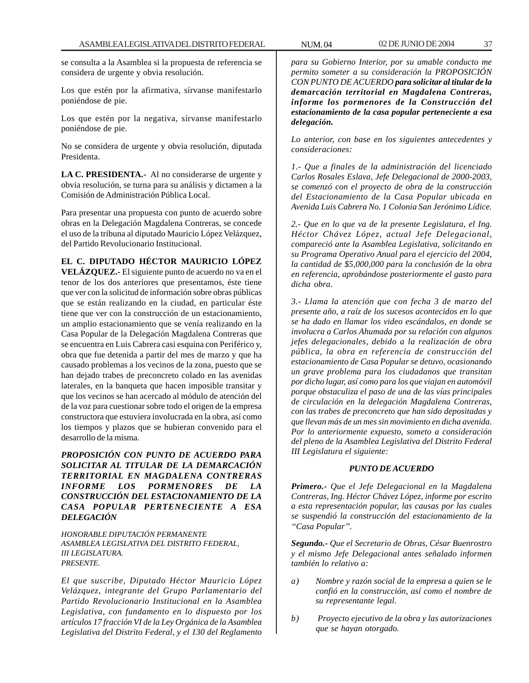se consulta a la Asamblea si la propuesta de referencia se considera de urgente y obvia resolución.

Los que estén por la afirmativa, sírvanse manifestarlo poniéndose de pie.

Los que estén por la negativa, sírvanse manifestarlo poniéndose de pie.

No se considera de urgente y obvia resolución, diputada Presidenta.

**LA C. PRESIDENTA.-** Al no considerarse de urgente y obvia resolución, se turna para su análisis y dictamen a la Comisión de Administración Pública Local.

Para presentar una propuesta con punto de acuerdo sobre obras en la Delegación Magdalena Contreras, se concede el uso de la tribuna al diputado Mauricio López Velázquez, del Partido Revolucionario Institucional.

**EL C. DIPUTADO HÉCTOR MAURICIO LÓPEZ VELÁZQUEZ.-** El siguiente punto de acuerdo no va en el tenor de los dos anteriores que presentamos, éste tiene que ver con la solicitud de información sobre obras públicas que se están realizando en la ciudad, en particular éste tiene que ver con la construcción de un estacionamiento, un amplio estacionamiento que se venía realizando en la Casa Popular de la Delegación Magdalena Contreras que se encuentra en Luis Cabrera casi esquina con Periférico y, obra que fue detenida a partir del mes de marzo y que ha causado problemas a los vecinos de la zona, puesto que se han dejado trabes de preconcreto colado en las avenidas laterales, en la banqueta que hacen imposible transitar y que los vecinos se han acercado al módulo de atención del de la voz para cuestionar sobre todo el origen de la empresa constructora que estuviera involucrada en la obra, así como los tiempos y plazos que se hubieran convenido para el desarrollo de la misma.

*PROPOSICIÓN CON PUNTO DE ACUERDO PARA SOLICITAR AL TITULAR DE LA DEMARCACIÓN TERRITORIAL EN MAGDALENA CONTRERAS INFORME LOS PORMENORES DE LA CONSTRUCCIÓN DEL ESTACIONAMIENTO DE LA CASA POPULAR PERTENECIENTE A ESA DELEGACIÓN*

*HONORABLE DIPUTACIÓN PERMANENTE ASAMBLEA LEGISLATIVA DEL DISTRITO FEDERAL, III LEGISLATURA. PRESENTE.*

*El que suscribe, Diputado Héctor Mauricio López Velázquez, integrante del Grupo Parlamentario del Partido Revolucionario Institucional en la Asamblea Legislativa, con fundamento en lo dispuesto por los artículos 17 fracción VI de la Ley Orgánica de la Asamblea Legislativa del Distrito Federal, y el 130 del Reglamento*

*para su Gobierno Interior, por su amable conducto me permito someter a su consideración la PROPOSICIÓN CON PUNTO DE ACUERDO para solicitar al titular de la demarcación territorial en Magdalena Contreras, informe los pormenores de la Construcción del estacionamiento de la casa popular perteneciente a esa delegación.*

*Lo anterior, con base en los siguientes antecedentes y consideraciones:*

*1.- Que a finales de la administración del licenciado Carlos Rosales Eslava, Jefe Delegacional de 2000-2003, se comenzó con el proyecto de obra de la construcción del Estacionamiento de la Casa Popular ubicada en Avenida Luis Cabrera No. 1 Colonia San Jerónimo Lídice.*

*2.- Que en lo que va de la presente Legislatura, el Ing. Héctor Chávez López, actual Jefe Delegacional, compareció ante la Asamblea Legislativa, solicitando en su Programa Operativo Anual para el ejercicio del 2004, la cantidad de \$5,000,000 para la conclusión de la obra en referencia, aprobándose posteriormente el gasto para dicha obra.*

*3.- Llama la atención que con fecha 3 de marzo del presente año, a raíz de los sucesos acontecidos en lo que se ha dado en llamar los video escándalos, en donde se involucra a Carlos Ahumada por su relación con algunos jefes delegacionales, debido a la realización de obra pública, la obra en referencia de construcción del estacionamiento de Casa Popular se detuvo, ocasionando un grave problema para los ciudadanos que transitan por dicho lugar, así como para los que viajan en automóvil porque obstaculiza el paso de una de las vías principales de circulación en la delegación Magdalena Contreras, con las trabes de preconcreto que han sido depositadas y que llevan más de un mes sin movimiento en dicha avenida. Por lo anteriormente expuesto, someto a consideración del pleno de la Asamblea Legislativa del Distrito Federal III Legislatura el siguiente:*

# *PUNTO DE ACUERDO*

*Primero.- Que el Jefe Delegacional en la Magdalena Contreras, Ing. Héctor Chávez López, informe por escrito a esta representación popular, las causas por las cuales se suspendió la construcción del estacionamiento de la ''Casa Popular''.*

*Segundo.- Que el Secretario de Obras, César Buenrostro y el mismo Jefe Delegacional antes señalado informen también lo relativo a:*

- *a) Nombre y razón social de la empresa a quien se le confió en la construcción, así como el nombre de su representante legal.*
- *b) Proyecto ejecutivo de la obra y las autorizaciones que se hayan otorgado.*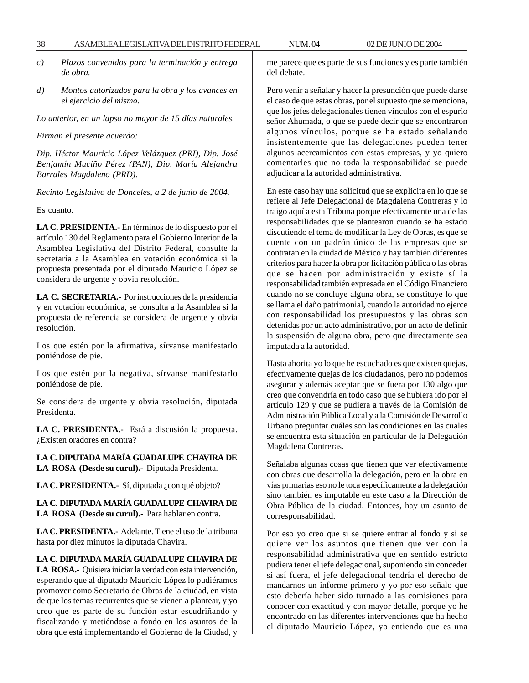- *c) Plazos convenidos para la terminación y entrega de obra.*
- *d) Montos autorizados para la obra y los avances en el ejercicio del mismo.*

*Lo anterior, en un lapso no mayor de 15 días naturales.*

*Firman el presente acuerdo:*

*Dip. Héctor Mauricio López Velázquez (PRI), Dip. José Benjamín Muciño Pérez (PAN), Dip. María Alejandra Barrales Magdaleno (PRD).*

*Recinto Legislativo de Donceles, a 2 de junio de 2004.*

Es cuanto.

**LA C. PRESIDENTA.-** En términos de lo dispuesto por el artículo 130 del Reglamento para el Gobierno Interior de la Asamblea Legislativa del Distrito Federal, consulte la secretaría a la Asamblea en votación económica si la propuesta presentada por el diputado Mauricio López se considera de urgente y obvia resolución.

**LA C. SECRETARIA.-** Por instrucciones de la presidencia y en votación económica, se consulta a la Asamblea si la propuesta de referencia se considera de urgente y obvia resolución.

Los que estén por la afirmativa, sírvanse manifestarlo poniéndose de pie.

Los que estén por la negativa, sírvanse manifestarlo poniéndose de pie.

Se considera de urgente y obvia resolución, diputada Presidenta.

**LA C. PRESIDENTA.-** Está a discusión la propuesta. ¿Existen oradores en contra?

**LA C. DIPUTADA MARÍA GUADALUPE CHAVIRA DE LA ROSA (Desde su curul).-** Diputada Presidenta.

LA C. PRESIDENTA.- Sí, diputada ¿con qué objeto?

**LA C. DIPUTADA MARÍA GUADALUPE CHAVIRA DE LA ROSA (Desde su curul).-** Para hablar en contra.

**LA C. PRESIDENTA.-** Adelante. Tiene el uso de la tribuna hasta por diez minutos la diputada Chavira.

### **LA C. DIPUTADA MARÍA GUADALUPE CHAVIRA DE**

**LA ROSA.-** Quisiera iniciar la verdad con esta intervención, esperando que al diputado Mauricio López lo pudiéramos promover como Secretario de Obras de la ciudad, en vista de que los temas recurrentes que se vienen a plantear, y yo creo que es parte de su función estar escudriñando y fiscalizando y metiéndose a fondo en los asuntos de la obra que está implementando el Gobierno de la Ciudad, y me parece que es parte de sus funciones y es parte también del debate.

Pero venir a señalar y hacer la presunción que puede darse el caso de que estas obras, por el supuesto que se menciona, que los jefes delegacionales tienen vínculos con el espurio señor Ahumada, o que se puede decir que se encontraron algunos vínculos, porque se ha estado señalando insistentemente que las delegaciones pueden tener algunos acercamientos con estas empresas, y yo quiero comentarles que no toda la responsabilidad se puede adjudicar a la autoridad administrativa.

En este caso hay una solicitud que se explicita en lo que se refiere al Jefe Delegacional de Magdalena Contreras y lo traigo aquí a esta Tribuna porque efectivamente una de las responsabilidades que se plantearon cuando se ha estado discutiendo el tema de modificar la Ley de Obras, es que se cuente con un padrón único de las empresas que se contratan en la ciudad de México y hay también diferentes criterios para hacer la obra por licitación pública o las obras que se hacen por administración y existe sí la responsabilidad también expresada en el Código Financiero cuando no se concluye alguna obra, se constituye lo que se llama el daño patrimonial, cuando la autoridad no ejerce con responsabilidad los presupuestos y las obras son detenidas por un acto administrativo, por un acto de definir la suspensión de alguna obra, pero que directamente sea imputada a la autoridad.

Hasta ahorita yo lo que he escuchado es que existen quejas, efectivamente quejas de los ciudadanos, pero no podemos asegurar y además aceptar que se fuera por 130 algo que creo que convendría en todo caso que se hubiera ido por el artículo 129 y que se pudiera a través de la Comisión de Administración Pública Local y a la Comisión de Desarrollo Urbano preguntar cuáles son las condiciones en las cuales se encuentra esta situación en particular de la Delegación Magdalena Contreras.

Señalaba algunas cosas que tienen que ver efectivamente con obras que desarrolla la delegación, pero en la obra en vías primarias eso no le toca específicamente a la delegación sino también es imputable en este caso a la Dirección de Obra Pública de la ciudad. Entonces, hay un asunto de corresponsabilidad.

Por eso yo creo que si se quiere entrar al fondo y si se quiere ver los asuntos que tienen que ver con la responsabilidad administrativa que en sentido estricto pudiera tener el jefe delegacional, suponiendo sin conceder si así fuera, el jefe delegacional tendría el derecho de mandarnos un informe primero y yo por eso señalo que esto debería haber sido turnado a las comisiones para conocer con exactitud y con mayor detalle, porque yo he encontrado en las diferentes intervenciones que ha hecho el diputado Mauricio López, yo entiendo que es una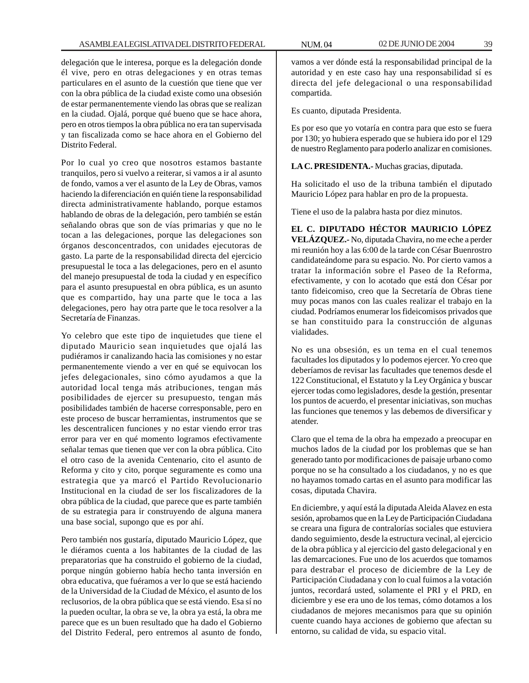delegación que le interesa, porque es la delegación donde él vive, pero en otras delegaciones y en otras temas particulares en el asunto de la cuestión que tiene que ver con la obra pública de la ciudad existe como una obsesión de estar permanentemente viendo las obras que se realizan en la ciudad. Ojalá, porque qué bueno que se hace ahora, pero en otros tiempos la obra pública no era tan supervisada y tan fiscalizada como se hace ahora en el Gobierno del Distrito Federal.

Por lo cual yo creo que nosotros estamos bastante tranquilos, pero si vuelvo a reiterar, si vamos a ir al asunto de fondo, vamos a ver el asunto de la Ley de Obras, vamos haciendo la diferenciación en quién tiene la responsabilidad directa administrativamente hablando, porque estamos hablando de obras de la delegación, pero también se están señalando obras que son de vías primarias y que no le tocan a las delegaciones, porque las delegaciones son órganos desconcentrados, con unidades ejecutoras de gasto. La parte de la responsabilidad directa del ejercicio presupuestal le toca a las delegaciones, pero en el asunto del manejo presupuestal de toda la ciudad y en específico para el asunto presupuestal en obra pública, es un asunto que es compartido, hay una parte que le toca a las delegaciones, pero hay otra parte que le toca resolver a la Secretaría de Finanzas.

Yo celebro que este tipo de inquietudes que tiene el diputado Mauricio sean inquietudes que ojalá las pudiéramos ir canalizando hacia las comisiones y no estar permanentemente viendo a ver en qué se equivocan los jefes delegacionales, sino cómo ayudamos a que la autoridad local tenga más atribuciones, tengan más posibilidades de ejercer su presupuesto, tengan más posibilidades también de hacerse corresponsable, pero en este proceso de buscar herramientas, instrumentos que se les descentralicen funciones y no estar viendo error tras error para ver en qué momento logramos efectivamente señalar temas que tienen que ver con la obra pública. Cito el otro caso de la avenida Centenario, cito el asunto de Reforma y cito y cito, porque seguramente es como una estrategia que ya marcó el Partido Revolucionario Institucional en la ciudad de ser los fiscalizadores de la obra pública de la ciudad, que parece que es parte también de su estrategia para ir construyendo de alguna manera una base social, supongo que es por ahí.

Pero también nos gustaría, diputado Mauricio López, que le diéramos cuenta a los habitantes de la ciudad de las preparatorias que ha construido el gobierno de la ciudad, porque ningún gobierno había hecho tanta inversión en obra educativa, que fuéramos a ver lo que se está haciendo de la Universidad de la Ciudad de México, el asunto de los reclusorios, de la obra pública que se está viendo. Esa sí no la pueden ocultar, la obra se ve, la obra ya está, la obra me parece que es un buen resultado que ha dado el Gobierno del Distrito Federal, pero entremos al asunto de fondo,

Es cuanto, diputada Presidenta.

Es por eso que yo votaría en contra para que esto se fuera por 130; yo hubiera esperado que se hubiera ido por el 129 de nuestro Reglamento para poderlo analizar en comisiones.

**LA C. PRESIDENTA.-** Muchas gracias, diputada.

Ha solicitado el uso de la tribuna también el diputado Mauricio López para hablar en pro de la propuesta.

Tiene el uso de la palabra hasta por diez minutos.

**EL C. DIPUTADO HÉCTOR MAURICIO LÓPEZ VELÁZQUEZ.-** No, diputada Chavira, no me eche a perder mi reunión hoy a las 6:00 de la tarde con César Buenrostro candidateándome para su espacio. No. Por cierto vamos a tratar la información sobre el Paseo de la Reforma, efectivamente, y con lo acotado que está don César por tanto fideicomiso, creo que la Secretaría de Obras tiene muy pocas manos con las cuales realizar el trabajo en la ciudad. Podríamos enumerar los fideicomisos privados que se han constituido para la construcción de algunas vialidades.

No es una obsesión, es un tema en el cual tenemos facultades los diputados y lo podemos ejercer. Yo creo que deberíamos de revisar las facultades que tenemos desde el 122 Constitucional, el Estatuto y la Ley Orgánica y buscar ejercer todas como legisladores, desde la gestión, presentar los puntos de acuerdo, el presentar iniciativas, son muchas las funciones que tenemos y las debemos de diversificar y atender.

Claro que el tema de la obra ha empezado a preocupar en muchos lados de la ciudad por los problemas que se han generado tanto por modificaciones de paisaje urbano como porque no se ha consultado a los ciudadanos, y no es que no hayamos tomado cartas en el asunto para modificar las cosas, diputada Chavira.

En diciembre, y aquí está la diputada Aleida Alavez en esta sesión, aprobamos que en la Ley de Participación Ciudadana se creara una figura de contralorías sociales que estuviera dando seguimiento, desde la estructura vecinal, al ejercicio de la obra pública y al ejercicio del gasto delegacional y en las demarcaciones. Fue uno de los acuerdos que tomamos para destrabar el proceso de diciembre de la Ley de Participación Ciudadana y con lo cual fuimos a la votación juntos, recordará usted, solamente el PRI y el PRD, en diciembre y ese era uno de los temas, cómo dotamos a los ciudadanos de mejores mecanismos para que su opinión cuente cuando haya acciones de gobierno que afectan su entorno, su calidad de vida, su espacio vital.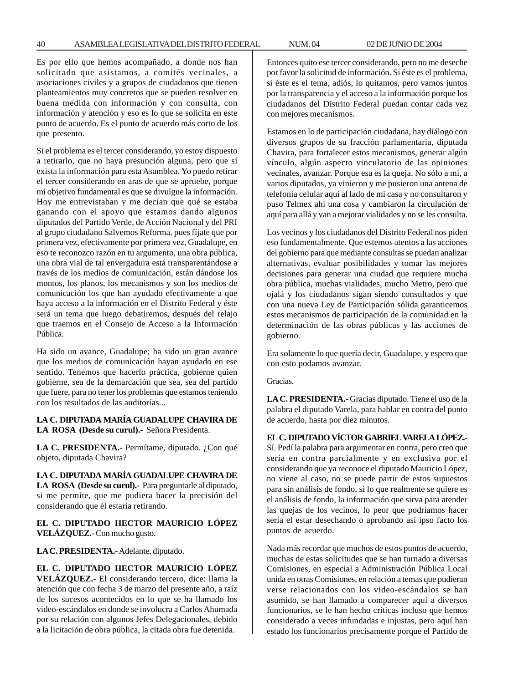Es por ello que hemos acompañado, a donde nos han solicitado que asistamos, a comités vecinales, a asociaciones civiles y a grupos de ciudadanos que tienen planteamientos muy concretos que se pueden resolver en buena medida con información y con consulta, con información y atención y eso es lo que se solicita en este punto de acuerdo. Es el punto de acuerdo más corto de los que presento.

Si el problema es el tercer considerando, yo estoy dispuesto a retirarlo, que no haya presunción alguna, pero que sí exista la información para esta Asamblea. Yo puedo retirar el tercer considerando en aras de que se apruebe, porque mi objetivo fundamental es que se divulgue la información. Hoy me entrevistaban y me decían que qué se estaba ganando con el apoyo que estamos dando algunos diputados del Partido Verde, de Acción Nacional y del PRI al grupo ciudadano Salvemos Reforma, pues fíjate que por primera vez, efectivamente por primera vez, Guadalupe, en eso te reconozco razón en tu argumento, una obra pública, una obra vial de tal envergadura está transparentándose a través de los medios de comunicación, están dándose los montos, los planos, los mecanismos y son los medios de comunicación los que han ayudado efectivamente a que haya acceso a la información en el Distrito Federal y éste será un tema que luego debatiremos, después del relajo que traemos en el Consejo de Acceso a la Información Pública.

Ha sido un avance, Guadalupe; ha sido un gran avance que los medios de comunicación hayan ayudado en ese sentido. Tenemos que hacerlo práctica, gobierne quien gobierne, sea de la demarcación que sea, sea del partido que fuere, para no tener los problemas que estamos teniendo con los resultados de las auditorías...

# **LA C. DIPUTADA MARÍA GUADALUPE CHAVIRA DE LA ROSA (Desde su curul).-** Señora Presidenta.

LA C. PRESIDENTA.- Permítame, diputado. ¿Con qué objeto, diputada Chavira?

**LA C. DIPUTADA MARÍA GUADALUPE CHAVIRA DE LA ROSA (Desde su curul).-** Para preguntarle al diputado, si me permite, que me pudiera hacer la precisión del considerando que él estaría retirando.

**EL C. DIPUTADO HECTOR MAURICIO LÓPEZ VELÁZQUEZ.-** Con mucho gusto.

**LA C. PRESIDENTA.-** Adelante, diputado.

### **EL C. DIPUTADO HECTOR MAURICIO LÓPEZ**

**VELÁZQUEZ.-** El considerando tercero, dice: llama la atención que con fecha 3 de marzo del presente año, a raíz de los sucesos acontecidos en lo que se ha llamado los video-escándalos en donde se involucra a Carlos Ahumada por su relación con algunos Jefes Delegacionales, debido a la licitación de obra pública, la citada obra fue detenida.

Entonces quito ese tercer considerando, pero no me deseche por favor la solicitud de información. Si éste es el problema, si éste es el tema, adiós, lo quitamos, pero vamos juntos por la transparencia y el acceso a la información porque los ciudadanos del Distrito Federal puedan contar cada vez con mejores mecanismos.

Estamos en lo de participación ciudadana, hay diálogo con diversos grupos de su fracción parlamentaria, diputada Chavira, para fortalecer estos mecanismos, generar algún vínculo, algún aspecto vinculatorio de las opiniones vecinales, avanzar. Porque esa es la queja. No sólo a mí, a varios diputados, ya vinieron y me pusieron una antena de telefonía celular aquí al lado de mi casa y no consultaron y puso Telmex ahí una cosa y cambiaron la circulación de aquí para allá y van a mejorar vialidades y no se les consulta.

Los vecinos y los ciudadanos del Distrito Federal nos piden eso fundamentalmente. Que estemos atentos a las acciones del gobierno para que mediante consultas se puedan analizar alternativas, evaluar posibilidades y tomar las mejores decisiones para generar una ciudad que requiere mucha obra pública, muchas vialidades, mucho Metro, pero que ojalá y los ciudadanos sigan siendo consultados y que con una nueva Ley de Participación sólida garanticemos estos mecanismos de participación de la comunidad en la determinación de las obras públicas y las acciones de gobierno.

Era solamente lo que quería decir, Guadalupe, y espero que con esto podamos avanzar.

Gracias.

**LA C. PRESIDENTA.-** Gracias diputado. Tiene el uso de la palabra el diputado Varela, para hablar en contra del punto de acuerdo, hasta por diez minutos.

# **EL C. DIPUTADO VÍCTOR GABRIEL VARELA LÓPEZ.-**

Sí. Pedí la palabra para argumentar en contra, pero creo que sería en contra parcialmente y en exclusiva por el considerando que ya reconoce el diputado Mauricio López, no viene al caso, no se puede partir de estos supuestos para sin análisis de fondo, si lo que realmente se quiere es el análisis de fondo, la información que sirva para atender las quejas de los vecinos, lo peor que podríamos hacer sería el estar desechando o aprobando así ipso facto los puntos de acuerdo.

Nada más recordar que muchos de estos puntos de acuerdo, muchas de estas solicitudes que se han turnado a diversas Comisiones, en especial a Administración Pública Local unida en otras Comisiones, en relación a temas que pudieran verse relacionados con los video-escándalos se han asumido, se han llamado a comparecer aquí a diversos funcionarios, se le han hecho críticas incluso que hemos considerado a veces infundadas e injustas, pero aquí han estado los funcionarios precisamente porque el Partido de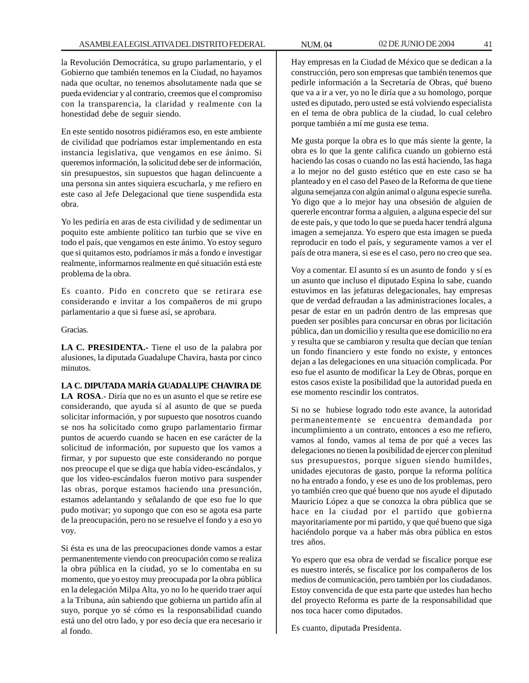la Revolución Democrática, su grupo parlamentario, y el Gobierno que también tenemos en la Ciudad, no hayamos nada que ocultar, no tenemos absolutamente nada que se pueda evidenciar y al contrario, creemos que el compromiso con la transparencia, la claridad y realmente con la honestidad debe de seguir siendo.

En este sentido nosotros pidiéramos eso, en este ambiente de civilidad que podríamos estar implementando en esta instancia legislativa, que vengamos en ese ánimo. Si queremos información, la solicitud debe ser de información, sin presupuestos, sin supuestos que hagan delincuente a una persona sin antes siquiera escucharla, y me refiero en este caso al Jefe Delegacional que tiene suspendida esta obra.

Yo les pediría en aras de esta civilidad y de sedimentar un poquito este ambiente político tan turbio que se vive en todo el país, que vengamos en este ánimo. Yo estoy seguro que si quitamos esto, podríamos ir más a fondo e investigar realmente, informarnos realmente en qué situación está este problema de la obra.

Es cuanto. Pido en concreto que se retirara ese considerando e invitar a los compañeros de mi grupo parlamentario a que si fuese así, se aprobara.

Gracias.

**LA C. PRESIDENTA.-** Tiene el uso de la palabra por alusiones, la diputada Guadalupe Chavira, hasta por cinco minutos.

**LA C. DIPUTADA MARÍA GUADALUPE CHAVIRA DE LA ROSA**.- Diría que no es un asunto el que se retire ese considerando, que ayuda sí al asunto de que se pueda solicitar información, y por supuesto que nosotros cuando se nos ha solicitado como grupo parlamentario firmar puntos de acuerdo cuando se hacen en ese carácter de la solicitud de información, por supuesto que los vamos a firmar, y por supuesto que este considerando no porque nos preocupe el que se diga que había video-escándalos, y que los video-escándalos fueron motivo para suspender las obras, porque estamos haciendo una presunción, estamos adelantando y señalando de que eso fue lo que pudo motivar; yo supongo que con eso se agota esa parte de la preocupación, pero no se resuelve el fondo y a eso yo voy.

Si ésta es una de las preocupaciones donde vamos a estar permanentemente viendo con preocupación como se realiza la obra pública en la ciudad, yo se lo comentaba en su momento, que yo estoy muy preocupada por la obra pública en la delegación Milpa Alta, yo no lo he querido traer aquí a la Tribuna, aún sabiendo que gobierna un partido afín al suyo, porque yo sé cómo es la responsabilidad cuando está uno del otro lado, y por eso decía que era necesario ir al fondo.

Hay empresas en la Ciudad de México que se dedican a la construcción, pero son empresas que también tenemos que pedirle información a la Secretaría de Obras, qué bueno que va a ir a ver, yo no le diría que a su homologo, porque usted es diputado, pero usted se está volviendo especialista en el tema de obra publica de la ciudad, lo cual celebro porque también a mí me gusta ese tema.

Me gusta porque la obra es lo que más siente la gente, la obra es lo que la gente califica cuando un gobierno está haciendo las cosas o cuando no las está haciendo, las haga a lo mejor no del gusto estético que en este caso se ha planteado y en el caso del Paseo de la Reforma de que tiene alguna semejanza con algún animal o alguna especie sureña. Yo digo que a lo mejor hay una obsesión de alguien de quererle encontrar forma a alguien, a alguna especie del sur de este país, y que todo lo que se pueda hacer tendrá alguna imagen a semejanza. Yo espero que esta imagen se pueda reproducir en todo el país, y seguramente vamos a ver el país de otra manera, si ese es el caso, pero no creo que sea.

Voy a comentar. El asunto sí es un asunto de fondo y sí es un asunto que incluso el diputado Espina lo sabe, cuando estuvimos en las jefaturas delegacionales, hay empresas que de verdad defraudan a las administraciones locales, a pesar de estar en un padrón dentro de las empresas que pueden ser posibles para concursar en obras por licitación pública, dan un domicilio y resulta que ese domicilio no era y resulta que se cambiaron y resulta que decían que tenían un fondo financiero y este fondo no existe, y entonces dejan a las delegaciones en una situación complicada. Por eso fue el asunto de modificar la Ley de Obras, porque en estos casos existe la posibilidad que la autoridad pueda en ese momento rescindir los contratos.

Si no se hubiese logrado todo este avance, la autoridad permanentemente se encuentra demandada por incumplimiento a un contrato, entonces a eso me refiero, vamos al fondo, vamos al tema de por qué a veces las delegaciones no tienen la posibilidad de ejercer con plenitud sus presupuestos, porque siguen siendo humildes, unidades ejecutoras de gasto, porque la reforma política no ha entrado a fondo, y ese es uno de los problemas, pero yo también creo que qué bueno que nos ayude el diputado Mauricio López a que se conozca la obra pública que se hace en la ciudad por el partido que gobierna mayoritariamente por mi partido, y que qué bueno que siga haciéndolo porque va a haber más obra pública en estos tres años.

Yo espero que esa obra de verdad se fiscalice porque ese es nuestro interés, se fiscalice por los compañeros de los medios de comunicación, pero también por los ciudadanos. Estoy convencida de que esta parte que ustedes han hecho del proyecto Reforma es parte de la responsabilidad que nos toca hacer como diputados.

Es cuanto, diputada Presidenta.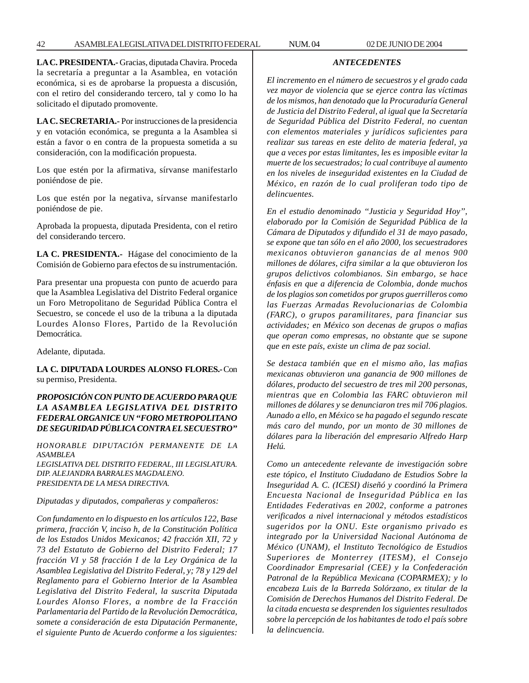**LA C. PRESIDENTA.-** Gracias, diputada Chavira. Proceda la secretaría a preguntar a la Asamblea, en votación económica, si es de aprobarse la propuesta a discusión, con el retiro del considerando tercero, tal y como lo ha solicitado el diputado promovente.

**LA C. SECRETARIA.-** Por instrucciones de la presidencia y en votación económica, se pregunta a la Asamblea si están a favor o en contra de la propuesta sometida a su consideración, con la modificación propuesta.

Los que estén por la afirmativa, sírvanse manifestarlo poniéndose de pie.

Los que estén por la negativa, sírvanse manifestarlo poniéndose de pie.

Aprobada la propuesta, diputada Presidenta, con el retiro del considerando tercero.

**LA C. PRESIDENTA.-** Hágase del conocimiento de la Comisión de Gobierno para efectos de su instrumentación.

Para presentar una propuesta con punto de acuerdo para que la Asamblea Legislativa del Distrito Federal organice un Foro Metropolitano de Seguridad Pública Contra el Secuestro, se concede el uso de la tribuna a la diputada Lourdes Alonso Flores, Partido de la Revolución Democrática.

Adelante, diputada.

**LA C. DIPUTADA LOURDES ALONSO FLORES.-** Con su permiso, Presidenta.

# *PROPOSICIÓN CON PUNTO DE ACUERDO PARA QUE LA ASAMBLEA LEGISLATIVA DEL DISTRITO FEDERAL ORGANICE UN ''FORO METROPOLITANO DE SEGURIDAD PÚBLICA CONTRA EL SECUESTRO''*

*HONORABLE DIPUTACIÓN PERMANENTE DE LA ASAMBLEA*

*LEGISLATIVA DEL DISTRITO FEDERAL, III LEGISLATURA. DIP. ALEJANDRA BARRALES MAGDALENO. PRESIDENTA DE LA MESA DIRECTIVA.*

*Diputadas y diputados, compañeras y compañeros:*

*Con fundamento en lo dispuesto en los artículos 122, Base primera, fracción V, inciso h, de la Constitución Política de los Estados Unidos Mexicanos; 42 fracción XII, 72 y 73 del Estatuto de Gobierno del Distrito Federal; 17 fracción VI y 58 fracción I de la Ley Orgánica de la Asamblea Legislativa del Distrito Federal, y; 78 y 129 del Reglamento para el Gobierno Interior de la Asamblea Legislativa del Distrito Federal, la suscrita Diputada Lourdes Alonso Flores, a nombre de la Fracción Parlamentaria del Partido de la Revolución Democrática, somete a consideración de esta Diputación Permanente, el siguiente Punto de Acuerdo conforme a los siguientes:*

*El incremento en el número de secuestros y el grado cada vez mayor de violencia que se ejerce contra las víctimas de los mismos, han denotado que la Procuraduría General de Justicia del Distrito Federal, al igual que la Secretaría de Seguridad Pública del Distrito Federal, no cuentan con elementos materiales y jurídicos suficientes para realizar sus tareas en este delito de materia federal, ya que a veces por estas limitantes, les es imposible evitar la muerte de los secuestrados; lo cual contribuye al aumento en los niveles de inseguridad existentes en la Ciudad de México, en razón de lo cual proliferan todo tipo de delincuentes.*

*ANTECEDENTES*

*En el estudio denominado ''Justicia y Seguridad Hoy'', elaborado por la Comisión de Seguridad Pública de la Cámara de Diputados y difundido el 31 de mayo pasado, se expone que tan sólo en el año 2000, los secuestradores mexicanos obtuvieron ganancias de al menos 900 millones de dólares, cifra similar a la que obtuvieron los grupos delictivos colombianos. Sin embargo, se hace énfasis en que a diferencia de Colombia, donde muchos de los plagios son cometidos por grupos guerrilleros como las Fuerzas Armadas Revolucionarias de Colombia (FARC), o grupos paramilitares, para financiar sus actividades; en México son decenas de grupos o mafias que operan como empresas, no obstante que se supone que en este país, existe un clima de paz social.*

*Se destaca también que en el mismo año, las mafias mexicanas obtuvieron una ganancia de 900 millones de dólares, producto del secuestro de tres mil 200 personas, mientras que en Colombia las FARC obtuvieron mil millones de dólares y se denunciaron tres mil 706 plagios. Aunado a ello, en México se ha pagado el segundo rescate más caro del mundo, por un monto de 30 millones de dólares para la liberación del empresario Alfredo Harp Helú.*

*Como un antecedente relevante de investigación sobre este tópico, el Instituto Ciudadano de Estudios Sobre la Inseguridad A. C. (ICESI) diseñó y coordinó la Primera Encuesta Nacional de Inseguridad Pública en las Entidades Federativas en 2002, conforme a patrones verificados a nivel internacional y métodos estadísticos sugeridos por la ONU. Este organismo privado es integrado por la Universidad Nacional Autónoma de México (UNAM), el Instituto Tecnológico de Estudios Superiores de Monterrey (ITESM), el Consejo Coordinador Empresarial (CEE) y la Confederación Patronal de la República Mexicana (COPARMEX); y lo encabeza Luis de la Barreda Solórzano, ex titular de la Comisión de Derechos Humanos del Distrito Federal. De la citada encuesta se desprenden los siguientes resultados sobre la percepción de los habitantes de todo el país sobre la delincuencia.*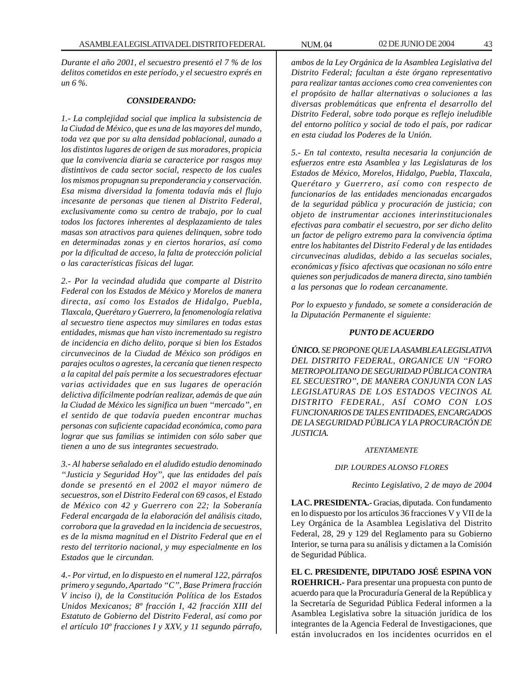*Durante el año 2001, el secuestro presentó el 7 % de los delitos cometidos en este período, y el secuestro exprés en un 6 %.*

#### *CONSIDERANDO:*

*1.- La complejidad social que implica la subsistencia de la Ciudad de México, que es una de las mayores del mundo, toda vez que por su alta densidad poblacional, aunado a los distintos lugares de origen de sus moradores, propicia que la convivencia diaria se caracterice por rasgos muy distintivos de cada sector social, respecto de los cuales los mismos propugnan su preponderancia y conservación. Esa misma diversidad la fomenta todavía más el flujo incesante de personas que tienen al Distrito Federal, exclusivamente como su centro de trabajo, por lo cual todos los factores inherentes al desplazamiento de tales masas son atractivos para quienes delinquen, sobre todo en determinadas zonas y en ciertos horarios, así como por la dificultad de acceso, la falta de protección policial o las características físicas del lugar.*

*2.- Por la vecindad aludida que comparte al Distrito Federal con los Estados de México y Morelos de manera directa, así como los Estados de Hidalgo, Puebla, Tlaxcala, Querétaro y Guerrero, la fenomenología relativa al secuestro tiene aspectos muy similares en todas estas entidades, mismas que han visto incrementado su registro de incidencia en dicho delito, porque si bien los Estados circunvecinos de la Ciudad de México son pródigos en parajes ocultos o agrestes, la cercanía que tienen respecto a la capital del país permite a los secuestradores efectuar varias actividades que en sus lugares de operación delictiva difícilmente podrían realizar, además de que aún la Ciudad de México les significa un buen ''mercado'', en el sentido de que todavía pueden encontrar muchas personas con suficiente capacidad económica, como para lograr que sus familias se intimiden con sólo saber que tienen a uno de sus integrantes secuestrado.*

*3.- Al haberse señalado en el aludido estudio denominado ''Justicia y Seguridad Hoy'', que las entidades del país donde se presentó en el 2002 el mayor número de secuestros, son el Distrito Federal con 69 casos, el Estado de México con 42 y Guerrero con 22; la Soberanía Federal encargada de la elaboración del análisis citado, corrobora que la gravedad en la incidencia de secuestros, es de la misma magnitud en el Distrito Federal que en el resto del territorio nacional, y muy especialmente en los Estados que le circundan.*

*4.- Por virtud, en lo dispuesto en el numeral 122, párrafos primero y segundo, Apartado ''C'', Base Primera fracción V inciso i), de la Constitución Política de los Estados Unidos Mexicanos; 8º fracción I, 42 fracción XIII del Estatuto de Gobierno del Distrito Federal, así como por el artículo 10º fracciones I y XXV, y 11 segundo párrafo,*

*ambos de la Ley Orgánica de la Asamblea Legislativa del Distrito Federal; facultan a éste órgano representativo para realizar tantas acciones como crea convenientes con el propósito de hallar alternativas o soluciones a las diversas problemáticas que enfrenta el desarrollo del Distrito Federal, sobre todo porque es reflejo ineludible del entorno político y social de todo el país, por radicar en esta ciudad los Poderes de la Unión.*

*5.- En tal contexto, resulta necesaria la conjunción de esfuerzos entre esta Asamblea y las Legislaturas de los Estados de México, Morelos, Hidalgo, Puebla, Tlaxcala, Querétaro y Guerrero, así como con respecto de funcionarios de las entidades mencionadas encargados de la seguridad pública y procuración de justicia; con objeto de instrumentar acciones interinstitucionales efectivas para combatir el secuestro, por ser dicho delito un factor de peligro extremo para la convivencia óptima entre los habitantes del Distrito Federal y de las entidades circunvecinas aludidas, debido a las secuelas sociales, económicas y físico afectivas que ocasionan no sólo entre quienes son perjudicados de manera directa, sino también a las personas que lo rodean cercanamente.*

*Por lo expuesto y fundado, se somete a consideración de la Diputación Permanente el siguiente:*

#### *PUNTO DE ACUERDO*

*ÚNICO. SE PROPONE QUE LA ASAMBLEA LEGISLATIVA DEL DISTRITO FEDERAL, ORGANICE UN ''FORO METROPOLITANO DE SEGURIDAD PÚBLICA CONTRA EL SECUESTRO'', DE MANERA CONJUNTA CON LAS LEGISLATURAS DE LOS ESTADOS VECINOS AL DISTRITO FEDERAL, ASÍ COMO CON LOS FUNCIONARIOS DE TALES ENTIDADES, ENCARGADOS DE LA SEGURIDAD PÚBLICA Y LA PROCURACIÓN DE JUSTICIA.*

#### *ATENTAMENTE*

#### *DIP. LOURDES ALONSO FLORES*

*Recinto Legislativo, 2 de mayo de 2004*

**LA C. PRESIDENTA.-** Gracias, diputada. Con fundamento en lo dispuesto por los artículos 36 fracciones V y VII de la Ley Orgánica de la Asamblea Legislativa del Distrito Federal, 28, 29 y 129 del Reglamento para su Gobierno Interior, se turna para su análisis y dictamen a la Comisión de Seguridad Pública.

**EL C. PRESIDENTE, DIPUTADO JOSÉ ESPINA VON ROEHRICH.-** Para presentar una propuesta con punto de acuerdo para que la Procuraduría General de la República y la Secretaría de Seguridad Pública Federal informen a la Asamblea Legislativa sobre la situación jurídica de los integrantes de la Agencia Federal de Investigaciones, que están involucrados en los incidentes ocurridos en el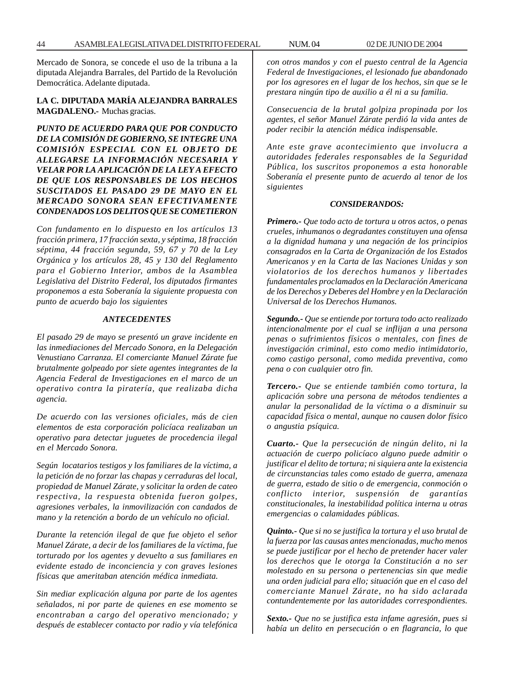Mercado de Sonora, se concede el uso de la tribuna a la diputada Alejandra Barrales, del Partido de la Revolución Democrática. Adelante diputada.

## **LA C. DIPUTADA MARÍA ALEJANDRA BARRALES MAGDALENO.-** Muchas gracias.

*PUNTO DE ACUERDO PARA QUE POR CONDUCTO DE LA COMISIÓN DE GOBIERNO, SE INTEGRE UNA COMISIÓN ESPECIAL CON EL OBJETO DE ALLEGARSE LA INFORMACIÓN NECESARIA Y VELAR POR LA APLICACIÓN DE LA LEY A EFECTO DE QUE LOS RESPONSABLES DE LOS HECHOS SUSCITADOS EL PASADO 29 DE MAYO EN EL MERCADO SONORA SEAN EFECTIVAMENTE CONDENADOS LOS DELITOS QUE SE COMETIERON*

*Con fundamento en lo dispuesto en los artículos 13 fracción primera, 17 fracción sexta, y séptima, 18 fracción séptima, 44 fracción segunda, 59, 67 y 70 de la Ley Orgánica y los artículos 28, 45 y 130 del Reglamento para el Gobierno Interior, ambos de la Asamblea Legislativa del Distrito Federal, los diputados firmantes proponemos a esta Soberanía la siguiente propuesta con punto de acuerdo bajo los siguientes*

### *ANTECEDENTES*

*El pasado 29 de mayo se presentó un grave incidente en las inmediaciones del Mercado Sonora, en la Delegación Venustiano Carranza. El comerciante Manuel Zárate fue brutalmente golpeado por siete agentes integrantes de la Agencia Federal de Investigaciones en el marco de un operativo contra la piratería, que realizaba dicha agencia.*

*De acuerdo con las versiones oficiales, más de cien elementos de esta corporación policíaca realizaban un operativo para detectar juguetes de procedencia ilegal en el Mercado Sonora.*

*Según locatarios testigos y los familiares de la víctima, a la petición de no forzar las chapas y cerraduras del local, propiedad de Manuel Zárate, y solicitar la orden de cateo respectiva, la respuesta obtenida fueron golpes, agresiones verbales, la inmovilización con candados de mano y la retención a bordo de un vehículo no oficial.*

*Durante la retención ilegal de que fue objeto el señor Manuel Zárate, a decir de los familiares de la víctima, fue torturado por los agentes y devuelto a sus familiares en evidente estado de inconciencia y con graves lesiones físicas que ameritaban atención médica inmediata.*

*Sin mediar explicación alguna por parte de los agentes señalados, ni por parte de quienes en ese momento se encontraban a cargo del operativo mencionado; y después de establecer contacto por radio y vía telefónica* *con otros mandos y con el puesto central de la Agencia Federal de Investigaciones, el lesionado fue abandonado por los agresores en el lugar de los hechos, sin que se le prestara ningún tipo de auxilio a él ni a su familia.*

*Consecuencia de la brutal golpiza propinada por los agentes, el señor Manuel Zárate perdió la vida antes de poder recibir la atención médica indispensable.*

*Ante este grave acontecimiento que involucra a autoridades federales responsables de la Seguridad Pública, los suscritos proponemos a esta honorable Soberanía el presente punto de acuerdo al tenor de los siguientes*

#### *CONSIDERANDOS:*

*Primero.- Que todo acto de tortura u otros actos, o penas crueles, inhumanos o degradantes constituyen una ofensa a la dignidad humana y una negación de los principios consagrados en la Carta de Organización de los Estados Americanos y en la Carta de las Naciones Unidas y son violatorios de los derechos humanos y libertades fundamentales proclamados en la Declaración Americana de los Derechos y Deberes del Hombre y en la Declaración Universal de los Derechos Humanos.*

*Segundo.- Que se entiende por tortura todo acto realizado intencionalmente por el cual se inflijan a una persona penas o sufrimientos físicos o mentales, con fines de investigación criminal, esto como medio intimidatorio, como castigo personal, como medida preventiva, como pena o con cualquier otro fin.*

*Tercero.- Que se entiende también como tortura, la aplicación sobre una persona de métodos tendientes a anular la personalidad de la víctima o a disminuir su capacidad física o mental, aunque no causen dolor físico o angustia psíquica.*

*Cuarto.- Que la persecución de ningún delito, ni la actuación de cuerpo policíaco alguno puede admitir o justificar el delito de tortura; ni siquiera ante la existencia de circunstancias tales como estado de guerra, amenaza de guerra, estado de sitio o de emergencia, conmoción o conflicto interior, suspensión de garantías constitucionales, la inestabilidad política interna u otras emergencias o calamidades públicas.*

*Quinto.- Que si no se justifica la tortura y el uso brutal de la fuerza por las causas antes mencionadas, mucho menos se puede justificar por el hecho de pretender hacer valer los derechos que le otorga la Constitución a no ser molestado en su persona o pertenencias sin que medie una orden judicial para ello; situación que en el caso del comerciante Manuel Zárate, no ha sido aclarada contundentemente por las autoridades correspondientes.*

*Sexto.- Que no se justifica esta infame agresión, pues si había un delito en persecución o en flagrancia, lo que*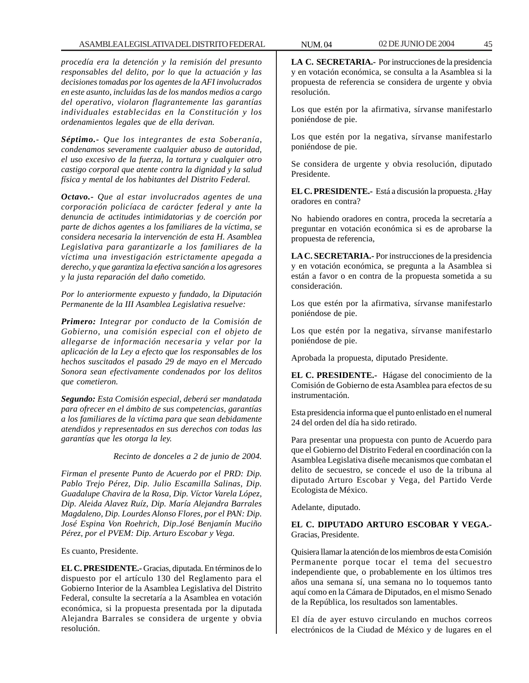*procedía era la detención y la remisión del presunto responsables del delito, por lo que la actuación y las decisiones tomadas por los agentes de la AFI involucrados en este asunto, incluidas las de los mandos medios a cargo del operativo, violaron flagrantemente las garantías individuales establecidas en la Constitución y los ordenamientos legales que de ella derivan.*

*Séptimo.- Que los integrantes de esta Soberanía, condenamos severamente cualquier abuso de autoridad, el uso excesivo de la fuerza, la tortura y cualquier otro castigo corporal que atente contra la dignidad y la salud física y mental de los habitantes del Distrito Federal.*

*Octavo.- Que al estar involucrados agentes de una corporación policíaca de carácter federal y ante la denuncia de actitudes intimidatorias y de coerción por parte de dichos agentes a los familiares de la víctima, se considera necesaria la intervención de esta H. Asamblea Legislativa para garantizarle a los familiares de la víctima una investigación estrictamente apegada a derecho, y que garantiza la efectiva sanción a los agresores y la justa reparación del daño cometido.*

*Por lo anteriormente expuesto y fundado, la Diputación Permanente de la III Asamblea Legislativa resuelve:*

*Primero: Integrar por conducto de la Comisión de Gobierno, una comisión especial con el objeto de allegarse de información necesaria y velar por la aplicación de la Ley a efecto que los responsables de los hechos suscitados el pasado 29 de mayo en el Mercado Sonora sean efectivamente condenados por los delitos que cometieron.*

*Segundo: Esta Comisión especial, deberá ser mandatada para ofrecer en el ámbito de sus competencias, garantías a los familiares de la víctima para que sean debidamente atendidos y representados en sus derechos con todas las garantías que les otorga la ley.*

*Recinto de donceles a 2 de junio de 2004.*

*Firman el presente Punto de Acuerdo por el PRD: Dip. Pablo Trejo Pérez, Dip. Julio Escamilla Salinas, Dip. Guadalupe Chavira de la Rosa, Dip. Víctor Varela López, Dip. Aleida Alavez Ruíz, Dip. María Alejandra Barrales Magdaleno, Dip. Lourdes Alonso Flores, por el PAN: Dip. José Espina Von Roehrich, Dip.José Benjamín Muciño Pérez, por el PVEM: Dip. Arturo Escobar y Vega.*

Es cuanto, Presidente.

**EL C. PRESIDENTE.-** Gracias, diputada. En términos de lo dispuesto por el artículo 130 del Reglamento para el Gobierno Interior de la Asamblea Legislativa del Distrito Federal, consulte la secretaría a la Asamblea en votación económica, si la propuesta presentada por la diputada Alejandra Barrales se considera de urgente y obvia resolución.

**LA C. SECRETARIA.-** Por instrucciones de la presidencia y en votación económica, se consulta a la Asamblea si la propuesta de referencia se considera de urgente y obvia resolución.

Los que estén por la afirmativa, sírvanse manifestarlo poniéndose de pie.

Los que estén por la negativa, sírvanse manifestarlo poniéndose de pie.

Se considera de urgente y obvia resolución, diputado Presidente.

**EL C. PRESIDENTE.-** Está a discusión la propuesta. ¿Hay oradores en contra?

No habiendo oradores en contra, proceda la secretaría a preguntar en votación económica si es de aprobarse la propuesta de referencia,

**LA C. SECRETARIA.-** Por instrucciones de la presidencia y en votación económica, se pregunta a la Asamblea si están a favor o en contra de la propuesta sometida a su consideración.

Los que estén por la afirmativa, sírvanse manifestarlo poniéndose de pie.

Los que estén por la negativa, sírvanse manifestarlo poniéndose de pie.

Aprobada la propuesta, diputado Presidente.

**EL C. PRESIDENTE.-** Hágase del conocimiento de la Comisión de Gobierno de esta Asamblea para efectos de su instrumentación.

Esta presidencia informa que el punto enlistado en el numeral 24 del orden del día ha sido retirado.

Para presentar una propuesta con punto de Acuerdo para que el Gobierno del Distrito Federal en coordinación con la Asamblea Legislativa diseñe mecanismos que combatan el delito de secuestro, se concede el uso de la tribuna al diputado Arturo Escobar y Vega, del Partido Verde Ecologista de México.

Adelante, diputado.

**EL C. DIPUTADO ARTURO ESCOBAR Y VEGA.-** Gracias, Presidente.

Quisiera llamar la atención de los miembros de esta Comisión Permanente porque tocar el tema del secuestro independiente que, o probablemente en los últimos tres años una semana sí, una semana no lo toquemos tanto aquí como en la Cámara de Diputados, en el mismo Senado de la República, los resultados son lamentables.

El día de ayer estuvo circulando en muchos correos electrónicos de la Ciudad de México y de lugares en el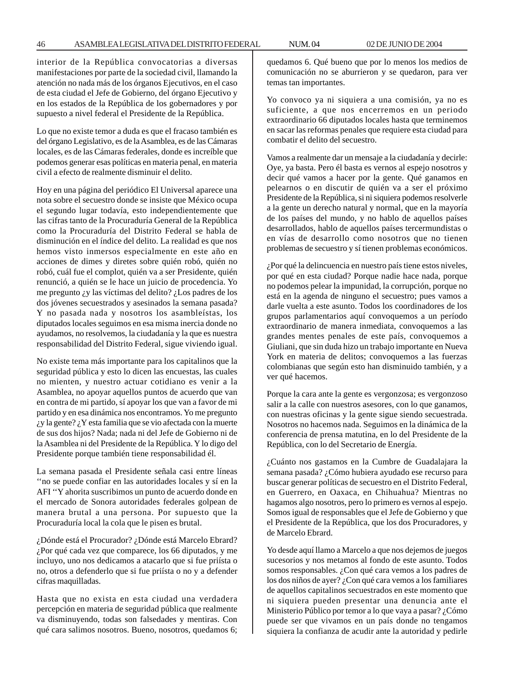interior de la República convocatorias a diversas manifestaciones por parte de la sociedad civil, llamando la atención no nada más de los órganos Ejecutivos, en el caso de esta ciudad el Jefe de Gobierno, del órgano Ejecutivo y en los estados de la República de los gobernadores y por supuesto a nivel federal el Presidente de la República.

Lo que no existe temor a duda es que el fracaso también es del órgano Legislativo, es de la Asamblea, es de las Cámaras locales, es de las Cámaras federales, donde es increíble que podemos generar esas políticas en materia penal, en materia civil a efecto de realmente disminuir el delito.

Hoy en una página del periódico El Universal aparece una nota sobre el secuestro donde se insiste que México ocupa el segundo lugar todavía, esto independientemente que las cifras tanto de la Procuraduría General de la República como la Procuraduría del Distrito Federal se habla de disminución en el índice del delito. La realidad es que nos hemos visto inmersos especialmente en este año en acciones de dimes y diretes sobre quién robó, quién no robó, cuál fue el complot, quién va a ser Presidente, quién renunció, a quién se le hace un juicio de procedencia. Yo me pregunto ¿y las víctimas del delito? ¿Los padres de los dos jóvenes secuestrados y asesinados la semana pasada? Y no pasada nada y nosotros los asambleístas, los diputados locales seguimos en esa misma inercia donde no ayudamos, no resolvemos, la ciudadanía y la que es nuestra responsabilidad del Distrito Federal, sigue viviendo igual.

No existe tema más importante para los capitalinos que la seguridad pública y esto lo dicen las encuestas, las cuales no mienten, y nuestro actuar cotidiano es venir a la Asamblea, no apoyar aquellos puntos de acuerdo que van en contra de mi partido, sí apoyar los que van a favor de mi partido y en esa dinámica nos encontramos. Yo me pregunto ¿y la gente? ¿Y esta familia que se vio afectada con la muerte de sus dos hijos? Nada; nada ni del Jefe de Gobierno ni de la Asamblea ni del Presidente de la República. Y lo digo del Presidente porque también tiene responsabilidad él.

La semana pasada el Presidente señala casi entre líneas ''no se puede confiar en las autoridades locales y sí en la AFI ''Y ahorita suscribimos un punto de acuerdo donde en el mercado de Sonora autoridades federales golpean de manera brutal a una persona. Por supuesto que la Procuraduría local la cola que le pisen es brutal.

¿Dónde está el Procurador? ¿Dónde está Marcelo Ebrard? ¿Por qué cada vez que comparece, los 66 diputados, y me incluyo, uno nos dedicamos a atacarlo que si fue priísta o no, otros a defenderlo que si fue priísta o no y a defender cifras maquilladas.

Hasta que no exista en esta ciudad una verdadera percepción en materia de seguridad pública que realmente va disminuyendo, todas son falsedades y mentiras. Con qué cara salimos nosotros. Bueno, nosotros, quedamos 6; quedamos 6. Qué bueno que por lo menos los medios de comunicación no se aburrieron y se quedaron, para ver temas tan importantes.

Yo convoco ya ni siquiera a una comisión, ya no es suficiente, a que nos encerremos en un periodo extraordinario 66 diputados locales hasta que terminemos en sacar las reformas penales que requiere esta ciudad para combatir el delito del secuestro.

Vamos a realmente dar un mensaje a la ciudadanía y decirle: Oye, ya basta. Pero él basta es vernos al espejo nosotros y decir qué vamos a hacer por la gente. Qué ganamos en pelearnos o en discutir de quién va a ser el próximo Presidente de la República, si ni siquiera podemos resolverle a la gente un derecho natural y normal, que en la mayoría de los países del mundo, y no hablo de aquellos países desarrollados, hablo de aquellos países tercermundistas o en vías de desarrollo como nosotros que no tienen problemas de secuestro y sí tienen problemas económicos.

¿Por qué la delincuencia en nuestro país tiene estos niveles, por qué en esta ciudad? Porque nadie hace nada, porque no podemos pelear la impunidad, la corrupción, porque no está en la agenda de ninguno el secuestro; pues vamos a darle vuelta a este asunto. Todos los coordinadores de los grupos parlamentarios aquí convoquemos a un período extraordinario de manera inmediata, convoquemos a las grandes mentes penales de este país, convoquemos a Giuliani, que sin duda hizo un trabajo importante en Nueva York en materia de delitos; convoquemos a las fuerzas colombianas que según esto han disminuido también, y a ver qué hacemos.

Porque la cara ante la gente es vergonzosa; es vergonzoso salir a la calle con nuestros asesores, con lo que ganamos, con nuestras oficinas y la gente sigue siendo secuestrada. Nosotros no hacemos nada. Seguimos en la dinámica de la conferencia de prensa matutina, en lo del Presidente de la República, con lo del Secretario de Energía.

¿Cuánto nos gastamos en la Cumbre de Guadalajara la semana pasada? ¿Cómo hubiera ayudado ese recurso para buscar generar políticas de secuestro en el Distrito Federal, en Guerrero, en Oaxaca, en Chihuahua? Mientras no hagamos algo nosotros, pero lo primero es vernos al espejo. Somos igual de responsables que el Jefe de Gobierno y que el Presidente de la República, que los dos Procuradores, y de Marcelo Ebrard.

Yo desde aquí llamo a Marcelo a que nos dejemos de juegos sucesorios y nos metamos al fondo de este asunto. Todos somos responsables. ¿Con qué cara vemos a los padres de los dos niños de ayer? ¿Con qué cara vemos a los familiares de aquellos capitalinos secuestrados en este momento que ni siquiera pueden presentar una denuncia ante el Ministerio Público por temor a lo que vaya a pasar? ¿Cómo puede ser que vivamos en un país donde no tengamos siquiera la confianza de acudir ante la autoridad y pedirle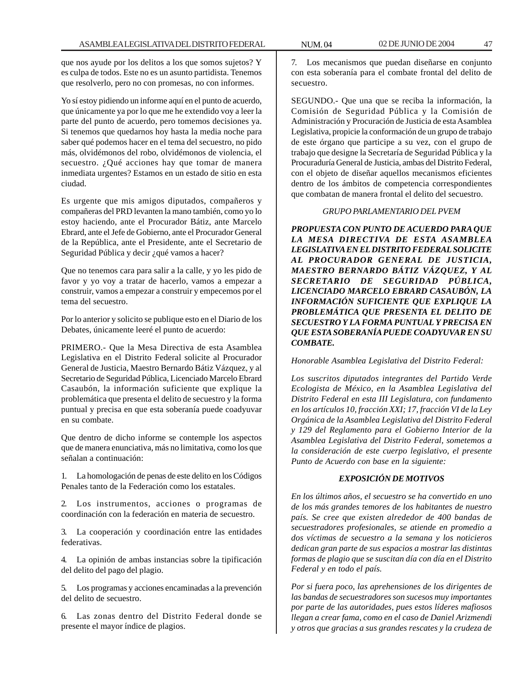que nos ayude por los delitos a los que somos sujetos? Y es culpa de todos. Este no es un asunto partidista. Tenemos que resolverlo, pero no con promesas, no con informes.

Yo sí estoy pidiendo un informe aquí en el punto de acuerdo, que únicamente ya por lo que me he extendido voy a leer la parte del punto de acuerdo, pero tomemos decisiones ya. Si tenemos que quedarnos hoy hasta la media noche para saber qué podemos hacer en el tema del secuestro, no pido más, olvidémonos del robo, olvidémonos de violencia, el secuestro. ¿Qué acciones hay que tomar de manera inmediata urgentes? Estamos en un estado de sitio en esta ciudad.

Es urgente que mis amigos diputados, compañeros y compañeras del PRD levanten la mano también, como yo lo estoy haciendo, ante el Procurador Bátiz, ante Marcelo Ebrard, ante el Jefe de Gobierno, ante el Procurador General de la República, ante el Presidente, ante el Secretario de Seguridad Pública y decir ¿qué vamos a hacer?

Que no tenemos cara para salir a la calle, y yo les pido de favor y yo voy a tratar de hacerlo, vamos a empezar a construir, vamos a empezar a construir y empecemos por el tema del secuestro.

Por lo anterior y solicito se publique esto en el Diario de los Debates, únicamente leeré el punto de acuerdo:

PRIMERO.- Que la Mesa Directiva de esta Asamblea Legislativa en el Distrito Federal solicite al Procurador General de Justicia, Maestro Bernardo Bátiz Vázquez, y al Secretario de Seguridad Pública, Licenciado Marcelo Ebrard Casaubón, la información suficiente que explique la problemática que presenta el delito de secuestro y la forma puntual y precisa en que esta soberanía puede coadyuvar en su combate.

Que dentro de dicho informe se contemple los aspectos que de manera enunciativa, más no limitativa, como los que señalan a continuación:

1. La homologación de penas de este delito en los Códigos Penales tanto de la Federación como los estatales.

2. Los instrumentos, acciones o programas de coordinación con la federación en materia de secuestro.

3. La cooperación y coordinación entre las entidades federativas.

4. La opinión de ambas instancias sobre la tipificación del delito del pago del plagio.

5. Los programas y acciones encaminadas a la prevención del delito de secuestro.

6. Las zonas dentro del Distrito Federal donde se presente el mayor índice de plagios.

7. Los mecanismos que puedan diseñarse en conjunto con esta soberanía para el combate frontal del delito de secuestro.

SEGUNDO.- Que una que se reciba la información, la Comisión de Seguridad Pública y la Comisión de Administración y Procuración de Justicia de esta Asamblea Legislativa, propicie la conformación de un grupo de trabajo de este órgano que participe a su vez, con el grupo de trabajo que designe la Secretaría de Seguridad Pública y la Procuraduría General de Justicia, ambas del Distrito Federal, con el objeto de diseñar aquellos mecanismos eficientes dentro de los ámbitos de competencia correspondientes que combatan de manera frontal el delito del secuestro.

#### *GRUPO PARLAMENTARIO DEL PVEM*

*PROPUESTA CON PUNTO DE ACUERDO PARA QUE LA MESA DIRECTIVA DE ESTA ASAMBLEA LEGISLATIVA EN EL DISTRITO FEDERAL SOLICITE AL PROCURADOR GENERAL DE JUSTICIA, MAESTRO BERNARDO BÁTIZ VÁZQUEZ, Y AL SECRETARIO DE SEGURIDAD PÚBLICA, LICENCIADO MARCELO EBRARD CASAUBÓN, LA INFORMACIÓN SUFICIENTE QUE EXPLIQUE LA PROBLEMÁTICA QUE PRESENTA EL DELITO DE SECUESTRO Y LA FORMA PUNTUAL Y PRECISA EN QUE ESTA SOBERANÍA PUEDE COADYUVAR EN SU COMBATE.*

*Honorable Asamblea Legislativa del Distrito Federal:*

*Los suscritos diputados integrantes del Partido Verde Ecologista de México, en la Asamblea Legislativa del Distrito Federal en esta III Legislatura, con fundamento en los artículos 10, fracción XXI; 17, fracción VI de la Ley Orgánica de la Asamblea Legislativa del Distrito Federal y 129 del Reglamento para el Gobierno Interior de la Asamblea Legislativa del Distrito Federal, sometemos a la consideración de este cuerpo legislativo, el presente Punto de Acuerdo con base en la siguiente:*

# *EXPOSICIÓN DE MOTIVOS*

*En los últimos años, el secuestro se ha convertido en uno de los más grandes temores de los habitantes de nuestro país. Se cree que existen alrededor de 400 bandas de secuestradores profesionales, se atiende en promedio a dos víctimas de secuestro a la semana y los noticieros dedican gran parte de sus espacios a mostrar las distintas formas de plagio que se suscitan día con día en el Distrito Federal y en todo el país.*

*Por si fuera poco, las aprehensiones de los dirigentes de las bandas de secuestradores son sucesos muy importantes por parte de las autoridades, pues estos líderes mafiosos llegan a crear fama, como en el caso de Daniel Arizmendi y otros que gracias a sus grandes rescates y la crudeza de*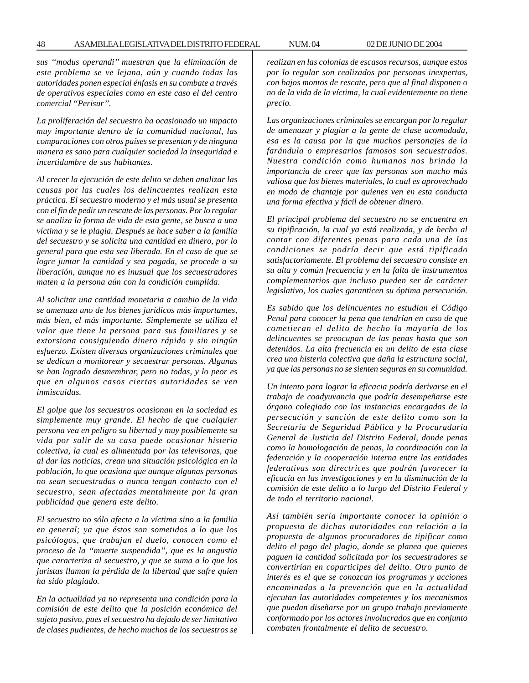*sus ''modus operandi'' muestran que la eliminación de este problema se ve lejana, aún y cuando todas las autoridades ponen especial énfasis en su combate a través de operativos especiales como en este caso el del centro comercial ''Perisur''.*

*La proliferación del secuestro ha ocasionado un impacto muy importante dentro de la comunidad nacional, las comparaciones con otros países se presentan y de ninguna manera es sano para cualquier sociedad la inseguridad e incertidumbre de sus habitantes.*

*Al crecer la ejecución de este delito se deben analizar las causas por las cuales los delincuentes realizan esta práctica. El secuestro moderno y el más usual se presenta con el fin de pedir un rescate de las personas. Por lo regular se analiza la forma de vida de esta gente, se busca a una víctima y se le plagia. Después se hace saber a la familia del secuestro y se solicita una cantidad en dinero, por lo general para que esta sea liberada. En el caso de que se logre juntar la cantidad y sea pagada, se procede a su liberación, aunque no es inusual que los secuestradores maten a la persona aún con la condición cumplida.*

*Al solicitar una cantidad monetaria a cambio de la vida se amenaza uno de los bienes jurídicos más importantes, más bien, el más importante. Simplemente se utiliza el valor que tiene la persona para sus familiares y se extorsiona consiguiendo dinero rápido y sin ningún esfuerzo. Existen diversas organizaciones criminales que se dedican a monitorear y secuestrar personas. Algunas se han logrado desmembrar, pero no todas, y lo peor es que en algunos casos ciertas autoridades se ven inmiscuidas.*

*El golpe que los secuestros ocasionan en la sociedad es simplemente muy grande. El hecho de que cualquier persona vea en peligro su libertad y muy posiblemente su vida por salir de su casa puede ocasionar histeria colectiva, la cual es alimentada por las televisoras, que al dar las noticias, crean una situación psicológica en la población, lo que ocasiona que aunque algunas personas no sean secuestradas o nunca tengan contacto con el secuestro, sean afectadas mentalmente por la gran publicidad que genera este delito.*

*El secuestro no sólo afecta a la víctima sino a la familia en general; ya que éstos son sometidos a lo que los psicólogos, que trabajan el duelo, conocen como el proceso de la ''muerte suspendida'', que es la angustia que caracteriza al secuestro, y que se suma a lo que los juristas llaman la pérdida de la libertad que sufre quien ha sido plagiado.*

*En la actualidad ya no representa una condición para la comisión de este delito que la posición económica del sujeto pasivo, pues el secuestro ha dejado de ser limitativo de clases pudientes, de hecho muchos de los secuestros se*

*realizan en las colonias de escasos recursos, aunque estos por lo regular son realizados por personas inexpertas, con bajos montos de rescate, pero que al final disponen o no de la vida de la víctima, la cual evidentemente no tiene precio.*

*Las organizaciones criminales se encargan por lo regular de amenazar y plagiar a la gente de clase acomodada, esa es la causa por la que muchos personajes de la farándula o empresarios famosos son secuestrados. Nuestra condición como humanos nos brinda la importancia de creer que las personas son mucho más valiosa que los bienes materiales, lo cual es aprovechado en modo de chantaje por quienes ven en esta conducta una forma efectiva y fácil de obtener dinero.*

*El principal problema del secuestro no se encuentra en su tipificación, la cual ya está realizada, y de hecho al contar con diferentes penas para cada una de las condiciones se podría decir que está tipificado satisfactoriamente. El problema del secuestro consiste en su alta y común frecuencia y en la falta de instrumentos complementarios que incluso pueden ser de carácter legislativo, los cuales garanticen su óptima persecución.*

*Es sabido que los delincuentes no estudian el Código Penal para conocer la pena que tendrían en caso de que cometieran el delito de hecho la mayoría de los delincuentes se preocupan de las penas hasta que son detenidos. La alta frecuencia en un delito de esta clase crea una histeria colectiva que daña la estructura social, ya que las personas no se sienten seguras en su comunidad.*

*Un intento para lograr la eficacia podría derivarse en el trabajo de coadyuvancia que podría desempeñarse este órgano colegiado con las instancias encargadas de la persecución y sanción de este delito como son la Secretaría de Seguridad Pública y la Procuraduría General de Justicia del Distrito Federal, donde penas como la homologación de penas, la coordinación con la federación y la cooperación interna entre las entidades federativas son directrices que podrán favorecer la eficacia en las investigaciones y en la disminución de la comisión de este delito a lo largo del Distrito Federal y de todo el territorio nacional.*

*Así también sería importante conocer la opinión o propuesta de dichas autoridades con relación a la propuesta de algunos procuradores de tipificar como delito el pago del plagio, donde se planea que quienes paguen la cantidad solicitada por los secuestradores se convertirían en coparticipes del delito. Otro punto de interés es el que se conozcan los programas y acciones encaminadas a la prevención que en la actualidad ejecutan las autoridades competentes y los mecanismos que puedan diseñarse por un grupo trabajo previamente conformado por los actores involucrados que en conjunto combaten frontalmente el delito de secuestro.*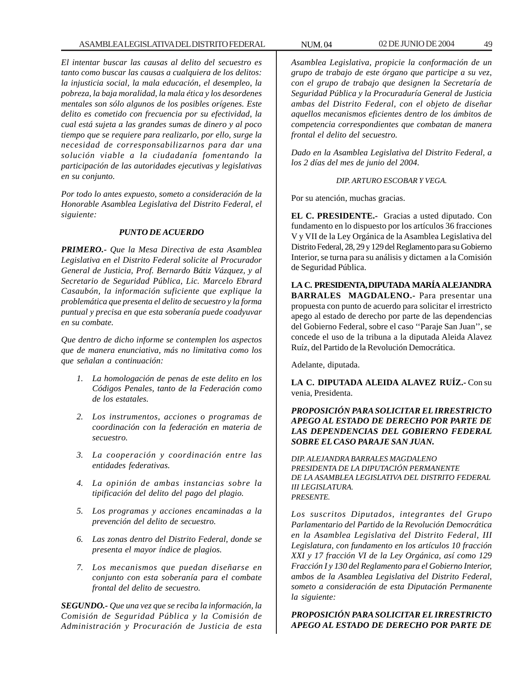*El intentar buscar las causas al delito del secuestro es tanto como buscar las causas a cualquiera de los delitos: la injusticia social, la mala educación, el desempleo, la pobreza, la baja moralidad, la mala ética y los desordenes mentales son sólo algunos de los posibles orígenes. Este delito es cometido con frecuencia por su efectividad, la cual está sujeta a las grandes sumas de dinero y al poco tiempo que se requiere para realizarlo, por ello, surge la necesidad de corresponsabilizarnos para dar una solución viable a la ciudadanía fomentando la participación de las autoridades ejecutivas y legislativas en su conjunto.*

*Por todo lo antes expuesto, someto a consideración de la Honorable Asamblea Legislativa del Distrito Federal, el siguiente:*

#### *PUNTO DE ACUERDO*

*PRIMERO.- Que la Mesa Directiva de esta Asamblea Legislativa en el Distrito Federal solicite al Procurador General de Justicia, Prof. Bernardo Bátiz Vázquez, y al Secretario de Seguridad Pública, Lic. Marcelo Ebrard Casaubón, la información suficiente que explique la problemática que presenta el delito de secuestro y la forma puntual y precisa en que esta soberanía puede coadyuvar en su combate.*

*Que dentro de dicho informe se contemplen los aspectos que de manera enunciativa, más no limitativa como los que señalan a continuación:*

- *1. La homologación de penas de este delito en los Códigos Penales, tanto de la Federación como de los estatales.*
- *2. Los instrumentos, acciones o programas de coordinación con la federación en materia de secuestro.*
- *3. La cooperación y coordinación entre las entidades federativas.*
- *4. La opinión de ambas instancias sobre la tipificación del delito del pago del plagio.*
- *5. Los programas y acciones encaminadas a la prevención del delito de secuestro.*
- *6. Las zonas dentro del Distrito Federal, donde se presenta el mayor índice de plagios.*
- *7. Los mecanismos que puedan diseñarse en conjunto con esta soberanía para el combate frontal del delito de secuestro.*

*SEGUNDO.- Que una vez que se reciba la información, la Comisión de Seguridad Pública y la Comisión de Administración y Procuración de Justicia de esta*

*Asamblea Legislativa, propicie la conformación de un grupo de trabajo de este órgano que participe a su vez, con el grupo de trabajo que designen la Secretaría de Seguridad Pública y la Procuraduría General de Justicia ambas del Distrito Federal, con el objeto de diseñar aquellos mecanismos eficientes dentro de los ámbitos de competencia correspondientes que combatan de manera frontal el delito del secuestro.*

*Dado en la Asamblea Legislativa del Distrito Federal, a los 2 días del mes de junio del 2004.*

*DIP. ARTURO ESCOBAR Y VEGA.*

Por su atención, muchas gracias.

**EL C. PRESIDENTE.-** Gracias a usted diputado. Con fundamento en lo dispuesto por los artículos 36 fracciones V y VII de la Ley Orgánica de la Asamblea Legislativa del Distrito Federal, 28, 29 y 129 del Reglamento para su Gobierno Interior, se turna para su análisis y dictamen a la Comisión de Seguridad Pública.

**LA C. PRESIDENTA, DIPUTADA MARÍA ALEJANDRA BARRALES MAGDALENO.-** Para presentar una propuesta con punto de acuerdo para solicitar el irrestricto apego al estado de derecho por parte de las dependencias del Gobierno Federal, sobre el caso ''Paraje San Juan'', se concede el uso de la tribuna a la diputada Aleida Alavez Ruíz, del Partido de la Revolución Democrática.

Adelante, diputada.

**LA C. DIPUTADA ALEIDA ALAVEZ RUÍZ.-** Con su venia, Presidenta.

# *PROPOSICIÓN PARA SOLICITAR EL IRRESTRICTO APEGO AL ESTADO DE DERECHO POR PARTE DE LAS DEPENDENCIAS DEL GOBIERNO FEDERAL SOBRE EL CASO PARAJE SAN JUAN.*

*DIP. ALEJANDRA BARRALES MAGDALENO PRESIDENTA DE LA DIPUTACIÓN PERMANENTE DE LA ASAMBLEA LEGISLATIVA DEL DISTRITO FEDERAL III LEGISLATURA. PRESENTE.*

*Los suscritos Diputados, integrantes del Grupo Parlamentario del Partido de la Revolución Democrática en la Asamblea Legislativa del Distrito Federal, III Legislatura, con fundamento en los artículos 10 fracción XXI y 17 fracción VI de la Ley Orgánica, así como 129 Fracción I y 130 del Reglamento para el Gobierno Interior, ambos de la Asamblea Legislativa del Distrito Federal, someto a consideración de esta Diputación Permanente la siguiente:*

*PROPOSICIÓN PARA SOLICITAR EL IRRESTRICTO APEGO AL ESTADO DE DERECHO POR PARTE DE*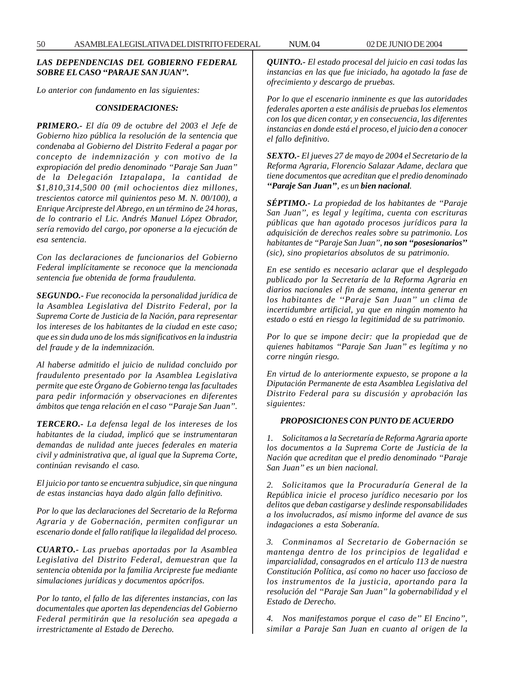## *LAS DEPENDENCIAS DEL GOBIERNO FEDERAL SOBRE EL CASO ''PARAJE SAN JUAN''.*

*Lo anterior con fundamento en las siguientes:*

#### *CONSIDERACIONES:*

*PRIMERO.- El día 09 de octubre del 2003 el Jefe de Gobierno hizo pública la resolución de la sentencia que condenaba al Gobierno del Distrito Federal a pagar por concepto de indemnización y con motivo de la expropiación del predio denominado ''Paraje San Juan'' de la Delegación Iztapalapa, la cantidad de \$1,810,314,500 00 (mil ochocientos diez millones, trescientos catorce mil quinientos peso M. N. 00/100), a Enrique Arcipreste del Abrego, en un término de 24 horas, de lo contrario el Lic. Andrés Manuel López Obrador, sería removido del cargo, por oponerse a la ejecución de esa sentencia.*

*Con las declaraciones de funcionarios del Gobierno Federal implícitamente se reconoce que la mencionada sentencia fue obtenida de forma fraudulenta.*

*SEGUNDO.- Fue reconocida la personalidad jurídica de la Asamblea Legislativa del Distrito Federal, por la Suprema Corte de Justicia de la Nación, para representar los intereses de los habitantes de la ciudad en este caso; que es sin duda uno de los más significativos en la industria del fraude y de la indemnización.*

*Al haberse admitido el juicio de nulidad concluido por fraudulento presentado por la Asamblea Legislativa permite que este Órgano de Gobierno tenga las facultades para pedir información y observaciones en diferentes ámbitos que tenga relación en el caso ''Paraje San Juan''.*

*TERCERO.- La defensa legal de los intereses de los habitantes de la ciudad, implicó que se instrumentaran demandas de nulidad ante jueces federales en materia civil y administrativa que, al igual que la Suprema Corte, continúan revisando el caso.*

*El juicio por tanto se encuentra subjudice, sin que ninguna de estas instancias haya dado algún fallo definitivo.*

*Por lo que las declaraciones del Secretario de la Reforma Agraria y de Gobernación, permiten configurar un escenario donde el fallo ratifique la ilegalidad del proceso.*

*CUARTO.- Las pruebas aportadas por la Asamblea Legislativa del Distrito Federal, demuestran que la sentencia obtenida por la familia Arcipreste fue mediante simulaciones jurídicas y documentos apócrifos.*

*Por lo tanto, el fallo de las diferentes instancias, con las documentales que aporten las dependencias del Gobierno Federal permitirán que la resolución sea apegada a irrestrictamente al Estado de Derecho.*

*QUINTO.- El estado procesal del juicio en casi todas las instancias en las que fue iniciado, ha agotado la fase de ofrecimiento y descargo de pruebas.*

*Por lo que el escenario inminente es que las autoridades federales aporten a este análisis de pruebas los elementos con los que dicen contar, y en consecuencia, las diferentes instancias en donde está el proceso, el juicio den a conocer el fallo definitivo.*

*SEXTO.- El jueves 27 de mayo de 2004 el Secretario de la Reforma Agraria, Florencio Salazar Adame, declara que tiene documentos que acreditan que el predio denominado ''Paraje San Juan'', es un bien nacional.*

*SÉPTIMO.- La propiedad de los habitantes de ''Paraje San Juan'', es legal y legítima, cuenta con escrituras públicas que han agotado procesos jurídicos para la adquisición de derechos reales sobre su patrimonio. Los habitantes de ''Paraje San Juan'', no son ''posesionarios'' (sic), sino propietarios absolutos de su patrimonio.*

*En ese sentido es necesario aclarar que el desplegado publicado por la Secretaría de la Reforma Agraria en diarios nacionales el fin de semana, intenta generar en los habitantes de ''Paraje San Juan'' un clima de incertidumbre artificial, ya que en ningún momento ha estado o está en riesgo la legitimidad de su patrimonio.*

*Por lo que se impone decir: que la propiedad que de quienes habitamos ''Paraje San Juan'' es legítima y no corre ningún riesgo.*

*En virtud de lo anteriormente expuesto, se propone a la Diputación Permanente de esta Asamblea Legislativa del Distrito Federal para su discusión y aprobación las siguientes:*

#### *PROPOSICIONES CON PUNTO DE ACUERDO*

*1. Solicitamos a la Secretaría de Reforma Agraria aporte los documentos a la Suprema Corte de Justicia de la Nación que acreditan que el predio denominado ''Paraje San Juan'' es un bien nacional.*

*2. Solicitamos que la Procuraduría General de la República inicie el proceso jurídico necesario por los delitos que deban castigarse y deslinde responsabilidades a los involucrados, así mismo informe del avance de sus indagaciones a esta Soberanía.*

*3. Conminamos al Secretario de Gobernación se mantenga dentro de los principios de legalidad e imparcialidad, consagrados en el artículo 113 de nuestra Constitución Política, así como no hacer uso faccioso de los instrumentos de la justicia, aportando para la resolución del ''Paraje San Juan'' la gobernabilidad y el Estado de Derecho.*

*4. Nos manifestamos porque el caso de'' El Encino'', similar a Paraje San Juan en cuanto al origen de la*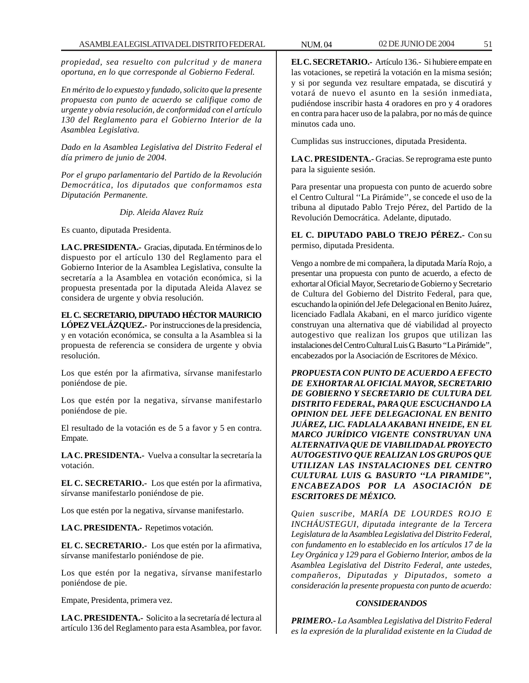*propiedad, sea resuelto con pulcritud y de manera oportuna, en lo que corresponde al Gobierno Federal.*

*En mérito de lo expuesto y fundado, solicito que la presente propuesta con punto de acuerdo se califique como de urgente y obvia resolución, de conformidad con el artículo 130 del Reglamento para el Gobierno Interior de la Asamblea Legislativa.*

*Dado en la Asamblea Legislativa del Distrito Federal el día primero de junio de 2004.*

*Por el grupo parlamentario del Partido de la Revolución Democrática, los diputados que conformamos esta Diputación Permanente.*

*Dip. Aleida Alavez Ruíz*

Es cuanto, diputada Presidenta.

**LA C. PRESIDENTA.-** Gracias, diputada. En términos de lo dispuesto por el artículo 130 del Reglamento para el Gobierno Interior de la Asamblea Legislativa, consulte la secretaría a la Asamblea en votación económica, si la propuesta presentada por la diputada Aleida Alavez se considera de urgente y obvia resolución.

**EL C. SECRETARIO, DIPUTADO HÉCTOR MAURICIO LÓPEZ VELÁZQUEZ.-** Por instrucciones de la presidencia, y en votación económica, se consulta a la Asamblea si la propuesta de referencia se considera de urgente y obvia resolución.

Los que estén por la afirmativa, sírvanse manifestarlo poniéndose de pie.

Los que estén por la negativa, sírvanse manifestarlo poniéndose de pie.

El resultado de la votación es de 5 a favor y 5 en contra. Empate.

**LA C. PRESIDENTA.-** Vuelva a consultar la secretaría la votación.

**EL C. SECRETARIO.-** Los que estén por la afirmativa, sírvanse manifestarlo poniéndose de pie.

Los que estén por la negativa, sírvanse manifestarlo.

**LA C. PRESIDENTA.-** Repetimos votación.

**EL C. SECRETARIO.-** Los que estén por la afirmativa, sírvanse manifestarlo poniéndose de pie.

Los que estén por la negativa, sírvanse manifestarlo poniéndose de pie.

Empate, Presidenta, primera vez.

**LA C. PRESIDENTA.-** Solicito a la secretaría dé lectura al artículo 136 del Reglamento para esta Asamblea, por favor. **EL C. SECRETARIO.-** Artículo 136.- Si hubiere empate en las votaciones, se repetirá la votación en la misma sesión; y si por segunda vez resultare empatada, se discutirá y votará de nuevo el asunto en la sesión inmediata, pudiéndose inscribir hasta 4 oradores en pro y 4 oradores en contra para hacer uso de la palabra, por no más de quince minutos cada uno.

Cumplidas sus instrucciones, diputada Presidenta.

**LA C. PRESIDENTA.-** Gracias. Se reprograma este punto para la siguiente sesión.

Para presentar una propuesta con punto de acuerdo sobre el Centro Cultural ''La Pirámide'', se concede el uso de la tribuna al diputado Pablo Trejo Pérez, del Partido de la Revolución Democrática. Adelante, diputado.

**EL C. DIPUTADO PABLO TREJO PÉREZ.-** Con su permiso, diputada Presidenta.

Vengo a nombre de mi compañera, la diputada María Rojo, a presentar una propuesta con punto de acuerdo, a efecto de exhortar al Oficial Mayor, Secretario de Gobierno y Secretario de Cultura del Gobierno del Distrito Federal, para que, escuchando la opinión del Jefe Delegacional en Benito Juárez, licenciado Fadlala Akabani, en el marco jurídico vigente construyan una alternativa que dé viabilidad al proyecto autogestivo que realizan los grupos que utilizan las instalaciones del Centro Cultural Luis G. Basurto ''La Pirámide'', encabezados por la Asociación de Escritores de México.

*PROPUESTA CON PUNTO DE ACUERDO A EFECTO DE EXHORTAR AL OFICIAL MAYOR, SECRETARIO DE GOBIERNO Y SECRETARIO DE CULTURA DEL DISTRITO FEDERAL, PARA QUE ESCUCHANDO LA OPINION DEL JEFE DELEGACIONAL EN BENITO JUÁREZ, LIC. FADLALA AKABANI HNEIDE, EN EL MARCO JURÍDICO VIGENTE CONSTRUYAN UNA ALTERNATIVA QUE DE VIABILIDAD AL PROYECTO AUTOGESTIVO QUE REALIZAN LOS GRUPOS QUE UTILIZAN LAS INSTALACIONES DEL CENTRO CULTURAL LUIS G. BASURTO ''LA PIRAMIDE'', ENCABEZADOS POR LA ASOCIACIÓN DE ESCRITORES DE MÉXICO.*

*Quien suscribe, MARÍA DE LOURDES ROJO E INCHÁUSTEGUI, diputada integrante de la Tercera Legislatura de la Asamblea Legislativa del Distrito Federal, con fundamento en lo establecido en los artículos 17 de la Ley Orgánica y 129 para el Gobierno Interior, ambos de la Asamblea Legislativa del Distrito Federal, ante ustedes, compañeros, Diputadas y Diputados, someto a consideración la presente propuesta con punto de acuerdo:*

# *CONSIDERANDOS*

*PRIMERO.- La Asamblea Legislativa del Distrito Federal es la expresión de la pluralidad existente en la Ciudad de*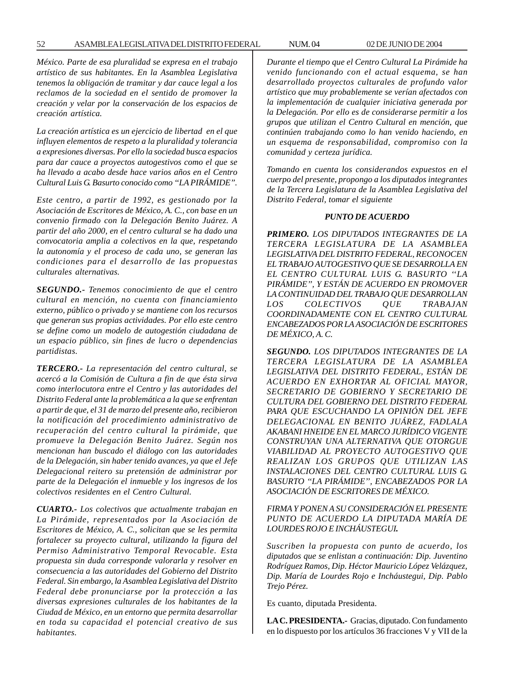*México. Parte de esa pluralidad se expresa en el trabajo artístico de sus habitantes. En la Asamblea Legislativa tenemos la obligación de tramitar y dar cauce legal a los reclamos de la sociedad en el sentido de promover la creación y velar por la conservación de los espacios de creación artística.*

*La creación artística es un ejercicio de libertad en el que influyen elementos de respeto a la pluralidad y tolerancia a expresiones diversas. Por ello la sociedad busca espacios para dar cauce a proyectos autogestivos como el que se ha llevado a acabo desde hace varios años en el Centro Cultural Luis G. Basurto conocido como ''LA PIRÁMIDE''.*

*Este centro, a partir de 1992, es gestionado por la Asociación de Escritores de México, A. C., con base en un convenio firmado con la Delegación Benito Juárez. A partir del año 2000, en el centro cultural se ha dado una convocatoria amplia a colectivos en la que, respetando la autonomía y el proceso de cada uno, se generan las condiciones para el desarrollo de las propuestas culturales alternativas.*

*SEGUNDO.- Tenemos conocimiento de que el centro cultural en mención, no cuenta con financiamiento externo, público o privado y se mantiene con los recursos que generan sus propias actividades. Por ello este centro se define como un modelo de autogestión ciudadana de un espacio público, sin fines de lucro o dependencias partidistas.*

*TERCERO.- La representación del centro cultural, se acercó a la Comisión de Cultura a fin de que ésta sirva como interlocutora entre el Centro y las autoridades del Distrito Federal ante la problemática a la que se enfrentan a partir de que, el 31 de marzo del presente año, recibieron la notificación del procedimiento administrativo de recuperación del centro cultural la pirámide, que promueve la Delegación Benito Juárez. Según nos mencionan han buscado el diálogo con las autoridades de la Delegación, sin haber tenido avances, ya que el Jefe Delegacional reitero su pretensión de administrar por parte de la Delegación el inmueble y los ingresos de los colectivos residentes en el Centro Cultural.*

*CUARTO.- Los colectivos que actualmente trabajan en La Pirámide, representados por la Asociación de Escritores de México, A. C., solicitan que se les permita fortalecer su proyecto cultural, utilizando la figura del Permiso Administrativo Temporal Revocable. Esta propuesta sin duda corresponde valorarla y resolver en consecuencia a las autoridades del Gobierno del Distrito Federal. Sin embargo, la Asamblea Legislativa del Distrito Federal debe pronunciarse por la protección a las diversas expresiones culturales de los habitantes de la Ciudad de México, en un entorno que permita desarrollar en toda su capacidad el potencial creativo de sus habitantes.*

*Durante el tiempo que el Centro Cultural La Pirámide ha venido funcionando con el actual esquema, se han desarrollado proyectos culturales de profundo valor artístico que muy probablemente se verían afectados con la implementación de cualquier iniciativa generada por la Delegación. Por ello es de considerarse permitir a los grupos que utilizan el Centro Cultural en mención, que continúen trabajando como lo han venido haciendo, en un esquema de responsabilidad, compromiso con la comunidad y certeza jurídica.*

*Tomando en cuenta los considerandos expuestos en el cuerpo del presente, propongo a los diputados integrantes de la Tercera Legislatura de la Asamblea Legislativa del Distrito Federal, tomar el siguiente*

### *PUNTO DE ACUERDO*

*PRIMERO. LOS DIPUTADOS INTEGRANTES DE LA TERCERA LEGISLATURA DE LA ASAMBLEA LEGISLATIVA DEL DISTRITO FEDERAL, RECONOCEN EL TRABAJO AUTOGESTIVO QUE SE DESARROLLA EN EL CENTRO CULTURAL LUIS G. BASURTO ''LA PIRÁMIDE'', Y ESTÁN DE ACUERDO EN PROMOVER LA CONTINUIDAD DEL TRABAJO QUE DESARROLLAN LOS COLECTIVOS QUE TRABAJAN COORDINADAMENTE CON EL CENTRO CULTURAL ENCABEZADOS POR LA ASOCIACIÓN DE ESCRITORES DE MÉXICO, A. C.*

*SEGUNDO. LOS DIPUTADOS INTEGRANTES DE LA TERCERA LEGISLATURA DE LA ASAMBLEA LEGISLATIVA DEL DISTRITO FEDERAL, ESTÁN DE ACUERDO EN EXHORTAR AL OFICIAL MAYOR, SECRETARIO DE GOBIERNO Y SECRETARIO DE CULTURA DEL GOBIERNO DEL DISTRITO FEDERAL PARA QUE ESCUCHANDO LA OPINIÓN DEL JEFE DELEGACIONAL EN BENITO JUÁREZ, FADLALA AKABANI HNEIDE EN EL MARCO JURÍDICO VIGENTE CONSTRUYAN UNA ALTERNATIVA QUE OTORGUE VIABILIDAD AL PROYECTO AUTOGESTIVO QUE REALIZAN LOS GRUPOS QUE UTILIZAN LAS INSTALACIONES DEL CENTRO CULTURAL LUIS G. BASURTO ''LA PIRÁMIDE'', ENCABEZADOS POR LA ASOCIACIÓN DE ESCRITORES DE MÉXICO.*

*FIRMA Y PONEN A SU CONSIDERACIÓN EL PRESENTE PUNTO DE ACUERDO LA DIPUTADA MARÍA DE LOURDES ROJO E INCHÁUSTEGUI.*

*Suscriben la propuesta con punto de acuerdo, los diputados que se enlistan a continuación: Dip. Juventino Rodríguez Ramos, Dip. Héctor Mauricio López Velázquez, Dip. María de Lourdes Rojo e Incháustegui, Dip. Pablo Trejo Pérez.*

Es cuanto, diputada Presidenta.

**LA C. PRESIDENTA.-** Gracias, diputado. Con fundamento en lo dispuesto por los artículos 36 fracciones V y VII de la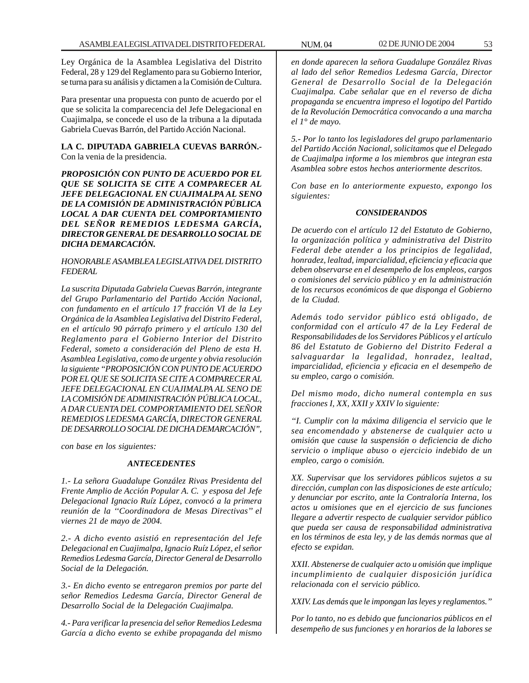Ley Orgánica de la Asamblea Legislativa del Distrito Federal, 28 y 129 del Reglamento para su Gobierno Interior, se turna para su análisis y dictamen a la Comisión de Cultura.

Para presentar una propuesta con punto de acuerdo por el que se solicita la comparecencia del Jefe Delegacional en Cuajimalpa, se concede el uso de la tribuna a la diputada Gabriela Cuevas Barrón, del Partido Acción Nacional.

**LA C. DIPUTADA GABRIELA CUEVAS BARRÓN.-** Con la venia de la presidencia.

*PROPOSICIÓN CON PUNTO DE ACUERDO POR EL QUE SE SOLICITA SE CITE A COMPARECER AL JEFE DELEGACIONAL EN CUAJIMALPA AL SENO DE LA COMISIÓN DE ADMINISTRACIÓN PÚBLICA LOCAL A DAR CUENTA DEL COMPORTAMIENTO DEL SEÑOR REMEDIOS LEDESMA GARCÍA, DIRECTOR GENERAL DE DESARROLLO SOCIAL DE DICHA DEMARCACIÓN.*

# *HONORABLE ASAMBLEA LEGISLATIVA DEL DISTRITO FEDERAL*

*La suscrita Diputada Gabriela Cuevas Barrón, integrante del Grupo Parlamentario del Partido Acción Nacional, con fundamento en el artículo 17 fracción VI de la Ley Orgánica de la Asamblea Legislativa del Distrito Federal, en el artículo 90 párrafo primero y el artículo 130 del Reglamento para el Gobierno Interior del Distrito Federal, someto a consideración del Pleno de esta H. Asamblea Legislativa, como de urgente y obvia resolución la siguiente ''PROPOSICIÓN CON PUNTO DE ACUERDO POR EL QUE SE SOLICITA SE CITE A COMPARECER AL JEFE DELEGACIONAL EN CUAJIMALPA AL SENO DE LA COMISIÓN DE ADMINISTRACIÓN PÚBLICA LOCAL, A DAR CUENTA DEL COMPORTAMIENTO DEL SEÑOR REMEDIOS LEDESMA GARCÍA, DIRECTOR GENERAL DE DESARROLLO SOCIAL DE DICHA DEMARCACIÓN'',*

*con base en los siguientes:*

### *ANTECEDENTES*

*1.- La señora Guadalupe González Rivas Presidenta del Frente Amplio de Acción Popular A. C. y esposa del Jefe Delegacional Ignacio Ruíz López, convocó a la primera reunión de la ''Coordinadora de Mesas Directivas'' el viernes 21 de mayo de 2004.*

*2.- A dicho evento asistió en representación del Jefe Delegacional en Cuajimalpa, Ignacio Ruíz López, el señor Remedios Ledesma García, Director General de Desarrollo Social de la Delegación.*

*3.- En dicho evento se entregaron premios por parte del señor Remedios Ledesma García, Director General de Desarrollo Social de la Delegación Cuajimalpa.*

*4.- Para verificar la presencia del señor Remedios Ledesma García a dicho evento se exhibe propaganda del mismo* *en donde aparecen la señora Guadalupe González Rivas al lado del señor Remedios Ledesma García, Director General de Desarrollo Social de la Delegación Cuajimalpa. Cabe señalar que en el reverso de dicha propaganda se encuentra impreso el logotipo del Partido de la Revolución Democrática convocando a una marcha el 1° de mayo.*

*5.- Por lo tanto los legisladores del grupo parlamentario del Partido Acción Nacional, solicitamos que el Delegado de Cuajimalpa informe a los miembros que integran esta Asamblea sobre estos hechos anteriormente descritos.*

*Con base en lo anteriormente expuesto, expongo los siguientes:*

# *CONSIDERANDOS*

*De acuerdo con el artículo 12 del Estatuto de Gobierno, la organización política y administrativa del Distrito Federal debe atender a los principios de legalidad, honradez, lealtad, imparcialidad, eficiencia y eficacia que deben observarse en el desempeño de los empleos, cargos o comisiones del servicio público y en la administración de los recursos económicos de que disponga el Gobierno de la Ciudad.*

*Además todo servidor público está obligado, de conformidad con el artículo 47 de la Ley Federal de Responsabilidades de los Servidores Públicos y el artículo 86 del Estatuto de Gobierno del Distrito Federal a salvaguardar la legalidad, honradez, lealtad, imparcialidad, eficiencia y eficacia en el desempeño de su empleo, cargo o comisión.*

*Del mismo modo, dicho numeral contempla en sus fracciones I, XX, XXII y XXIV lo siguiente:*

*''I. Cumplir con la máxima diligencia el servicio que le sea encomendado y abstenerse de cualquier acto u omisión que cause la suspensión o deficiencia de dicho servicio o implique abuso o ejercicio indebido de un empleo, cargo o comisión.*

*XX. Supervisar que los servidores públicos sujetos a su dirección, cumplan con las disposiciones de este artículo; y denunciar por escrito, ante la Contraloría Interna, los actos u omisiones que en el ejercicio de sus funciones llegare a advertir respecto de cualquier servidor público que pueda ser causa de responsabilidad administrativa en los términos de esta ley, y de las demás normas que al efecto se expidan.*

*XXII. Abstenerse de cualquier acto u omisión que implique incumplimiento de cualquier disposición jurídica relacionada con el servicio público.*

*XXIV. Las demás que le impongan las leyes y reglamentos.''*

*Por lo tanto, no es debido que funcionarios públicos en el desempeño de sus funciones y en horarios de la labores se*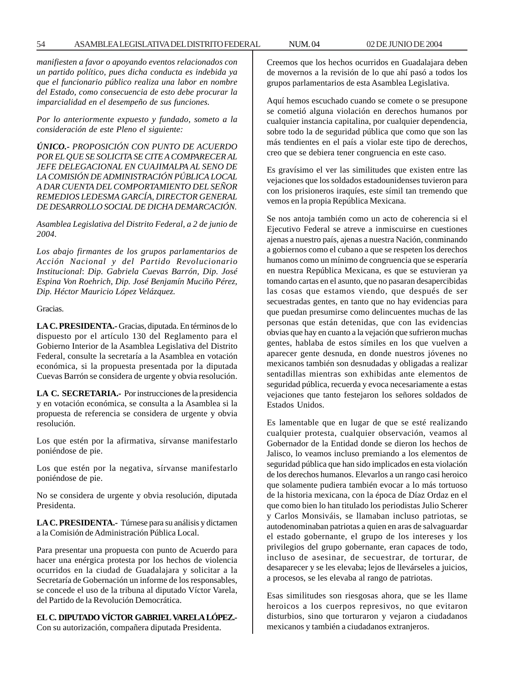*manifiesten a favor o apoyando eventos relacionados con un partido político, pues dicha conducta es indebida ya que el funcionario público realiza una labor en nombre del Estado, como consecuencia de esto debe procurar la imparcialidad en el desempeño de sus funciones.*

*Por lo anteriormente expuesto y fundado, someto a la consideración de este Pleno el siguiente:*

*ÚNICO.- PROPOSICIÓN CON PUNTO DE ACUERDO POR EL QUE SE SOLICITA SE CITE A COMPARECER AL JEFE DELEGACIONAL EN CUAJIMALPA AL SENO DE LA COMISIÓN DE ADMINISTRACIÓN PÚBLICA LOCAL A DAR CUENTA DEL COMPORTAMIENTO DEL SEÑOR REMEDIOS LEDESMA GARCÍA, DIRECTOR GENERAL DE DESARROLLO SOCIAL DE DICHA DEMARCACIÓN.*

*Asamblea Legislativa del Distrito Federal, a 2 de junio de 2004.*

*Los abajo firmantes de los grupos parlamentarios de Acción Nacional y del Partido Revolucionario Institucional*: *Dip. Gabriela Cuevas Barrón, Dip. José Espina Von Roehrich, Dip. José Benjamín Muciño Pérez, Dip. Héctor Mauricio López Velázquez.*

Gracias.

**LA C. PRESIDENTA.-** Gracias, diputada. En términos de lo dispuesto por el artículo 130 del Reglamento para el Gobierno Interior de la Asamblea Legislativa del Distrito Federal, consulte la secretaría a la Asamblea en votación económica, si la propuesta presentada por la diputada Cuevas Barrón se considera de urgente y obvia resolución.

**LA C. SECRETARIA.-** Por instrucciones de la presidencia y en votación económica, se consulta a la Asamblea si la propuesta de referencia se considera de urgente y obvia resolución.

Los que estén por la afirmativa, sírvanse manifestarlo poniéndose de pie.

Los que estén por la negativa, sírvanse manifestarlo poniéndose de pie.

No se considera de urgente y obvia resolución, diputada Presidenta.

**LA C. PRESIDENTA.-** Túrnese para su análisis y dictamen a la Comisión de Administración Pública Local.

Para presentar una propuesta con punto de Acuerdo para hacer una enérgica protesta por los hechos de violencia ocurridos en la ciudad de Guadalajara y solicitar a la Secretaría de Gobernación un informe de los responsables, se concede el uso de la tribuna al diputado Víctor Varela, del Partido de la Revolución Democrática.

# **EL C. DIPUTADO VÍCTOR GABRIEL VARELA LÓPEZ.-**

Con su autorización, compañera diputada Presidenta.

Creemos que los hechos ocurridos en Guadalajara deben de movernos a la revisión de lo que ahí pasó a todos los grupos parlamentarios de esta Asamblea Legislativa.

Aquí hemos escuchado cuando se comete o se presupone se cometió alguna violación en derechos humanos por cualquier instancia capitalina, por cualquier dependencia, sobre todo la de seguridad pública que como que son las más tendientes en el país a violar este tipo de derechos, creo que se debiera tener congruencia en este caso.

Es gravísimo el ver las similitudes que existen entre las vejaciones que los soldados estadounidenses tuvieron para con los prisioneros iraquíes, este símil tan tremendo que vemos en la propia República Mexicana.

Se nos antoja también como un acto de coherencia si el Ejecutivo Federal se atreve a inmiscuirse en cuestiones ajenas a nuestro país, ajenas a nuestra Nación, conminando a gobiernos como el cubano a que se respeten los derechos humanos como un mínimo de congruencia que se esperaría en nuestra República Mexicana, es que se estuvieran ya tomando cartas en el asunto, que no pasaran desapercibidas las cosas que estamos viendo, que después de ser secuestradas gentes, en tanto que no hay evidencias para que puedan presumirse como delincuentes muchas de las personas que están detenidas, que con las evidencias obvias que hay en cuanto a la vejación que sufrieron muchas gentes, hablaba de estos símiles en los que vuelven a aparecer gente desnuda, en donde nuestros jóvenes no mexicanos también son desnudadas y obligadas a realizar sentadillas mientras son exhibidas ante elementos de seguridad pública, recuerda y evoca necesariamente a estas vejaciones que tanto festejaron los señores soldados de Estados Unidos.

Es lamentable que en lugar de que se esté realizando cualquier protesta, cualquier observación, veamos al Gobernador de la Entidad donde se dieron los hechos de Jalisco, lo veamos incluso premiando a los elementos de seguridad pública que han sido implicados en esta violación de los derechos humanos. Elevarlos a un rango casi heroico que solamente pudiera también evocar a lo más tortuoso de la historia mexicana, con la época de Díaz Ordaz en el que como bien lo han titulado los periodistas Julio Scherer y Carlos Monsiváis, se llamaban incluso patriotas, se autodenominaban patriotas a quien en aras de salvaguardar el estado gobernante, el grupo de los intereses y los privilegios del grupo gobernante, eran capaces de todo, incluso de asesinar, de secuestrar, de torturar, de desaparecer y se les elevaba; lejos de llevárseles a juicios, a procesos, se les elevaba al rango de patriotas.

Esas similitudes son riesgosas ahora, que se les llame heroicos a los cuerpos represivos, no que evitaron disturbios, sino que torturaron y vejaron a ciudadanos mexicanos y también a ciudadanos extranjeros.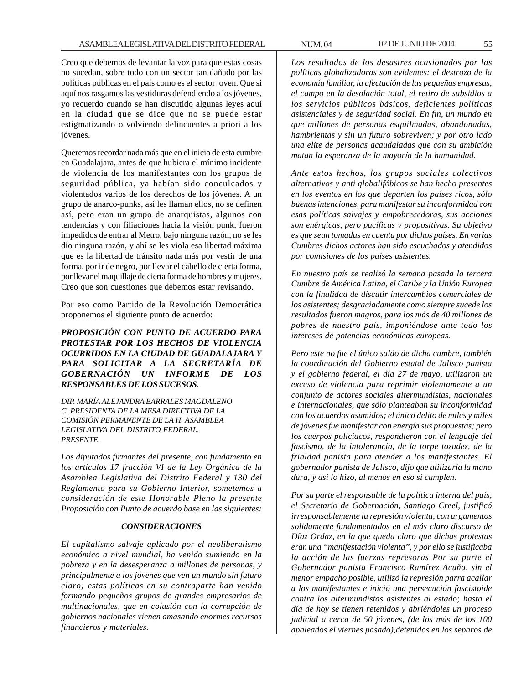Creo que debemos de levantar la voz para que estas cosas no sucedan, sobre todo con un sector tan dañado por las políticas públicas en el país como es el sector joven. Que si aquí nos rasgamos las vestiduras defendiendo a los jóvenes, yo recuerdo cuando se han discutido algunas leyes aquí en la ciudad que se dice que no se puede estar estigmatizando o volviendo delincuentes a priori a los jóvenes.

Queremos recordar nada más que en el inicio de esta cumbre en Guadalajara, antes de que hubiera el mínimo incidente de violencia de los manifestantes con los grupos de seguridad pública, ya habían sido conculcados y violentados varios de los derechos de los jóvenes. A un grupo de anarco-punks, así les llaman ellos, no se definen así, pero eran un grupo de anarquistas, algunos con tendencias y con filiaciones hacia la visión punk, fueron impedidos de entrar al Metro, bajo ninguna razón, no se les dio ninguna razón, y ahí se les viola esa libertad máxima que es la libertad de tránsito nada más por vestir de una forma, por ir de negro, por llevar el cabello de cierta forma, por llevar el maquillaje de cierta forma de hombres y mujeres. Creo que son cuestiones que debemos estar revisando.

Por eso como Partido de la Revolución Democrática proponemos el siguiente punto de acuerdo:

*PROPOSICIÓN CON PUNTO DE ACUERDO PARA PROTESTAR POR LOS HECHOS DE VIOLENCIA OCURRIDOS EN LA CIUDAD DE GUADALAJARA Y PARA SOLICITAR A LA SECRETARÍA DE GOBERNACIÓN UN INFORME DE LOS RESPONSABLES DE LOS SUCESOS.*

*DIP. MARÍA ALEJANDRA BARRALES MAGDALENO C. PRESIDENTA DE LA MESA DIRECTIVA DE LA COMISIÓN PERMANENTE DE LA H. ASAMBLEA LEGISLATIVA DEL DISTRITO FEDERAL. PRESENTE.*

*Los diputados firmantes del presente, con fundamento en los artículos 17 fracción VI de la Ley Orgánica de la Asamblea Legislativa del Distrito Federal y 130 del Reglamento para su Gobierno Interior, sometemos a consideración de este Honorable Pleno la presente Proposición con Punto de acuerdo base en las siguientes:*

## *CONSIDERACIONES*

*El capitalismo salvaje aplicado por el neoliberalismo económico a nivel mundial, ha venido sumiendo en la pobreza y en la desesperanza a millones de personas, y principalmente a los jóvenes que ven un mundo sin futuro claro; estas políticas en su contraparte han venido formando pequeños grupos de grandes empresarios de multinacionales, que en colusión con la corrupción de gobiernos nacionales vienen amasando enormes recursos financieros y materiales.*

*Los resultados de los desastres ocasionados por las políticas globalizadoras son evidentes: el destrozo de la economía familiar, la afectación de las pequeñas empresas, el campo en la desolación total, el retiro de subsidios a los servicios públicos básicos, deficientes políticas asistenciales y de seguridad social. En fin, un mundo en que millones de personas esquilmadas, abandonadas, hambrientas y sin un futuro sobreviven; y por otro lado una elite de personas acaudaladas que con su ambición matan la esperanza de la mayoría de la humanidad.*

*Ante estos hechos, los grupos sociales colectivos alternativos y anti globalifóbicos se han hecho presentes en los eventos en los que departen los países ricos, sólo buenas intenciones, para manifestar su inconformidad con esas políticas salvajes y empobrecedoras, sus acciones son enérgicas, pero pacíficas y propositivas. Su objetivo es que sean tomadas en cuenta por dichos países. En varias Cumbres dichos actores han sido escuchados y atendidos por comisiones de los países asistentes.*

*En nuestro país se realizó la semana pasada la tercera Cumbre de América Latina, el Caribe y la Unión Europea con la finalidad de discutir intercambios comerciales de los asistentes; desgraciadamente como siempre sucede los resultados fueron magros, para los más de 40 millones de pobres de nuestro país, imponiéndose ante todo los intereses de potencias económicas europeas.*

*Pero este no fue el único saldo de dicha cumbre, también la coordinación del Gobierno estatal de Jalisco panista y el gobierno federal, el día 27 de mayo, utilizaron un exceso de violencia para reprimir violentamente a un conjunto de actores sociales altermundistas, nacionales e internacionales, que sólo planteaban su inconformidad con los acuerdos asumidos; el único delito de miles y miles de jóvenes fue manifestar con energía sus propuestas; pero los cuerpos policíacos, respondieron con el lenguaje del fascismo, de la intolerancia, de la torpe tozudez, de la frialdad panista para atender a los manifestantes. El gobernador panista de Jalisco, dijo que utilizaría la mano dura, y así lo hizo, al menos en eso sí cumplen.*

*Por su parte el responsable de la política interna del país, el Secretario de Gobernación, Santiago Creel, justificó irresponsablemente la represión violenta, con argumentos solidamente fundamentados en el más claro discurso de Díaz Ordaz, en la que queda claro que dichas protestas eran una ''manifestación violenta'', y por ello se justificaba la acción de las fuerzas represoras Por su parte el Gobernador panista Francisco Ramírez Acuña, sin el menor empacho posible, utilizó la represión parra acallar a los manifestantes e inició una persecución fascistoide contra los altermundistas asistentes al estado; hasta el día de hoy se tienen retenidos y abriéndoles un proceso judicial a cerca de 50 jóvenes, (de los más de los 100 apaleados el viernes pasado),detenidos en los separos de*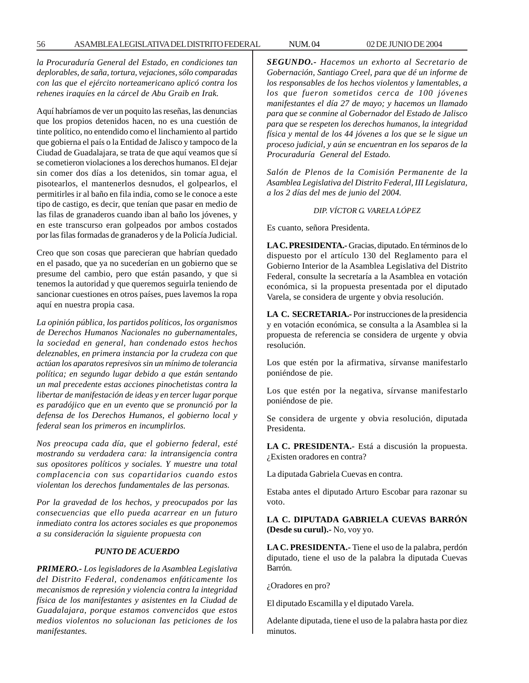*la Procuraduría General del Estado, en condiciones tan deplorables, de saña, tortura, vejaciones, sólo comparadas con las que el ejército norteamericano aplicó contra los rehenes iraquíes en la cárcel de Abu Graib en Irak.*

Aquí habríamos de ver un poquito las reseñas, las denuncias que los propios detenidos hacen, no es una cuestión de tinte político, no entendido como el linchamiento al partido que gobierna el país o la Entidad de Jalisco y tampoco de la Ciudad de Guadalajara, se trata de que aquí veamos que sí se cometieron violaciones a los derechos humanos. El dejar sin comer dos días a los detenidos, sin tomar agua, el pisotearlos, el mantenerlos desnudos, el golpearlos, el permitirles ir al baño en fila india, como se le conoce a este tipo de castigo, es decir, que tenían que pasar en medio de las filas de granaderos cuando iban al baño los jóvenes, y en este transcurso eran golpeados por ambos costados por las filas formadas de granaderos y de la Policía Judicial.

Creo que son cosas que parecieran que habrían quedado en el pasado, que ya no sucederían en un gobierno que se presume del cambio, pero que están pasando, y que si tenemos la autoridad y que queremos seguirla teniendo de sancionar cuestiones en otros países, pues lavemos la ropa aquí en nuestra propia casa.

*La opinión pública, los partidos políticos, los organismos de Derechos Humanos Nacionales no gubernamentales, la sociedad en general, han condenado estos hechos deleznables, en primera instancia por la crudeza con que actúan los aparatos represivos sin un mínimo de tolerancia política; en segundo lugar debido a que están sentando un mal precedente estas acciones pinochetistas contra la libertar de manifestación de ideas y en tercer lugar porque es paradójico que en un evento que se pronunció por la defensa de los Derechos Humanos, el gobierno local y federal sean los primeros en incumplirlos.*

*Nos preocupa cada día, que el gobierno federal, esté mostrando su verdadera cara: la intransigencia contra sus opositores políticos y sociales. Y muestre una total complacencia con sus copartidarios cuando estos violentan los derechos fundamentales de las personas.*

*Por la gravedad de los hechos, y preocupados por las consecuencias que ello pueda acarrear en un futuro inmediato contra los actores sociales es que proponemos a su consideración la siguiente propuesta con*

### *PUNTO DE ACUERDO*

*PRIMERO.- Los legisladores de la Asamblea Legislativa del Distrito Federal, condenamos enfáticamente los mecanismos de represión y violencia contra la integridad física de los manifestantes y asistentes en la Ciudad de Guadalajara, porque estamos convencidos que estos medios violentos no solucionan las peticiones de los manifestantes.*

*SEGUNDO.- Hacemos un exhorto al Secretario de Gobernación, Santiago Creel, para que dé un informe de los responsables de los hechos violentos y lamentables, a los que fueron sometidos cerca de 100 jóvenes manifestantes el día 27 de mayo; y hacemos un llamado para que se conmine al Gobernador del Estado de Jalisco para que se respeten los derechos humanos, la integridad física y mental de los 44 jóvenes a los que se le sigue un proceso judicial, y aún se encuentran en los separos de la Procuraduría General del Estado.*

*Salón de Plenos de la Comisión Permanente de la Asamblea Legislativa del Distrito Federal, III Legislatura, a los 2 días del mes de junio del 2004.*

#### *DIP. VÍCTOR G. VARELA LÓPEZ*

Es cuanto, señora Presidenta.

**LA C. PRESIDENTA.-** Gracias, diputado. En términos de lo dispuesto por el artículo 130 del Reglamento para el Gobierno Interior de la Asamblea Legislativa del Distrito Federal, consulte la secretaría a la Asamblea en votación económica, si la propuesta presentada por el diputado Varela, se considera de urgente y obvia resolución.

**LA C. SECRETARIA.-** Por instrucciones de la presidencia y en votación económica, se consulta a la Asamblea si la propuesta de referencia se considera de urgente y obvia resolución.

Los que estén por la afirmativa, sírvanse manifestarlo poniéndose de pie.

Los que estén por la negativa, sírvanse manifestarlo poniéndose de pie.

Se considera de urgente y obvia resolución, diputada Presidenta.

**LA C. PRESIDENTA.-** Está a discusión la propuesta. ¿Existen oradores en contra?

La diputada Gabriela Cuevas en contra.

Estaba antes el diputado Arturo Escobar para razonar su voto.

**LA C. DIPUTADA GABRIELA CUEVAS BARRÓN (Desde su curul).-** No, voy yo.

**LA C. PRESIDENTA.-** Tiene el uso de la palabra, perdón diputado, tiene el uso de la palabra la diputada Cuevas Barrón.

¿Oradores en pro?

El diputado Escamilla y el diputado Varela.

Adelante diputada, tiene el uso de la palabra hasta por diez minutos.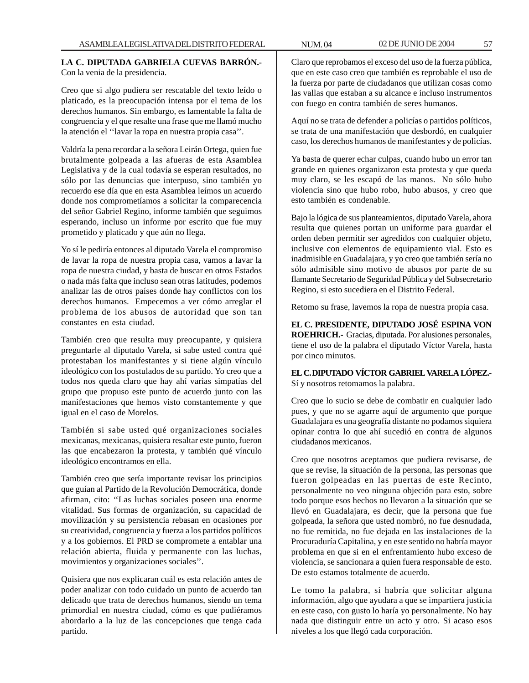# **LA C. DIPUTADA GABRIELA CUEVAS BARRÓN.-** Con la venia de la presidencia.

Creo que si algo pudiera ser rescatable del texto leído o platicado, es la preocupación intensa por el tema de los derechos humanos. Sin embargo, es lamentable la falta de congruencia y el que resalte una frase que me llamó mucho la atención el ''lavar la ropa en nuestra propia casa''.

Valdría la pena recordar a la señora Leirán Ortega, quien fue brutalmente golpeada a las afueras de esta Asamblea Legislativa y de la cual todavía se esperan resultados, no sólo por las denuncias que interpuso, sino también yo recuerdo ese día que en esta Asamblea leímos un acuerdo donde nos comprometíamos a solicitar la comparecencia del señor Gabriel Regino, informe también que seguimos esperando, incluso un informe por escrito que fue muy prometido y platicado y que aún no llega.

Yo sí le pediría entonces al diputado Varela el compromiso de lavar la ropa de nuestra propia casa, vamos a lavar la ropa de nuestra ciudad, y basta de buscar en otros Estados o nada más falta que incluso sean otras latitudes, podemos analizar las de otros países donde hay conflictos con los derechos humanos. Empecemos a ver cómo arreglar el problema de los abusos de autoridad que son tan constantes en esta ciudad.

También creo que resulta muy preocupante, y quisiera preguntarle al diputado Varela, si sabe usted contra qué protestaban los manifestantes y si tiene algún vínculo ideológico con los postulados de su partido. Yo creo que a todos nos queda claro que hay ahí varias simpatías del grupo que propuso este punto de acuerdo junto con las manifestaciones que hemos visto constantemente y que igual en el caso de Morelos.

También si sabe usted qué organizaciones sociales mexicanas, mexicanas, quisiera resaltar este punto, fueron las que encabezaron la protesta, y también qué vínculo ideológico encontramos en ella.

También creo que sería importante revisar los principios que guían al Partido de la Revolución Democrática, donde afirman, cito: ''Las luchas sociales poseen una enorme vitalidad. Sus formas de organización, su capacidad de movilización y su persistencia rebasan en ocasiones por su creatividad, congruencia y fuerza a los partidos políticos y a los gobiernos. El PRD se compromete a entablar una relación abierta, fluida y permanente con las luchas, movimientos y organizaciones sociales''.

Quisiera que nos explicaran cuál es esta relación antes de poder analizar con todo cuidado un punto de acuerdo tan delicado que trata de derechos humanos, siendo un tema primordial en nuestra ciudad, cómo es que pudiéramos abordarlo a la luz de las concepciones que tenga cada partido.

Claro que reprobamos el exceso del uso de la fuerza pública, que en este caso creo que también es reprobable el uso de la fuerza por parte de ciudadanos que utilizan cosas como las vallas que estaban a su alcance e incluso instrumentos con fuego en contra también de seres humanos.

Aquí no se trata de defender a policías o partidos políticos, se trata de una manifestación que desbordó, en cualquier caso, los derechos humanos de manifestantes y de policías.

Ya basta de querer echar culpas, cuando hubo un error tan grande en quienes organizaron esta protesta y que queda muy claro, se les escapó de las manos. No sólo hubo violencia sino que hubo robo, hubo abusos, y creo que esto también es condenable.

Bajo la lógica de sus planteamientos, diputado Varela, ahora resulta que quienes portan un uniforme para guardar el orden deben permitir ser agredidos con cualquier objeto, inclusive con elementos de equipamiento vial. Esto es inadmisible en Guadalajara, y yo creo que también sería no sólo admisible sino motivo de abusos por parte de su flamante Secretario de Seguridad Pública y del Subsecretario Regino, si esto sucediera en el Distrito Federal.

Retomo su frase, lavemos la ropa de nuestra propia casa.

**EL C. PRESIDENTE, DIPUTADO JOSÉ ESPINA VON ROEHRICH.-** Gracias, diputada. Por alusiones personales, tiene el uso de la palabra el diputado Víctor Varela, hasta por cinco minutos.

**EL C. DIPUTADO VÍCTOR GABRIEL VARELA LÓPEZ.-** Sí y nosotros retomamos la palabra.

Creo que lo sucio se debe de combatir en cualquier lado pues, y que no se agarre aquí de argumento que porque Guadalajara es una geografía distante no podamos siquiera opinar contra lo que ahí sucedió en contra de algunos ciudadanos mexicanos.

Creo que nosotros aceptamos que pudiera revisarse, de que se revise, la situación de la persona, las personas que fueron golpeadas en las puertas de este Recinto, personalmente no veo ninguna objeción para esto, sobre todo porque esos hechos no llevaron a la situación que se llevó en Guadalajara, es decir, que la persona que fue golpeada, la señora que usted nombró, no fue desnudada, no fue remitida, no fue dejada en las instalaciones de la Procuraduría Capitalina, y en este sentido no habría mayor problema en que si en el enfrentamiento hubo exceso de violencia, se sancionara a quien fuera responsable de esto. De esto estamos totalmente de acuerdo.

Le tomo la palabra, si habría que solicitar alguna información, algo que ayudara a que se impartiera justicia en este caso, con gusto lo haría yo personalmente. No hay nada que distinguir entre un acto y otro. Si acaso esos niveles a los que llegó cada corporación.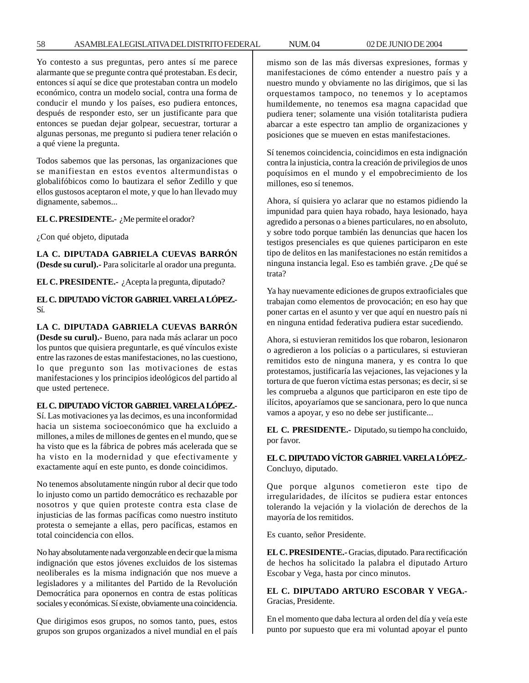Yo contesto a sus preguntas, pero antes sí me parece alarmante que se pregunte contra qué protestaban. Es decir, entonces sí aquí se dice que protestaban contra un modelo económico, contra un modelo social, contra una forma de conducir el mundo y los países, eso pudiera entonces, después de responder esto, ser un justificante para que entonces se puedan dejar golpear, secuestrar, torturar a algunas personas, me pregunto si pudiera tener relación o a qué viene la pregunta.

Todos sabemos que las personas, las organizaciones que se manifiestan en estos eventos altermundistas o globalifóbicos como lo bautizara el señor Zedillo y que ellos gustosos aceptaron el mote, y que lo han llevado muy dignamente, sabemos...

**EL C. PRESIDENTE.-** ¿Me permite el orador?

¿Con qué objeto, diputada

**LA C. DIPUTADA GABRIELA CUEVAS BARRÓN (Desde su curul).-** Para solicitarle al orador una pregunta.

**EL C. PRESIDENTE.-** ¿Acepta la pregunta, diputado?

**EL C. DIPUTADO VÍCTOR GABRIEL VARELA LÓPEZ.-** Sí.

**LA C. DIPUTADA GABRIELA CUEVAS BARRÓN (Desde su curul).-** Bueno, para nada más aclarar un poco los puntos que quisiera preguntarle, es qué vínculos existe entre las razones de estas manifestaciones, no las cuestiono, lo que pregunto son las motivaciones de estas manifestaciones y los principios ideológicos del partido al que usted pertenece.

## **EL C. DIPUTADO VÍCTOR GABRIEL VARELA LÓPEZ.-**

Sí. Las motivaciones ya las decimos, es una inconformidad hacia un sistema socioeconómico que ha excluido a millones, a miles de millones de gentes en el mundo, que se ha visto que es la fábrica de pobres más acelerada que se ha visto en la modernidad y que efectivamente y exactamente aquí en este punto, es donde coincidimos.

No tenemos absolutamente ningún rubor al decir que todo lo injusto como un partido democrático es rechazable por nosotros y que quien proteste contra esta clase de injusticias de las formas pacíficas como nuestro instituto protesta o semejante a ellas, pero pacíficas, estamos en total coincidencia con ellos.

No hay absolutamente nada vergonzable en decir que la misma indignación que estos jóvenes excluidos de los sistemas neoliberales es la misma indignación que nos mueve a legisladores y a militantes del Partido de la Revolución Democrática para oponernos en contra de estas políticas sociales y económicas. Sí existe, obviamente una coincidencia.

Que dirigimos esos grupos, no somos tanto, pues, estos grupos son grupos organizados a nivel mundial en el país mismo son de las más diversas expresiones, formas y manifestaciones de cómo entender a nuestro país y a nuestro mundo y obviamente no las dirigimos, que si las orquestamos tampoco, no tenemos y lo aceptamos humildemente, no tenemos esa magna capacidad que pudiera tener; solamente una visión totalitarista pudiera abarcar a este espectro tan amplio de organizaciones y posiciones que se mueven en estas manifestaciones.

Sí tenemos coincidencia, coincidimos en esta indignación contra la injusticia, contra la creación de privilegios de unos poquísimos en el mundo y el empobrecimiento de los millones, eso sí tenemos.

Ahora, sí quisiera yo aclarar que no estamos pidiendo la impunidad para quien haya robado, haya lesionado, haya agredido a personas o a bienes particulares, no en absoluto, y sobre todo porque también las denuncias que hacen los testigos presenciales es que quienes participaron en este tipo de delitos en las manifestaciones no están remitidos a ninguna instancia legal. Eso es también grave. ¿De qué se trata?

Ya hay nuevamente ediciones de grupos extraoficiales que trabajan como elementos de provocación; en eso hay que poner cartas en el asunto y ver que aquí en nuestro país ni en ninguna entidad federativa pudiera estar sucediendo.

Ahora, si estuvieran remitidos los que robaron, lesionaron o agredieron a los policías o a particulares, si estuvieran remitidos esto de ninguna manera, y es contra lo que protestamos, justificaría las vejaciones, las vejaciones y la tortura de que fueron víctima estas personas; es decir, si se les comprueba a algunos que participaron en este tipo de ilícitos, apoyaríamos que se sancionara, pero lo que nunca vamos a apoyar, y eso no debe ser justificante...

**EL C. PRESIDENTE.-** Diputado, su tiempo ha concluido, por favor.

**EL C. DIPUTADO VÍCTOR GABRIEL VARELA LÓPEZ.-** Concluyo, diputado.

Que porque algunos cometieron este tipo de irregularidades, de ilícitos se pudiera estar entonces tolerando la vejación y la violación de derechos de la mayoría de los remitidos.

Es cuanto, señor Presidente.

**EL C. PRESIDENTE.-** Gracias, diputado. Para rectificación de hechos ha solicitado la palabra el diputado Arturo Escobar y Vega, hasta por cinco minutos.

**EL C. DIPUTADO ARTURO ESCOBAR Y VEGA.-** Gracias, Presidente.

En el momento que daba lectura al orden del día y veía este punto por supuesto que era mi voluntad apoyar el punto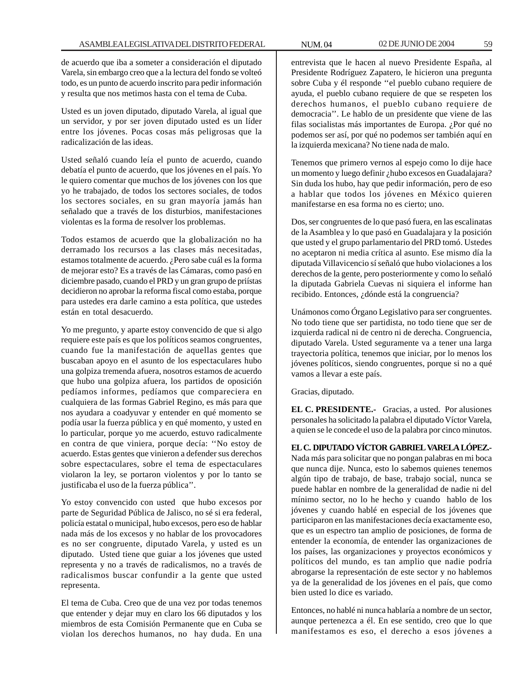de acuerdo que iba a someter a consideración el diputado Varela, sin embargo creo que a la lectura del fondo se volteó todo, es un punto de acuerdo inscrito para pedir información y resulta que nos metimos hasta con el tema de Cuba.

Usted es un joven diputado, diputado Varela, al igual que un servidor, y por ser joven diputado usted es un líder entre los jóvenes. Pocas cosas más peligrosas que la radicalización de las ideas.

Usted señaló cuando leía el punto de acuerdo, cuando debatía el punto de acuerdo, que los jóvenes en el país. Yo le quiero comentar que muchos de los jóvenes con los que yo he trabajado, de todos los sectores sociales, de todos los sectores sociales, en su gran mayoría jamás han señalado que a través de los disturbios, manifestaciones violentas es la forma de resolver los problemas.

Todos estamos de acuerdo que la globalización no ha derramado los recursos a las clases más necesitadas, estamos totalmente de acuerdo. ¿Pero sabe cuál es la forma de mejorar esto? Es a través de las Cámaras, como pasó en diciembre pasado, cuando el PRD y un gran grupo de priístas decidieron no aprobar la reforma fiscal como estaba, porque para ustedes era darle camino a esta política, que ustedes están en total desacuerdo.

Yo me pregunto, y aparte estoy convencido de que si algo requiere este país es que los políticos seamos congruentes, cuando fue la manifestación de aquellas gentes que buscaban apoyo en el asunto de los espectaculares hubo una golpiza tremenda afuera, nosotros estamos de acuerdo que hubo una golpiza afuera, los partidos de oposición pedíamos informes, pedíamos que compareciera en cualquiera de las formas Gabriel Regino, es más para que nos ayudara a coadyuvar y entender en qué momento se podía usar la fuerza pública y en qué momento, y usted en lo particular, porque yo me acuerdo, estuvo radicalmente en contra de que viniera, porque decía: ''No estoy de acuerdo. Estas gentes que vinieron a defender sus derechos sobre espectaculares, sobre el tema de espectaculares violaron la ley, se portaron violentos y por lo tanto se justificaba el uso de la fuerza pública''.

Yo estoy convencido con usted que hubo excesos por parte de Seguridad Pública de Jalisco, no sé si era federal, policía estatal o municipal, hubo excesos, pero eso de hablar nada más de los excesos y no hablar de los provocadores es no ser congruente, diputado Varela, y usted es un diputado. Usted tiene que guiar a los jóvenes que usted representa y no a través de radicalismos, no a través de radicalismos buscar confundir a la gente que usted representa.

El tema de Cuba. Creo que de una vez por todas tenemos que entender y dejar muy en claro los 66 diputados y los miembros de esta Comisión Permanente que en Cuba se violan los derechos humanos, no hay duda. En una entrevista que le hacen al nuevo Presidente España, al Presidente Rodríguez Zapatero, le hicieron una pregunta sobre Cuba y él responde ''el pueblo cubano requiere de ayuda, el pueblo cubano requiere de que se respeten los derechos humanos, el pueblo cubano requiere de democracia''. Le hablo de un presidente que viene de las filas socialistas más importantes de Europa. ¿Por qué no podemos ser así, por qué no podemos ser también aquí en la izquierda mexicana? No tiene nada de malo.

Tenemos que primero vernos al espejo como lo dije hace un momento y luego definir ¿hubo excesos en Guadalajara? Sin duda los hubo, hay que pedir información, pero de eso a hablar que todos los jóvenes en México quieren manifestarse en esa forma no es cierto; uno.

Dos, ser congruentes de lo que pasó fuera, en las escalinatas de la Asamblea y lo que pasó en Guadalajara y la posición que usted y el grupo parlamentario del PRD tomó. Ustedes no aceptaron ni media crítica al asunto. Ese mismo día la diputada Villavicencio sí señaló que hubo violaciones a los derechos de la gente, pero posteriormente y como lo señaló la diputada Gabriela Cuevas ni siquiera el informe han recibido. Entonces, ¿dónde está la congruencia?

Unámonos como Órgano Legislativo para ser congruentes. No todo tiene que ser partidista, no todo tiene que ser de izquierda radical ni de centro ni de derecha. Congruencia, diputado Varela. Usted seguramente va a tener una larga trayectoria política, tenemos que iniciar, por lo menos los jóvenes políticos, siendo congruentes, porque si no a qué vamos a llevar a este país.

Gracias, diputado.

**EL C. PRESIDENTE.-** Gracias, a usted. Por alusiones personales ha solicitado la palabra el diputado Víctor Varela, a quien se le concede el uso de la palabra por cinco minutos.

# **EL C. DIPUTADO VÍCTOR GABRIEL VARELA LÓPEZ.-**

Nada más para solicitar que no pongan palabras en mi boca que nunca dije. Nunca, esto lo sabemos quienes tenemos algún tipo de trabajo, de base, trabajo social, nunca se puede hablar en nombre de la generalidad de nadie ni del mínimo sector, no lo he hecho y cuando hablo de los jóvenes y cuando hablé en especial de los jóvenes que participaron en las manifestaciones decía exactamente eso, que es un espectro tan amplio de posiciones, de forma de entender la economía, de entender las organizaciones de los países, las organizaciones y proyectos económicos y políticos del mundo, es tan amplio que nadie podría abrogarse la representación de este sector y no hablemos ya de la generalidad de los jóvenes en el país, que como bien usted lo dice es variado.

Entonces, no hablé ni nunca hablaría a nombre de un sector, aunque pertenezca a él. En ese sentido, creo que lo que manifestamos es eso, el derecho a esos jóvenes a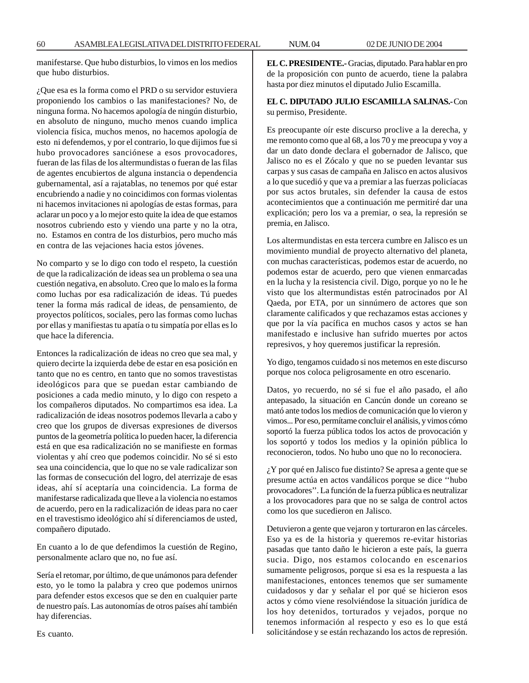manifestarse. Que hubo disturbios, lo vimos en los medios que hubo disturbios.

¿Que esa es la forma como el PRD o su servidor estuviera proponiendo los cambios o las manifestaciones? No, de ninguna forma. No hacemos apología de ningún disturbio, en absoluto de ninguno, mucho menos cuando implica violencia física, muchos menos, no hacemos apología de esto ni defendemos, y por el contrario, lo que dijimos fue si hubo provocadores sanciónese a esos provocadores, fueran de las filas de los altermundistas o fueran de las filas de agentes encubiertos de alguna instancia o dependencia gubernamental, así a rajatablas, no tenemos por qué estar encubriendo a nadie y no coincidimos con formas violentas ni hacemos invitaciones ni apologías de estas formas, para aclarar un poco y a lo mejor esto quite la idea de que estamos nosotros cubriendo esto y viendo una parte y no la otra, no. Estamos en contra de los disturbios, pero mucho más en contra de las vejaciones hacia estos jóvenes.

No comparto y se lo digo con todo el respeto, la cuestión de que la radicalización de ideas sea un problema o sea una cuestión negativa, en absoluto. Creo que lo malo es la forma como luchas por esa radicalización de ideas. Tú puedes tener la forma más radical de ideas, de pensamiento, de proyectos políticos, sociales, pero las formas como luchas por ellas y manifiestas tu apatía o tu simpatía por ellas es lo que hace la diferencia.

Entonces la radicalización de ideas no creo que sea mal, y quiero decirte la izquierda debe de estar en esa posición en tanto que no es centro, en tanto que no somos travestistas ideológicos para que se puedan estar cambiando de posiciones a cada medio minuto, y lo digo con respeto a los compañeros diputados. No compartimos esa idea. La radicalización de ideas nosotros podemos llevarla a cabo y creo que los grupos de diversas expresiones de diversos puntos de la geometría política lo pueden hacer, la diferencia está en que esa radicalización no se manifieste en formas violentas y ahí creo que podemos coincidir. No sé si esto sea una coincidencia, que lo que no se vale radicalizar son las formas de consecución del logro, del aterrizaje de esas ideas, ahí sí aceptaría una coincidencia. La forma de manifestarse radicalizada que lleve a la violencia no estamos de acuerdo, pero en la radicalización de ideas para no caer en el travestismo ideológico ahí sí diferenciamos de usted, compañero diputado.

En cuanto a lo de que defendimos la cuestión de Regino, personalmente aclaro que no, no fue así.

Sería el retomar, por último, de que unámonos para defender esto, yo le tomo la palabra y creo que podemos unirnos para defender estos excesos que se den en cualquier parte de nuestro país. Las autonomías de otros países ahí también hay diferencias.

**EL C. PRESIDENTE.-** Gracias, diputado. Para hablar en pro de la proposición con punto de acuerdo, tiene la palabra hasta por diez minutos el diputado Julio Escamilla.

# **EL C. DIPUTADO JULIO ESCAMILLA SALINAS.-** Con su permiso, Presidente.

Es preocupante oír este discurso proclive a la derecha, y me remonto como que al 68, a los 70 y me preocupa y voy a dar un dato donde declara el gobernador de Jalisco, que Jalisco no es el Zócalo y que no se pueden levantar sus carpas y sus casas de campaña en Jalisco en actos alusivos a lo que sucedió y que va a premiar a las fuerzas policíacas por sus actos brutales, sin defender la causa de estos acontecimientos que a continuación me permitiré dar una explicación; pero los va a premiar, o sea, la represión se premia, en Jalisco.

Los altermundistas en esta tercera cumbre en Jalisco es un movimiento mundial de proyecto alternativo del planeta, con muchas características, podemos estar de acuerdo, no podemos estar de acuerdo, pero que vienen enmarcadas en la lucha y la resistencia civil. Digo, porque yo no le he visto que los altermundistas estén patrocinados por Al Qaeda, por ETA, por un sinnúmero de actores que son claramente calificados y que rechazamos estas acciones y que por la vía pacífica en muchos casos y actos se han manifestado e inclusive han sufrido muertes por actos represivos, y hoy queremos justificar la represión.

Yo digo, tengamos cuidado si nos metemos en este discurso porque nos coloca peligrosamente en otro escenario.

Datos, yo recuerdo, no sé si fue el año pasado, el año antepasado, la situación en Cancún donde un coreano se mató ante todos los medios de comunicación que lo vieron y vimos... Por eso, permítame concluir el análisis, y vimos cómo soportó la fuerza pública todos los actos de provocación y los soportó y todos los medios y la opinión pública lo reconocieron, todos. No hubo uno que no lo reconociera.

¿Y por qué en Jalisco fue distinto? Se apresa a gente que se presume actúa en actos vandálicos porque se dice ''hubo provocadores''. La función de la fuerza pública es neutralizar a los provocadores para que no se salga de control actos como los que sucedieron en Jalisco.

Detuvieron a gente que vejaron y torturaron en las cárceles. Eso ya es de la historia y queremos re-evitar historias pasadas que tanto daño le hicieron a este país, la guerra sucia. Digo, nos estamos colocando en escenarios sumamente peligrosos, porque si esa es la respuesta a las manifestaciones, entonces tenemos que ser sumamente cuidadosos y dar y señalar el por qué se hicieron esos actos y cómo viene resolviéndose la situación jurídica de los hoy detenidos, torturados y vejados, porque no tenemos información al respecto y eso es lo que está solicitándose y se están rechazando los actos de represión.

Es cuanto.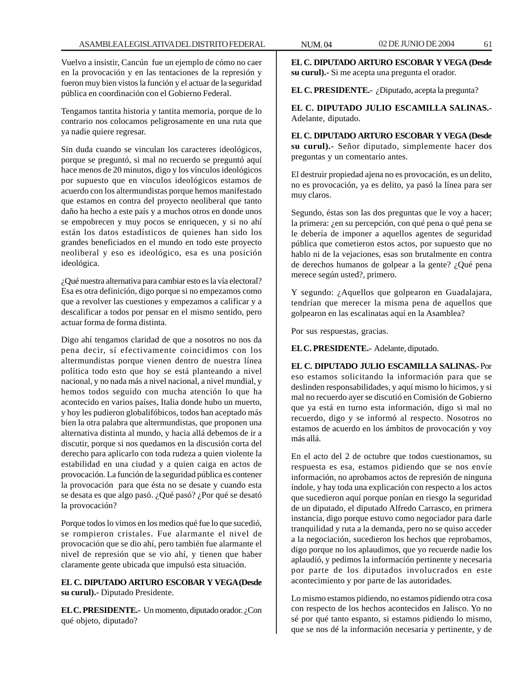Vuelvo a insistir, Cancún fue un ejemplo de cómo no caer en la provocación y en las tentaciones de la represión y fueron muy bien vistos la función y el actuar de la seguridad pública en coordinación con el Gobierno Federal.

Tengamos tantita historia y tantita memoria, porque de lo contrario nos colocamos peligrosamente en una ruta que ya nadie quiere regresar.

Sin duda cuando se vinculan los caracteres ideológicos, porque se preguntó, si mal no recuerdo se preguntó aquí hace menos de 20 minutos, digo y los vínculos ideológicos por supuesto que en vínculos ideológicos estamos de acuerdo con los altermundistas porque hemos manifestado que estamos en contra del proyecto neoliberal que tanto daño ha hecho a este país y a muchos otros en donde unos se empobrecen y muy pocos se enriquecen, y si no ahí están los datos estadísticos de quienes han sido los grandes beneficiados en el mundo en todo este proyecto neoliberal y eso es ideológico, esa es una posición ideológica.

¿Qué nuestra alternativa para cambiar esto es la vía electoral? Esa es otra definición, digo porque si no empezamos como que a revolver las cuestiones y empezamos a calificar y a descalificar a todos por pensar en el mismo sentido, pero actuar forma de forma distinta.

Digo ahí tengamos claridad de que a nosotros no nos da pena decir, sí efectivamente coincidimos con los altermundistas porque vienen dentro de nuestra línea política todo esto que hoy se está planteando a nivel nacional, y no nada más a nivel nacional, a nivel mundial, y hemos todos seguido con mucha atención lo que ha acontecido en varios países, Italia donde hubo un muerto, y hoy les pudieron globalifóbicos, todos han aceptado más bien la otra palabra que altermundistas, que proponen una alternativa distinta al mundo, y hacia allá debemos de ir a discutir, porque si nos quedamos en la discusión corta del derecho para aplicarlo con toda rudeza a quien violente la estabilidad en una ciudad y a quien caiga en actos de provocación. La función de la seguridad pública es contener la provocación para que ésta no se desate y cuando esta se desata es que algo pasó. ¿Qué pasó? ¿Por qué se desató la provocación?

Porque todos lo vimos en los medios qué fue lo que sucedió, se rompieron cristales. Fue alarmante el nivel de provocación que se dio ahí, pero también fue alarmante el nivel de represión que se vio ahí, y tienen que haber claramente gente ubicada que impulsó esta situación.

# **EL C. DIPUTADO ARTURO ESCOBAR Y VEGA (Desde su curul).-** Diputado Presidente.

**EL C. PRESIDENTE.-** Un momento, diputado orador. ¿Con qué objeto, diputado?

**EL C. DIPUTADO ARTURO ESCOBAR Y VEGA (Desde su curul).-** Si me acepta una pregunta el orador.

**EL C. PRESIDENTE.-** ¿Diputado, acepta la pregunta?

**EL C. DIPUTADO JULIO ESCAMILLA SALINAS.-** Adelante, diputado.

**EL C. DIPUTADO ARTURO ESCOBAR Y VEGA (Desde su curul).-** Señor diputado, simplemente hacer dos preguntas y un comentario antes.

El destruir propiedad ajena no es provocación, es un delito, no es provocación, ya es delito, ya pasó la línea para ser muy claros.

Segundo, éstas son las dos preguntas que le voy a hacer; la primera: ¿en su percepción, con qué pena o qué pena se le debería de imponer a aquellos agentes de seguridad pública que cometieron estos actos, por supuesto que no hablo ni de la vejaciones, esas son brutalmente en contra de derechos humanos de golpear a la gente? ¿Qué pena merece según usted?, primero.

Y segundo: ¿Aquellos que golpearon en Guadalajara, tendrían que merecer la misma pena de aquellos que golpearon en las escalinatas aquí en la Asamblea?

Por sus respuestas, gracias.

**EL C. PRESIDENTE.-** Adelante, diputado.

**EL C. DIPUTADO JULIO ESCAMILLA SALINAS.-** Por eso estamos solicitando la información para que se deslinden responsabilidades, y aquí mismo lo hicimos, y si mal no recuerdo ayer se discutió en Comisión de Gobierno que ya está en turno esta información, digo si mal no recuerdo, digo y se informó al respecto. Nosotros no estamos de acuerdo en los ámbitos de provocación y voy más allá.

En el acto del 2 de octubre que todos cuestionamos, su respuesta es esa, estamos pidiendo que se nos envíe información, no aprobamos actos de represión de ninguna índole, y hay toda una explicación con respecto a los actos que sucedieron aquí porque ponían en riesgo la seguridad de un diputado, el diputado Alfredo Carrasco, en primera instancia, digo porque estuvo como negociador para darle tranquilidad y ruta a la demanda, pero no se quiso acceder a la negociación, sucedieron los hechos que reprobamos, digo porque no los aplaudimos, que yo recuerde nadie los aplaudió, y pedimos la información pertinente y necesaria por parte de los diputados involucrados en este acontecimiento y por parte de las autoridades.

Lo mismo estamos pidiendo, no estamos pidiendo otra cosa con respecto de los hechos acontecidos en Jalisco. Yo no sé por qué tanto espanto, si estamos pidiendo lo mismo, que se nos dé la información necesaria y pertinente, y de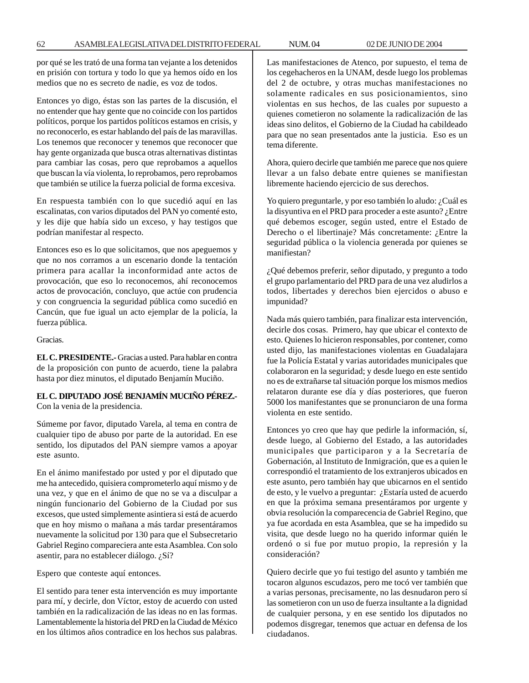por qué se les trató de una forma tan vejante a los detenidos en prisión con tortura y todo lo que ya hemos oído en los medios que no es secreto de nadie, es voz de todos.

Entonces yo digo, éstas son las partes de la discusión, el no entender que hay gente que no coincide con los partidos políticos, porque los partidos políticos estamos en crisis, y no reconocerlo, es estar hablando del país de las maravillas. Los tenemos que reconocer y tenemos que reconocer que hay gente organizada que busca otras alternativas distintas para cambiar las cosas, pero que reprobamos a aquellos que buscan la vía violenta, lo reprobamos, pero reprobamos que también se utilice la fuerza policial de forma excesiva.

En respuesta también con lo que sucedió aquí en las escalinatas, con varios diputados del PAN yo comenté esto, y les dije que había sido un exceso, y hay testigos que podrían manifestar al respecto.

Entonces eso es lo que solicitamos, que nos apeguemos y que no nos corramos a un escenario donde la tentación primera para acallar la inconformidad ante actos de provocación, que eso lo reconocemos, ahí reconocemos actos de provocación, concluyo, que actúe con prudencia y con congruencia la seguridad pública como sucedió en Cancún, que fue igual un acto ejemplar de la policía, la fuerza pública.

Gracias.

**EL C. PRESIDENTE.-** Gracias a usted. Para hablar en contra de la proposición con punto de acuerdo, tiene la palabra hasta por diez minutos, el diputado Benjamín Muciño.

# **EL C. DIPUTADO JOSÉ BENJAMÍN MUCIÑO PÉREZ.-** Con la venia de la presidencia.

Súmeme por favor, diputado Varela, al tema en contra de cualquier tipo de abuso por parte de la autoridad. En ese sentido, los diputados del PAN siempre vamos a apoyar este asunto.

En el ánimo manifestado por usted y por el diputado que me ha antecedido, quisiera comprometerlo aquí mismo y de una vez, y que en el ánimo de que no se va a disculpar a ningún funcionario del Gobierno de la Ciudad por sus excesos, que usted simplemente asintiera si está de acuerdo que en hoy mismo o mañana a más tardar presentáramos nuevamente la solicitud por 130 para que el Subsecretario Gabriel Regino compareciera ante esta Asamblea. Con solo asentir, para no establecer diálogo. ¿Sí?

Espero que conteste aquí entonces.

El sentido para tener esta intervención es muy importante para mí, y decirle, don Víctor, estoy de acuerdo con usted también en la radicalización de las ideas no en las formas. Lamentablemente la historia del PRD en la Ciudad de México en los últimos años contradice en los hechos sus palabras.

Las manifestaciones de Atenco, por supuesto, el tema de los cegehacheros en la UNAM, desde luego los problemas del 2 de octubre, y otras muchas manifestaciones no solamente radicales en sus posicionamientos, sino violentas en sus hechos, de las cuales por supuesto a quienes cometieron no solamente la radicalización de las ideas sino delitos, el Gobierno de la Ciudad ha cabildeado para que no sean presentados ante la justicia. Eso es un tema diferente.

Ahora, quiero decirle que también me parece que nos quiere llevar a un falso debate entre quienes se manifiestan libremente haciendo ejercicio de sus derechos.

Yo quiero preguntarle, y por eso también lo aludo: ¿Cuál es la disyuntiva en el PRD para proceder a este asunto? ¿Entre qué debemos escoger, según usted, entre el Estado de Derecho o el libertinaje? Más concretamente: ¿Entre la seguridad pública o la violencia generada por quienes se manifiestan?

¿Qué debemos preferir, señor diputado, y pregunto a todo el grupo parlamentario del PRD para de una vez aludirlos a todos, libertades y derechos bien ejercidos o abuso e impunidad?

Nada más quiero también, para finalizar esta intervención, decirle dos cosas. Primero, hay que ubicar el contexto de esto. Quienes lo hicieron responsables, por contener, como usted dijo, las manifestaciones violentas en Guadalajara fue la Policía Estatal y varias autoridades municipales que colaboraron en la seguridad; y desde luego en este sentido no es de extrañarse tal situación porque los mismos medios relataron durante ese día y días posteriores, que fueron 5000 los manifestantes que se pronunciaron de una forma violenta en este sentido.

Entonces yo creo que hay que pedirle la información, sí, desde luego, al Gobierno del Estado, a las autoridades municipales que participaron y a la Secretaría de Gobernación, al Instituto de Inmigración, que es a quien le correspondió el tratamiento de los extranjeros ubicados en este asunto, pero también hay que ubicarnos en el sentido de esto, y le vuelvo a preguntar: ¿Estaría usted de acuerdo en que la próxima semana presentáramos por urgente y obvia resolución la comparecencia de Gabriel Regino, que ya fue acordada en esta Asamblea, que se ha impedido su visita, que desde luego no ha querido informar quién le ordenó o si fue por mutuo propio, la represión y la consideración?

Quiero decirle que yo fui testigo del asunto y también me tocaron algunos escudazos, pero me tocó ver también que a varias personas, precisamente, no las desnudaron pero sí las sometieron con un uso de fuerza insultante a la dignidad de cualquier persona, y en ese sentido los diputados no podemos disgregar, tenemos que actuar en defensa de los ciudadanos.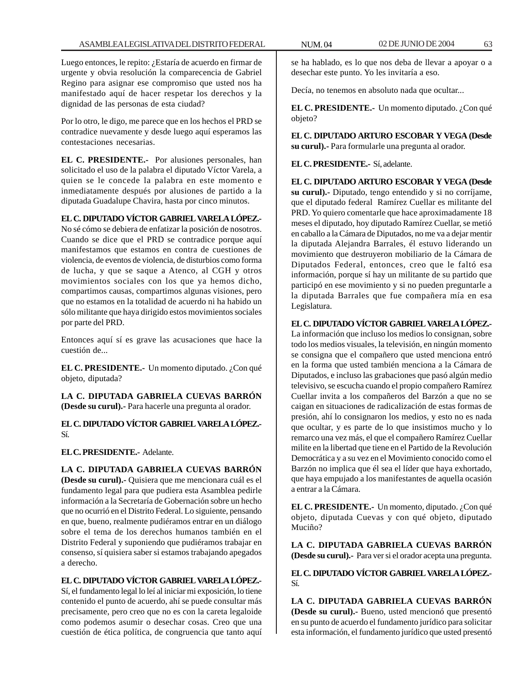Luego entonces, le repito: ¿Estaría de acuerdo en firmar de urgente y obvia resolución la comparecencia de Gabriel Regino para asignar ese compromiso que usted nos ha manifestado aquí de hacer respetar los derechos y la dignidad de las personas de esta ciudad?

Por lo otro, le digo, me parece que en los hechos el PRD se contradice nuevamente y desde luego aquí esperamos las contestaciones necesarias.

**EL C. PRESIDENTE.-** Por alusiones personales, han solicitado el uso de la palabra el diputado Víctor Varela, a quien se le concede la palabra en este momento e inmediatamente después por alusiones de partido a la diputada Guadalupe Chavira, hasta por cinco minutos.

## **EL C. DIPUTADO VÍCTOR GABRIEL VARELA LÓPEZ.-**

No sé cómo se debiera de enfatizar la posición de nosotros. Cuando se dice que el PRD se contradice porque aquí manifestamos que estamos en contra de cuestiones de violencia, de eventos de violencia, de disturbios como forma de lucha, y que se saque a Atenco, al CGH y otros movimientos sociales con los que ya hemos dicho, compartimos causas, compartimos algunas visiones, pero que no estamos en la totalidad de acuerdo ni ha habido un sólo militante que haya dirigido estos movimientos sociales por parte del PRD.

Entonces aquí sí es grave las acusaciones que hace la cuestión de...

**EL C. PRESIDENTE.-** Un momento diputado. ¿Con qué objeto, diputada?

**LA C. DIPUTADA GABRIELA CUEVAS BARRÓN (Desde su curul).-** Para hacerle una pregunta al orador.

**EL C. DIPUTADO VÍCTOR GABRIEL VARELA LÓPEZ.-** Sí.

**EL C. PRESIDENTE.-** Adelante.

**LA C. DIPUTADA GABRIELA CUEVAS BARRÓN (Desde su curul).-** Quisiera que me mencionara cuál es el fundamento legal para que pudiera esta Asamblea pedirle información a la Secretaría de Gobernación sobre un hecho que no ocurrió en el Distrito Federal. Lo siguiente, pensando en que, bueno, realmente pudiéramos entrar en un diálogo sobre el tema de los derechos humanos también en el Distrito Federal y suponiendo que pudiéramos trabajar en consenso, sí quisiera saber si estamos trabajando apegados a derecho.

# **EL C. DIPUTADO VÍCTOR GABRIEL VARELA LÓPEZ.-**

Sí, el fundamento legal lo leí al iniciar mi exposición, lo tiene contenido el punto de acuerdo, ahí se puede consultar más precisamente, pero creo que no es con la careta legaloide como podemos asumir o desechar cosas. Creo que una cuestión de ética política, de congruencia que tanto aquí

se ha hablado, es lo que nos deba de llevar a apoyar o a desechar este punto. Yo les invitaría a eso.

Decía, no tenemos en absoluto nada que ocultar...

**EL C. PRESIDENTE.-** Un momento diputado. ¿Con qué objeto?

**EL C. DIPUTADO ARTURO ESCOBAR Y VEGA (Desde su curul).-** Para formularle una pregunta al orador.

**EL C. PRESIDENTE.-** Sí, adelante.

**EL C. DIPUTADO ARTURO ESCOBAR Y VEGA (Desde su curul).-** Diputado, tengo entendido y si no corríjame, que el diputado federal Ramírez Cuellar es militante del PRD. Yo quiero comentarle que hace aproximadamente 18 meses el diputado, hoy diputado Ramírez Cuellar, se metió en caballo a la Cámara de Diputados, no me va a dejar mentir la diputada Alejandra Barrales, él estuvo liderando un movimiento que destruyeron mobiliario de la Cámara de Diputados Federal, entonces, creo que le faltó esa información, porque sí hay un militante de su partido que participó en ese movimiento y si no pueden preguntarle a la diputada Barrales que fue compañera mía en esa Legislatura.

# **EL C. DIPUTADO VÍCTOR GABRIEL VARELA LÓPEZ.-**

La información que incluso los medios lo consignan, sobre todo los medios visuales, la televisión, en ningún momento se consigna que el compañero que usted menciona entró en la forma que usted también menciona a la Cámara de Diputados, e incluso las grabaciones que pasó algún medio televisivo, se escucha cuando el propio compañero Ramírez Cuellar invita a los compañeros del Barzón a que no se caigan en situaciones de radicalización de estas formas de presión, ahí lo consignaron los medios, y esto no es nada que ocultar, y es parte de lo que insistimos mucho y lo remarco una vez más, el que el compañero Ramírez Cuellar milite en la libertad que tiene en el Partido de la Revolución Democrática y a su vez en el Movimiento conocido como el Barzón no implica que él sea el líder que haya exhortado, que haya empujado a los manifestantes de aquella ocasión a entrar a la Cámara.

**EL C. PRESIDENTE.-** Un momento, diputado. ¿Con qué objeto, diputada Cuevas y con qué objeto, diputado Muciño?

**LA C. DIPUTADA GABRIELA CUEVAS BARRÓN (Desde su curul).-** Para ver si el orador acepta una pregunta.

**EL C. DIPUTADO VÍCTOR GABRIEL VARELA LÓPEZ.-** Sí.

**LA C. DIPUTADA GABRIELA CUEVAS BARRÓN (Desde su curul).-** Bueno, usted mencionó que presentó en su punto de acuerdo el fundamento jurídico para solicitar esta información, el fundamento jurídico que usted presentó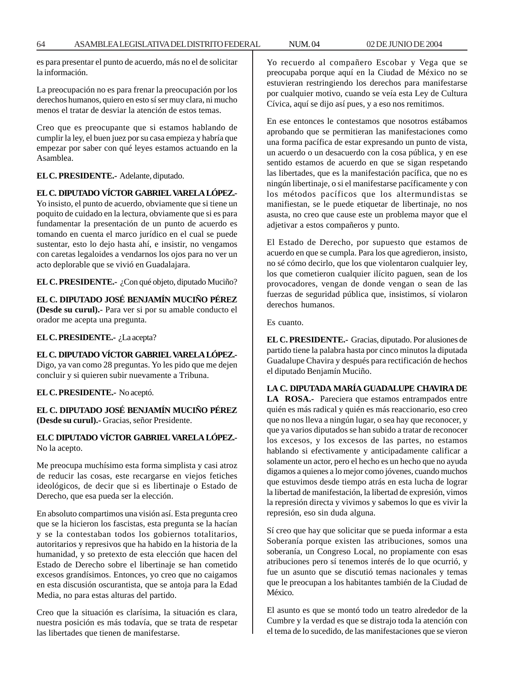es para presentar el punto de acuerdo, más no el de solicitar la información.

La preocupación no es para frenar la preocupación por los derechos humanos, quiero en esto sí ser muy clara, ni mucho menos el tratar de desviar la atención de estos temas.

Creo que es preocupante que si estamos hablando de cumplir la ley, el buen juez por su casa empieza y habría que empezar por saber con qué leyes estamos actuando en la Asamblea.

**EL C. PRESIDENTE.-** Adelante, diputado.

# **EL C. DIPUTADO VÍCTOR GABRIEL VARELA LÓPEZ.-**

Yo insisto, el punto de acuerdo, obviamente que si tiene un poquito de cuidado en la lectura, obviamente que si es para fundamentar la presentación de un punto de acuerdo es tomando en cuenta el marco jurídico en el cual se puede sustentar, esto lo dejo hasta ahí, e insistir, no vengamos con caretas legaloides a vendarnos los ojos para no ver un acto deplorable que se vivió en Guadalajara.

**EL C. PRESIDENTE.-** ¿Con qué objeto, diputado Muciño?

# **EL C. DIPUTADO JOSÉ BENJAMÍN MUCIÑO PÉREZ (Desde su curul).-** Para ver si por su amable conducto el

orador me acepta una pregunta.

**EL C. PRESIDENTE.-** ¿La acepta?

# **EL C. DIPUTADO VÍCTOR GABRIEL VARELA LÓPEZ.-**

Digo, ya van como 28 preguntas. Yo les pido que me dejen concluir y si quieren subir nuevamente a Tribuna.

**EL C. PRESIDENTE.-** No aceptó.

# **EL C. DIPUTADO JOSÉ BENJAMÍN MUCIÑO PÉREZ (Desde su curul).-** Gracias, señor Presidente.

## **EL C DIPUTADO VÍCTOR GABRIEL VARELA LÓPEZ.-** No la acepto.

Me preocupa muchísimo esta forma simplista y casi atroz de reducir las cosas, este recargarse en viejos fetiches ideológicos, de decir que si es libertinaje o Estado de Derecho, que esa pueda ser la elección.

En absoluto compartimos una visión así. Esta pregunta creo que se la hicieron los fascistas, esta pregunta se la hacían y se la contestaban todos los gobiernos totalitarios, autoritarios y represivos que ha habido en la historia de la humanidad, y so pretexto de esta elección que hacen del Estado de Derecho sobre el libertinaje se han cometido excesos grandísimos. Entonces, yo creo que no caigamos en esta discusión oscurantista, que se antoja para la Edad Media, no para estas alturas del partido.

Creo que la situación es clarísima, la situación es clara, nuestra posición es más todavía, que se trata de respetar las libertades que tienen de manifestarse.

Yo recuerdo al compañero Escobar y Vega que se preocupaba porque aquí en la Ciudad de México no se estuvieran restringiendo los derechos para manifestarse por cualquier motivo, cuando se veía esta Ley de Cultura Cívica, aquí se dijo así pues, y a eso nos remitimos.

En ese entonces le contestamos que nosotros estábamos aprobando que se permitieran las manifestaciones como una forma pacífica de estar expresando un punto de vista, un acuerdo o un desacuerdo con la cosa pública, y en ese sentido estamos de acuerdo en que se sigan respetando las libertades, que es la manifestación pacífica, que no es ningún libertinaje, o si el manifestarse pacíficamente y con los métodos pacíficos que los altermundistas se manifiestan, se le puede etiquetar de libertinaje, no nos asusta, no creo que cause este un problema mayor que el adjetivar a estos compañeros y punto.

El Estado de Derecho, por supuesto que estamos de acuerdo en que se cumpla. Para los que agredieron, insisto, no sé cómo decirlo, que los que violentaron cualquier ley, los que cometieron cualquier ilícito paguen, sean de los provocadores, vengan de donde vengan o sean de las fuerzas de seguridad pública que, insistimos, sí violaron derechos humanos.

Es cuanto.

**EL C. PRESIDENTE.-** Gracias, diputado. Por alusiones de partido tiene la palabra hasta por cinco minutos la diputada Guadalupe Chavira y después para rectificación de hechos el diputado Benjamín Muciño.

# **LA C. DIPUTADA MARÍA GUADALUPE CHAVIRA DE LA ROSA.-** Pareciera que estamos entrampados entre quién es más radical y quién es más reaccionario, eso creo que no nos lleva a ningún lugar, o sea hay que reconocer, y que ya varios diputados se han subido a tratar de reconocer los excesos, y los excesos de las partes, no estamos hablando si efectivamente y anticipadamente calificar a solamente un actor, pero el hecho es un hecho que no ayuda digamos a quienes a lo mejor como jóvenes, cuando muchos que estuvimos desde tiempo atrás en esta lucha de lograr la libertad de manifestación, la libertad de expresión, vimos la represión directa y vivimos y sabemos lo que es vivir la represión, eso sin duda alguna.

Sí creo que hay que solicitar que se pueda informar a esta Soberanía porque existen las atribuciones, somos una soberanía, un Congreso Local, no propiamente con esas atribuciones pero sí tenemos interés de lo que ocurrió, y fue un asunto que se discutió temas nacionales y temas que le preocupan a los habitantes también de la Ciudad de México.

El asunto es que se montó todo un teatro alrededor de la Cumbre y la verdad es que se distrajo toda la atención con el tema de lo sucedido, de las manifestaciones que se vieron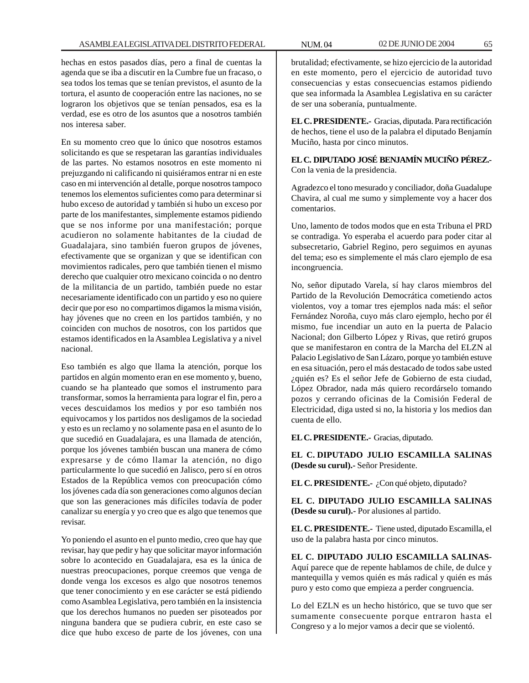hechas en estos pasados días, pero a final de cuentas la agenda que se iba a discutir en la Cumbre fue un fracaso, o sea todos los temas que se tenían previstos, el asunto de la tortura, el asunto de cooperación entre las naciones, no se lograron los objetivos que se tenían pensados, esa es la verdad, ese es otro de los asuntos que a nosotros también nos interesa saber.

En su momento creo que lo único que nosotros estamos solicitando es que se respetaran las garantías individuales de las partes. No estamos nosotros en este momento ni prejuzgando ni calificando ni quisiéramos entrar ni en este caso en mi intervención al detalle, porque nosotros tampoco tenemos los elementos suficientes como para determinar si hubo exceso de autoridad y también si hubo un exceso por parte de los manifestantes, simplemente estamos pidiendo que se nos informe por una manifestación; porque acudieron no solamente habitantes de la ciudad de Guadalajara, sino también fueron grupos de jóvenes, efectivamente que se organizan y que se identifican con movimientos radicales, pero que también tienen el mismo derecho que cualquier otro mexicano coincida o no dentro de la militancia de un partido, también puede no estar necesariamente identificado con un partido y eso no quiere decir que por eso no compartimos digamos la misma visión, hay jóvenes que no creen en los partidos también, y no coinciden con muchos de nosotros, con los partidos que estamos identificados en la Asamblea Legislativa y a nivel nacional.

Eso también es algo que llama la atención, porque los partidos en algún momento eran en ese momento y, bueno, cuando se ha planteado que somos el instrumento para transformar, somos la herramienta para lograr el fin, pero a veces descuidamos los medios y por eso también nos equivocamos y los partidos nos desligamos de la sociedad y esto es un reclamo y no solamente pasa en el asunto de lo que sucedió en Guadalajara, es una llamada de atención, porque los jóvenes también buscan una manera de cómo expresarse y de cómo llamar la atención, no digo particularmente lo que sucedió en Jalisco, pero sí en otros Estados de la República vemos con preocupación cómo los jóvenes cada día son generaciones como algunos decían que son las generaciones más difíciles todavía de poder canalizar su energía y yo creo que es algo que tenemos que revisar.

Yo poniendo el asunto en el punto medio, creo que hay que revisar, hay que pedir y hay que solicitar mayor información sobre lo acontecido en Guadalajara, esa es la única de nuestras preocupaciones, porque creemos que venga de donde venga los excesos es algo que nosotros tenemos que tener conocimiento y en ese carácter se está pidiendo como Asamblea Legislativa, pero también en la insistencia que los derechos humanos no pueden ser pisoteados por ninguna bandera que se pudiera cubrir, en este caso se dice que hubo exceso de parte de los jóvenes, con una

brutalidad; efectivamente, se hizo ejercicio de la autoridad en este momento, pero el ejercicio de autoridad tuvo consecuencias y estas consecuencias estamos pidiendo que sea informada la Asamblea Legislativa en su carácter de ser una soberanía, puntualmente.

**EL C. PRESIDENTE.-** Gracias, diputada. Para rectificación de hechos, tiene el uso de la palabra el diputado Benjamín Muciño, hasta por cinco minutos.

**EL C. DIPUTADO JOSÉ BENJAMÍN MUCIÑO PÉREZ.-** Con la venia de la presidencia.

Agradezco el tono mesurado y conciliador, doña Guadalupe Chavira, al cual me sumo y simplemente voy a hacer dos comentarios.

Uno, lamento de todos modos que en esta Tribuna el PRD se contradiga. Yo esperaba el acuerdo para poder citar al subsecretario, Gabriel Regino, pero seguimos en ayunas del tema; eso es simplemente el más claro ejemplo de esa incongruencia.

No, señor diputado Varela, sí hay claros miembros del Partido de la Revolución Democrática cometiendo actos violentos, voy a tomar tres ejemplos nada más: el señor Fernández Noroña, cuyo más claro ejemplo, hecho por él mismo, fue incendiar un auto en la puerta de Palacio Nacional; don Gilberto López y Rivas, que retiró grupos que se manifestaron en contra de la Marcha del ELZN al Palacio Legislativo de San Lázaro, porque yo también estuve en esa situación, pero el más destacado de todos sabe usted ¿quién es? Es el señor Jefe de Gobierno de esta ciudad, López Obrador, nada más quiero recordárselo tomando pozos y cerrando oficinas de la Comisión Federal de Electricidad, diga usted si no, la historia y los medios dan cuenta de ello.

**EL C. PRESIDENTE.-** Gracias, diputado.

**EL C. DIPUTADO JULIO ESCAMILLA SALINAS (Desde su curul).-** Señor Presidente.

**EL C. PRESIDENTE.-** ¿Con qué objeto, diputado?

**EL C. DIPUTADO JULIO ESCAMILLA SALINAS (Desde su curul).-** Por alusiones al partido.

**EL C. PRESIDENTE.-** Tiene usted, diputado Escamilla, el uso de la palabra hasta por cinco minutos.

**EL C. DIPUTADO JULIO ESCAMILLA SALINAS-**Aquí parece que de repente hablamos de chile, de dulce y mantequilla y vemos quién es más radical y quién es más puro y esto como que empieza a perder congruencia.

Lo del EZLN es un hecho histórico, que se tuvo que ser sumamente consecuente porque entraron hasta el Congreso y a lo mejor vamos a decir que se violentó.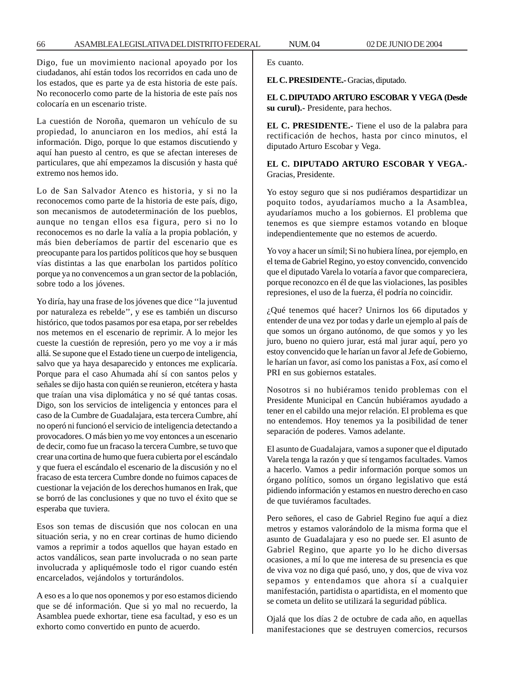Digo, fue un movimiento nacional apoyado por los ciudadanos, ahí están todos los recorridos en cada uno de los estados, que es parte ya de esta historia de este país. No reconocerlo como parte de la historia de este país nos colocaría en un escenario triste.

La cuestión de Noroña, quemaron un vehículo de su propiedad, lo anunciaron en los medios, ahí está la información. Digo, porque lo que estamos discutiendo y aquí han puesto al centro, es que se afectan intereses de particulares, que ahí empezamos la discusión y hasta qué extremo nos hemos ido.

Lo de San Salvador Atenco es historia, y si no la reconocemos como parte de la historia de este país, digo, son mecanismos de autodeterminación de los pueblos, aunque no tengan ellos esa figura, pero si no lo reconocemos es no darle la valía a la propia población, y más bien deberíamos de partir del escenario que es preocupante para los partidos políticos que hoy se busquen vías distintas a las que enarbolan los partidos político porque ya no convencemos a un gran sector de la población, sobre todo a los jóvenes.

Yo diría, hay una frase de los jóvenes que dice ''la juventud por naturaleza es rebelde'', y ese es también un discurso histórico, que todos pasamos por esa etapa, por ser rebeldes nos metemos en el escenario de reprimir. A lo mejor les cueste la cuestión de represión, pero yo me voy a ir más allá. Se supone que el Estado tiene un cuerpo de inteligencia, salvo que ya haya desaparecido y entonces me explicaría. Porque para el caso Ahumada ahí sí con santos pelos y señales se dijo hasta con quién se reunieron, etcétera y hasta que traían una visa diplomática y no sé qué tantas cosas. Digo, son los servicios de inteligencia y entonces para el caso de la Cumbre de Guadalajara, esta tercera Cumbre, ahí no operó ni funcionó el servicio de inteligencia detectando a provocadores. O más bien yo me voy entonces a un escenario de decir, como fue un fracaso la tercera Cumbre, se tuvo que crear una cortina de humo que fuera cubierta por el escándalo y que fuera el escándalo el escenario de la discusión y no el fracaso de esta tercera Cumbre donde no fuimos capaces de cuestionar la vejación de los derechos humanos en Irak, que se borró de las conclusiones y que no tuvo el éxito que se esperaba que tuviera.

Esos son temas de discusión que nos colocan en una situación seria, y no en crear cortinas de humo diciendo vamos a reprimir a todos aquellos que hayan estado en actos vandálicos, sean parte involucrada o no sean parte involucrada y apliquémosle todo el rigor cuando estén encarcelados, vejándolos y torturándolos.

A eso es a lo que nos oponemos y por eso estamos diciendo que se dé información. Que si yo mal no recuerdo, la Asamblea puede exhortar, tiene esa facultad, y eso es un exhorto como convertido en punto de acuerdo.

Es cuanto.

**EL C. PRESIDENTE.-** Gracias, diputado.

**EL C. DIPUTADO ARTURO ESCOBAR Y VEGA (Desde su curul).-** Presidente, para hechos.

**EL C. PRESIDENTE.-** Tiene el uso de la palabra para rectificación de hechos, hasta por cinco minutos, el diputado Arturo Escobar y Vega.

**EL C. DIPUTADO ARTURO ESCOBAR Y VEGA.-** Gracias, Presidente.

Yo estoy seguro que si nos pudiéramos despartidizar un poquito todos, ayudaríamos mucho a la Asamblea, ayudaríamos mucho a los gobiernos. El problema que tenemos es que siempre estamos votando en bloque independientemente que no estemos de acuerdo.

Yo voy a hacer un símil; Si no hubiera línea, por ejemplo, en el tema de Gabriel Regino, yo estoy convencido, convencido que el diputado Varela lo votaría a favor que compareciera, porque reconozco en él de que las violaciones, las posibles represiones, el uso de la fuerza, él podría no coincidir.

¿Qué tenemos qué hacer? Unirnos los 66 diputados y entender de una vez por todas y darle un ejemplo al país de que somos un órgano autónomo, de que somos y yo les juro, bueno no quiero jurar, está mal jurar aquí, pero yo estoy convencido que le harían un favor al Jefe de Gobierno, le harían un favor, así como los panistas a Fox, así como el PRI en sus gobiernos estatales.

Nosotros si no hubiéramos tenido problemas con el Presidente Municipal en Cancún hubiéramos ayudado a tener en el cabildo una mejor relación. El problema es que no entendemos. Hoy tenemos ya la posibilidad de tener separación de poderes. Vamos adelante.

El asunto de Guadalajara, vamos a suponer que el diputado Varela tenga la razón y que sí tengamos facultades. Vamos a hacerlo. Vamos a pedir información porque somos un órgano político, somos un órgano legislativo que está pidiendo información y estamos en nuestro derecho en caso de que tuviéramos facultades.

Pero señores, el caso de Gabriel Regino fue aquí a diez metros y estamos valorándolo de la misma forma que el asunto de Guadalajara y eso no puede ser. El asunto de Gabriel Regino, que aparte yo lo he dicho diversas ocasiones, a mí lo que me interesa de su presencia es que de viva voz no diga qué pasó, uno, y dos, que de viva voz sepamos y entendamos que ahora sí a cualquier manifestación, partidista o apartidista, en el momento que se cometa un delito se utilizará la seguridad pública.

Ojalá que los días 2 de octubre de cada año, en aquellas manifestaciones que se destruyen comercios, recursos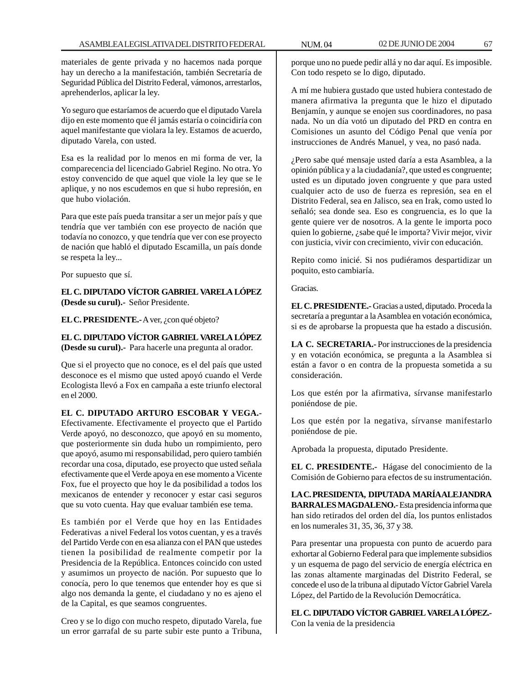materiales de gente privada y no hacemos nada porque hay un derecho a la manifestación, también Secretaría de Seguridad Pública del Distrito Federal, vámonos, arrestarlos, aprehenderlos, aplicar la ley.

Yo seguro que estaríamos de acuerdo que el diputado Varela dijo en este momento que él jamás estaría o coincidiría con aquel manifestante que violara la ley. Estamos de acuerdo, diputado Varela, con usted.

Esa es la realidad por lo menos en mi forma de ver, la comparecencia del licenciado Gabriel Regino. No otra. Yo estoy convencido de que aquel que viole la ley que se le aplique, y no nos escudemos en que si hubo represión, en que hubo violación.

Para que este país pueda transitar a ser un mejor país y que tendría que ver también con ese proyecto de nación que todavía no conozco, y que tendría que ver con ese proyecto de nación que habló el diputado Escamilla, un país donde se respeta la ley...

Por supuesto que sí.

**EL C. DIPUTADO VÍCTOR GABRIEL VARELA LÓPEZ (Desde su curul).-** Señor Presidente.

**EL C. PRESIDENTE.-** A ver, ¿con qué objeto?

# **EL C. DIPUTADO VÍCTOR GABRIEL VARELA LÓPEZ (Desde su curul).-** Para hacerle una pregunta al orador.

Que si el proyecto que no conoce, es el del país que usted desconoce es el mismo que usted apoyó cuando el Verde Ecologista llevó a Fox en campaña a este triunfo electoral en el 2000.

# **EL C. DIPUTADO ARTURO ESCOBAR Y VEGA.-**

Efectivamente. Efectivamente el proyecto que el Partido Verde apoyó, no desconozco, que apoyó en su momento, que posteriormente sin duda hubo un rompimiento, pero que apoyó, asumo mi responsabilidad, pero quiero también recordar una cosa, diputado, ese proyecto que usted señala efectivamente que el Verde apoya en ese momento a Vicente Fox, fue el proyecto que hoy le da posibilidad a todos los mexicanos de entender y reconocer y estar casi seguros que su voto cuenta. Hay que evaluar también ese tema.

Es también por el Verde que hoy en las Entidades Federativas a nivel Federal los votos cuentan, y es a través del Partido Verde con en esa alianza con el PAN que ustedes tienen la posibilidad de realmente competir por la Presidencia de la República. Entonces coincido con usted y asumimos un proyecto de nación. Por supuesto que lo conocía, pero lo que tenemos que entender hoy es que si algo nos demanda la gente, el ciudadano y no es ajeno el de la Capital, es que seamos congruentes.

Creo y se lo digo con mucho respeto, diputado Varela, fue un error garrafal de su parte subir este punto a Tribuna,

porque uno no puede pedir allá y no dar aquí. Es imposible. Con todo respeto se lo digo, diputado.

A mí me hubiera gustado que usted hubiera contestado de manera afirmativa la pregunta que le hizo el diputado Benjamín, y aunque se enojen sus coordinadores, no pasa nada. No un día votó un diputado del PRD en contra en Comisiones un asunto del Código Penal que venía por instrucciones de Andrés Manuel, y vea, no pasó nada.

¿Pero sabe qué mensaje usted daría a esta Asamblea, a la opinión pública y a la ciudadanía?, que usted es congruente; usted es un diputado joven congruente y que para usted cualquier acto de uso de fuerza es represión, sea en el Distrito Federal, sea en Jalisco, sea en Irak, como usted lo señaló; sea donde sea. Eso es congruencia, es lo que la gente quiere ver de nosotros. A la gente le importa poco quien lo gobierne, ¿sabe qué le importa? Vivir mejor, vivir con justicia, vivir con crecimiento, vivir con educación.

Repito como inicié. Si nos pudiéramos despartidizar un poquito, esto cambiaría.

## Gracias.

**EL C. PRESIDENTE.-** Gracias a usted, diputado. Proceda la secretaría a preguntar a la Asamblea en votación económica, si es de aprobarse la propuesta que ha estado a discusión.

**LA C. SECRETARIA.-** Por instrucciones de la presidencia y en votación económica, se pregunta a la Asamblea si están a favor o en contra de la propuesta sometida a su consideración.

Los que estén por la afirmativa, sírvanse manifestarlo poniéndose de pie.

Los que estén por la negativa, sírvanse manifestarlo poniéndose de pie.

Aprobada la propuesta, diputado Presidente.

**EL C. PRESIDENTE.-** Hágase del conocimiento de la Comisión de Gobierno para efectos de su instrumentación.

**LA C. PRESIDENTA, DIPUTADA MARÍA ALEJANDRA BARRALES MAGDALENO.-** Esta presidencia informa que han sido retirados del orden del día, los puntos enlistados en los numerales 31, 35, 36, 37 y 38.

Para presentar una propuesta con punto de acuerdo para exhortar al Gobierno Federal para que implemente subsidios y un esquema de pago del servicio de energía eléctrica en las zonas altamente marginadas del Distrito Federal, se concede el uso de la tribuna al diputado Víctor Gabriel Varela López, del Partido de la Revolución Democrática.

**EL C. DIPUTADO VÍCTOR GABRIEL VARELA LÓPEZ.-** Con la venia de la presidencia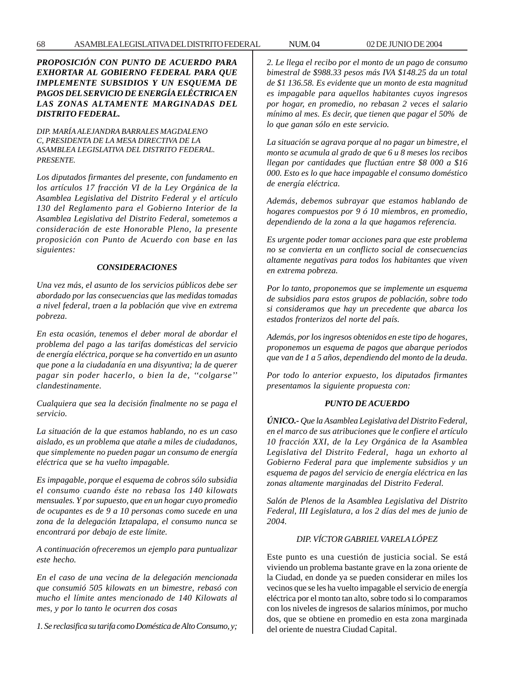# *PROPOSICIÓN CON PUNTO DE ACUERDO PARA EXHORTAR AL GOBIERNO FEDERAL PARA QUE IMPLEMENTE SUBSIDIOS Y UN ESQUEMA DE PAGOS DEL SERVICIO DE ENERGÍA ELÉCTRICA EN LAS ZONAS ALTAMENTE MARGINADAS DEL DISTRITO FEDERAL.*

*DIP. MARÍA ALEJANDRA BARRALES MAGDALENO C, PRESIDENTA DE LA MESA DIRECTIVA DE LA ASAMBLEA LEGISLATIVA DEL DISTRITO FEDERAL. PRESENTE.*

*Los diputados firmantes del presente, con fundamento en los artículos 17 fracción VI de la Ley Orgánica de la Asamblea Legislativa del Distrito Federal y el artículo 130 del Reglamento para el Gobierno Interior de la Asamblea Legislativa del Distrito Federal, sometemos a consideración de este Honorable Pleno, la presente proposición con Punto de Acuerdo con base en las siguientes:*

### *CONSIDERACIONES*

*Una vez más, el asunto de los servicios públicos debe ser abordado por las consecuencias que las medidas tomadas a nivel federal, traen a la población que vive en extrema pobreza.*

*En esta ocasión, tenemos el deber moral de abordar el problema del pago a las tarifas domésticas del servicio de energía eléctrica, porque se ha convertido en un asunto que pone a la ciudadanía en una disyuntiva; la de querer pagar sin poder hacerlo, o bien la de, ''colgarse'' clandestinamente.*

*Cualquiera que sea la decisión finalmente no se paga el servicio.*

*La situación de la que estamos hablando, no es un caso aislado, es un problema que atañe a miles de ciudadanos, que simplemente no pueden pagar un consumo de energía eléctrica que se ha vuelto impagable.*

*Es impagable, porque el esquema de cobros sólo subsidia el consumo cuando éste no rebasa los 140 kilowats mensuales. Y por supuesto, que en un hogar cuyo promedio de ocupantes es de 9 a 10 personas como sucede en una zona de la delegación Iztapalapa, el consumo nunca se encontrará por debajo de este límite.*

*A continuación ofreceremos un ejemplo para puntualizar este hecho.*

*En el caso de una vecina de la delegación mencionada que consumió 505 kilowats en un bimestre, rebasó con mucho el límite antes mencionado de 140 Kilowats al mes, y por lo tanto le ocurren dos cosas*

*1. Se reclasifica su tarifa como Doméstica de Alto Consumo, y;*

*2. Le llega el recibo por el monto de un pago de consumo bimestral de \$988.33 pesos más IVA \$148.25 da un total de \$1 136.58. Es evidente que un monto de esta magnitud es impagable para aquellos habitantes cuyos ingresos por hogar, en promedio, no rebasan 2 veces el salario mínimo al mes. Es decir, que tienen que pagar el 50% de lo que ganan sólo en este servicio.*

*La situación se agrava porque al no pagar un bimestre, el monto se acumula al grado de que 6 u 8 meses los recibos llegan por cantidades que fluctúan entre \$8 000 a \$16 000. Esto es lo que hace impagable el consumo doméstico de energía eléctrica.*

*Además, debemos subrayar que estamos hablando de hogares compuestos por 9 ó 10 miembros, en promedio, dependiendo de la zona a la que hagamos referencia.*

*Es urgente poder tomar acciones para que este problema no se convierta en un conflicto social de consecuencias altamente negativas para todos los habitantes que viven en extrema pobreza.*

*Por lo tanto, proponemos que se implemente un esquema de subsidios para estos grupos de población, sobre todo si consideramos que hay un precedente que abarca los estados fronterizos del norte del país.*

*Además, por los ingresos obtenidos en este tipo de hogares, proponemos un esquema de pagos que abarque periodos que van de 1 a 5 años, dependiendo del monto de la deuda.*

*Por todo lo anterior expuesto, los diputados firmantes presentamos la siguiente propuesta con:*

## *PUNTO DE ACUERDO*

*ÚNICO.- Que la Asamblea Legislativa del Distrito Federal, en el marco de sus atribuciones que le confiere el artículo 10 fracción XXI, de la Ley Orgánica de la Asamblea Legislativa del Distrito Federal, haga un exhorto al Gobierno Federal para que implemente subsidios y un esquema de pagos del servicio de energía eléctrica en las zonas altamente marginadas del Distrito Federal.*

*Salón de Plenos de la Asamblea Legislativa del Distrito Federal, III Legislatura, a los 2 días del mes de junio de 2004.*

# *DIP. VÍCTOR GABRIEL VARELA LÓPEZ*

Este punto es una cuestión de justicia social. Se está viviendo un problema bastante grave en la zona oriente de la Ciudad, en donde ya se pueden considerar en miles los vecinos que se les ha vuelto impagable el servicio de energía eléctrica por el monto tan alto, sobre todo si lo comparamos con los niveles de ingresos de salarios mínimos, por mucho dos, que se obtiene en promedio en esta zona marginada del oriente de nuestra Ciudad Capital.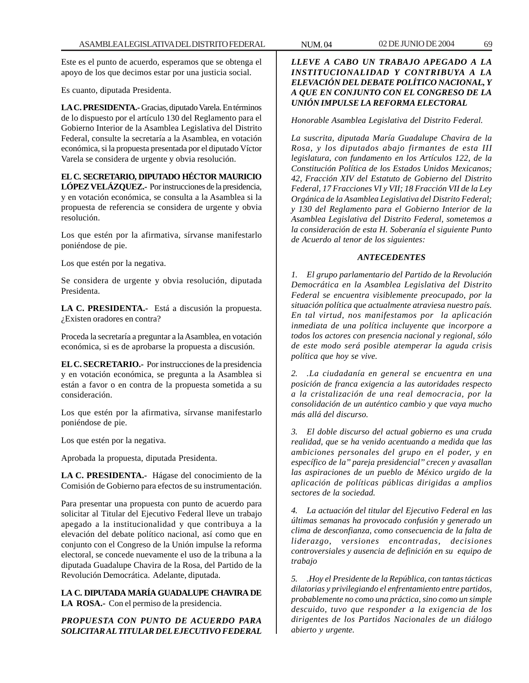Este es el punto de acuerdo, esperamos que se obtenga el apoyo de los que decimos estar por una justicia social.

Es cuanto, diputada Presidenta.

**LA C. PRESIDENTA.-** Gracias, diputado Varela. En términos de lo dispuesto por el artículo 130 del Reglamento para el Gobierno Interior de la Asamblea Legislativa del Distrito Federal, consulte la secretaría a la Asamblea, en votación económica, si la propuesta presentada por el diputado Víctor Varela se considera de urgente y obvia resolución.

**EL C. SECRETARIO, DIPUTADO HÉCTOR MAURICIO LÓPEZ VELÁZQUEZ.-** Por instrucciones de la presidencia, y en votación económica, se consulta a la Asamblea si la propuesta de referencia se considera de urgente y obvia resolución.

Los que estén por la afirmativa, sírvanse manifestarlo poniéndose de pie.

Los que estén por la negativa.

Se considera de urgente y obvia resolución, diputada Presidenta.

**LA C. PRESIDENTA.-** Está a discusión la propuesta. ¿Existen oradores en contra?

Proceda la secretaría a preguntar a la Asamblea, en votación económica, si es de aprobarse la propuesta a discusión.

**EL C. SECRETARIO.-** Por instrucciones de la presidencia y en votación económica, se pregunta a la Asamblea si están a favor o en contra de la propuesta sometida a su consideración.

Los que estén por la afirmativa, sírvanse manifestarlo poniéndose de pie.

Los que estén por la negativa.

Aprobada la propuesta, diputada Presidenta.

**LA C. PRESIDENTA.-** Hágase del conocimiento de la Comisión de Gobierno para efectos de su instrumentación.

Para presentar una propuesta con punto de acuerdo para solicitar al Titular del Ejecutivo Federal lleve un trabajo apegado a la institucionalidad y que contribuya a la elevación del debate político nacional, así como que en conjunto con el Congreso de la Unión impulse la reforma electoral, se concede nuevamente el uso de la tribuna a la diputada Guadalupe Chavira de la Rosa, del Partido de la Revolución Democrática. Adelante, diputada.

**LA C. DIPUTADA MARÍA GUADALUPE CHAVIRA DE LA ROSA.-** Con el permiso de la presidencia.

*PROPUESTA CON PUNTO DE ACUERDO PARA SOLICITAR AL TITULAR DEL EJECUTIVO FEDERAL* *Honorable Asamblea Legislativa del Distrito Federal.*

*La suscrita, diputada María Guadalupe Chavira de la Rosa, y los diputados abajo firmantes de esta III legislatura, con fundamento en los Artículos 122, de la Constitución Política de los Estados Unidos Mexicanos; 42, Fracción XIV del Estatuto de Gobierno del Distrito Federal, 17 Fracciones VI y VII; 18 Fracción VII de la Ley Orgánica de la Asamblea Legislativa del Distrito Federal; y 130 del Reglamento para el Gobierno Interior de la Asamblea Legislativa del Distrito Federal, sometemos a la consideración de esta H. Soberanía el siguiente Punto de Acuerdo al tenor de los siguientes:*

## *ANTECEDENTES*

*1. El grupo parlamentario del Partido de la Revolución Democrática en la Asamblea Legislativa del Distrito Federal se encuentra visiblemente preocupado, por la situación política que actualmente atraviesa nuestro país. En tal virtud, nos manifestamos por la aplicación inmediata de una política incluyente que incorpore a todos los actores con presencia nacional y regional, sólo de este modo será posible atemperar la aguda crisis política que hoy se vive.*

*2. .La ciudadanía en general se encuentra en una posición de franca exigencia a las autoridades respecto a la cristalización de una real democracia, por la consolidación de un auténtico cambio y que vaya mucho más allá del discurso.*

*3. El doble discurso del actual gobierno es una cruda realidad, que se ha venido acentuando a medida que las ambiciones personales del grupo en el poder, y en específico de la'' pareja presidencial'' crecen y avasallan las aspiraciones de un pueblo de México urgido de la aplicación de políticas públicas dirigidas a amplios sectores de la sociedad.*

*4. La actuación del titular del Ejecutivo Federal en las últimas semanas ha provocado confusión y generado un clima de desconfianza, como consecuencia de la falta de liderazgo, versiones encontradas, decisiones controversiales y ausencia de definición en su equipo de trabajo*

*5. .Hoy el Presidente de la República, con tantas tácticas dilatorias y privilegiando el enfrentamiento entre partidos, probablemente no como una práctica, sino como un simple descuido, tuvo que responder a la exigencia de los dirigentes de los Partidos Nacionales de un diálogo abierto y urgente.*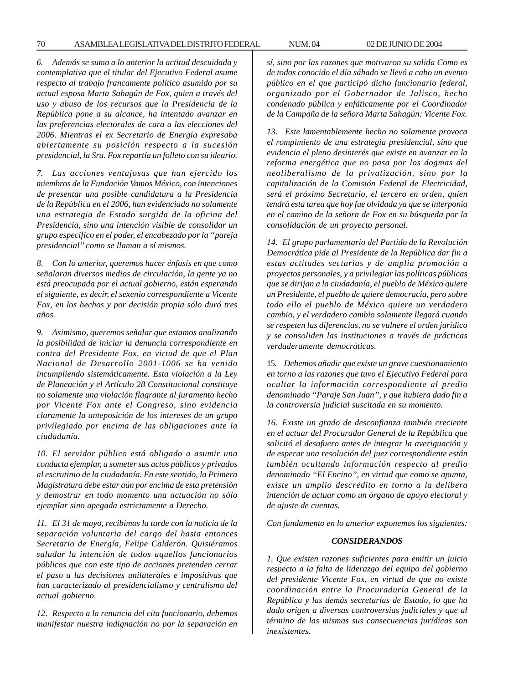*6. Además se suma a lo anterior la actitud descuidada y contemplativa que el titular del Ejecutivo Federal asume respecto al trabajo francamente político asumido por su actual esposa Marta Sahagún de Fox, quien a través del uso y abuso de los recursos que la Presidencia de la República pone a su alcance, ha intentado avanzar en las preferencias electorales de cara a las elecciones del 2006. Mientras el ex Secretario de Energía expresaba abiertamente su posición respecto a la sucesión presidencial, la Sra. Fox repartía un folleto con su ideario.*

*7. Las acciones ventajosas que han ejercido los miembros de la Fundación Vamos México, con intenciones de presentar una posible candidatura a la Presidencia de la República en el 2006, han evidenciado no solamente una estrategia de Estado surgida de la oficina del Presidencia, sino una intención visible de consolidar un grupo específico en el poder, el encabezado por la ''pareja presidencial'' como se llaman a sí mismos.*

*8. Con lo anterior, queremos hacer énfasis en que como señalaran diversos medios de circulación, la gente ya no está preocupada por el actual gobierno, están esperando el siguiente, es decir, el sexenio correspondiente a Vicente Fox, en los hechos y por decisión propia sólo duró tres años.*

*9. Asimismo, queremos señalar que estamos analizando la posibilidad de iniciar la denuncia correspondiente en contra del Presidente Fox, en virtud de que el Plan Nacional de Desarrollo 2001-1006 se ha venido incumpliendo sistemáticamente. Esta violación a la Ley de Planeación y el Artículo 28 Constitucional constituye no solamente una violación flagrante al juramento hecho por Vicente Fox ante el Congreso, sino evidencia claramente la anteposición de los intereses de un grupo privilegiado por encima de las obligaciones ante la ciudadanía.*

*10. El servidor público está obligado a asumir una conducta ejemplar, a someter sus actos públicos y privados al escrutinio de la ciudadanía. En este sentido, la Primera Magistratura debe estar aún por encima de esta pretensión y demostrar en todo momento una actuación no sólo ejemplar sino apegada estrictamente a Derecho.*

*11. El 31 de mayo, recibimos la tarde con la noticia de la separación voluntaria del cargo del hasta entonces Secretario de Energía, Felipe Calderón. Quisiéramos saludar la intención de todos aquellos funcionarios públicos que con este tipo de acciones pretenden cerrar el paso a las decisiones unilaterales e impositivas que han caracterizado al presidencialismo y centralismo del actual gobierno.*

*12. Respecto a la renuncia del cita funcionario, debemos manifestar nuestra indignación no por la separación en*

*sí, sino por las razones que motivaron su salida Como es de todos conocido el día sábado se llevó a cabo un evento público en el que participó dicho funcionario federal, organizado por el Gobernador de Jalisco, hecho condenado pública y enfáticamente por el Coordinador de la Campaña de la señora Marta Sahagún: Vicente Fox.*

*13. Este lamentablemente hecho no solamente provoca el rompimiento de una estrategia presidencial, sino que evidencia el pleno desinterés que existe en avanzar en la reforma energética que no pasa por los dogmas del neoliberalismo de la privatización, sino por la capitalización de la Comisión Federal de Electricidad, será el próximo Secretario, el tercero en orden, quien tendrá esta tarea que hoy fue olvidada ya que se interponía en el camino de la señora de Fox en su búsqueda por la consolidación de un proyecto personal.*

*14. El grupo parlamentario del Partido de la Revolución Democrática pide al Presidente de la República dar fin a estas actitudes sectarias y de amplia promoción a proyectos personales, y a privilegiar las políticas públicas que se dirijan a la ciudadanía, el pueblo de México quiere un Presidente, el pueblo de quiere democracia, pero sobre todo ello el pueblo de México quiere un verdadero cambio, y el verdadero cambio solamente llegará cuando se respeten las diferencias, no se vulnere el orden jurídico y se consoliden las instituciones a través de prácticas verdaderamente democráticas.*

15. *Debemos añadir que existe un grave cuestionamiento en torno a las razones que tuvo el Ejecutivo Federal para ocultar la información correspondiente al predio denominado ''Paraje San Juan'', y que hubiera dado fin a la controversia judicial suscitada en su momento.*

*16. Existe un grado de desconfianza también creciente en el actuar del Procurador General de la República que solicitó el desafuero antes de integrar la averiguación y de esperar una resolución del juez correspondiente están también ocultando información respecto al predio denominado ''El Encino'', en virtud que como se apunta, existe un amplio descrédito en torno a la delibera intención de actuar como un órgano de apoyo electoral y de ajuste de cuentas.*

*Con fundamento en lo anterior exponemos los siguientes:*

#### *CONSIDERANDOS*

*1. Que existen razones suficientes para emitir un juicio respecto a la falta de liderazgo del equipo del gobierno del presidente Vicente Fox, en virtud de que no existe coordinación entre la Procuraduría General de la República y las demás secretarías de Estado, lo que ha dado origen a diversas controversias judiciales y que al término de las mismas sus consecuencias jurídicas son inexistentes.*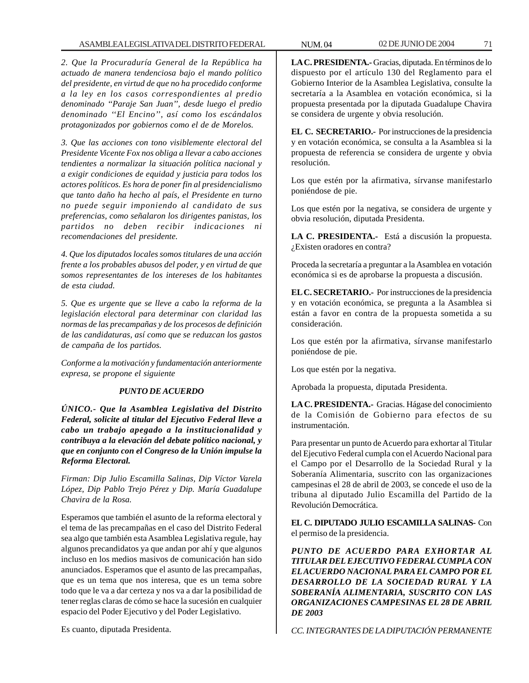*2. Que la Procuraduría General de la República ha actuado de manera tendenciosa bajo el mando político del presidente, en virtud de que no ha procedido conforme a la ley en los casos correspondientes al predio denominado ''Paraje San Juan'', desde luego el predio denominado ''El Encino'', así como los escándalos protagonizados por gobiernos como el de de Morelos.*

*3. Que las acciones con tono visiblemente electoral del Presidente Vicente Fox nos obliga a llevar a cabo acciones tendientes a normalizar la situación política nacional y a exigir condiciones de equidad y justicia para todos los actores políticos. Es hora de poner fin al presidencialismo que tanto daño ha hecho al país, el Presidente en turno no puede seguir imponiendo al candidato de sus preferencias, como señalaron los dirigentes panistas, los partidos no deben recibir indicaciones ni recomendaciones del presidente.*

*4. Que los diputados locales somos titulares de una acción frente a los probables abusos del poder, y en virtud de que somos representantes de los intereses de los habitantes de esta ciudad.*

*5. Que es urgente que se lleve a cabo la reforma de la legislación electoral para determinar con claridad las normas de las precampañas y de los procesos de definición de las candidaturas, así como que se reduzcan los gastos de campaña de los partidos.*

*Conforme a la motivación y fundamentación anteriormente expresa, se propone el siguiente*

# *PUNTO DE ACUERDO*

*ÚNICO.- Que la Asamblea Legislativa del Distrito Federal, solicite al titular del Ejecutivo Federal lleve a cabo un trabajo apegado a la institucionalidad y contribuya a la elevación del debate político nacional, y que en conjunto con el Congreso de la Unión impulse la Reforma Electoral.*

*Firman: Dip Julio Escamilla Salinas, Dip Víctor Varela López, Dip Pablo Trejo Pérez y Dip. María Guadalupe Chavira de la Rosa.*

Esperamos que también el asunto de la reforma electoral y el tema de las precampañas en el caso del Distrito Federal sea algo que también esta Asamblea Legislativa regule, hay algunos precandidatos ya que andan por ahí y que algunos incluso en los medios masivos de comunicación han sido anunciados. Esperamos que el asunto de las precampañas, que es un tema que nos interesa, que es un tema sobre todo que le va a dar certeza y nos va a dar la posibilidad de tener reglas claras de cómo se hace la sucesión en cualquier espacio del Poder Ejecutivo y del Poder Legislativo.

Es cuanto, diputada Presidenta.

**LA C. PRESIDENTA.-** Gracias, diputada. En términos de lo dispuesto por el artículo 130 del Reglamento para el Gobierno Interior de la Asamblea Legislativa, consulte la secretaría a la Asamblea en votación económica, si la propuesta presentada por la diputada Guadalupe Chavira se considera de urgente y obvia resolución.

**EL C. SECRETARIO.-** Por instrucciones de la presidencia y en votación económica, se consulta a la Asamblea si la propuesta de referencia se considera de urgente y obvia resolución.

Los que estén por la afirmativa, sírvanse manifestarlo poniéndose de pie.

Los que estén por la negativa, se considera de urgente y obvia resolución, diputada Presidenta.

**LA C. PRESIDENTA.-** Está a discusión la propuesta. ¿Existen oradores en contra?

Proceda la secretaría a preguntar a la Asamblea en votación económica si es de aprobarse la propuesta a discusión.

**EL C. SECRETARIO.-** Por instrucciones de la presidencia y en votación económica, se pregunta a la Asamblea si están a favor en contra de la propuesta sometida a su consideración.

Los que estén por la afirmativa, sírvanse manifestarlo poniéndose de pie.

Los que estén por la negativa.

Aprobada la propuesta, diputada Presidenta.

**LA C. PRESIDENTA.-** Gracias. Hágase del conocimiento de la Comisión de Gobierno para efectos de su instrumentación.

Para presentar un punto de Acuerdo para exhortar al Titular del Ejecutivo Federal cumpla con el Acuerdo Nacional para el Campo por el Desarrollo de la Sociedad Rural y la Soberanía Alimentaria, suscrito con las organizaciones campesinas el 28 de abril de 2003, se concede el uso de la tribuna al diputado Julio Escamilla del Partido de la Revolución Democrática.

**EL C. DIPUTADO JULIO ESCAMILLA SALINAS-** Con el permiso de la presidencia.

*PUNTO DE ACUERDO PARA EXHORTAR AL TITULAR DEL EJECUTIVO FEDERAL CUMPLA CON EL ACUERDO NACIONAL PARA EL CAMPO POR EL DESARROLLO DE LA SOCIEDAD RURAL Y LA SOBERANÍA ALIMENTARIA, SUSCRITO CON LAS ORGANIZACIONES CAMPESINAS EL 28 DE ABRIL DE 2003*

*CC. INTEGRANTES DE LA DIPUTACIÓN PERMANENTE*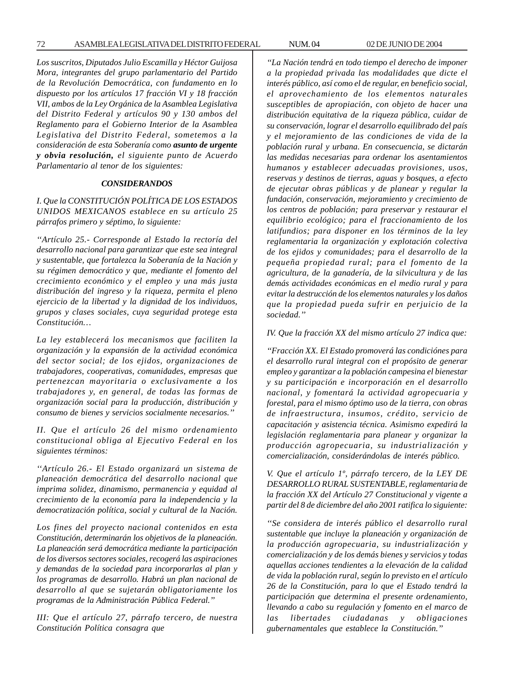*Los suscritos, Diputados Julio Escamilla y Héctor Guijosa Mora, integrantes del grupo parlamentario del Partido de la Revolución Democrática, con fundamento en lo dispuesto por los artículos 17 fracción VI y 18 fracción VII, ambos de la Ley Orgánica de la Asamblea Legislativa del Distrito Federal y artículos 90 y 130 ambos del Reglamento para el Gobierno Interior de la Asamblea Legislativa del Distrito Federal, sometemos a la consideración de esta Soberanía como asunto de urgente y obvia resolución, el siguiente punto de Acuerdo Parlamentario al tenor de los siguientes:*

#### *CONSIDERANDOS*

*I. Que la CONSTITUCIÓN POLÍTICA DE LOS ESTADOS UNIDOS MEXICANOS establece en su artículo 25 párrafos primero y séptimo, lo siguiente:*

*''Artículo 25.- Corresponde al Estado la rectoría del desarrollo nacional para garantizar que este sea integral y sustentable, que fortalezca la Soberanía de la Nación y su régimen democrático y que, mediante el fomento del crecimiento económico y el empleo y una más justa distribución del ingreso y la riqueza, permita el pleno ejercicio de la libertad y la dignidad de los individuos, grupos y clases sociales, cuya seguridad protege esta Constitución…*

*La ley establecerá los mecanismos que faciliten la organización y la expansión de la actividad económica del sector social; de los ejidos, organizaciones de trabajadores, cooperativas, comunidades, empresas que pertenezcan mayoritaria o exclusivamente a los trabajadores y, en general, de todas las formas de organización social para la producción, distribución y consumo de bienes y servicios socialmente necesarios.''*

*II. Que el artículo 26 del mismo ordenamiento constitucional obliga al Ejecutivo Federal en los siguientes términos:*

*''Artículo 26.- El Estado organizará un sistema de planeación democrática del desarrollo nacional que imprima solidez, dinamismo, permanencia y equidad al crecimiento de la economía para la independencia y la democratización política, social y cultural de la Nación.*

*Los fines del proyecto nacional contenidos en esta Constitución, determinarán los objetivos de la planeación. La planeación será democrática mediante la participación de los diversos sectores sociales, recogerá las aspiraciones y demandas de la sociedad para incorporarlas al plan y los programas de desarrollo. Habrá un plan nacional de desarrollo al que se sujetarán obligatoriamente los programas de la Administración Pública Federal.''*

*III: Que el artículo 27, párrafo tercero, de nuestra Constitución Política consagra que*

*''La Nación tendrá en todo tiempo el derecho de imponer a la propiedad privada las modalidades que dicte el interés público, así como el de regular, en beneficio social, el aprovechamiento de los elementos naturales susceptibles de apropiación, con objeto de hacer una distribución equitativa de la riqueza pública, cuidar de su conservación, lograr el desarrollo equilibrado del país y el mejoramiento de las condiciones de vida de la población rural y urbana. En consecuencia, se dictarán las medidas necesarias para ordenar los asentamientos humanos y establecer adecuadas provisiones, usos, reservas y destinos de tierras, aguas y bosques, a efecto de ejecutar obras públicas y de planear y regular la fundación, conservación, mejoramiento y crecimiento de los centros de población; para preservar y restaurar el equilibrio ecológico; para el fraccionamiento de los latifundios; para disponer en los términos de la ley reglamentaria la organización y explotación colectiva de los ejidos y comunidades; para el desarrollo de la pequeña propiedad rural; para el fomento de la agricultura, de la ganadería, de la silvicultura y de las demás actividades económicas en el medio rural y para evitar la destrucción de los elementos naturales y los daños que la propiedad pueda sufrir en perjuicio de la sociedad.''*

*IV. Que la fracción XX del mismo artículo 27 indica que:*

*''Fracción XX. El Estado promoverá las condiciónes para el desarrollo rural integral con el propósito de generar empleo y garantizar a la población campesina el bienestar y su participación e incorporación en el desarrollo nacional, y fomentará la actividad agropecuaria y forestal, para el mismo óptimo uso de la tierra, con obras de infraestructura, insumos, crédito, servicio de capacitación y asistencia técnica. Asimismo expedirá la legislación reglamentaria para planear y organizar la producción agropecuaria, su industrialización y comercialización, considerándolas de interés público.*

*V. Que el artículo 1º, párrafo tercero, de la LEY DE DESARROLLO RURAL SUSTENTABLE, reglamentaria de la fracción XX del Artículo 27 Constitucional y vigente a partir del 8 de diciembre del año 2001 ratifica lo siguiente:*

*''Se considera de interés público el desarrollo rural sustentable que incluye la planeación y organización de la producción agropecuaria, su industrialización y comercialización y de los demás bienes y servicios y todas aquellas acciones tendientes a la elevación de la calidad de vida la población rural, según lo previsto en el artículo 26 de la Constitución, para lo que el Estado tendrá la participación que determina el presente ordenamiento, llevando a cabo su regulación y fomento en el marco de las libertades ciudadanas y obligaciones gubernamentales que establece la Constitución.''*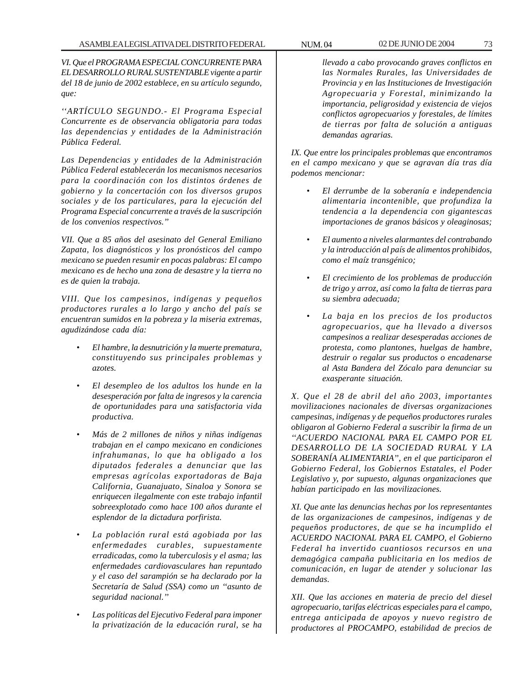*VI. Que el PROGRAMA ESPECIAL CONCURRENTE PARA EL DESARROLLO RURAL SUSTENTABLE vigente a partir del 18 de junio de 2002 establece, en su artículo segundo, que:*

*''ARTÍCULO SEGUNDO.- El Programa Especial Concurrente es de observancia obligatoria para todas las dependencias y entidades de la Administración Pública Federal.*

*Las Dependencias y entidades de la Administración Pública Federal establecerán los mecanismos necesarios para la coordinación con los distintos órdenes de gobierno y la concertación con los diversos grupos sociales y de los particulares, para la ejecución del Programa Especial concurrente a través de la suscripción de los convenios respectivos.''*

*VII. Que a 85 años del asesinato del General Emiliano Zapata, los diagnósticos y los pronósticos del campo mexicano se pueden resumir en pocas palabras: El campo mexicano es de hecho una zona de desastre y la tierra no es de quien la trabaja.*

*VIII. Que los campesinos, indígenas y pequeños productores rurales a lo largo y ancho del país se encuentran sumidos en la pobreza y la miseria extremas, agudizándose cada día:*

- *El hambre, la desnutrición y la muerte prematura, constituyendo sus principales problemas y azotes.*
- *El desempleo de los adultos los hunde en la desesperación por falta de ingresos y la carencia de oportunidades para una satisfactoria vida productiva.*
- *Más de 2 millones de niños y niñas indígenas trabajan en el campo mexicano en condiciones infrahumanas, lo que ha obligado a los diputados federales a denunciar que las empresas agrícolas exportadoras de Baja California, Guanajuato, Sinaloa y Sonora se enriquecen ilegalmente con este trabajo infantil sobreexplotado como hace 100 años durante el esplendor de la dictadura porfirista.*
- *La población rural está agobiada por las enfermedades curables, supuestamente erradicadas, como la tuberculosis y el asma; las enfermedades cardiovasculares han repuntado y el caso del sarampión se ha declarado por la Secretaría de Salud (SSA) como un ''asunto de seguridad nacional.''*
- *Las políticas del Ejecutivo Federal para imponer la privatización de la educación rural, se ha*

*llevado a cabo provocando graves conflictos en las Normales Rurales, las Universidades de Provincia y en las Instituciones de Investigación Agropecuaria y Forestal, minimizando la importancia, peligrosidad y existencia de viejos conflictos agropecuarios y forestales, de límites de tierras por falta de solución a antiguas demandas agrarias.*

*IX. Que entre los principales problemas que encontramos en el campo mexicano y que se agravan día tras día podemos mencionar:*

- *El derrumbe de la soberanía e independencia alimentaria incontenible, que profundiza la tendencia a la dependencia con gigantescas importaciones de granos básicos y oleaginosas;*
- *El aumento a niveles alarmantes del contrabando y la introducción al país de alimentos prohibidos, como el maíz transgénico;*
- *El crecimiento de los problemas de producción de trigo y arroz, así como la falta de tierras para su siembra adecuada;*
- *La baja en los precios de los productos agropecuarios, que ha llevado a diversos campesinos a realizar desesperadas acciones de protesta, como plantones, huelgas de hambre, destruir o regalar sus productos o encadenarse al Asta Bandera del Zócalo para denunciar su exasperante situación.*

*X. Que el 28 de abril del año 2003, importantes movilizaciones nacionales de diversas organizaciones campesinas, indígenas y de pequeños productores rurales obligaron al Gobierno Federal a suscribir la firma de un ''ACUERDO NACIONAL PARA EL CAMPO POR EL DESARROLLO DE LA SOCIEDAD RURAL Y LA SOBERANÍA ALIMENTARIA'', en el que participaron el Gobierno Federal, los Gobiernos Estatales, el Poder Legislativo y, por supuesto, algunas organizaciones que habían participado en las movilizaciones.*

*XI. Que ante las denuncias hechas por los representantes de las organizaciones de campesinos, indígenas y de pequeños productores, de que se ha incumplido el ACUERDO NACIONAL PARA EL CAMPO, el Gobierno Federal ha invertido cuantiosos recursos en una demagógica campaña publicitaria en los medios de comunicación, en lugar de atender y solucionar las demandas.*

*XII. Que las acciones en materia de precio del diesel agropecuario, tarifas eléctricas especiales para el campo, entrega anticipada de apoyos y nuevo registro de productores al PROCAMPO, estabilidad de precios de*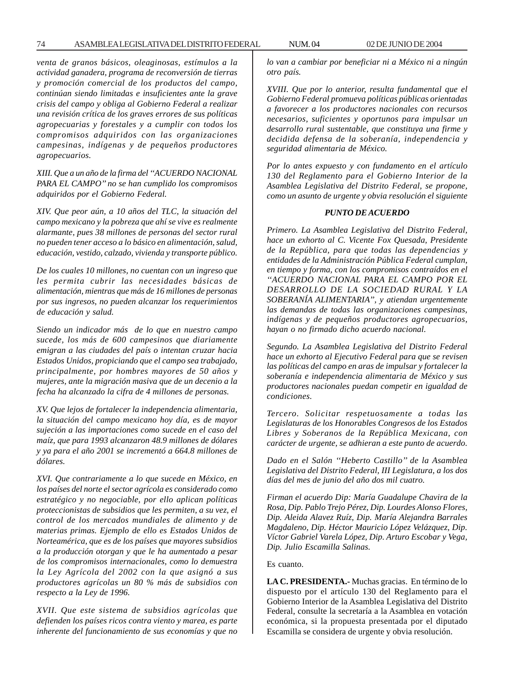*venta de granos básicos, oleaginosas, estímulos a la actividad ganadera, programa de reconversión de tierras y promoción comercial de los productos del campo, continúan siendo limitadas e insuficientes ante la grave crisis del campo y obliga al Gobierno Federal a realizar una revisión crítica de los graves errores de sus políticas agropecuarias y forestales y a cumplir con todos los compromisos adquiridos con las organizaciones campesinas, indígenas y de pequeños productores agropecuarios.*

*XIII. Que a un año de la firma del ''ACUERDO NACIONAL PARA EL CAMPO'' no se han cumplido los compromisos adquiridos por el Gobierno Federal.*

*XIV. Que peor aún, a 10 años del TLC, la situación del campo mexicano y la pobreza que ahí se vive es realmente alarmante, pues 38 millones de personas del sector rural no pueden tener acceso a lo básico en alimentación, salud, educación, vestido, calzado, vivienda y transporte público.*

*De los cuales 10 millones, no cuentan con un ingreso que les permita cubrir las necesidades básicas de alimentación, mientras que más de 16 millones de personas por sus ingresos, no pueden alcanzar los requerimientos de educación y salud.*

*Siendo un indicador más de lo que en nuestro campo sucede, los más de 600 campesinos que diariamente emigran a las ciudades del país o intentan cruzar hacia Estados Unidos, propiciando que el campo sea trabajado, principalmente, por hombres mayores de 50 años y mujeres, ante la migración masiva que de un decenio a la fecha ha alcanzado la cifra de 4 millones de personas.*

*XV. Que lejos de fortalecer la independencia alimentaria, la situación del campo mexicano hoy día, es de mayor sujeción a las importaciones como sucede en el caso del maíz, que para 1993 alcanzaron 48.9 millones de dólares y ya para el año 2001 se incrementó a 664.8 millones de dólares.*

*XVI. Que contrariamente a lo que sucede en México, en los países del norte el sector agrícola es considerado como estratégico y no negociable, por ello aplican políticas proteccionistas de subsidios que les permiten, a su vez, el control de los mercados mundiales de alimento y de materias primas. Ejemplo de ello es Estados Unidos de Norteamérica, que es de los países que mayores subsidios a la producción otorgan y que le ha aumentado a pesar de los compromisos internacionales, como lo demuestra la Ley Agrícola del 2002 con la que asignó a sus productores agrícolas un 80 % más de subsidios con respecto a la Ley de 1996.*

*XVII. Que este sistema de subsidios agrícolas que defienden los países ricos contra viento y marea, es parte inherente del funcionamiento de sus economías y que no* *lo van a cambiar por beneficiar ni a México ni a ningún otro país.*

*XVIII. Que por lo anterior, resulta fundamental que el Gobierno Federal promueva políticas públicas orientadas a favorecer a los productores nacionales con recursos necesarios, suficientes y oportunos para impulsar un desarrollo rural sustentable, que constituya una firme y decidida defensa de la soberanía, independencia y seguridad alimentaria de México.*

*Por lo antes expuesto y con fundamento en el artículo 130 del Reglamento para el Gobierno Interior de la Asamblea Legislativa del Distrito Federal, se propone, como un asunto de urgente y obvia resolución el siguiente*

## *PUNTO DE ACUERDO*

*Primero. La Asamblea Legislativa del Distrito Federal, hace un exhorto al C. Vicente Fox Quesada, Presidente de la República, para que todas las dependencias y entidades de la Administración Pública Federal cumplan, en tiempo y forma, con los compromisos contraídos en el ''ACUERDO NACIONAL PARA EL CAMPO POR EL DESARROLLO DE LA SOCIEDAD RURAL Y LA SOBERANÍA ALIMENTARIA'', y atiendan urgentemente las demandas de todas las organizaciones campesinas, indígenas y de pequeños productores agropecuarios, hayan o no firmado dicho acuerdo nacional.*

*Segundo. La Asamblea Legislativa del Distrito Federal hace un exhorto al Ejecutivo Federal para que se revisen las políticas del campo en aras de impulsar y fortalecer la soberanía e independencia alimentaria de México y sus productores nacionales puedan competir en igualdad de condiciones.*

*Tercero. Solicitar respetuosamente a todas las Legislaturas de los Honorables Congresos de los Estados Libres y Soberanos de la República Mexicana, con carácter de urgente, se adhieran a este punto de acuerdo.*

*Dado en el Salón ''Heberto Castillo'' de la Asamblea Legislativa del Distrito Federal, III Legislatura, a los dos días del mes de junio del año dos mil cuatro.*

*Firman el acuerdo Dip: María Guadalupe Chavira de la Rosa, Dip. Pablo Trejo Pérez, Dip. Lourdes Alonso Flores, Dip. Aleida Alavez Ruíz, Dip. María Alejandra Barrales Magdaleno, Dip. Héctor Mauricio López Velázquez, Dip. Víctor Gabriel Varela López, Dip. Arturo Escobar y Vega, Dip. Julio Escamilla Salinas.*

#### Es cuanto.

**LA C. PRESIDENTA.-** Muchas gracias. En término de lo dispuesto por el artículo 130 del Reglamento para el Gobierno Interior de la Asamblea Legislativa del Distrito Federal, consulte la secretaría a la Asamblea en votación económica, si la propuesta presentada por el diputado Escamilla se considera de urgente y obvia resolución.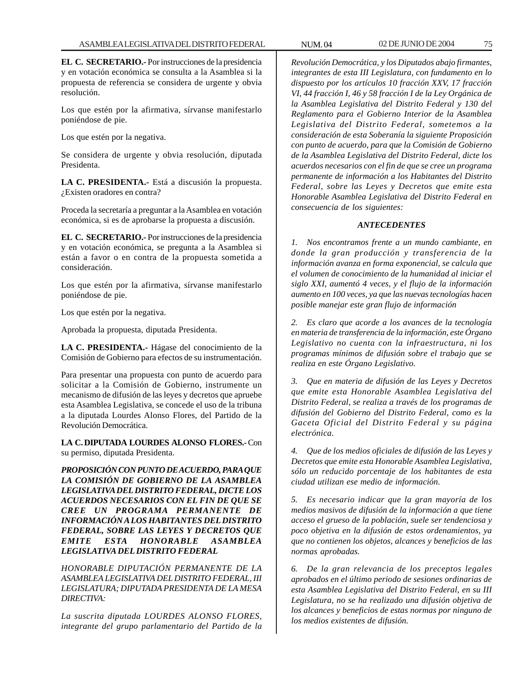**EL C. SECRETARIO.-** Por instrucciones de la presidencia y en votación económica se consulta a la Asamblea si la propuesta de referencia se considera de urgente y obvia resolución.

Los que estén por la afirmativa, sírvanse manifestarlo poniéndose de pie.

Los que estén por la negativa.

Se considera de urgente y obvia resolución, diputada Presidenta.

**LA C. PRESIDENTA.-** Está a discusión la propuesta. ¿Existen oradores en contra?

Proceda la secretaría a preguntar a la Asamblea en votación económica, si es de aprobarse la propuesta a discusión.

**EL C. SECRETARIO.-** Por instrucciones de la presidencia y en votación económica, se pregunta a la Asamblea si están a favor o en contra de la propuesta sometida a consideración.

Los que estén por la afirmativa, sírvanse manifestarlo poniéndose de pie.

Los que estén por la negativa.

Aprobada la propuesta, diputada Presidenta.

**LA C. PRESIDENTA.-** Hágase del conocimiento de la Comisión de Gobierno para efectos de su instrumentación.

Para presentar una propuesta con punto de acuerdo para solicitar a la Comisión de Gobierno, instrumente un mecanismo de difusión de las leyes y decretos que apruebe esta Asamblea Legislativa, se concede el uso de la tribuna a la diputada Lourdes Alonso Flores, del Partido de la Revolución Democrática.

**LA C. DIPUTADA LOURDES ALONSO FLORES.-** Con su permiso, diputada Presidenta.

*PROPOSICIÓN CON PUNTO DE ACUERDO, PARA QUE LA COMISIÓN DE GOBIERNO DE LA ASAMBLEA LEGISLATIVA DEL DISTRITO FEDERAL, DICTE LOS ACUERDOS NECESARIOS CON EL FIN DE QUE SE CREE UN PROGRAMA PERMANENTE DE INFORMACIÓN A LOS HABITANTES DEL DISTRITO FEDERAL, SOBRE LAS LEYES Y DECRETOS QUE EMITE ESTA HONORABLE ASAMBLEA LEGISLATIVA DEL DISTRITO FEDERAL*

*HONORABLE DIPUTACIÓN PERMANENTE DE LA ASAMBLEA LEGISLATIVA DEL DISTRITO FEDERAL, III LEGISLATURA; DIPUTADA PRESIDENTA DE LA MESA DIRECTIVA:*

*La suscrita diputada LOURDES ALONSO FLORES, integrante del grupo parlamentario del Partido de la* *Revolución Democrática, y los Diputados abajo firmantes, integrantes de esta III Legislatura, con fundamento en lo dispuesto por los artículos 10 fracción XXV, 17 fracción VI, 44 fracción I, 46 y 58 fracción I de la Ley Orgánica de la Asamblea Legislativa del Distrito Federal y 130 del Reglamento para el Gobierno Interior de la Asamblea Legislativa del Distrito Federal, sometemos a la consideración de esta Soberanía la siguiente Proposición con punto de acuerdo, para que la Comisión de Gobierno de la Asamblea Legislativa del Distrito Federal, dicte los acuerdos necesarios con el fin de que se cree un programa permanente de información a los Habitantes del Distrito Federal, sobre las Leyes y Decretos que emite esta Honorable Asamblea Legislativa del Distrito Federal en consecuencia de los siguientes:*

# *ANTECEDENTES*

*1. Nos encontramos frente a un mundo cambiante, en donde la gran producción y transferencia de la información avanza en forma exponencial, se calcula que el volumen de conocimiento de la humanidad al iniciar el siglo XXI, aumentó 4 veces, y el flujo de la información aumento en 100 veces, ya que las nuevas tecnologías hacen posible manejar este gran flujo de información*

*2. Es claro que acorde a los avances de la tecnología en materia de transferencia de la información, este Órgano Legislativo no cuenta con la infraestructura, ni los programas mínimos de difusión sobre el trabajo que se realiza en este Órgano Legislativo.*

*3. Que en materia de difusión de las Leyes y Decretos que emite esta Honorable Asamblea Legislativa del Distrito Federal, se realiza a través de los programas de difusión del Gobierno del Distrito Federal, como es la Gaceta Oficial del Distrito Federal y su página electrónica.*

*4. Que de los medios oficiales de difusión de las Leyes y Decretos que emite esta Honorable Asamblea Legislativa, sólo un reducido porcentaje de los habitantes de esta ciudad utilizan ese medio de información.*

*5. Es necesario indicar que la gran mayoría de los medios masivos de difusión de la información a que tiene acceso el grueso de la población, suele ser tendenciosa y poco objetiva en la difusión de estos ordenamientos, ya que no contienen los objetos, alcances y beneficios de las normas aprobadas.*

*6. De la gran relevancia de los preceptos legales aprobados en el último periodo de sesiones ordinarias de esta Asamblea Legislativa del Distrito Federal, en su III Legislatura, no se ha realizado una difusión objetiva de los alcances y beneficios de estas normas por ninguno de los medios existentes de difusión.*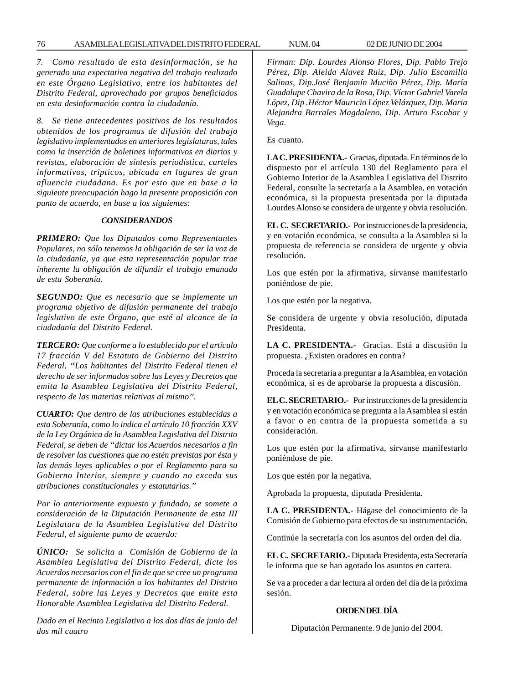*7. Como resultado de esta desinformación, se ha generado una expectativa negativa del trabajo realizado en este Órgano Legislativo, entre los habitantes del Distrito Federal, aprovechado por grupos beneficiados en esta desinformación contra la ciudadanía.*

*8. Se tiene antecedentes positivos de los resultados obtenidos de los programas de difusión del trabajo legislativo implementados en anteriores legislaturas, tales como la inserción de boletines informativos en diarios y revistas, elaboración de síntesis periodística, carteles informativos, trípticos, ubicada en lugares de gran afluencia ciudadana. Es por esto que en base a la siguiente preocupación hago la presente proposición con punto de acuerdo, en base a los siguientes:*

#### *CONSIDERANDOS*

*PRIMERO: Que los Diputados como Representantes Populares, no sólo tenemos la obligación de ser la voz de la ciudadanía, ya que esta representación popular trae inherente la obligación de difundir el trabajo emanado de esta Soberanía.*

*SEGUNDO: Que es necesario que se implemente un programa objetivo de difusión permanente del trabajo legislativo de este Órgano, que esté al alcance de la ciudadanía del Distrito Federal.*

*TERCERO: Que conforme a lo establecido por el artículo 17 fracción V del Estatuto de Gobierno del Distrito Federal, ''Los habitantes del Distrito Federal tienen el derecho de ser informados sobre las Leyes y Decretos que emita la Asamblea Legislativa del Distrito Federal, respecto de las materias relativas al mismo''.*

*CUARTO: Que dentro de las atribuciones establecidas a esta Soberanía, como lo indica el artículo 10 fracción XXV de la Ley Orgánica de la Asamblea Legislativa del Distrito Federal, se deben de ''dictar los Acuerdos necesarios a fin de resolver las cuestiones que no estén previstas por ésta y las demás leyes aplicables o por el Reglamento para su Gobierno Interior, siempre y cuando no exceda sus atribuciones constitucionales y estatutarias.''*

*Por lo anteriormente expuesto y fundado, se somete a consideración de la Diputación Permanente de esta III Legislatura de la Asamblea Legislativa del Distrito Federal, el siguiente punto de acuerdo:*

*ÚNICO: Se solicita a Comisión de Gobierno de la Asamblea Legislativa del Distrito Federal, dicte los Acuerdos necesarios con el fin de que se cree un programa permanente de información a los habitantes del Distrito Federal, sobre las Leyes y Decretos que emite esta Honorable Asamblea Legislativa del Distrito Federal.*

*Dado en el Recinto Legislativo a los dos días de junio del dos mil cuatro*

*Firman: Dip. Lourdes Alonso Flores, Dip. Pablo Trejo Pérez, Dip. Aleida Alavez Ruíz, Dip. Julio Escamilla Salinas, Dip.José Benjamín Muciño Pérez, Dip. María Guadalupe Chavira de la Rosa*, *Dip. Víctor Gabriel Varela López, Dip .Héctor Mauricio López Velázquez, Dip. Maria Alejandra Barrales Magdaleno, Dip. Arturo Escobar y Vega.*

Es cuanto.

**LA C. PRESIDENTA.-** Gracias, diputada. En términos de lo dispuesto por el artículo 130 del Reglamento para el Gobierno Interior de la Asamblea Legislativa del Distrito Federal, consulte la secretaría a la Asamblea, en votación económica, si la propuesta presentada por la diputada Lourdes Alonso se considera de urgente y obvia resolución.

**EL C. SECRETARIO.-** Por instrucciones de la presidencia, y en votación económica, se consulta a la Asamblea si la propuesta de referencia se considera de urgente y obvia resolución.

Los que estén por la afirmativa, sírvanse manifestarlo poniéndose de pie.

Los que estén por la negativa.

Se considera de urgente y obvia resolución, diputada Presidenta.

**LA C. PRESIDENTA.-** Gracias. Está a discusión la propuesta. ¿Existen oradores en contra?

Proceda la secretaría a preguntar a la Asamblea, en votación económica, si es de aprobarse la propuesta a discusión.

**EL C. SECRETARIO.-** Por instrucciones de la presidencia y en votación económica se pregunta a la Asamblea si están a favor o en contra de la propuesta sometida a su consideración.

Los que estén por la afirmativa, sírvanse manifestarlo poniéndose de pie.

Los que estén por la negativa.

Aprobada la propuesta, diputada Presidenta.

**LA C. PRESIDENTA.-** Hágase del conocimiento de la Comisión de Gobierno para efectos de su instrumentación.

Continúe la secretaría con los asuntos del orden del día.

**EL C. SECRETARIO.-** Diputada Presidenta, esta Secretaría le informa que se han agotado los asuntos en cartera.

Se va a proceder a dar lectura al orden del día de la próxima sesión.

#### **ORDEN DEL DÍA**

Diputación Permanente. 9 de junio del 2004.